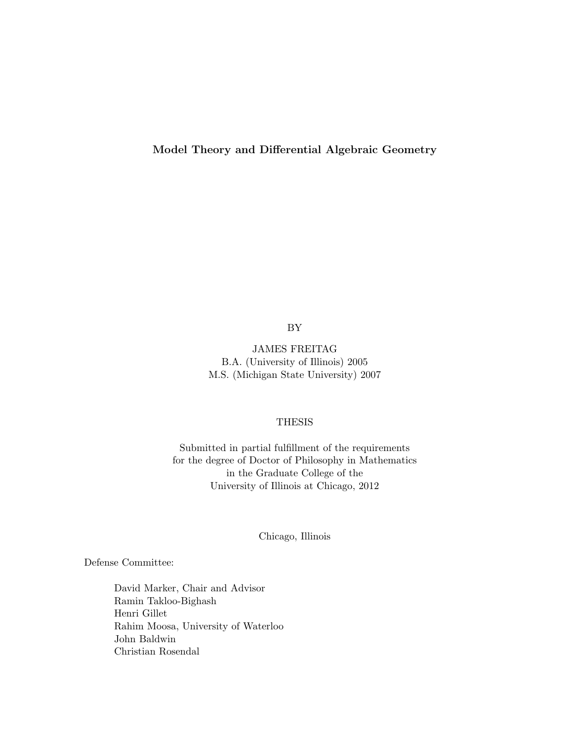Model Theory and Differential Algebraic Geometry

BY

JAMES FREITAG B.A. (University of Illinois) 2005 M.S. (Michigan State University) 2007

# THESIS

Submitted in partial fulfillment of the requirements for the degree of Doctor of Philosophy in Mathematics in the Graduate College of the University of Illinois at Chicago, 2012

Chicago, Illinois

Defense Committee:

David Marker, Chair and Advisor Ramin Takloo-Bighash Henri Gillet Rahim Moosa, University of Waterloo John Baldwin Christian Rosendal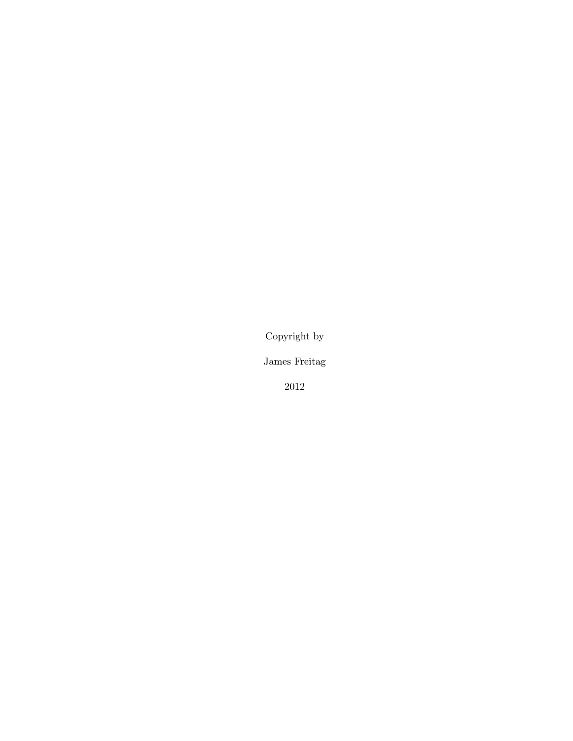Copyright by

James Freitag

2012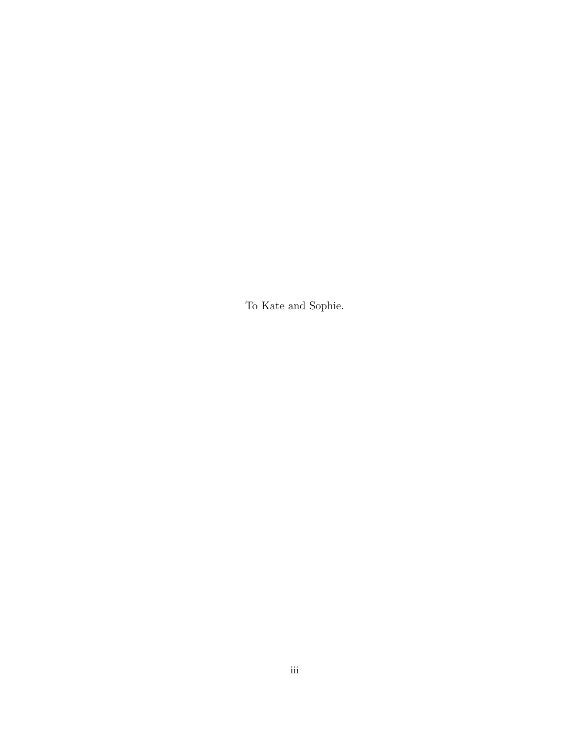To Kate and Sophie.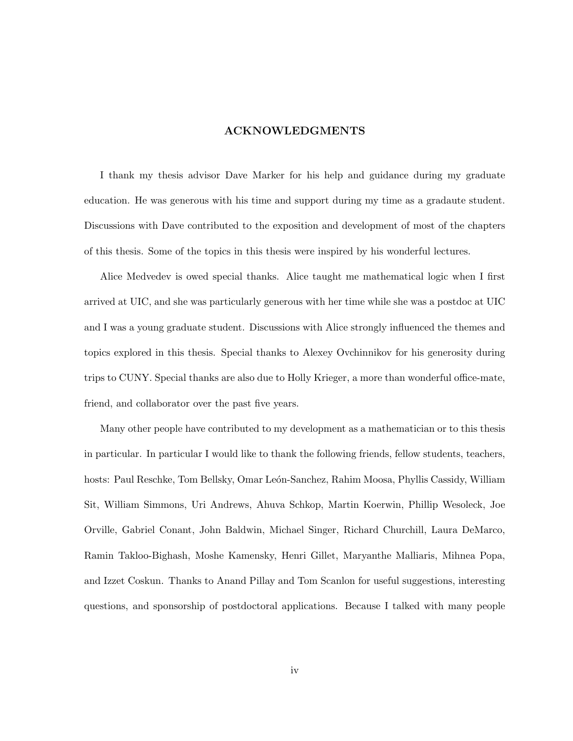## ACKNOWLEDGMENTS

I thank my thesis advisor Dave Marker for his help and guidance during my graduate education. He was generous with his time and support during my time as a gradaute student. Discussions with Dave contributed to the exposition and development of most of the chapters of this thesis. Some of the topics in this thesis were inspired by his wonderful lectures.

Alice Medvedev is owed special thanks. Alice taught me mathematical logic when I first arrived at UIC, and she was particularly generous with her time while she was a postdoc at UIC and I was a young graduate student. Discussions with Alice strongly influenced the themes and topics explored in this thesis. Special thanks to Alexey Ovchinnikov for his generosity during trips to CUNY. Special thanks are also due to Holly Krieger, a more than wonderful office-mate, friend, and collaborator over the past five years.

Many other people have contributed to my development as a mathematician or to this thesis in particular. In particular I would like to thank the following friends, fellow students, teachers, hosts: Paul Reschke, Tom Bellsky, Omar León-Sanchez, Rahim Moosa, Phyllis Cassidy, William Sit, William Simmons, Uri Andrews, Ahuva Schkop, Martin Koerwin, Phillip Wesoleck, Joe Orville, Gabriel Conant, John Baldwin, Michael Singer, Richard Churchill, Laura DeMarco, Ramin Takloo-Bighash, Moshe Kamensky, Henri Gillet, Maryanthe Malliaris, Mihnea Popa, and Izzet Coskun. Thanks to Anand Pillay and Tom Scanlon for useful suggestions, interesting questions, and sponsorship of postdoctoral applications. Because I talked with many people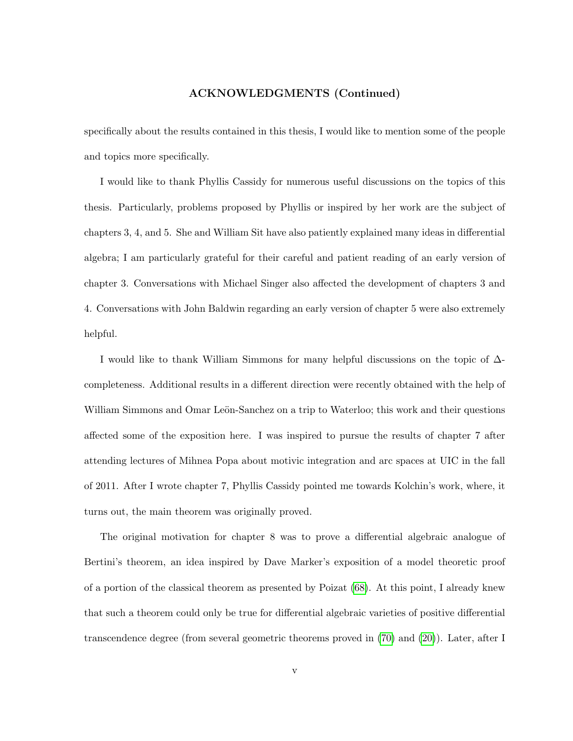# ACKNOWLEDGMENTS (Continued)

specifically about the results contained in this thesis, I would like to mention some of the people and topics more specifically.

I would like to thank Phyllis Cassidy for numerous useful discussions on the topics of this thesis. Particularly, problems proposed by Phyllis or inspired by her work are the subject of chapters 3, 4, and 5. She and William Sit have also patiently explained many ideas in differential algebra; I am particularly grateful for their careful and patient reading of an early version of chapter 3. Conversations with Michael Singer also affected the development of chapters 3 and 4. Conversations with John Baldwin regarding an early version of chapter 5 were also extremely helpful.

I would like to thank William Simmons for many helpful discussions on the topic of ∆ completeness. Additional results in a different direction were recently obtained with the help of William Simmons and Omar Leön-Sanchez on a trip to Waterloo; this work and their questions affected some of the exposition here. I was inspired to pursue the results of chapter 7 after attending lectures of Mihnea Popa about motivic integration and arc spaces at UIC in the fall of 2011. After I wrote chapter 7, Phyllis Cassidy pointed me towards Kolchin's work, where, it turns out, the main theorem was originally proved.

The original motivation for chapter 8 was to prove a differential algebraic analogue of Bertini's theorem, an idea inspired by Dave Marker's exposition of a model theoretic proof of a portion of the classical theorem as presented by Poizat [\(68\)](#page-219-0). At this point, I already knew that such a theorem could only be true for differential algebraic varieties of positive differential transcendence degree (from several geometric theorems proved in [\(70\)](#page-219-1) and [\(20\)](#page-215-0)). Later, after I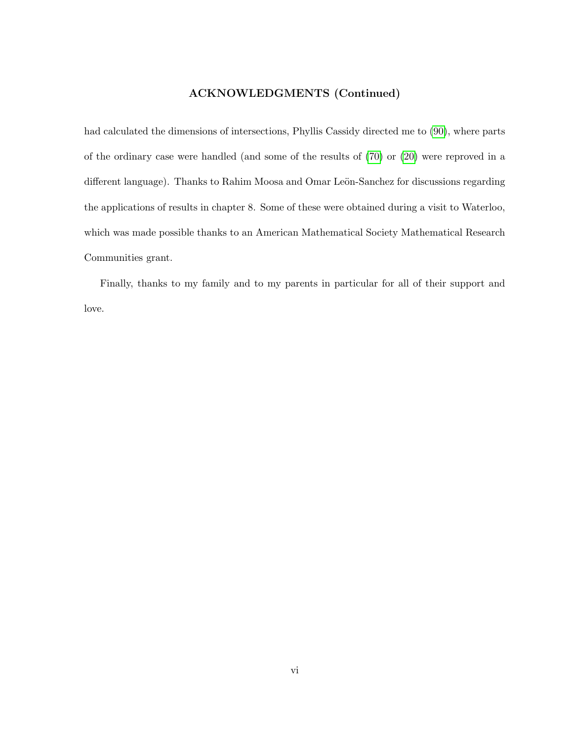# ACKNOWLEDGMENTS (Continued)

had calculated the dimensions of intersections, Phyllis Cassidy directed me to [\(90\)](#page-220-0), where parts of the ordinary case were handled (and some of the results of [\(70\)](#page-219-1) or [\(20\)](#page-215-0) were reproved in a different language). Thanks to Rahim Moosa and Omar Leön-Sanchez for discussions regarding the applications of results in chapter 8. Some of these were obtained during a visit to Waterloo, which was made possible thanks to an American Mathematical Society Mathematical Research Communities grant.

Finally, thanks to my family and to my parents in particular for all of their support and love.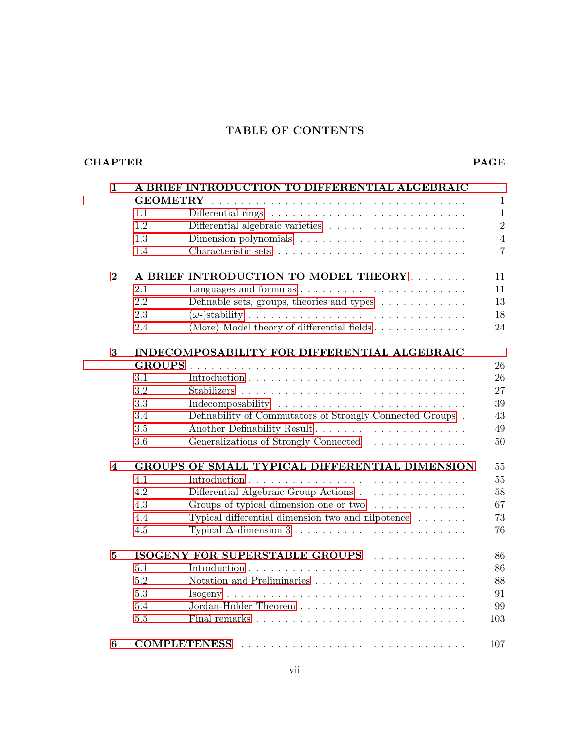# TABLE OF CONTENTS

# CHAPTER PAGE

| $\mathbf{1}$            | A BRIEF INTRODUCTION TO DIFFERENTIAL ALGEBRAIC<br><b>GEOMETRY</b><br>$\mathbf{1}$ |                                                                      |                |  |
|-------------------------|-----------------------------------------------------------------------------------|----------------------------------------------------------------------|----------------|--|
|                         |                                                                                   |                                                                      |                |  |
|                         | 1.1                                                                               |                                                                      | $\mathbf{1}$   |  |
|                         | 1.2                                                                               |                                                                      | $\overline{2}$ |  |
|                         | 1.3                                                                               |                                                                      | $\sqrt{4}$     |  |
|                         | 1.4                                                                               |                                                                      | $\overline{7}$ |  |
| $\bf{2}$                |                                                                                   | A BRIEF INTRODUCTION TO MODEL THEORY                                 | 11             |  |
|                         | 2.1                                                                               |                                                                      | 11             |  |
|                         | 2.2                                                                               | Definable sets, groups, theories and types $\dots \dots \dots \dots$ | 13             |  |
|                         | 2.3                                                                               |                                                                      | 18             |  |
|                         | 2.4                                                                               | (More) Model theory of differential fields                           | 24             |  |
| 3                       | INDECOMPOSABILITY FOR DIFFERENTIAL ALGEBRAIC                                      |                                                                      |                |  |
|                         |                                                                                   |                                                                      | 26             |  |
|                         | 3.1                                                                               |                                                                      | 26             |  |
|                         | 3.2                                                                               |                                                                      | 27             |  |
|                         | 3.3                                                                               |                                                                      | 39             |  |
|                         | 3.4                                                                               | Definability of Commutators of Strongly Connected Groups.            | 43             |  |
|                         | 3.5                                                                               |                                                                      | 49             |  |
|                         | 3.6                                                                               | Generalizations of Strongly Connected                                | 50             |  |
| $\overline{\mathbf{4}}$ |                                                                                   | GROUPS OF SMALL TYPICAL DIFFERENTIAL DIMENSION                       | 55             |  |
|                         | 4.1                                                                               |                                                                      | 55             |  |
|                         | 4.2                                                                               | Differential Algebraic Group Actions                                 | 58             |  |
|                         | 4.3                                                                               | Groups of typical dimension one or two                               | 67             |  |
|                         | 4.4                                                                               | Typical differential dimension two and nilpotence $\dots \dots$      | 73             |  |
|                         | 4.5                                                                               |                                                                      | 76             |  |
| 5                       | ISOGENY FOR SUPERSTABLE GROUPS                                                    |                                                                      |                |  |
|                         | 5.1                                                                               |                                                                      | 86             |  |
|                         | 5.2                                                                               |                                                                      | 88             |  |
|                         | 5.3                                                                               |                                                                      | 91             |  |
|                         | 5.4                                                                               |                                                                      | 99             |  |
|                         | 5.5                                                                               |                                                                      | 103            |  |
| $\bf{6}$                |                                                                                   | <b>COMPLETENESS</b>                                                  | 107            |  |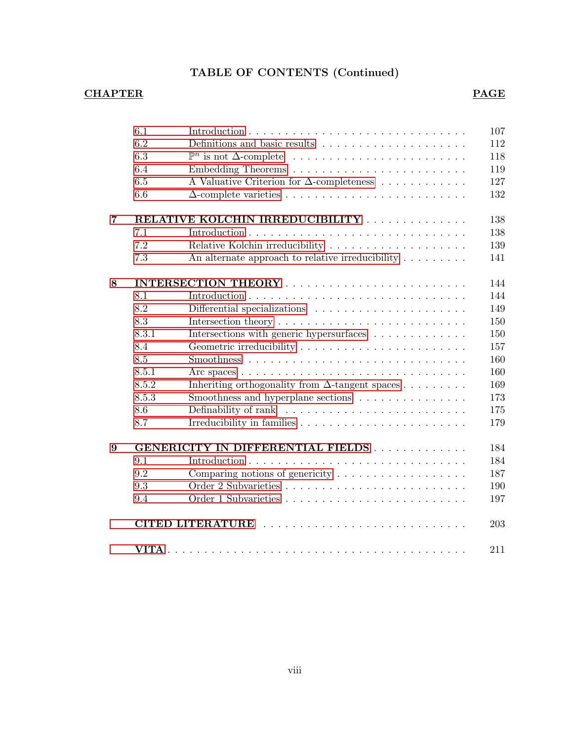# TABLE OF CONTENTS (Continued)

# CHAPTER PAGE

|                | 6.1                                      |                                                                                                | 107 |  |  |
|----------------|------------------------------------------|------------------------------------------------------------------------------------------------|-----|--|--|
|                | 6.2                                      | Definitions and basic results $\dots \dots \dots \dots \dots \dots \dots$                      | 112 |  |  |
|                | 6.3                                      |                                                                                                | 118 |  |  |
|                | 6.4                                      |                                                                                                | 119 |  |  |
|                | 6.5                                      | A Valuative Criterion for $\Delta$ -completeness                                               | 127 |  |  |
|                | 6.6                                      |                                                                                                | 132 |  |  |
| $\overline{7}$ | RELATIVE KOLCHIN IRREDUCIBILITY<br>138   |                                                                                                |     |  |  |
|                | 7.1                                      |                                                                                                | 138 |  |  |
|                | 7.2                                      | Relative Kolchin irreducibility $\hfill\ldots\ldots\ldots\ldots\ldots\ldots\ldots\ldots\ldots$ | 139 |  |  |
|                | 7.3                                      | An alternate approach to relative irreducibility $\dots \dots$                                 | 141 |  |  |
| 8              | 144                                      |                                                                                                |     |  |  |
|                | 8.1                                      |                                                                                                | 144 |  |  |
|                | 8.2                                      |                                                                                                | 149 |  |  |
|                | 8.3                                      |                                                                                                | 150 |  |  |
|                | 8.3.1                                    | Intersections with generic hypersurfaces                                                       | 150 |  |  |
|                | 8.4                                      |                                                                                                | 157 |  |  |
|                | 8.5                                      |                                                                                                | 160 |  |  |
|                | 8.5.1                                    |                                                                                                | 160 |  |  |
|                | 8.5.2                                    | Inheriting orthogonality from $\Delta$ -tangent spaces $\dots \dots$                           | 169 |  |  |
|                | 8.5.3                                    | Smoothness and hyperplane sections                                                             | 173 |  |  |
|                | 8.6                                      |                                                                                                | 175 |  |  |
|                | 8.7                                      |                                                                                                | 179 |  |  |
| 9              | GENERICITY IN DIFFERENTIAL FIELDS<br>184 |                                                                                                |     |  |  |
|                | 9.1                                      |                                                                                                | 184 |  |  |
|                | 9.2                                      | Comparing notions of genericity $\ldots \ldots \ldots \ldots \ldots \ldots$                    | 187 |  |  |
|                | 9.3                                      |                                                                                                | 190 |  |  |
|                | 9.4                                      |                                                                                                | 197 |  |  |
|                |                                          |                                                                                                | 203 |  |  |
|                |                                          |                                                                                                | 211 |  |  |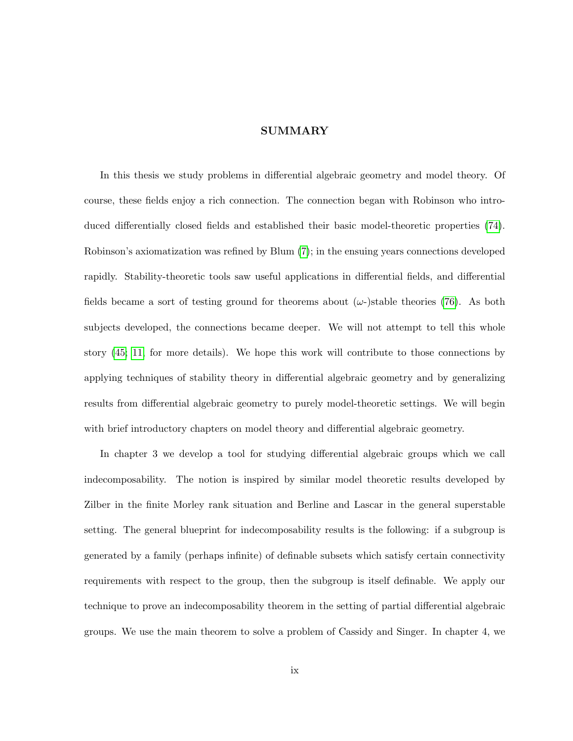# SUMMARY

In this thesis we study problems in differential algebraic geometry and model theory. Of course, these fields enjoy a rich connection. The connection began with Robinson who introduced differentially closed fields and established their basic model-theoretic properties [\(74\)](#page-219-2). Robinson's axiomatization was refined by Blum [\(7\)](#page-214-0); in the ensuing years connections developed rapidly. Stability-theoretic tools saw useful applications in differential fields, and differential fields became a sort of testing ground for theorems about  $(\omega$ -)stable theories [\(76\)](#page-219-3). As both subjects developed, the connections became deeper. We will not attempt to tell this whole story [\(45;](#page-217-0) [11,](#page-214-1) for more details). We hope this work will contribute to those connections by applying techniques of stability theory in differential algebraic geometry and by generalizing results from differential algebraic geometry to purely model-theoretic settings. We will begin with brief introductory chapters on model theory and differential algebraic geometry.

In chapter 3 we develop a tool for studying differential algebraic groups which we call indecomposability. The notion is inspired by similar model theoretic results developed by Zilber in the finite Morley rank situation and Berline and Lascar in the general superstable setting. The general blueprint for indecomposability results is the following: if a subgroup is generated by a family (perhaps infinite) of definable subsets which satisfy certain connectivity requirements with respect to the group, then the subgroup is itself definable. We apply our technique to prove an indecomposability theorem in the setting of partial differential algebraic groups. We use the main theorem to solve a problem of Cassidy and Singer. In chapter 4, we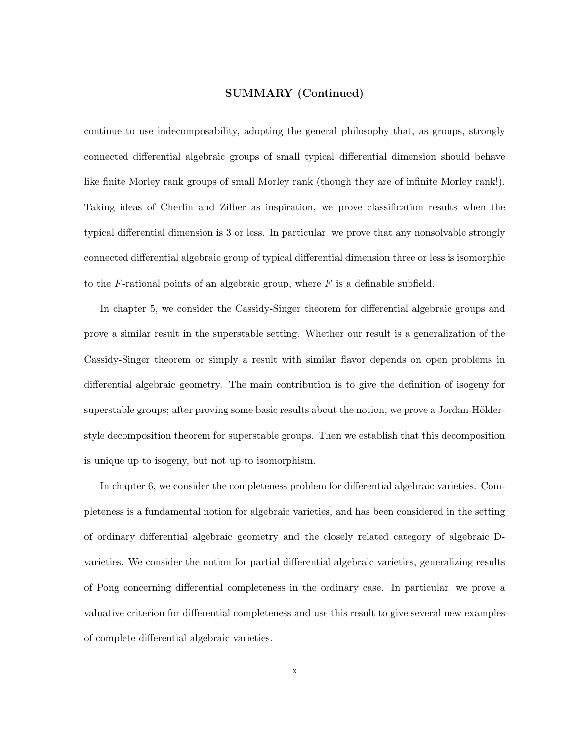# SUMMARY (Continued)

continue to use indecomposability, adopting the general philosophy that, as groups, strongly connected differential algebraic groups of small typical differential dimension should behave like finite Morley rank groups of small Morley rank (though they are of infinite Morley rank!). Taking ideas of Cherlin and Zilber as inspiration, we prove classification results when the typical differential dimension is 3 or less. In particular, we prove that any nonsolvable strongly connected differential algebraic group of typical differential dimension three or less is isomorphic to the F-rational points of an algebraic group, where  $F$  is a definable subfield.

In chapter 5, we consider the Cassidy-Singer theorem for differential algebraic groups and prove a similar result in the superstable setting. Whether our result is a generalization of the Cassidy-Singer theorem or simply a result with similar flavor depends on open problems in differential algebraic geometry. The main contribution is to give the definition of isogeny for superstable groups; after proving some basic results about the notion, we prove a Jordan-Hölderstyle decomposition theorem for superstable groups. Then we establish that this decomposition is unique up to isogeny, but not up to isomorphism.

In chapter 6, we consider the completeness problem for differential algebraic varieties. Completeness is a fundamental notion for algebraic varieties, and has been considered in the setting of ordinary differential algebraic geometry and the closely related category of algebraic Dvarieties. We consider the notion for partial differential algebraic varieties, generalizing results of Pong concerning differential completeness in the ordinary case. In particular, we prove a valuative criterion for differential completeness and use this result to give several new examples of complete differential algebraic varieties.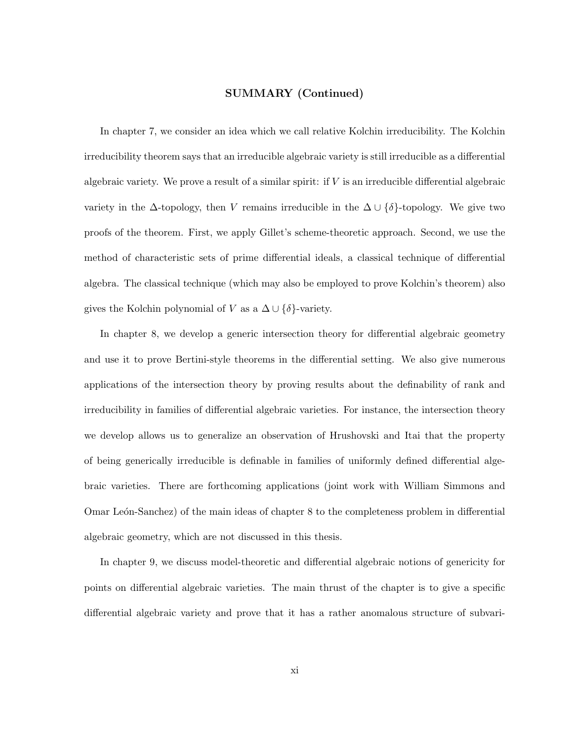# SUMMARY (Continued)

In chapter 7, we consider an idea which we call relative Kolchin irreducibility. The Kolchin irreducibility theorem says that an irreducible algebraic variety is still irreducible as a differential algebraic variety. We prove a result of a similar spirit: if V is an irreducible differential algebraic variety in the  $\Delta$ -topology, then V remains irreducible in the  $\Delta \cup {\delta}$ -topology. We give two proofs of the theorem. First, we apply Gillet's scheme-theoretic approach. Second, we use the method of characteristic sets of prime differential ideals, a classical technique of differential algebra. The classical technique (which may also be employed to prove Kolchin's theorem) also gives the Kolchin polynomial of V as a  $\Delta \cup {\delta}$ -variety.

In chapter 8, we develop a generic intersection theory for differential algebraic geometry and use it to prove Bertini-style theorems in the differential setting. We also give numerous applications of the intersection theory by proving results about the definability of rank and irreducibility in families of differential algebraic varieties. For instance, the intersection theory we develop allows us to generalize an observation of Hrushovski and Itai that the property of being generically irreducible is definable in families of uniformly defined differential algebraic varieties. There are forthcoming applications (joint work with William Simmons and Omar León-Sanchez) of the main ideas of chapter 8 to the completeness problem in differential algebraic geometry, which are not discussed in this thesis.

In chapter 9, we discuss model-theoretic and differential algebraic notions of genericity for points on differential algebraic varieties. The main thrust of the chapter is to give a specific differential algebraic variety and prove that it has a rather anomalous structure of subvari-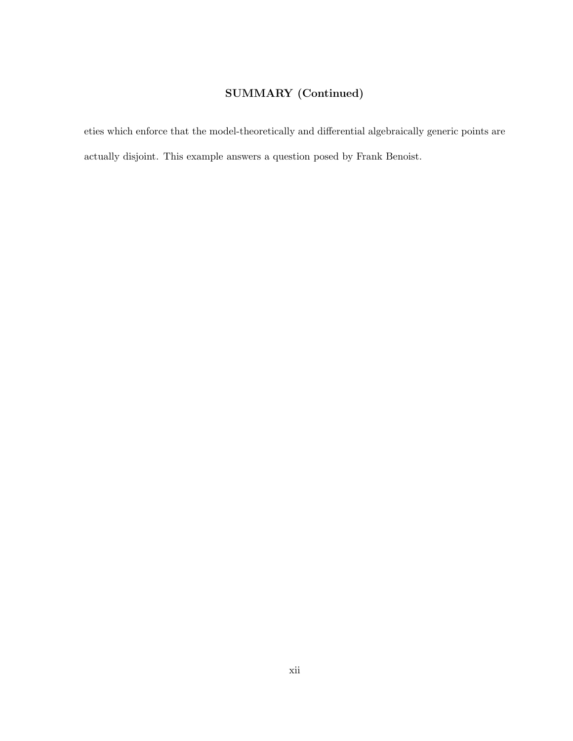# SUMMARY (Continued)

eties which enforce that the model-theoretically and differential algebraically generic points are actually disjoint. This example answers a question posed by Frank Benoist.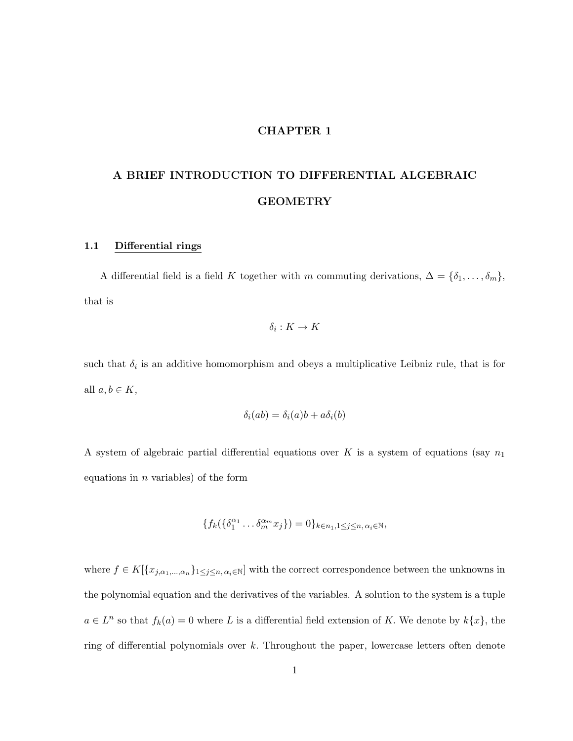# CHAPTER 1

# <span id="page-12-0"></span>A BRIEF INTRODUCTION TO DIFFERENTIAL ALGEBRAIC GEOMETRY

# <span id="page-12-1"></span>1.1 Differential rings

A differential field is a field K together with m commuting derivations,  $\Delta = {\delta_1, \ldots, \delta_m}$ , that is

$$
\delta_i: K \to K
$$

such that  $\delta_i$  is an additive homomorphism and obeys a multiplicative Leibniz rule, that is for all  $a, b \in K$ ,

$$
\delta_i(ab) = \delta_i(a)b + a\delta_i(b)
$$

A system of algebraic partial differential equations over  $K$  is a system of equations (say  $n_1$ equations in  $n$  variables) of the form

$$
\{f_k(\{\delta_1^{\alpha_1}\dots\delta_m^{\alpha_m}x_j\})=0\}_{k\in n_1,1\leq j\leq n,\,\alpha_i\in\mathbb{N}},
$$

where  $f \in K[\{x_{j,\alpha_1,\dots,\alpha_n}\}_{1\leq j\leq n,\alpha_i\in\mathbb{N}}]$  with the correct correspondence between the unknowns in the polynomial equation and the derivatives of the variables. A solution to the system is a tuple  $a \in L^n$  so that  $f_k(a) = 0$  where L is a differential field extension of K. We denote by  $k\{x\}$ , the ring of differential polynomials over k. Throughout the paper, lowercase letters often denote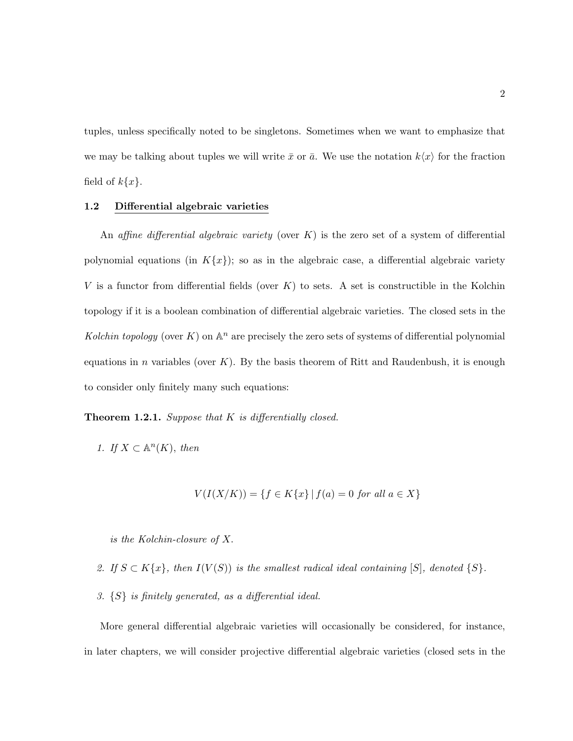tuples, unless specifically noted to be singletons. Sometimes when we want to emphasize that we may be talking about tuples we will write  $\bar{x}$  or  $\bar{a}$ . We use the notation  $k\langle x \rangle$  for the fraction field of  $k\{x\}$ .

# <span id="page-13-0"></span>1.2 Differential algebraic varieties

An affine differential algebraic variety (over  $K$ ) is the zero set of a system of differential polynomial equations (in  $K\{x\}$ ); so as in the algebraic case, a differential algebraic variety V is a functor from differential fields (over  $K$ ) to sets. A set is constructible in the Kolchin topology if it is a boolean combination of differential algebraic varieties. The closed sets in the Kolchin topology (over K) on  $\mathbb{A}^n$  are precisely the zero sets of systems of differential polynomial equations in n variables (over  $K$ ). By the basis theorem of Ritt and Raudenbush, it is enough to consider only finitely many such equations:

**Theorem 1.2.1.** Suppose that  $K$  is differentially closed.

1. If  $X \subset \mathbb{A}^n(K)$ , then

$$
V(I(X/K)) = \{ f \in K\{x\} \mid f(a) = 0 \text{ for all } a \in X \}
$$

is the Kolchin-closure of X.

- 2. If  $S \subset K\{x\}$ , then  $I(V(S))$  is the smallest radical ideal containing [S], denoted  $\{S\}$ .
- 3. {S} is finitely generated, as a differential ideal.

More general differential algebraic varieties will occasionally be considered, for instance, in later chapters, we will consider projective differential algebraic varieties (closed sets in the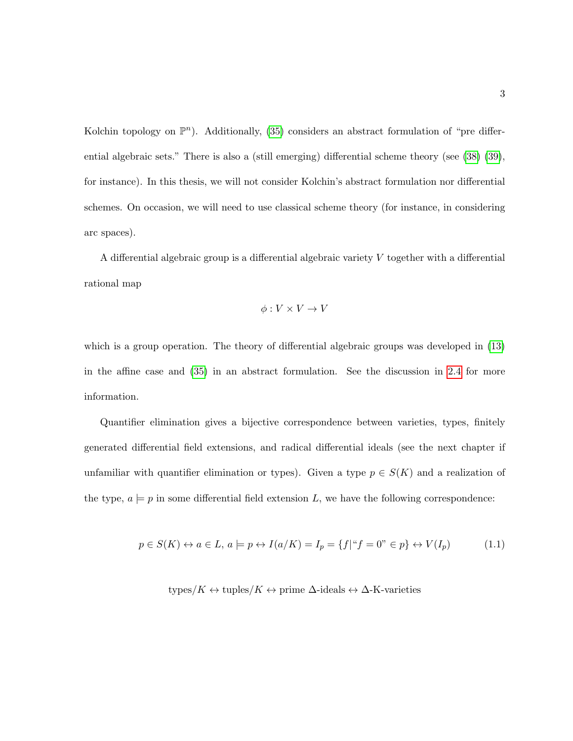Kolchin topology on  $\mathbb{P}^n$ ). Additionally, [\(35\)](#page-216-0) considers an abstract formulation of "pre differential algebraic sets." There is also a (still emerging) differential scheme theory (see [\(38\)](#page-217-1) [\(39\)](#page-217-2), for instance). In this thesis, we will not consider Kolchin's abstract formulation nor differential schemes. On occasion, we will need to use classical scheme theory (for instance, in considering arc spaces).

A differential algebraic group is a differential algebraic variety V together with a differential rational map

$$
\phi: V \times V \to V
$$

which is a group operation. The theory of differential algebraic groups was developed in [\(13\)](#page-215-1) in the affine case and [\(35\)](#page-216-0) in an abstract formulation. See the discussion in [2.4](#page-35-0) for more information.

Quantifier elimination gives a bijective correspondence between varieties, types, finitely generated differential field extensions, and radical differential ideals (see the next chapter if unfamiliar with quantifier elimination or types). Given a type  $p \in S(K)$  and a realization of the type,  $a \models p$  in some differential field extension L, we have the following correspondence:

<span id="page-14-0"></span>
$$
p \in S(K) \leftrightarrow a \in L, \ a \models p \leftrightarrow I(a/K) = I_p = \{f | ``f = 0" \in p\} \leftrightarrow V(I_p) \tag{1.1}
$$

types/K  $\leftrightarrow$  tuples/K  $\leftrightarrow$  prime  $\Delta$ -ideals  $\leftrightarrow \Delta$ -K-varieties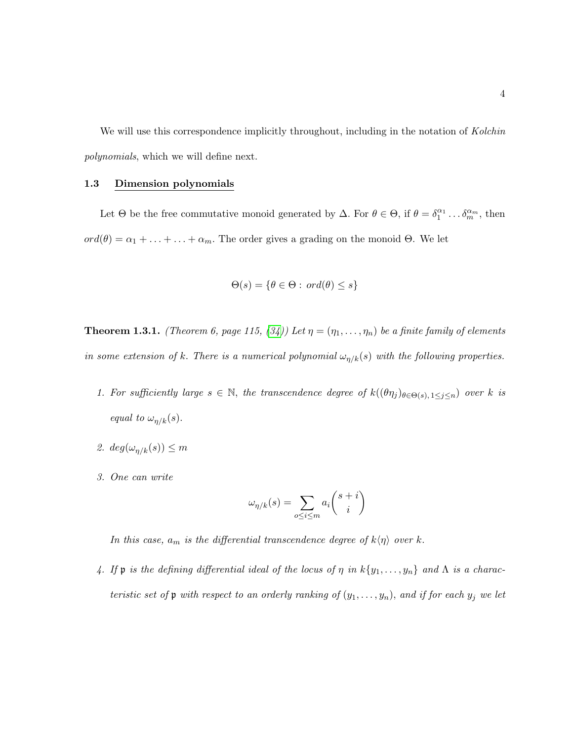We will use this correspondence implicitly throughout, including in the notation of Kolchin polynomials, which we will define next.

## <span id="page-15-0"></span>1.3 Dimension polynomials

Let  $\Theta$  be the free commutative monoid generated by  $\Delta$ . For  $\theta \in \Theta$ , if  $\theta = \delta_1^{\alpha_1} \dots \delta_m^{\alpha_m}$ , then  $ord(\theta) = \alpha_1 + \ldots + \ldots + \alpha_m$ . The order gives a grading on the monoid Θ. We let

$$
\Theta(s) = \{ \theta \in \Theta : \text{ord}(\theta) \le s \}
$$

**Theorem 1.3.1.** (Theorem 6, page 115, [\(34\)](#page-216-1)) Let  $\eta = (\eta_1, \ldots, \eta_n)$  be a finite family of elements in some extension of k. There is a numerical polynomial  $\omega_{\eta/k}(s)$  with the following properties.

- 1. For sufficiently large  $s \in \mathbb{N}$ , the transcendence degree of  $k((\theta \eta_j)_{\theta \in \Theta(s), 1 \leq j \leq n})$  over k is equal to  $\omega_{\eta/k}(s)$ .
- 2.  $deg(\omega_{n/k}(s)) \leq m$
- 3. One can write

$$
\omega_{\eta/k}(s) = \sum_{o \le i \le m} a_i \binom{s+i}{i}
$$

In this case,  $a_m$  is the differential transcendence degree of  $k\langle \eta \rangle$  over k.

4. If  $\mathfrak p$  is the defining differential ideal of the locus of  $\eta$  in  $k\{y_1,\ldots,y_n\}$  and  $\Lambda$  is a characteristic set of  $\mathfrak p$  with respect to an orderly ranking of  $(y_1, \ldots, y_n)$ , and if for each  $y_j$  we let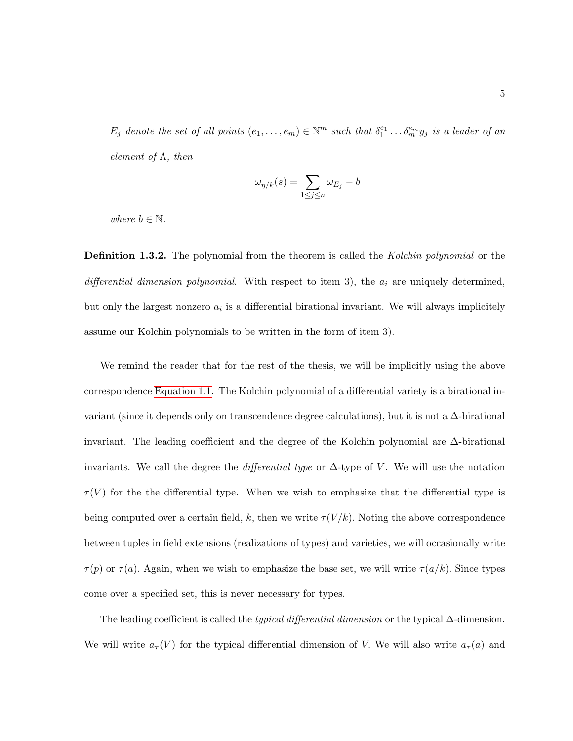$E_j$  denote the set of all points  $(e_1, \ldots, e_m) \in \mathbb{N}^m$  such that  $\delta_1^{e_1} \ldots \delta_m^{e_m} y_j$  is a leader of an element of  $\Lambda$ , then

$$
\omega_{\eta/k}(s) = \sum_{1 \le j \le n} \omega_{E_j} - b
$$

where  $b \in \mathbb{N}$ .

**Definition 1.3.2.** The polynomial from the theorem is called the *Kolchin polynomial* or the differential dimension polynomial. With respect to item 3), the  $a_i$  are uniquely determined, but only the largest nonzero  $a_i$  is a differential birational invariant. We will always implicitely assume our Kolchin polynomials to be written in the form of item 3).

We remind the reader that for the rest of the thesis, we will be implicitly using the above correspondence [Equation 1.1.](#page-14-0) The Kolchin polynomial of a differential variety is a birational invariant (since it depends only on transcendence degree calculations), but it is not a  $\Delta$ -birational invariant. The leading coefficient and the degree of the Kolchin polynomial are ∆-birational invariants. We call the degree the *differential type* or  $\Delta$ -type of V. We will use the notation  $\tau(V)$  for the the differential type. When we wish to emphasize that the differential type is being computed over a certain field, k, then we write  $\tau(V/k)$ . Noting the above correspondence between tuples in field extensions (realizations of types) and varieties, we will occasionally write  $\tau(p)$  or  $\tau(a)$ . Again, when we wish to emphasize the base set, we will write  $\tau(a/k)$ . Since types come over a specified set, this is never necessary for types.

The leading coefficient is called the *typical differential dimension* or the typical  $\Delta$ -dimension. We will write  $a_{\tau}(V)$  for the typical differential dimension of V. We will also write  $a_{\tau}(a)$  and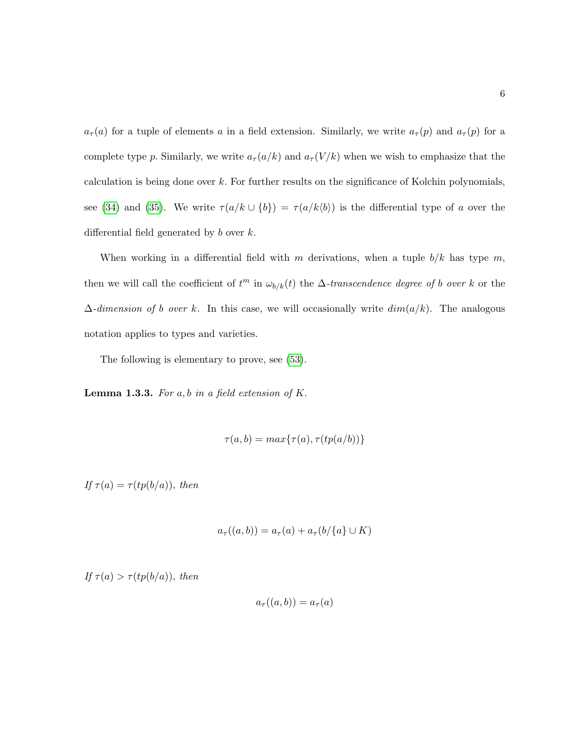$a_{\tau}(a)$  for a tuple of elements a in a field extension. Similarly, we write  $a_{\tau}(p)$  and  $a_{\tau}(p)$  for a complete type p. Similarly, we write  $a_{\tau}(a/k)$  and  $a_{\tau}(V/k)$  when we wish to emphasize that the calculation is being done over  $k$ . For further results on the significance of Kolchin polynomials, see [\(34\)](#page-216-1) and [\(35\)](#page-216-0). We write  $\tau(a/k \cup \{b\}) = \tau(a/k \langle b \rangle)$  is the differential type of a over the differential field generated by  $b$  over  $k$ .

When working in a differential field with m derivations, when a tuple  $b/k$  has type m, then we will call the coefficient of  $t^m$  in  $\omega_{b/k}(t)$  the  $\Delta$ -transcendence degree of b over k or the  $\Delta$ -dimension of b over k. In this case, we will occasionally write  $dim(a/k)$ . The analogous notation applies to types and varieties.

The following is elementary to prove, see [\(53\)](#page-218-0).

**Lemma 1.3.3.** For  $a, b$  in a field extension of  $K$ .

$$
\tau(a,b)=max\{\tau(a),\tau(tp(a/b))\}
$$

If  $\tau(a) = \tau(tp(b/a))$ , then

$$
a_{\tau}((a,b)) = a_{\tau}(a) + a_{\tau}(b/\{a\} \cup K)
$$

If  $\tau(a) > \tau(tp(b/a))$ , then

$$
a_{\tau}((a,b)) = a_{\tau}(a)
$$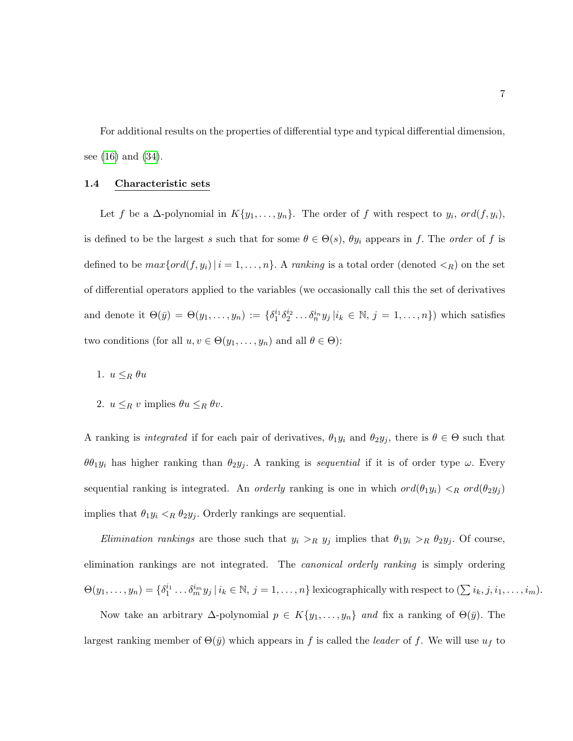For additional results on the properties of differential type and typical differential dimension, see [\(16\)](#page-215-2) and [\(34\)](#page-216-1).

# <span id="page-18-0"></span>1.4 Characteristic sets

Let f be a  $\Delta$ -polynomial in  $K\{y_1,\ldots,y_n\}$ . The order of f with respect to  $y_i$ ,  $ord(f,y_i)$ , is defined to be the largest s such that for some  $\theta \in \Theta(s)$ ,  $\theta y_i$  appears in f. The order of f is defined to be  $max\{ord(f, y_i) | i = 1, ..., n\}$ . A ranking is a total order (denoted  $\langle R \rangle$ ) on the set of differential operators applied to the variables (we occasionally call this the set of derivatives and denote it  $\Theta(\bar{y}) = \Theta(y_1, \ldots, y_n) := \{\delta_1^{i_1} \delta_2^{i_2} \ldots \delta_n^{i_n} y_j | i_k \in \mathbb{N}, j = 1, \ldots, n\}\)$  which satisfies two conditions (for all  $u, v \in \Theta(y_1, \ldots, y_n)$  and all  $\theta \in \Theta$ ):

- 1.  $u \leq_R \theta u$
- 2.  $u \leq_R v$  implies  $\theta u \leq_R \theta v$ .

A ranking is *integrated* if for each pair of derivatives,  $\theta_1 y_i$  and  $\theta_2 y_j$ , there is  $\theta \in \Theta$  such that  $\theta \theta_1 y_i$  has higher ranking than  $\theta_2 y_j$ . A ranking is sequential if it is of order type  $\omega$ . Every sequential ranking is integrated. An *orderly* ranking is one in which  $ord(\theta_1y_i) <_{R} ord(\theta_2y_j)$ implies that  $\theta_1 y_i <_R \theta_2 y_j$ . Orderly rankings are sequential.

Elimination rankings are those such that  $y_i >_R y_j$  implies that  $\theta_1 y_i >_R \theta_2 y_j$ . Of course, elimination rankings are not integrated. The *canonical orderly ranking* is simply ordering  $\Theta(y_1,\ldots,y_n) = \{\delta_1^{i_1}\ldots\delta_m^{i_m}y_j\,|\,i_k\in\mathbb{N},\,j=1,\ldots,n\}$  lexicographically with respect to  $(\sum i_k,j,i_1,\ldots,i_m)$ .

Now take an arbitrary  $\Delta$ -polynomial  $p \in K\{y_1, \ldots, y_n\}$  and fix a ranking of  $\Theta(\bar{y})$ . The largest ranking member of  $\Theta(\bar{y})$  which appears in f is called the *leader* of f. We will use  $u_f$  to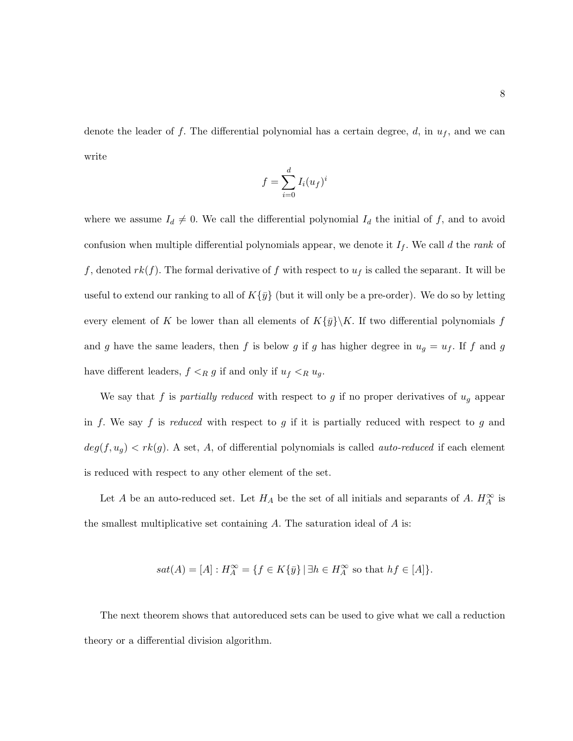denote the leader of f. The differential polynomial has a certain degree, d, in  $u_f$ , and we can write

$$
f = \sum_{i=0}^{d} I_i(u_f)^i
$$

where we assume  $I_d \neq 0$ . We call the differential polynomial  $I_d$  the initial of f, and to avoid confusion when multiple differential polynomials appear, we denote it  $I_f$ . We call d the rank of f, denoted  $rk(f)$ . The formal derivative of f with respect to  $u_f$  is called the separant. It will be useful to extend our ranking to all of  $K\{\bar{y}\}\$  (but it will only be a pre-order). We do so by letting every element of K be lower than all elements of  $K\{\bar{y}\}\backslash K$ . If two differential polynomials f and g have the same leaders, then f is below g if g has higher degree in  $u_g = u_f$ . If f and g have different leaders,  $f \leq_R g$  if and only if  $u_f \leq_R u_g$ .

We say that f is partially reduced with respect to g if no proper derivatives of  $u<sub>g</sub>$  appear in f. We say f is reduced with respect to g if it is partially reduced with respect to g and  $deg(f, u_g) < rk(g)$ . A set, A, of differential polynomials is called *auto-reduced* if each element is reduced with respect to any other element of the set.

Let A be an auto-reduced set. Let  $H_A$  be the set of all initials and separants of A.  $H_A^{\infty}$  is the smallest multiplicative set containing  $A$ . The saturation ideal of  $A$  is:

$$
sat(A)=[A]:H_A^{\infty}=\{f\in K\{\bar{y}\}\,|\,\exists h\in H_A^{\infty}\,\,{\rm so}\,\,{\rm that}\,\,hf\in[A]\}.
$$

The next theorem shows that autoreduced sets can be used to give what we call a reduction theory or a differential division algorithm.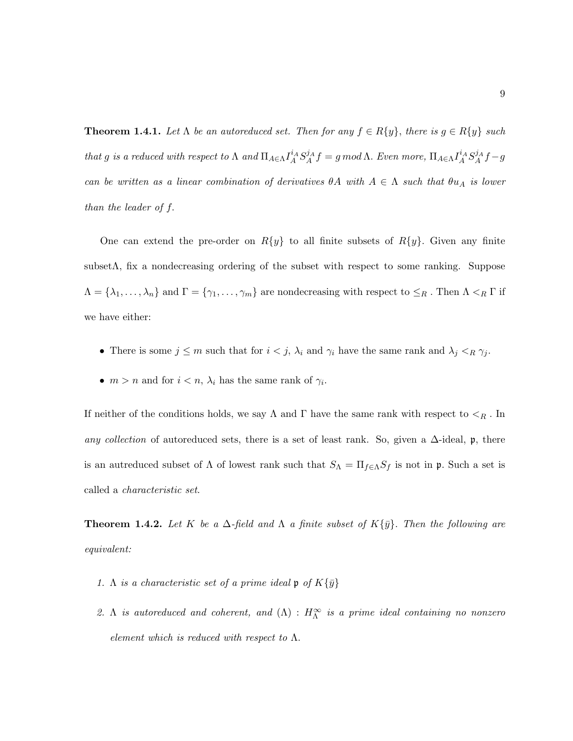**Theorem 1.4.1.** Let  $\Lambda$  be an autoreduced set. Then for any  $f \in R\{y\}$ , there is  $g \in R\{y\}$  such that g is a reduced with respect to  $\Lambda$  and  $\Pi_{A\in\Lambda}I_A^iA S_A^jA=f$  gmod  $\Lambda$ . Even more,  $\Pi_{A\in\Lambda}I_A^iA S_A^jA=f$ can be written as a linear combination of derivatives  $\theta A$  with  $A \in \Lambda$  such that  $\theta u_A$  is lower than the leader of f.

One can extend the pre-order on  $R{y}$  to all finite subsets of  $R{y}$ . Given any finite subsetΛ, fix a nondecreasing ordering of the subset with respect to some ranking. Suppose  $\Lambda = \{\lambda_1, \ldots, \lambda_n\}$  and  $\Gamma = \{\gamma_1, \ldots, \gamma_m\}$  are nondecreasing with respect to  $\leq_R$ . Then  $\Lambda <_R \Gamma$  if we have either:

- There is some  $j \leq m$  such that for  $i < j$ ,  $\lambda_i$  and  $\gamma_i$  have the same rank and  $\lambda_j <_R \gamma_j$ .
- $m > n$  and for  $i < n$ ,  $\lambda_i$  has the same rank of  $\gamma_i$ .

If neither of the conditions holds, we say  $\Lambda$  and  $\Gamma$  have the same rank with respect to  $\leq_R$ . In any collection of autoreduced sets, there is a set of least rank. So, given a  $\Delta$ -ideal, p, there is an autreduced subset of  $\Lambda$  of lowest rank such that  $S_{\Lambda} = \Pi_{f \in \Lambda} S_f$  is not in  $\mathfrak{p}$ . Such a set is called a characteristic set.

**Theorem 1.4.2.** Let K be a  $\Delta$ -field and  $\Lambda$  a finite subset of  $K\{\bar{y}\}\$ . Then the following are equivalent:

- 1. Λ is a characteristic set of a prime ideal  $\mathfrak{p}$  of  $K\{\bar{y}\}$
- 2. A is autoreduced and coherent, and  $(\Lambda)$  :  $H^{\infty}_{\Lambda}$  is a prime ideal containing no nonzero element which is reduced with respect to  $\Lambda$ .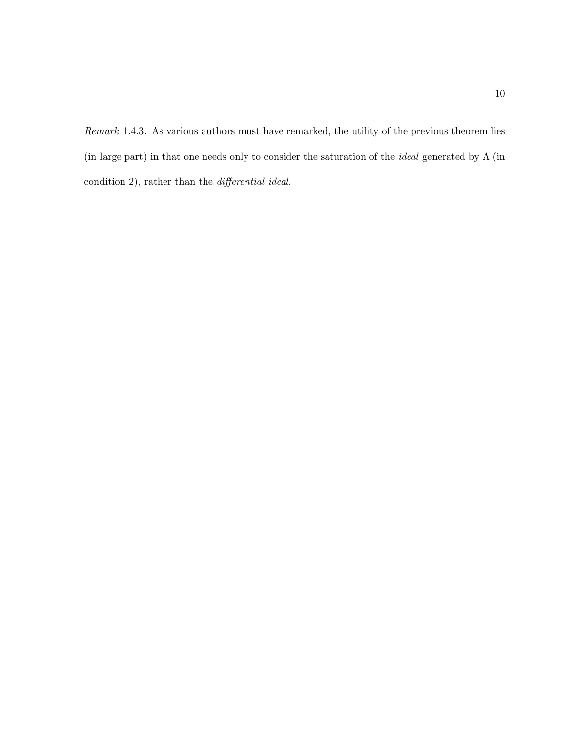Remark 1.4.3. As various authors must have remarked, the utility of the previous theorem lies (in large part) in that one needs only to consider the saturation of the *ideal* generated by  $\Lambda$  (in condition 2), rather than the differential ideal.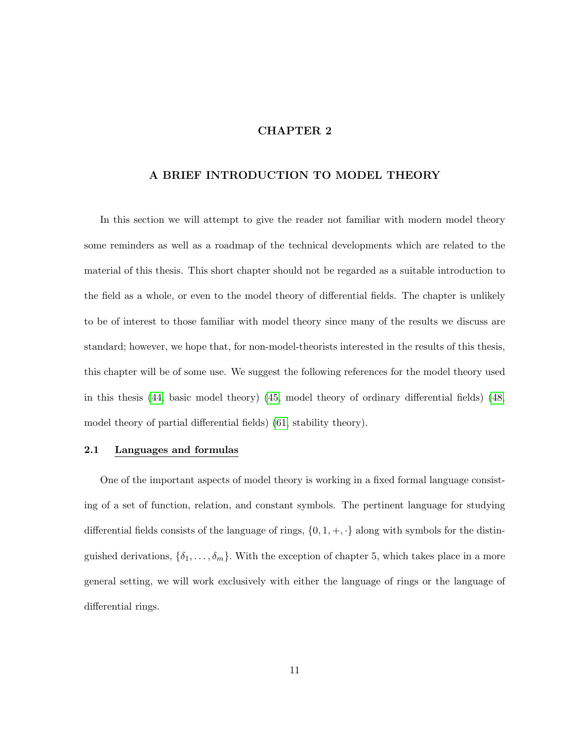# CHAPTER 2

# <span id="page-22-0"></span>A BRIEF INTRODUCTION TO MODEL THEORY

In this section we will attempt to give the reader not familiar with modern model theory some reminders as well as a roadmap of the technical developments which are related to the material of this thesis. This short chapter should not be regarded as a suitable introduction to the field as a whole, or even to the model theory of differential fields. The chapter is unlikely to be of interest to those familiar with model theory since many of the results we discuss are standard; however, we hope that, for non-model-theorists interested in the results of this thesis, this chapter will be of some use. We suggest the following references for the model theory used in this thesis [\(44,](#page-217-3) basic model theory) [\(45,](#page-217-0) model theory of ordinary differential fields) [\(48,](#page-217-4) model theory of partial differential fields) [\(61,](#page-218-1) stability theory).

#### <span id="page-22-1"></span>2.1 Languages and formulas

One of the important aspects of model theory is working in a fixed formal language consisting of a set of function, relation, and constant symbols. The pertinent language for studying differential fields consists of the language of rings,  $\{0, 1, +, \cdot\}$  along with symbols for the distinguished derivations,  $\{\delta_1, \ldots, \delta_m\}$ . With the exception of chapter 5, which takes place in a more general setting, we will work exclusively with either the language of rings or the language of differential rings.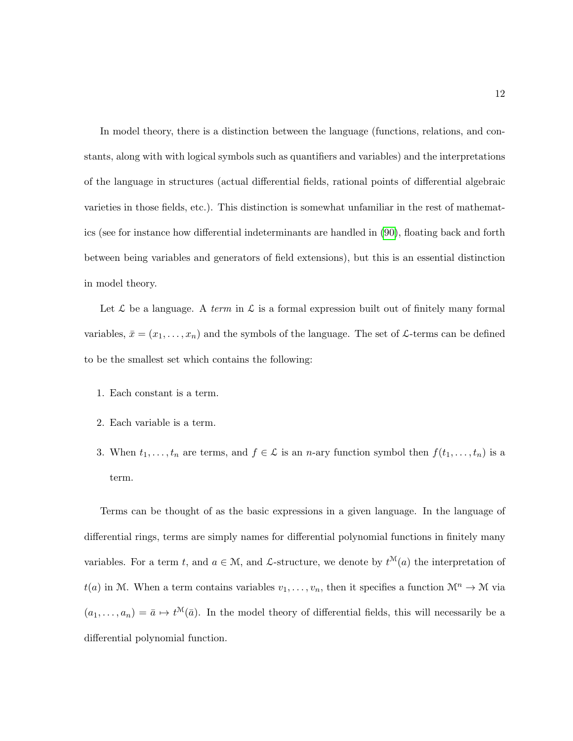In model theory, there is a distinction between the language (functions, relations, and constants, along with with logical symbols such as quantifiers and variables) and the interpretations of the language in structures (actual differential fields, rational points of differential algebraic varieties in those fields, etc.). This distinction is somewhat unfamiliar in the rest of mathematics (see for instance how differential indeterminants are handled in [\(90\)](#page-220-0), floating back and forth between being variables and generators of field extensions), but this is an essential distinction in model theory.

Let L be a language. A term in L is a formal expression built out of finitely many formal variables,  $\bar{x} = (x_1, \ldots, x_n)$  and the symbols of the language. The set of  $\mathcal{L}$ -terms can be defined to be the smallest set which contains the following:

- 1. Each constant is a term.
- 2. Each variable is a term.
- 3. When  $t_1, \ldots, t_n$  are terms, and  $f \in \mathcal{L}$  is an *n*-ary function symbol then  $f(t_1, \ldots, t_n)$  is a term.

Terms can be thought of as the basic expressions in a given language. In the language of differential rings, terms are simply names for differential polynomial functions in finitely many variables. For a term t, and  $a \in \mathcal{M}$ , and  $\mathcal{L}$ -structure, we denote by  $t^{\mathcal{M}}(a)$  the interpretation of  $t(a)$  in M. When a term contains variables  $v_1, \ldots, v_n$ , then it specifies a function  $\mathcal{M}^n \to \mathcal{M}$  via  $(a_1, \ldots, a_n) = \bar{a} \mapsto t^{\mathcal{M}}(\bar{a})$ . In the model theory of differential fields, this will necessarily be a differential polynomial function.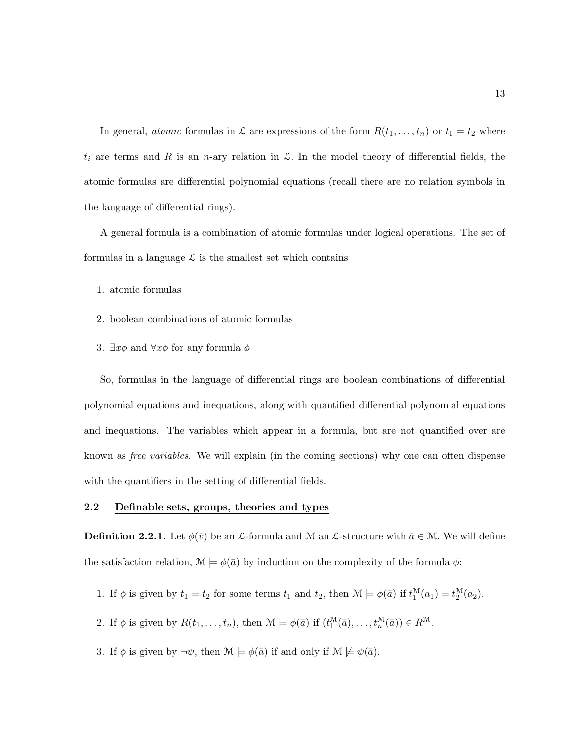In general, *atomic* formulas in  $\mathcal L$  are expressions of the form  $R(t_1, \ldots, t_n)$  or  $t_1 = t_2$  where  $t_i$  are terms and R is an n-ary relation in  $\mathcal{L}$ . In the model theory of differential fields, the atomic formulas are differential polynomial equations (recall there are no relation symbols in the language of differential rings).

A general formula is a combination of atomic formulas under logical operations. The set of formulas in a language  $\mathcal L$  is the smallest set which contains

- 1. atomic formulas
- 2. boolean combinations of atomic formulas
- 3.  $\exists x \phi$  and  $\forall x \phi$  for any formula  $\phi$

So, formulas in the language of differential rings are boolean combinations of differential polynomial equations and inequations, along with quantified differential polynomial equations and inequations. The variables which appear in a formula, but are not quantified over are known as free variables. We will explain (in the coming sections) why one can often dispense with the quantifiers in the setting of differential fields.

#### <span id="page-24-0"></span>2.2 Definable sets, groups, theories and types

**Definition 2.2.1.** Let  $\phi(\bar{v})$  be an L-formula and M an L-structure with  $\bar{a} \in M$ . We will define the satisfaction relation,  $\mathcal{M} \models \phi(\bar{a})$  by induction on the complexity of the formula  $\phi$ :

- 1. If  $\phi$  is given by  $t_1 = t_2$  for some terms  $t_1$  and  $t_2$ , then  $\mathcal{M} \models \phi(\bar{a})$  if  $t_1^{\mathcal{M}}(a_1) = t_2^{\mathcal{M}}(a_2)$ .
- 2. If  $\phi$  is given by  $R(t_1,\ldots,t_n)$ , then  $\mathcal{M} \models \phi(\bar{a})$  if  $(t_1^{\mathcal{M}}(\bar{a}),\ldots,t_n^{\mathcal{M}}(\bar{a})) \in R^{\mathcal{M}}$ .
- 3. If  $\phi$  is given by  $\neg \psi$ , then  $\mathcal{M} \models \phi(\bar{a})$  if and only if  $\mathcal{M} \not\models \psi(\bar{a})$ .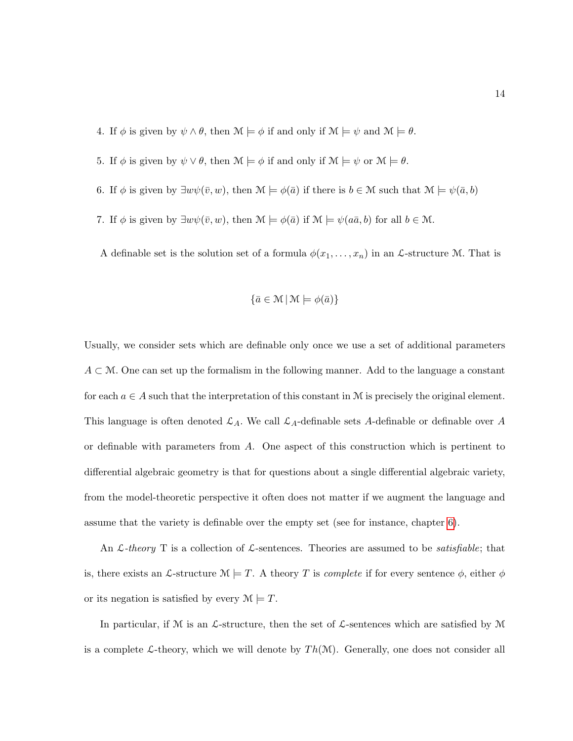- 4. If  $\phi$  is given by  $\psi \wedge \theta$ , then  $\mathcal{M} \models \phi$  if and only if  $\mathcal{M} \models \psi$  and  $\mathcal{M} \models \theta$ .
- 5. If  $\phi$  is given by  $\psi \vee \theta$ , then  $\mathcal{M} \models \phi$  if and only if  $\mathcal{M} \models \psi$  or  $\mathcal{M} \models \theta$ .
- 6. If  $\phi$  is given by  $\exists w \psi(\bar{v}, w)$ , then  $\mathcal{M} \models \phi(\bar{a})$  if there is  $b \in \mathcal{M}$  such that  $\mathcal{M} \models \psi(\bar{a}, b)$
- 7. If  $\phi$  is given by  $\exists w \psi(\bar{v}, w)$ , then  $\mathcal{M} \models \phi(\bar{a})$  if  $\mathcal{M} \models \psi(a\bar{a}, b)$  for all  $b \in \mathcal{M}$ .

A definable set is the solution set of a formula  $\phi(x_1, \ldots, x_n)$  in an *L*-structure M. That is

$$
\{\bar{a}\in\mathcal{M}\,|\,\mathcal{M}\models\phi(\bar{a})\}
$$

Usually, we consider sets which are definable only once we use a set of additional parameters  $A \subset \mathcal{M}$ . One can set up the formalism in the following manner. Add to the language a constant for each  $a \in A$  such that the interpretation of this constant in M is precisely the original element. This language is often denoted  $\mathcal{L}_A$ . We call  $\mathcal{L}_A$ -definable sets A-definable or definable over A or definable with parameters from A. One aspect of this construction which is pertinent to differential algebraic geometry is that for questions about a single differential algebraic variety, from the model-theoretic perspective it often does not matter if we augment the language and assume that the variety is definable over the empty set (see for instance, chapter [6\)](#page-118-0).

An  $\mathcal{L}\text{-}theory$  T is a collection of  $\mathcal{L}\text{-}sentences$ . Theories are assumed to be *satisfiable*; that is, there exists an L-structure  $\mathcal{M} \models T$ . A theory T is *complete* if for every sentence  $\phi$ , either  $\phi$ or its negation is satisfied by every  $\mathcal{M} \models T$ .

In particular, if M is an  $\mathcal{L}\text{-structure}$ , then the set of  $\mathcal{L}\text{-sentences}$  which are satisfied by M is a complete L-theory, which we will denote by  $Th(\mathcal{M})$ . Generally, one does not consider all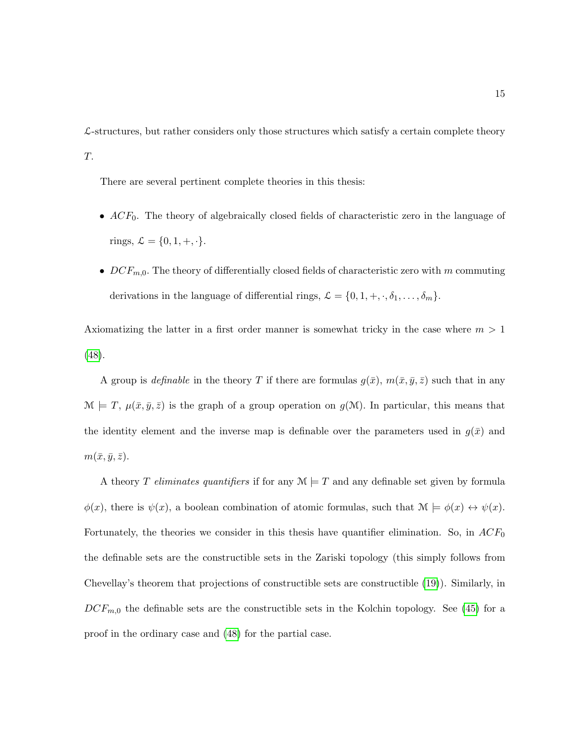$\mathcal{L}\text{-structures, but rather considers only those structures which satisfy a certain complete theory}$ T.

There are several pertinent complete theories in this thesis:

- $ACF_0$ . The theory of algebraically closed fields of characteristic zero in the language of rings,  $\mathcal{L} = \{0, 1, +, \cdot\}.$
- $DCF_{m,0}$ . The theory of differentially closed fields of characteristic zero with m commuting derivations in the language of differential rings,  $\mathcal{L} = \{0, 1, +, \cdot, \delta_1, \dots, \delta_m\}.$

Axiomatizing the latter in a first order manner is somewhat tricky in the case where  $m > 1$ [\(48\)](#page-217-4).

A group is *definable* in the theory T if there are formulas  $g(\bar{x})$ ,  $m(\bar{x}, \bar{y}, \bar{z})$  such that in any  $\mathcal{M} \models T$ ,  $\mu(\bar{x}, \bar{y}, \bar{z})$  is the graph of a group operation on  $g(\mathcal{M})$ . In particular, this means that the identity element and the inverse map is definable over the parameters used in  $g(\bar{x})$  and  $m(\bar{x}, \bar{y}, \bar{z}).$ 

A theory T eliminates quantifiers if for any  $\mathcal{M} \models T$  and any definable set given by formula  $\phi(x)$ , there is  $\psi(x)$ , a boolean combination of atomic formulas, such that  $\mathcal{M} \models \phi(x) \leftrightarrow \psi(x)$ . Fortunately, the theories we consider in this thesis have quantifier elimination. So, in  $ACF_0$ the definable sets are the constructible sets in the Zariski topology (this simply follows from Chevellay's theorem that projections of constructible sets are constructible [\(19\)](#page-215-3)). Similarly, in  $DCF_{m,0}$  the definable sets are the constructible sets in the Kolchin topology. See [\(45\)](#page-217-0) for a proof in the ordinary case and [\(48\)](#page-217-4) for the partial case.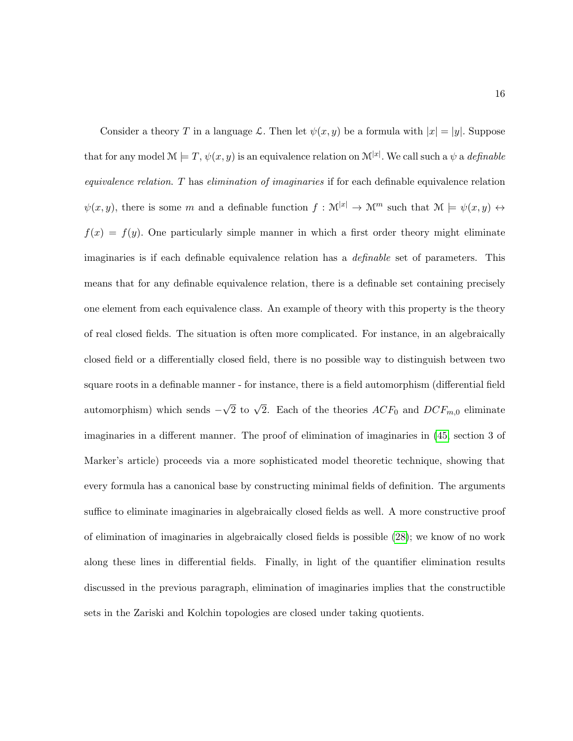Consider a theory T in a language L. Then let  $\psi(x, y)$  be a formula with  $|x| = |y|$ . Suppose that for any model  $\mathcal{M} \models T, \psi(x, y)$  is an equivalence relation on  $\mathcal{M}^{[x]}$ . We call such a  $\psi$  a *definable* equivalence relation. T has elimination of imaginaries if for each definable equivalence relation  $\psi(x, y)$ , there is some m and a definable function  $f: \mathcal{M}^{|x|} \to \mathcal{M}^m$  such that  $\mathcal{M} \models \psi(x, y) \leftrightarrow$  $f(x) = f(y)$ . One particularly simple manner in which a first order theory might eliminate imaginaries is if each definable equivalence relation has a definable set of parameters. This means that for any definable equivalence relation, there is a definable set containing precisely one element from each equivalence class. An example of theory with this property is the theory of real closed fields. The situation is often more complicated. For instance, in an algebraically closed field or a differentially closed field, there is no possible way to distinguish between two square roots in a definable manner - for instance, there is a field automorphism (differential field automorphism) which sends −  $\sqrt{2}$  to  $\sqrt{2}$ . Each of the theories  $ACF_0$  and  $DCF_{m,0}$  eliminate imaginaries in a different manner. The proof of elimination of imaginaries in [\(45,](#page-217-0) section 3 of Marker's article) proceeds via a more sophisticated model theoretic technique, showing that every formula has a canonical base by constructing minimal fields of definition. The arguments suffice to eliminate imaginaries in algebraically closed fields as well. A more constructive proof of elimination of imaginaries in algebraically closed fields is possible [\(28\)](#page-216-2); we know of no work along these lines in differential fields. Finally, in light of the quantifier elimination results discussed in the previous paragraph, elimination of imaginaries implies that the constructible sets in the Zariski and Kolchin topologies are closed under taking quotients.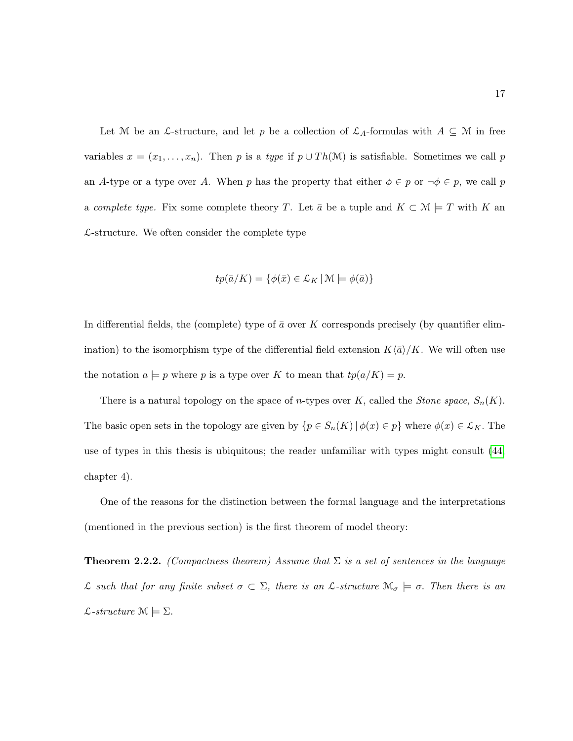Let M be an L-structure, and let p be a collection of  $\mathcal{L}_A$ -formulas with  $A \subseteq M$  in free variables  $x = (x_1, \ldots, x_n)$ . Then p is a type if  $p \cup Th(\mathcal{M})$  is satisfiable. Sometimes we call p an A-type or a type over A. When p has the property that either  $\phi \in p$  or  $\neg \phi \in p$ , we call p a complete type. Fix some complete theory T. Let  $\bar{a}$  be a tuple and  $K \subset \mathcal{M} \models T$  with K an  $\mathcal{L}\text{-structure}$ . We often consider the complete type

$$
tp(\bar{a}/K) = \{ \phi(\bar{x}) \in \mathcal{L}_K \, | \, \mathcal{M} \models \phi(\bar{a}) \}
$$

In differential fields, the (complete) type of  $\bar{a}$  over K corresponds precisely (by quantifier elimination) to the isomorphism type of the differential field extension  $K\langle \bar{a} \rangle/K$ . We will often use the notation  $a \models p$  where p is a type over K to mean that  $tp(a/K) = p$ .

There is a natural topology on the space of *n*-types over K, called the *Stone space*,  $S_n(K)$ . The basic open sets in the topology are given by  $\{p \in S_n(K) \mid \phi(x) \in p\}$  where  $\phi(x) \in \mathcal{L}_K$ . The use of types in this thesis is ubiquitous; the reader unfamiliar with types might consult [\(44,](#page-217-3) chapter 4).

One of the reasons for the distinction between the formal language and the interpretations (mentioned in the previous section) is the first theorem of model theory:

**Theorem 2.2.2.** (Compactness theorem) Assume that  $\Sigma$  is a set of sentences in the language L such that for any finite subset  $\sigma \subset \Sigma$ , there is an L-structure  $\mathcal{M}_{\sigma} \models \sigma$ . Then there is an  $\mathcal{L}\text{-}structure \mathcal{M} \models \Sigma.$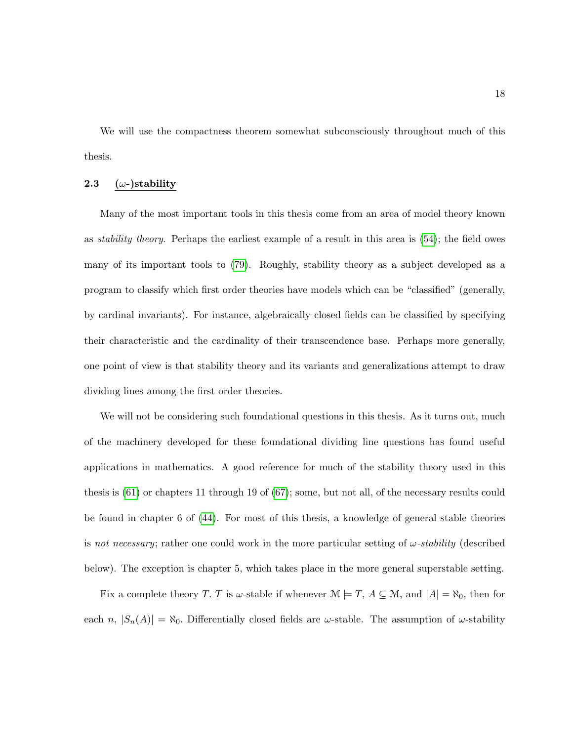We will use the compactness theorem somewhat subconsciously throughout much of this thesis.

# <span id="page-29-0"></span>2.3 ( $\omega$ -)stability

Many of the most important tools in this thesis come from an area of model theory known as stability theory. Perhaps the earliest example of a result in this area is [\(54\)](#page-218-2); the field owes many of its important tools to [\(79\)](#page-220-1). Roughly, stability theory as a subject developed as a program to classify which first order theories have models which can be "classified" (generally, by cardinal invariants). For instance, algebraically closed fields can be classified by specifying their characteristic and the cardinality of their transcendence base. Perhaps more generally, one point of view is that stability theory and its variants and generalizations attempt to draw dividing lines among the first order theories.

We will not be considering such foundational questions in this thesis. As it turns out, much of the machinery developed for these foundational dividing line questions has found useful applications in mathematics. A good reference for much of the stability theory used in this thesis is [\(61\)](#page-218-1) or chapters 11 through 19 of [\(67\)](#page-219-4); some, but not all, of the necessary results could be found in chapter 6 of [\(44\)](#page-217-3). For most of this thesis, a knowledge of general stable theories is not necessary; rather one could work in the more particular setting of  $\omega$ -stability (described below). The exception is chapter 5, which takes place in the more general superstable setting.

Fix a complete theory T. T is  $\omega$ -stable if whenever  $\mathcal{M} \models T$ ,  $A \subseteq \mathcal{M}$ , and  $|A| = \aleph_0$ , then for each n,  $|S_n(A)| = \aleph_0$ . Differentially closed fields are  $\omega$ -stable. The assumption of  $\omega$ -stability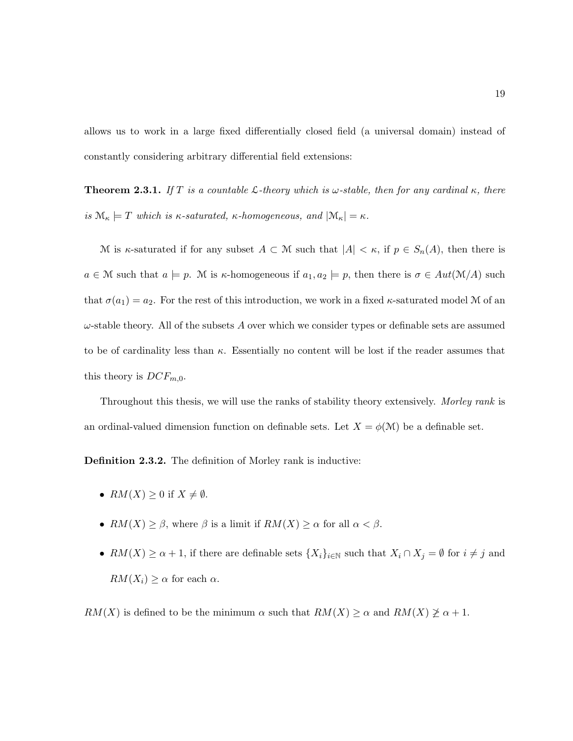allows us to work in a large fixed differentially closed field (a universal domain) instead of constantly considering arbitrary differential field extensions:

**Theorem 2.3.1.** If T is a countable  $\mathcal{L}\text{-theory which is }\omega\text{-stable, then for any cardinal }\kappa\text{, there}$ is  $\mathcal{M}_{\kappa} \models T$  which is  $\kappa$ -saturated,  $\kappa$ -homogeneous, and  $|\mathcal{M}_{\kappa}| = \kappa$ .

M is  $\kappa$ -saturated if for any subset  $A \subset \mathcal{M}$  such that  $|A| < \kappa$ , if  $p \in S_n(A)$ , then there is  $a \in \mathcal{M}$  such that  $a \models p$ . M is  $\kappa$ -homogeneous if  $a_1, a_2 \models p$ , then there is  $\sigma \in Aut(\mathcal{M}/A)$  such that  $\sigma(a_1) = a_2$ . For the rest of this introduction, we work in a fixed  $\kappa$ -saturated model M of an  $\omega$ -stable theory. All of the subsets A over which we consider types or definable sets are assumed to be of cardinality less than  $\kappa$ . Essentially no content will be lost if the reader assumes that this theory is  $DCF_{m,0}$ .

Throughout this thesis, we will use the ranks of stability theory extensively. Morley rank is an ordinal-valued dimension function on definable sets. Let  $X = \phi(\mathcal{M})$  be a definable set.

Definition 2.3.2. The definition of Morley rank is inductive:

- $RM(X) \geq 0$  if  $X \neq \emptyset$ .
- $RM(X) \geq \beta$ , where  $\beta$  is a limit if  $RM(X) \geq \alpha$  for all  $\alpha < \beta$ .
- $RM(X) \ge \alpha + 1$ , if there are definable sets  $\{X_i\}_{i\in\mathbb{N}}$  such that  $X_i \cap X_j = \emptyset$  for  $i \ne j$  and  $RM(X_i) \geq \alpha$  for each  $\alpha$ .

 $RM(X)$  is defined to be the minimum  $\alpha$  such that  $RM(X) \geq \alpha$  and  $RM(X) \geq \alpha + 1$ .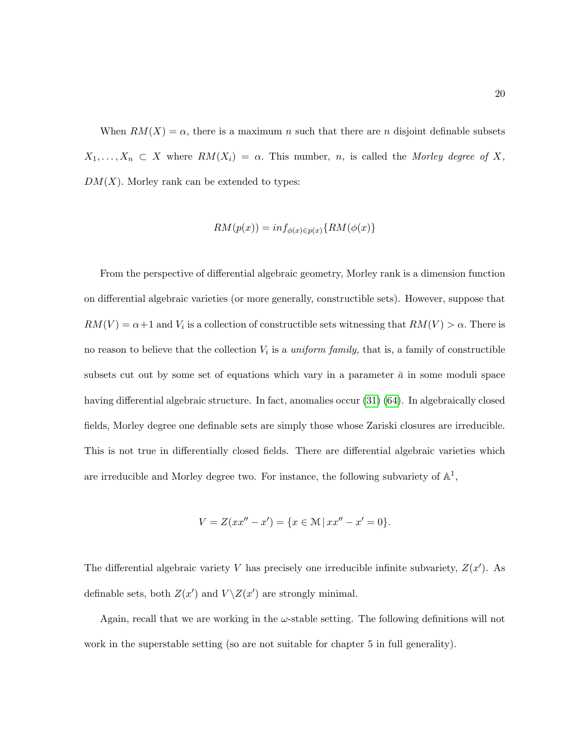When  $RM(X) = \alpha$ , there is a maximum n such that there are n disjoint definable subsets  $X_1, \ldots, X_n \subset X$  where  $RM(X_i) = \alpha$ . This number, n, is called the Morley degree of X,  $DM(X)$ . Morley rank can be extended to types:

$$
RM(p(x)) = inf_{\phi(x)\in p(x)}\{RM(\phi(x))\}
$$

From the perspective of differential algebraic geometry, Morley rank is a dimension function on differential algebraic varieties (or more generally, constructible sets). However, suppose that  $RM(V) = \alpha+1$  and  $V_i$  is a collection of constructible sets witnessing that  $RM(V) > \alpha$ . There is no reason to believe that the collection  $V_i$  is a *uniform family*, that is, a family of constructible subsets cut out by some set of equations which vary in a parameter  $\bar{a}$  in some moduli space having differential algebraic structure. In fact, anomalies occur [\(31\)](#page-216-3) [\(64\)](#page-219-5). In algebraically closed fields, Morley degree one definable sets are simply those whose Zariski closures are irreducible. This is not true in differentially closed fields. There are differential algebraic varieties which are irreducible and Morley degree two. For instance, the following subvariety of  $\mathbb{A}^1$ ,

$$
V = Z(xx'' - x') = \{x \in \mathcal{M} \mid xx'' - x' = 0\}.
$$

The differential algebraic variety V has precisely one irreducible infinite subvariety,  $Z(x')$ . As definable sets, both  $Z(x')$  and  $V\setminus Z(x')$  are strongly minimal.

Again, recall that we are working in the  $\omega$ -stable setting. The following definitions will not work in the superstable setting (so are not suitable for chapter 5 in full generality).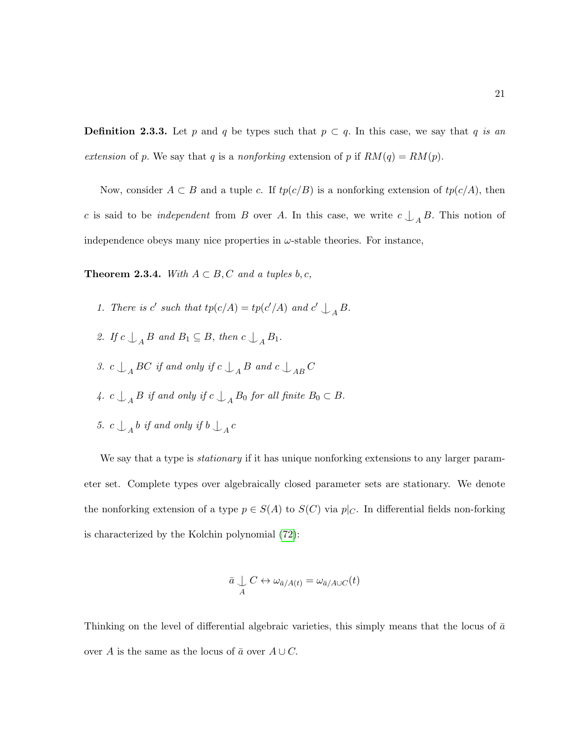**Definition 2.3.3.** Let p and q be types such that  $p \subset q$ . In this case, we say that q is an extension of p. We say that q is a nonforking extension of p if  $RM(q) = RM(p)$ .

Now, consider  $A \subset B$  and a tuple c. If  $tp(c/B)$  is a nonforking extension of  $tp(c/A)$ , then c is said to be *independent* from B over A. In this case, we write  $c \nightharpoonup_A B$ . This notion of independence obeys many nice properties in  $\omega$ -stable theories. For instance,

**Theorem 2.3.4.** With  $A \subset B$ , C and a tuples b, c,

- 1. There is c' such that  $tp(c/A) = tp(c'/A)$  and  $c' \nightharpoonup_A B$ .
- 2. If  $c \bigcup_{A} B$  and  $B_1 \subseteq B$ , then  $c \bigcup_{A} B_1$ .
- 3.  $c \bigcup_{A} BC$  if and only if  $c \bigcup_{A} B$  and  $c \bigcup_{AB} C$
- 4.  $c \bigcup_{A} B$  if and only if  $c \bigcup_{A} B_0$  for all finite  $B_0 \subset B$ .
- 5.  $c \bigcup_{A} b$  if and only if  $b \bigcup_{A} c$

We say that a type is *stationary* if it has unique nonforking extensions to any larger parameter set. Complete types over algebraically closed parameter sets are stationary. We denote the nonforking extension of a type  $p \in S(A)$  to  $S(C)$  via  $p|_C$ . In differential fields non-forking is characterized by the Kolchin polynomial [\(72\)](#page-219-6):

$$
\bar{a} \bigcup_{A} C \leftrightarrow \omega_{\bar{a}/A(t)} = \omega_{\bar{a}/A \cup C}(t)
$$

Thinking on the level of differential algebraic varieties, this simply means that the locus of  $\bar{a}$ over A is the same as the locus of  $\bar{a}$  over  $A \cup C$ .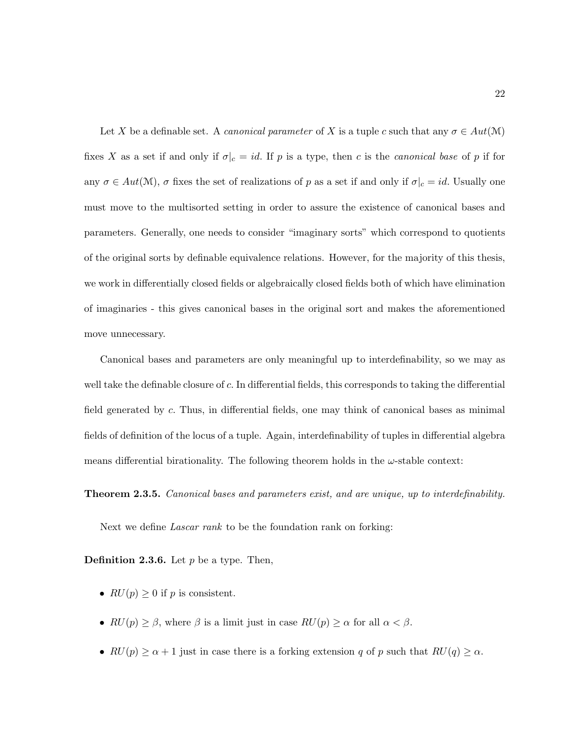Let X be a definable set. A *canonical parameter* of X is a tuple c such that any  $\sigma \in Aut(\mathcal{M})$ fixes X as a set if and only if  $\sigma|_c = id$ . If p is a type, then c is the canonical base of p if for any  $\sigma \in Aut(\mathcal{M})$ ,  $\sigma$  fixes the set of realizations of p as a set if and only if  $\sigma|_c = id$ . Usually one must move to the multisorted setting in order to assure the existence of canonical bases and parameters. Generally, one needs to consider "imaginary sorts" which correspond to quotients of the original sorts by definable equivalence relations. However, for the majority of this thesis, we work in differentially closed fields or algebraically closed fields both of which have elimination of imaginaries - this gives canonical bases in the original sort and makes the aforementioned move unnecessary.

Canonical bases and parameters are only meaningful up to interdefinability, so we may as well take the definable closure of  $c$ . In differential fields, this corresponds to taking the differential field generated by c. Thus, in differential fields, one may think of canonical bases as minimal fields of definition of the locus of a tuple. Again, interdefinability of tuples in differential algebra means differential birationality. The following theorem holds in the  $\omega$ -stable context:

**Theorem 2.3.5.** Canonical bases and parameters exist, and are unique, up to interdefinability.

Next we define *Lascar rank* to be the foundation rank on forking:

**Definition 2.3.6.** Let  $p$  be a type. Then,

- $RU(p) \geq 0$  if p is consistent.
- $RU(p) \geq \beta$ , where  $\beta$  is a limit just in case  $RU(p) \geq \alpha$  for all  $\alpha < \beta$ .
- $RU(p) \ge \alpha + 1$  just in case there is a forking extension q of p such that  $RU(q) \ge \alpha$ .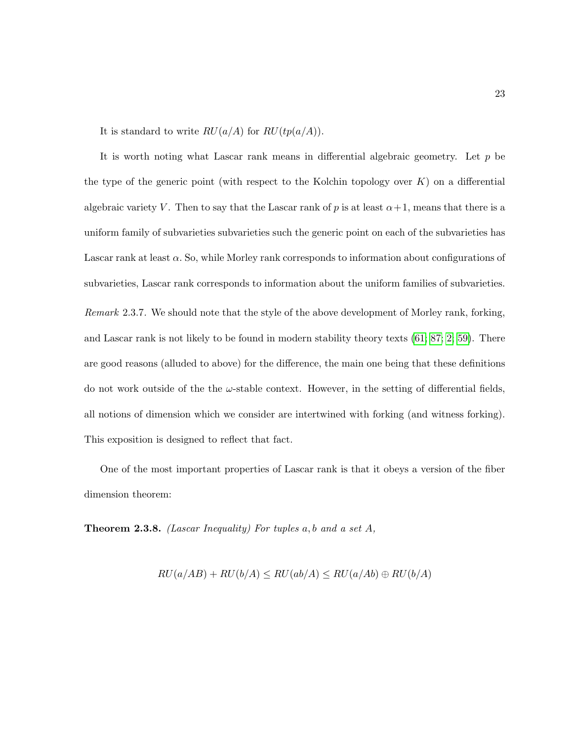It is standard to write  $RU(a/A)$  for  $RU(tp(a/A))$ .

It is worth noting what Lascar rank means in differential algebraic geometry. Let  $p$  be the type of the generic point (with respect to the Kolchin topology over  $K$ ) on a differential algebraic variety V. Then to say that the Lascar rank of p is at least  $\alpha+1$ , means that there is a uniform family of subvarieties subvarieties such the generic point on each of the subvarieties has Lascar rank at least  $\alpha$ . So, while Morley rank corresponds to information about configurations of subvarieties, Lascar rank corresponds to information about the uniform families of subvarieties. Remark 2.3.7. We should note that the style of the above development of Morley rank, forking, and Lascar rank is not likely to be found in modern stability theory texts [\(61;](#page-218-1) [87;](#page-220-2) [2;](#page-214-2) [59\)](#page-218-3). There are good reasons (alluded to above) for the difference, the main one being that these definitions do not work outside of the the  $\omega$ -stable context. However, in the setting of differential fields, all notions of dimension which we consider are intertwined with forking (and witness forking). This exposition is designed to reflect that fact.

One of the most important properties of Lascar rank is that it obeys a version of the fiber dimension theorem:

**Theorem 2.3.8.** (Lascar Inequality) For tuples  $a, b$  and  $a$  set  $A$ ,

$$
RU(a/AB) + RU(b/A) \leq RU(ab/A) \leq RU(a/Ab) \oplus RU(b/A)
$$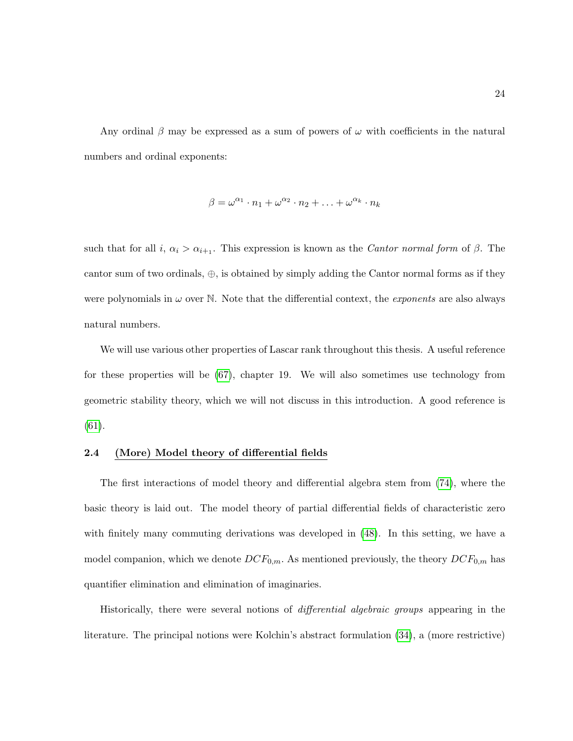Any ordinal  $\beta$  may be expressed as a sum of powers of  $\omega$  with coefficients in the natural numbers and ordinal exponents:

$$
\beta = \omega^{\alpha_1} \cdot n_1 + \omega^{\alpha_2} \cdot n_2 + \ldots + \omega^{\alpha_k} \cdot n_k
$$

such that for all  $i, \alpha_i > \alpha_{i+1}$ . This expression is known as the *Cantor normal form* of  $\beta$ . The cantor sum of two ordinals,  $\oplus$ , is obtained by simply adding the Cantor normal forms as if they were polynomials in  $\omega$  over N. Note that the differential context, the *exponents* are also always natural numbers.

We will use various other properties of Lascar rank throughout this thesis. A useful reference for these properties will be [\(67\)](#page-219-4), chapter 19. We will also sometimes use technology from geometric stability theory, which we will not discuss in this introduction. A good reference is [\(61\)](#page-218-1).

# <span id="page-35-0"></span>2.4 (More) Model theory of differential fields

The first interactions of model theory and differential algebra stem from [\(74\)](#page-219-2), where the basic theory is laid out. The model theory of partial differential fields of characteristic zero with finitely many commuting derivations was developed in [\(48\)](#page-217-4). In this setting, we have a model companion, which we denote  $DCF_{0,m}$ . As mentioned previously, the theory  $DCF_{0,m}$  has quantifier elimination and elimination of imaginaries.

Historically, there were several notions of differential algebraic groups appearing in the literature. The principal notions were Kolchin's abstract formulation [\(34\)](#page-216-1), a (more restrictive)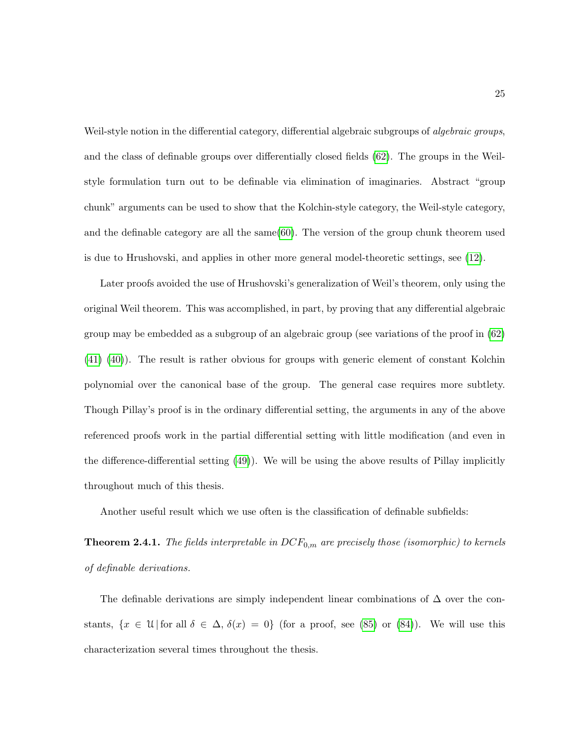Weil-style notion in the differential category, differential algebraic subgroups of *algebraic groups*, and the class of definable groups over differentially closed fields [\(62\)](#page-218-0). The groups in the Weilstyle formulation turn out to be definable via elimination of imaginaries. Abstract "group chunk" arguments can be used to show that the Kolchin-style category, the Weil-style category, and the definable category are all the same[\(60\)](#page-218-1). The version of the group chunk theorem used is due to Hrushovski, and applies in other more general model-theoretic settings, see [\(12\)](#page-215-0).

Later proofs avoided the use of Hrushovski's generalization of Weil's theorem, only using the original Weil theorem. This was accomplished, in part, by proving that any differential algebraic group may be embedded as a subgroup of an algebraic group (see variations of the proof in [\(62\)](#page-218-0) [\(41\)](#page-217-0) [\(40\)](#page-217-1)). The result is rather obvious for groups with generic element of constant Kolchin polynomial over the canonical base of the group. The general case requires more subtlety. Though Pillay's proof is in the ordinary differential setting, the arguments in any of the above referenced proofs work in the partial differential setting with little modification (and even in the difference-differential setting [\(49\)](#page-217-2)). We will be using the above results of Pillay implicitly throughout much of this thesis.

Another useful result which we use often is the classification of definable subfields:

**Theorem 2.4.1.** The fields interpretable in  $DCF_{0,m}$  are precisely those (isomorphic) to kernels of definable derivations.

The definable derivations are simply independent linear combinations of  $\Delta$  over the constants,  $\{x \in \mathcal{U} | \text{for all } \delta \in \Delta, \delta(x) = 0\}$  (for a proof, see [\(85\)](#page-220-0) or [\(84\)](#page-220-1)). We will use this characterization several times throughout the thesis.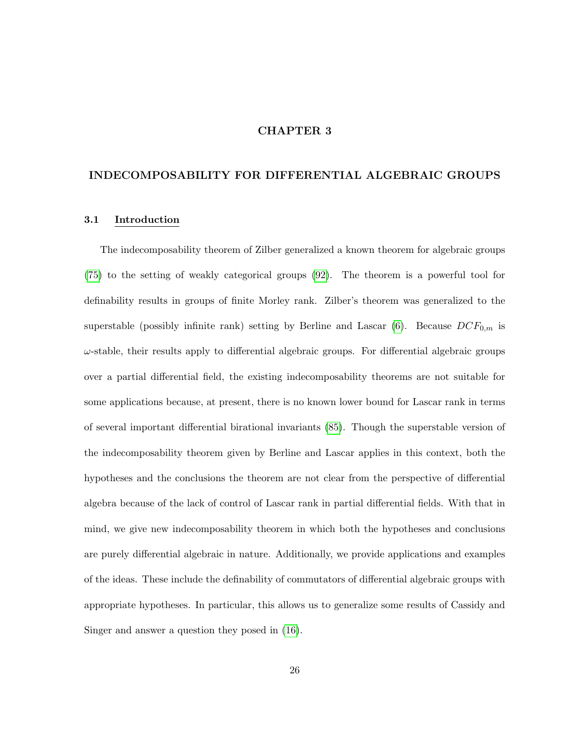# CHAPTER 3

# INDECOMPOSABILITY FOR DIFFERENTIAL ALGEBRAIC GROUPS

#### 3.1 Introduction

The indecomposability theorem of Zilber generalized a known theorem for algebraic groups [\(75\)](#page-219-0) to the setting of weakly categorical groups [\(92\)](#page-221-0). The theorem is a powerful tool for definability results in groups of finite Morley rank. Zilber's theorem was generalized to the superstable (possibly infinite rank) setting by Berline and Lascar  $(6)$ . Because  $DCF_{0,m}$  is  $\omega$ -stable, their results apply to differential algebraic groups. For differential algebraic groups over a partial differential field, the existing indecomposability theorems are not suitable for some applications because, at present, there is no known lower bound for Lascar rank in terms of several important differential birational invariants [\(85\)](#page-220-0). Though the superstable version of the indecomposability theorem given by Berline and Lascar applies in this context, both the hypotheses and the conclusions the theorem are not clear from the perspective of differential algebra because of the lack of control of Lascar rank in partial differential fields. With that in mind, we give new indecomposability theorem in which both the hypotheses and conclusions are purely differential algebraic in nature. Additionally, we provide applications and examples of the ideas. These include the definability of commutators of differential algebraic groups with appropriate hypotheses. In particular, this allows us to generalize some results of Cassidy and Singer and answer a question they posed in [\(16\)](#page-215-1).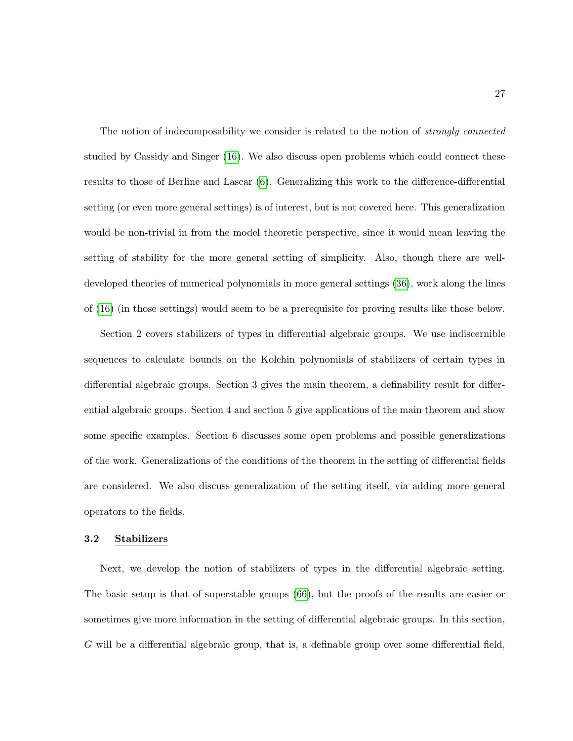The notion of indecomposability we consider is related to the notion of *strongly connected* studied by Cassidy and Singer [\(16\)](#page-215-1). We also discuss open problems which could connect these results to those of Berline and Lascar [\(6\)](#page-214-0). Generalizing this work to the difference-differential setting (or even more general settings) is of interest, but is not covered here. This generalization would be non-trivial in from the model theoretic perspective, since it would mean leaving the setting of stability for the more general setting of simplicity. Also, though there are welldeveloped theories of numerical polynomials in more general settings [\(36\)](#page-216-0), work along the lines of [\(16\)](#page-215-1) (in those settings) would seem to be a prerequisite for proving results like those below.

Section 2 covers stabilizers of types in differential algebraic groups. We use indiscernible sequences to calculate bounds on the Kolchin polynomials of stabilizers of certain types in differential algebraic groups. Section 3 gives the main theorem, a definability result for differential algebraic groups. Section 4 and section 5 give applications of the main theorem and show some specific examples. Section 6 discusses some open problems and possible generalizations of the work. Generalizations of the conditions of the theorem in the setting of differential fields are considered. We also discuss generalization of the setting itself, via adding more general operators to the fields.

#### 3.2 Stabilizers

Next, we develop the notion of stabilizers of types in the differential algebraic setting. The basic setup is that of superstable groups [\(66\)](#page-219-1), but the proofs of the results are easier or sometimes give more information in the setting of differential algebraic groups. In this section, G will be a differential algebraic group, that is, a definable group over some differential field,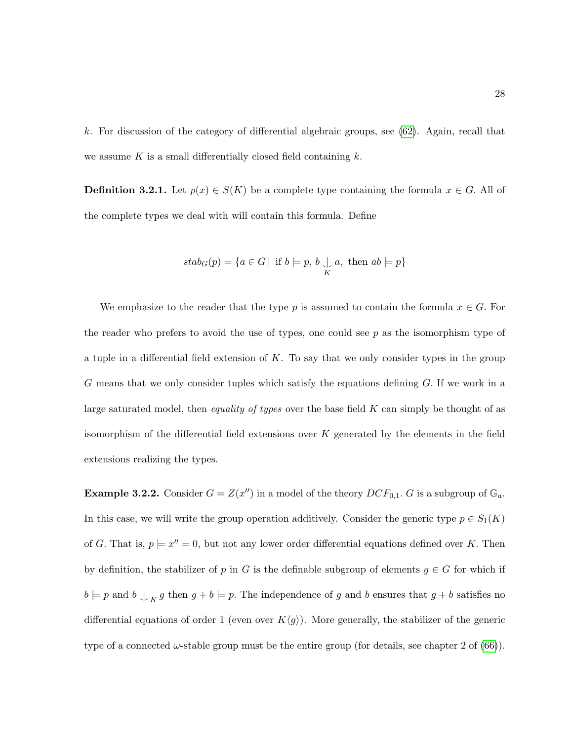k. For discussion of the category of differential algebraic groups, see [\(62\)](#page-218-0). Again, recall that we assume K is a small differentially closed field containing  $k$ .

**Definition 3.2.1.** Let  $p(x) \in S(K)$  be a complete type containing the formula  $x \in G$ . All of the complete types we deal with will contain this formula. Define

$$
stab_G(p) = \{a \in G \mid \text{ if } b \models p, b \bigcup_K a, \text{ then } ab \models p\}
$$

We emphasize to the reader that the type p is assumed to contain the formula  $x \in G$ . For the reader who prefers to avoid the use of types, one could see  $p$  as the isomorphism type of a tuple in a differential field extension of  $K$ . To say that we only consider types in the group G means that we only consider tuples which satisfy the equations defining  $G$ . If we work in a large saturated model, then *equality of types* over the base field  $K$  can simply be thought of as isomorphism of the differential field extensions over  $K$  generated by the elements in the field extensions realizing the types.

**Example 3.2.2.** Consider  $G = Z(x'')$  in a model of the theory  $DCF_{0,1}$ . G is a subgroup of  $\mathbb{G}_a$ . In this case, we will write the group operation additively. Consider the generic type  $p \in S_1(K)$ of G. That is,  $p \models x'' = 0$ , but not any lower order differential equations defined over K. Then by definition, the stabilizer of p in G is the definable subgroup of elements  $g \in G$  for which if  $b \models p$  and  $b \bigsqcup_K g$  then  $g + b \models p$ . The independence of g and b ensures that  $g + b$  satisfies no differential equations of order 1 (even over  $K\langle g \rangle$ ). More generally, the stabilizer of the generic type of a connected  $\omega$ -stable group must be the entire group (for details, see chapter 2 of [\(66\)](#page-219-1)).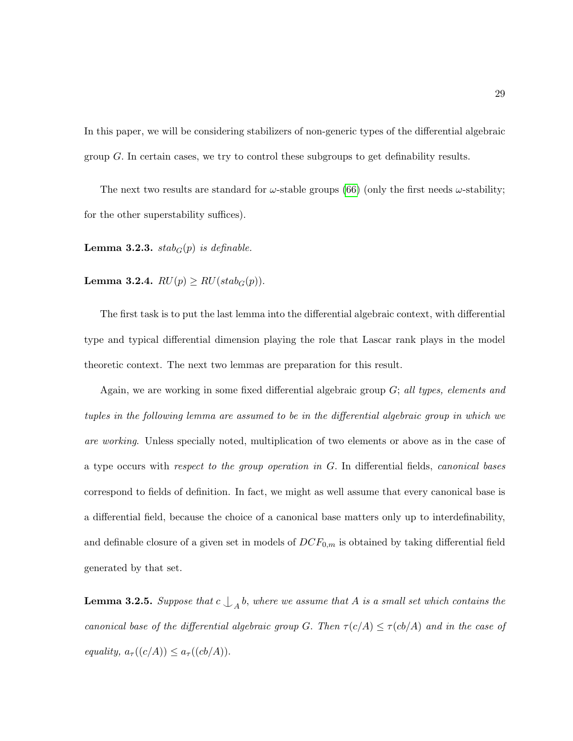In this paper, we will be considering stabilizers of non-generic types of the differential algebraic group G. In certain cases, we try to control these subgroups to get definability results.

The next two results are standard for  $\omega$ -stable groups [\(66\)](#page-219-1) (only the first needs  $\omega$ -stability; for the other superstability suffices).

Lemma 3.2.3.  $stab_G(p)$  is definable.

Lemma 3.2.4.  $RU(p) \geq RU(stab_G(p)).$ 

The first task is to put the last lemma into the differential algebraic context, with differential type and typical differential dimension playing the role that Lascar rank plays in the model theoretic context. The next two lemmas are preparation for this result.

Again, we are working in some fixed differential algebraic group  $G$ ; all types, elements and tuples in the following lemma are assumed to be in the differential algebraic group in which we are working. Unless specially noted, multiplication of two elements or above as in the case of a type occurs with respect to the group operation in G. In differential fields, canonical bases correspond to fields of definition. In fact, we might as well assume that every canonical base is a differential field, because the choice of a canonical base matters only up to interdefinability, and definable closure of a given set in models of  $DCF_{0,m}$  is obtained by taking differential field generated by that set.

<span id="page-40-0"></span>**Lemma 3.2.5.** Suppose that  $c \bigcup_{A} b$ , where we assume that A is a small set which contains the canonical base of the differential algebraic group G. Then  $\tau(c/A) \leq \tau(cb/A)$  and in the case of equality,  $a_{\tau}((c/A)) \leq a_{\tau}((cb/A)).$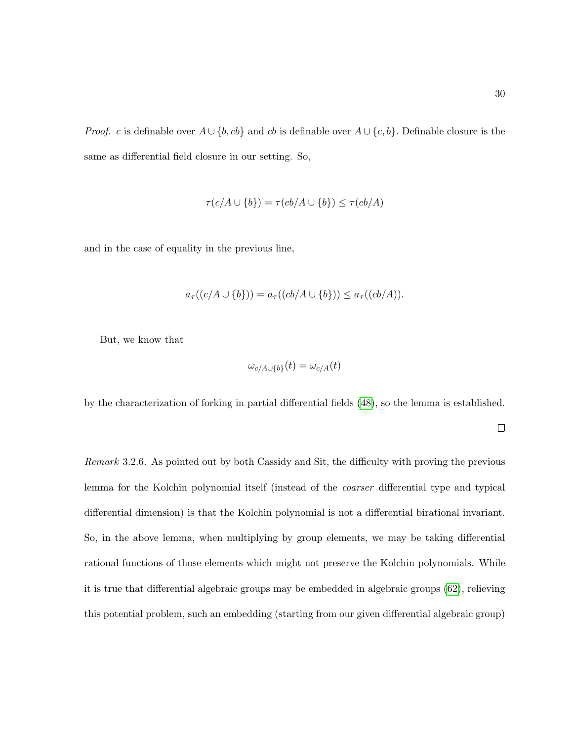*Proof.* c is definable over  $A \cup \{b, cb\}$  and cb is definable over  $A \cup \{c, b\}$ . Definable closure is the same as differential field closure in our setting. So,

$$
\tau(c/A \cup \{b\}) = \tau(cb/A \cup \{b\}) \le \tau(cb/A)
$$

and in the case of equality in the previous line,

$$
a_{\tau}((c/A \cup \{b\})) = a_{\tau}((cb/A \cup \{b\})) \le a_{\tau}((cb/A)).
$$

But, we know that

$$
\omega_{c/A \cup \{b\}}(t) = \omega_{c/A}(t)
$$

by the characterization of forking in partial differential fields [\(48\)](#page-217-3), so the lemma is established.

 $\Box$ 

Remark 3.2.6. As pointed out by both Cassidy and Sit, the difficulty with proving the previous lemma for the Kolchin polynomial itself (instead of the *coarser* differential type and typical differential dimension) is that the Kolchin polynomial is not a differential birational invariant. So, in the above lemma, when multiplying by group elements, we may be taking differential rational functions of those elements which might not preserve the Kolchin polynomials. While it is true that differential algebraic groups may be embedded in algebraic groups [\(62\)](#page-218-0), relieving this potential problem, such an embedding (starting from our given differential algebraic group)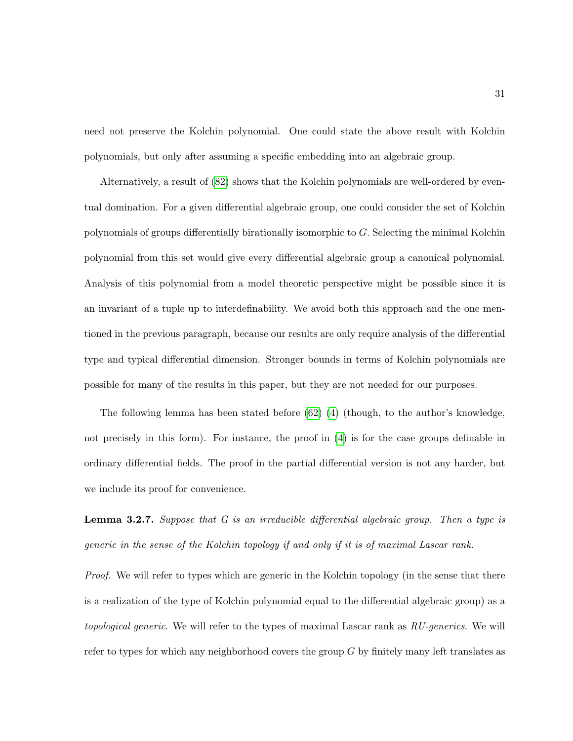need not preserve the Kolchin polynomial. One could state the above result with Kolchin polynomials, but only after assuming a specific embedding into an algebraic group.

Alternatively, a result of [\(82\)](#page-220-2) shows that the Kolchin polynomials are well-ordered by eventual domination. For a given differential algebraic group, one could consider the set of Kolchin polynomials of groups differentially birationally isomorphic to G. Selecting the minimal Kolchin polynomial from this set would give every differential algebraic group a canonical polynomial. Analysis of this polynomial from a model theoretic perspective might be possible since it is an invariant of a tuple up to interdefinability. We avoid both this approach and the one mentioned in the previous paragraph, because our results are only require analysis of the differential type and typical differential dimension. Stronger bounds in terms of Kolchin polynomials are possible for many of the results in this paper, but they are not needed for our purposes.

The following lemma has been stated before  $(62)$  [\(4\)](#page-214-1) (though, to the author's knowledge, not precisely in this form). For instance, the proof in [\(4\)](#page-214-1) is for the case groups definable in ordinary differential fields. The proof in the partial differential version is not any harder, but we include its proof for convenience.

**Lemma 3.2.7.** Suppose that  $G$  is an irreducible differential algebraic group. Then a type is generic in the sense of the Kolchin topology if and only if it is of maximal Lascar rank.

Proof. We will refer to types which are generic in the Kolchin topology (in the sense that there is a realization of the type of Kolchin polynomial equal to the differential algebraic group) as a topological generic. We will refer to the types of maximal Lascar rank as  $RU\text{-}generics$ . We will refer to types for which any neighborhood covers the group  $G$  by finitely many left translates as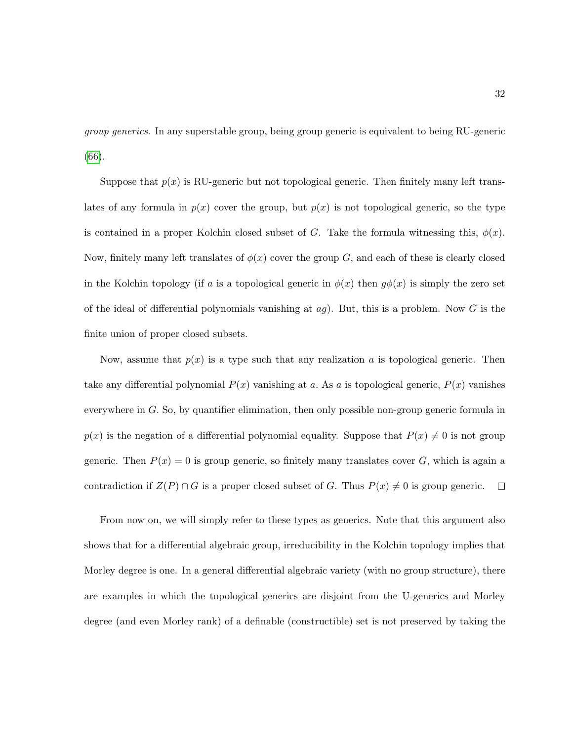group generics. In any superstable group, being group generic is equivalent to being RU-generic [\(66\)](#page-219-1).

Suppose that  $p(x)$  is RU-generic but not topological generic. Then finitely many left translates of any formula in  $p(x)$  cover the group, but  $p(x)$  is not topological generic, so the type is contained in a proper Kolchin closed subset of G. Take the formula witnessing this,  $\phi(x)$ . Now, finitely many left translates of  $\phi(x)$  cover the group G, and each of these is clearly closed in the Kolchin topology (if a is a topological generic in  $\phi(x)$  then  $q\phi(x)$  is simply the zero set of the ideal of differential polynomials vanishing at  $ag$ ). But, this is a problem. Now G is the finite union of proper closed subsets.

Now, assume that  $p(x)$  is a type such that any realization a is topological generic. Then take any differential polynomial  $P(x)$  vanishing at a. As a is topological generic,  $P(x)$  vanishes everywhere in G. So, by quantifier elimination, then only possible non-group generic formula in  $p(x)$  is the negation of a differential polynomial equality. Suppose that  $P(x) \neq 0$  is not group generic. Then  $P(x) = 0$  is group generic, so finitely many translates cover G, which is again a contradiction if  $Z(P) \cap G$  is a proper closed subset of G. Thus  $P(x) \neq 0$  is group generic.  $\Box$ 

From now on, we will simply refer to these types as generics. Note that this argument also shows that for a differential algebraic group, irreducibility in the Kolchin topology implies that Morley degree is one. In a general differential algebraic variety (with no group structure), there are examples in which the topological generics are disjoint from the U-generics and Morley degree (and even Morley rank) of a definable (constructible) set is not preserved by taking the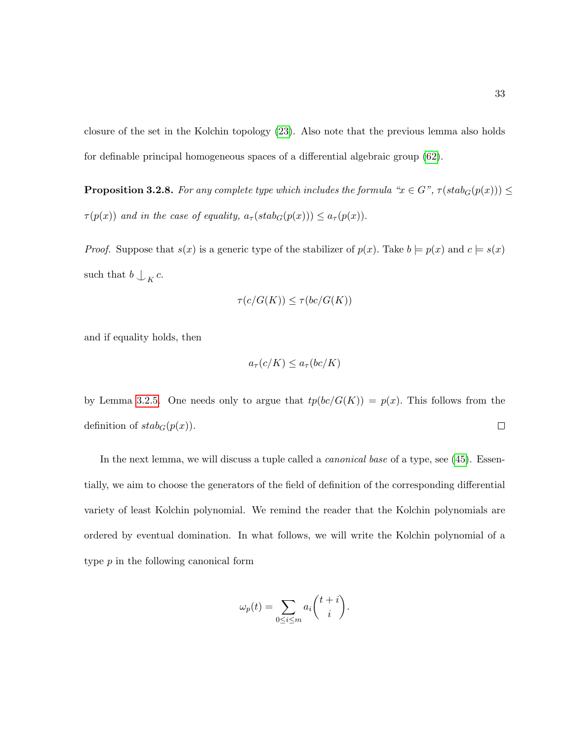closure of the set in the Kolchin topology [\(23\)](#page-215-2). Also note that the previous lemma also holds for definable principal homogeneous spaces of a differential algebraic group [\(62\)](#page-218-0).

<span id="page-44-0"></span>**Proposition 3.2.8.** For any complete type which includes the formula " $x \in G$ ",  $\tau(\text{stab}_G(p(x))) \leq$  $\tau(p(x))$  and in the case of equality,  $a_{\tau}(stab_G(p(x))) \leq a_{\tau}(p(x)).$ 

*Proof.* Suppose that  $s(x)$  is a generic type of the stabilizer of  $p(x)$ . Take  $b \models p(x)$  and  $c \models s(x)$ such that  $b \bigcup_K c$ .

$$
\tau(c/G(K))\leq \tau(bc/G(K))
$$

and if equality holds, then

$$
a_{\tau}(c/K) \le a_{\tau}(bc/K)
$$

by Lemma [3.2.5.](#page-40-0) One needs only to argue that  $tp(bc/G(K)) = p(x)$ . This follows from the definition of  $stab_G(p(x))$ .  $\Box$ 

In the next lemma, we will discuss a tuple called a *canonical base* of a type, see [\(45\)](#page-217-4). Essentially, we aim to choose the generators of the field of definition of the corresponding differential variety of least Kolchin polynomial. We remind the reader that the Kolchin polynomials are ordered by eventual domination. In what follows, we will write the Kolchin polynomial of a type p in the following canonical form

$$
\omega_p(t) = \sum_{0 \le i \le m} a_i \binom{t+i}{i}.
$$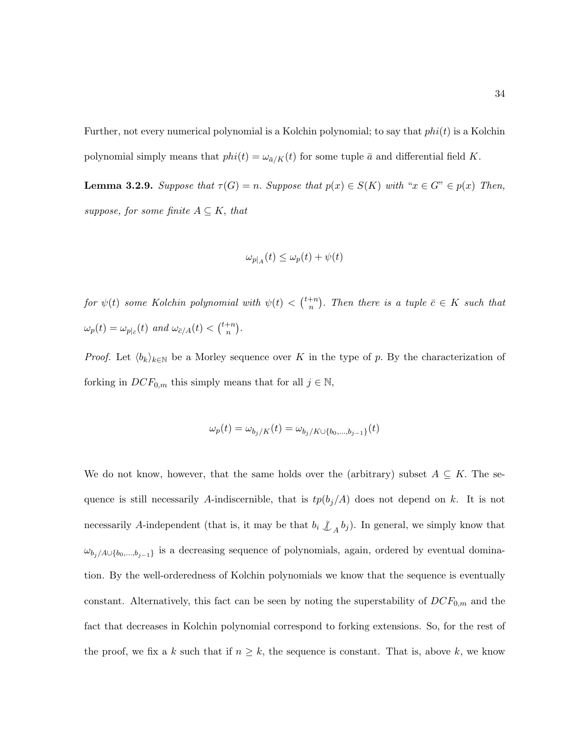Further, not every numerical polynomial is a Kolchin polynomial; to say that  $phi(i)$  is a Kolchin polynomial simply means that  $phi(t) = \omega_{\bar{a}/K}(t)$  for some tuple  $\bar{a}$  and differential field K.

<span id="page-45-0"></span>**Lemma 3.2.9.** Suppose that  $\tau(G) = n$ . Suppose that  $p(x) \in S(K)$  with " $x \in G$ "  $\in p(x)$  Then, suppose, for some finite  $A \subseteq K$ , that

$$
\omega_{p|_A}(t) \le \omega_p(t) + \psi(t)
$$

for  $\psi(t)$  some Kolchin polynomial with  $\psi(t) < \binom{t+n}{n}$  $\binom{+n}{n}$ . Then there is a tuple  $\bar{c} \in K$  such that  $\omega_p(t) = \omega_{p|_{\bar{c}}}(t)$  and  $\omega_{\bar{c}/A}(t) < \binom{t+n}{n}$  $\binom{+n}{n}.$ 

*Proof.* Let  $\langle b_k \rangle_{k \in \mathbb{N}}$  be a Morley sequence over K in the type of p. By the characterization of forking in  $DCF_{0,m}$  this simply means that for all  $j \in \mathbb{N}$ ,

$$
\omega_p(t) = \omega_{b_j/K}(t) = \omega_{b_j/K \cup \{b_0, ..., b_{j-1}\}}(t)
$$

We do not know, however, that the same holds over the (arbitrary) subset  $A \subseteq K$ . The sequence is still necessarily A-indiscernible, that is  $tp(b_j/A)$  does not depend on k. It is not necessarily A-independent (that is, it may be that  $b_i \nleq_A b_j$ ). In general, we simply know that  $\omega_{b_j/A\cup\{b_0,\dots,b_{j-1}\}}$  is a decreasing sequence of polynomials, again, ordered by eventual domination. By the well-orderedness of Kolchin polynomials we know that the sequence is eventually constant. Alternatively, this fact can be seen by noting the superstability of  $DCF_{0,m}$  and the fact that decreases in Kolchin polynomial correspond to forking extensions. So, for the rest of the proof, we fix a k such that if  $n \geq k$ , the sequence is constant. That is, above k, we know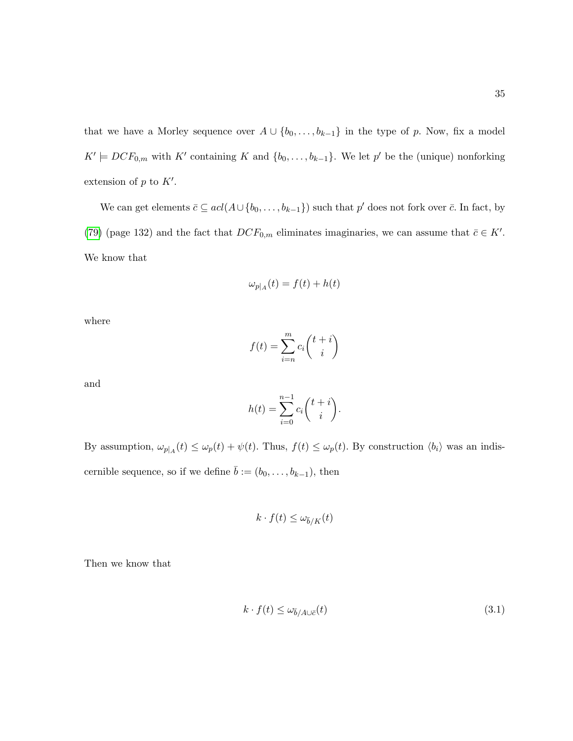that we have a Morley sequence over  $A \cup \{b_0, \ldots, b_{k-1}\}$  in the type of p. Now, fix a model  $K' \models DCF_{0,m}$  with  $K'$  containing K and  $\{b_0, \ldots, b_{k-1}\}.$  We let  $p'$  be the (unique) nonforking extension of  $p$  to  $K'$ .

We can get elements  $\bar{c} \subseteq \text{acl}(A \cup \{b_0, \ldots, b_{k-1}\})$  such that  $p'$  does not fork over  $\bar{c}$ . In fact, by [\(79\)](#page-220-3) (page 132) and the fact that  $DCF_{0,m}$  eliminates imaginaries, we can assume that  $\bar{c} \in K'.$ We know that

$$
\omega_{p|_A}(t) = f(t) + h(t)
$$

where

$$
f(t) = \sum_{i=n}^{m} c_i \binom{t+i}{i}
$$

and

$$
h(t) = \sum_{i=0}^{n-1} c_i \binom{t+i}{i}.
$$

By assumption,  $\omega_{p|A}(t) \leq \omega_p(t) + \psi(t)$ . Thus,  $f(t) \leq \omega_p(t)$ . By construction  $\langle b_i \rangle$  was an indiscernible sequence, so if we define  $\bar{b} := (b_0, \ldots, b_{k-1}),$  then

$$
k \cdot f(t) \le \omega_{\bar{b}/K}(t)
$$

Then we know that

<span id="page-46-0"></span>
$$
k \cdot f(t) \le \omega_{\bar{b}/A \cup \bar{c}}(t) \tag{3.1}
$$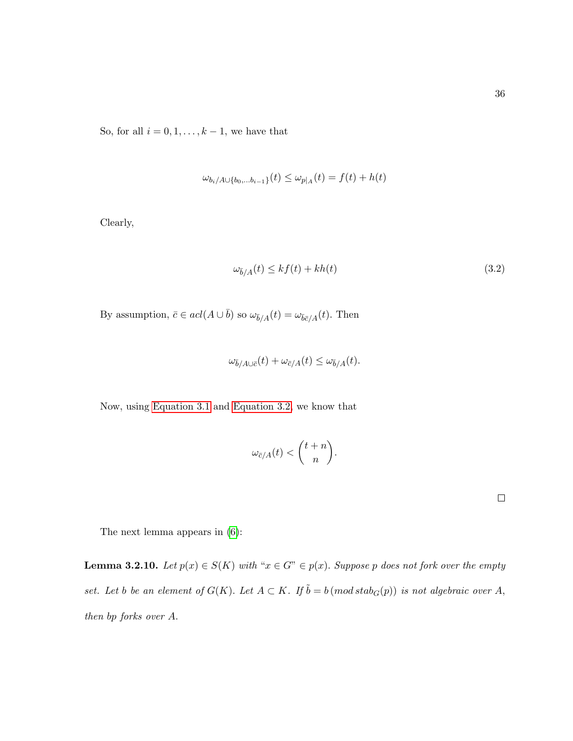So, for all  $i = 0, 1, \ldots, k - 1$ , we have that

$$
\omega_{b_i/A \cup \{b_0,...b_{i-1}\}}(t) \le \omega_{p|_A}(t) = f(t) + h(t)
$$

Clearly,

<span id="page-47-0"></span>
$$
\omega_{\bar{b}/A}(t) \le kf(t) + kh(t) \tag{3.2}
$$

By assumption,  $\bar{c} \in acl(A \cup \bar{b})$  so  $\omega_{\bar{b}/A}(t) = \omega_{\bar{b}\bar{c}/A}(t)$ . Then

$$
\omega_{\bar{b}/A \cup \bar{c}}(t) + \omega_{\bar{c}/A}(t) \le \omega_{\bar{b}/A}(t).
$$

Now, using [Equation 3.1](#page-46-0) and [Equation 3.2,](#page-47-0) we know that

$$
\omega_{\bar{c}/A}(t) < \binom{t+n}{n}.
$$

 $\Box$ 

The next lemma appears in [\(6\)](#page-214-0):

<span id="page-47-1"></span>**Lemma 3.2.10.** Let  $p(x) \in S(K)$  with " $x \in G$ "  $\in p(x)$ . Suppose p does not fork over the empty set. Let b be an element of  $G(K)$ . Let  $A \subset K$ . If  $\tilde{b} = b \pmod{stab_G(p)}$  is not algebraic over A, then bp forks over A.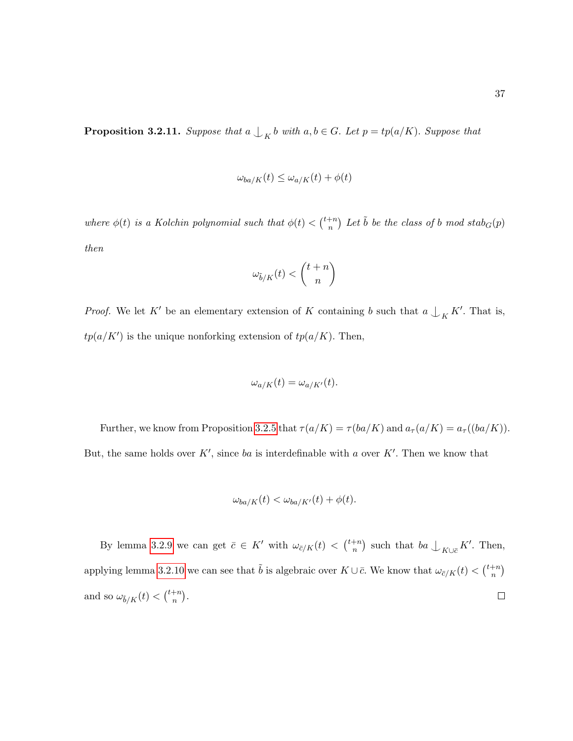$$
\omega_{ba/K}(t) \le \omega_{a/K}(t) + \phi(t)
$$

<span id="page-48-0"></span>where  $\phi(t)$  is a Kolchin polynomial such that  $\phi(t) < \binom{t+n}{n}$  $\binom{+n}{n}$  Let  $\tilde{b}$  be the class of b mod stab $_G(p)$ then

$$
\omega_{\tilde{b}/K}(t)<\binom{t+n}{n}
$$

*Proof.* We let K' be an elementary extension of K containing b such that  $a \nightharpoonup_K K'$ . That is,  $tp(a/K')$  is the unique nonforking extension of  $tp(a/K)$ . Then,

$$
\omega_{a/K}(t) = \omega_{a/K'}(t).
$$

Further, we know from Proposition [3.2.5](#page-40-0) that  $\tau(a/K) = \tau(ba/K)$  and  $a_{\tau}(a/K) = a_{\tau}((ba/K))$ . But, the same holds over K', since ba is interdefinable with a over K'. Then we know that

$$
\omega_{ba/K}(t) < \omega_{ba/K'}(t) + \phi(t).
$$

By lemma [3.2.9](#page-45-0) we can get  $\bar{c} \in K'$  with  $\omega_{\bar{c}/K}(t) < \binom{t+n}{n}$  $\binom{m}{n}$  such that  $ba \nightharpoonup_{K\cup \bar{c}} K'$ . Then, applying lemma [3.2.10](#page-47-1) we can see that  $\tilde{b}$  is algebraic over  $K \cup \bar{c}$ . We know that  $\omega_{\bar{c}/K}(t) < \binom{t+n}{n}$  $\binom{+n}{n}$ and so  $\omega_{\tilde{b}/K}(t) < \binom{t+n}{n}$  $\binom{+n}{n}$ .  $\Box$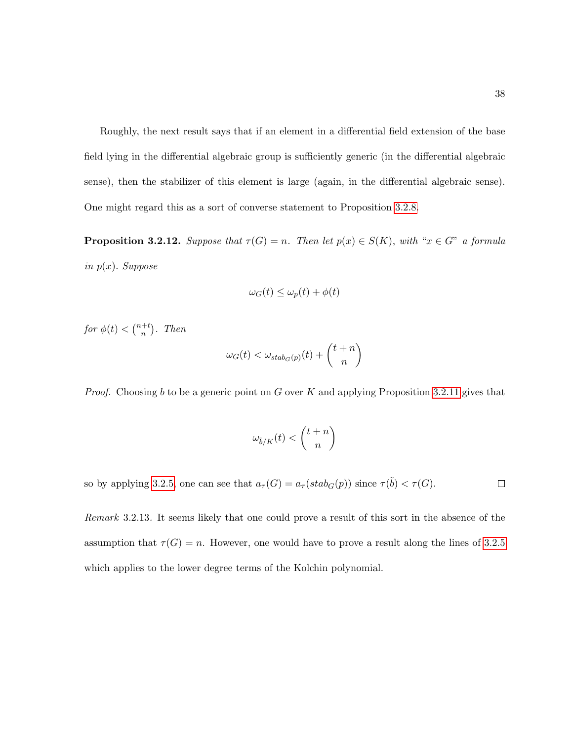Roughly, the next result says that if an element in a differential field extension of the base field lying in the differential algebraic group is sufficiently generic (in the differential algebraic sense), then the stabilizer of this element is large (again, in the differential algebraic sense). One might regard this as a sort of converse statement to Proposition [3.2.8.](#page-44-0)

**Proposition 3.2.12.** Suppose that  $\tau(G) = n$ . Then let  $p(x) \in S(K)$ , with " $x \in G$ " a formula in  $p(x)$ . Suppose

$$
\omega_G(t) \le \omega_p(t) + \phi(t)
$$

for  $\phi(t) < \binom{n+t}{n}$  $\binom{+t}{n}$ . Then

$$
\omega_G(t) < \omega_{stab_G(p)}(t) + \binom{t+n}{n}
$$

*Proof.* Choosing b to be a generic point on G over K and applying Proposition [3.2.11](#page-48-0) gives that

$$
\omega_{\tilde{b}/K}(t)<\binom{t+n}{n}
$$

so by applying [3.2.5,](#page-40-0) one can see that  $a_{\tau}(G) = a_{\tau}(stab_G(p))$  since  $\tau(\tilde{b}) < \tau(G)$ .  $\Box$ 

Remark 3.2.13. It seems likely that one could prove a result of this sort in the absence of the assumption that  $\tau(G) = n$ . However, one would have to prove a result along the lines of [3.2.5](#page-40-0) which applies to the lower degree terms of the Kolchin polynomial.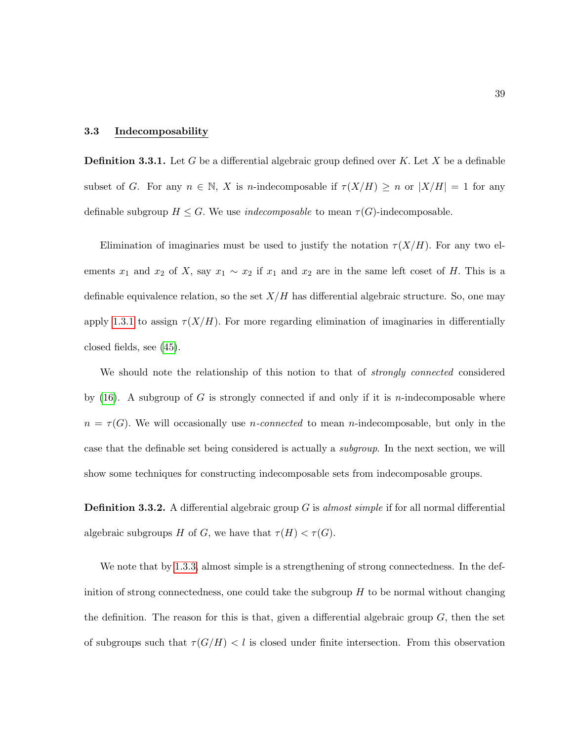### <span id="page-50-0"></span>3.3 Indecomposability

**Definition 3.3.1.** Let G be a differential algebraic group defined over K. Let X be a definable subset of G. For any  $n \in \mathbb{N}$ , X is n-indecomposable if  $\tau(X/H) \geq n$  or  $|X/H| = 1$  for any definable subgroup  $H \leq G$ . We use *indecomposable* to mean  $\tau(G)$ -indecomposable.

Elimination of imaginaries must be used to justify the notation  $\tau(X/H)$ . For any two elements  $x_1$  and  $x_2$  of X, say  $x_1 \sim x_2$  if  $x_1$  and  $x_2$  are in the same left coset of H. This is a definable equivalence relation, so the set  $X/H$  has differential algebraic structure. So, one may apply [1.3.1](#page-15-0) to assign  $\tau(X/H)$ . For more regarding elimination of imaginaries in differentially closed fields, see [\(45\)](#page-217-4).

We should note the relationship of this notion to that of *strongly connected* considered by  $(16)$ . A subgroup of G is strongly connected if and only if it is *n*-indecomposable where  $n = \tau(G)$ . We will occasionally use *n*-connected to mean *n*-indecomposable, but only in the case that the definable set being considered is actually a subgroup. In the next section, we will show some techniques for constructing indecomposable sets from indecomposable groups.

**Definition 3.3.2.** A differential algebraic group  $G$  is almost simple if for all normal differential algebraic subgroups H of G, we have that  $\tau(H) < \tau(G)$ .

We note that by [1.3.3,](#page-17-0) almost simple is a strengthening of strong connectedness. In the definition of strong connectedness, one could take the subgroup  $H$  to be normal without changing the definition. The reason for this is that, given a differential algebraic group  $G$ , then the set of subgroups such that  $\tau(G/H) < l$  is closed under finite intersection. From this observation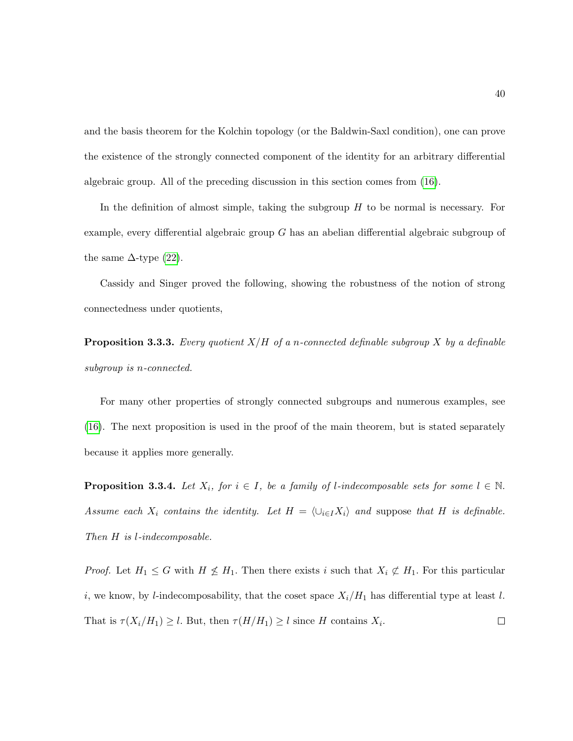and the basis theorem for the Kolchin topology (or the Baldwin-Saxl condition), one can prove the existence of the strongly connected component of the identity for an arbitrary differential algebraic group. All of the preceding discussion in this section comes from [\(16\)](#page-215-1).

In the definition of almost simple, taking the subgroup  $H$  to be normal is necessary. For example, every differential algebraic group  $G$  has an abelian differential algebraic subgroup of the same  $\Delta$ -type [\(22\)](#page-215-3).

Cassidy and Singer proved the following, showing the robustness of the notion of strong connectedness under quotients,

**Proposition 3.3.3.** Every quotient  $X/H$  of a n-connected definable subgroup X by a definable subgroup is n-connected.

For many other properties of strongly connected subgroups and numerous examples, see [\(16\)](#page-215-1). The next proposition is used in the proof of the main theorem, but is stated separately because it applies more generally.

<span id="page-51-0"></span>**Proposition 3.3.4.** Let  $X_i$ , for  $i \in I$ , be a family of l-indecomposable sets for some  $l \in \mathbb{N}$ . Assume each  $X_i$  contains the identity. Let  $H = \langle \cup_{i \in I} X_i \rangle$  and suppose that H is definable. Then H is l-indecomposable.

*Proof.* Let  $H_1 \leq G$  with  $H \nleq H_1$ . Then there exists i such that  $X_i \nsubseteq H_1$ . For this particular i, we know, by *l*-indecomposability, that the coset space  $X_i/H_1$  has differential type at least *l*. That is  $\tau(X_i/H_1) \geq l$ . But, then  $\tau(H/H_1) \geq l$  since H contains  $X_i$ .  $\Box$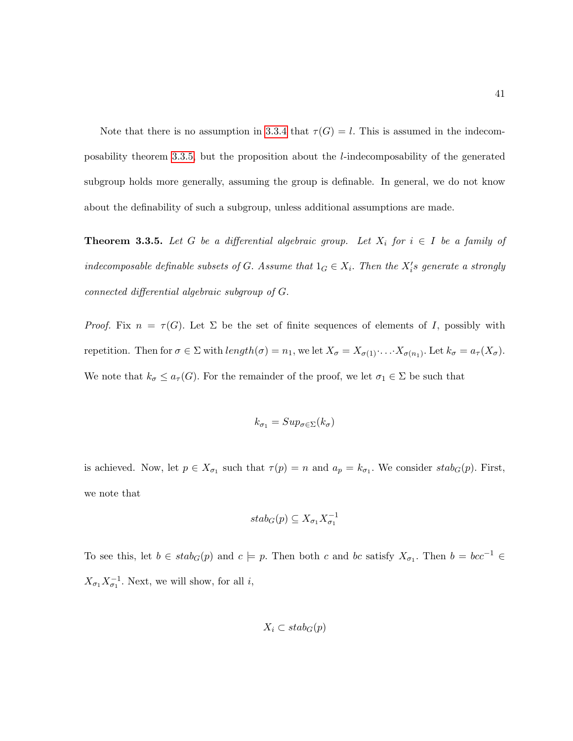Note that there is no assumption in [3.3.4](#page-51-0) that  $\tau(G) = l$ . This is assumed in the indecomposability theorem [3.3.5,](#page-52-0) but the proposition about the l-indecomposability of the generated subgroup holds more generally, assuming the group is definable. In general, we do not know about the definability of such a subgroup, unless additional assumptions are made.

<span id="page-52-0"></span>**Theorem 3.3.5.** Let G be a differential algebraic group. Let  $X_i$  for  $i \in I$  be a family of indecomposable definable subsets of G. Assume that  $1_G \in X_i$ . Then the  $X_i$ 's generate a strongly connected differential algebraic subgroup of G.

Proof. Fix  $n = \tau(G)$ . Let  $\Sigma$  be the set of finite sequences of elements of I, possibly with repetition. Then for  $\sigma \in \Sigma$  with  $length(\sigma) = n_1$ , we let  $X_{\sigma} = X_{\sigma(1)} \cdot ... \cdot X_{\sigma(n_1)}$ . Let  $k_{\sigma} = a_{\tau}(X_{\sigma})$ . We note that  $k_{\sigma} \leq a_{\tau}(G)$ . For the remainder of the proof, we let  $\sigma_1 \in \Sigma$  be such that

$$
k_{\sigma_1}=Sup_{\sigma\in\Sigma}(k_{\sigma})
$$

is achieved. Now, let  $p \in X_{\sigma_1}$  such that  $\tau(p) = n$  and  $a_p = k_{\sigma_1}$ . We consider  $stab_G(p)$ . First, we note that

$$
stab_G(p) \subseteq X_{\sigma_1}X_{\sigma_1}^{-1}
$$

To see this, let  $b \in stab_G(p)$  and  $c \models p$ . Then both c and bc satisfy  $X_{\sigma_1}$ . Then  $b = bcc^{-1} \in$  $X_{\sigma_1} X_{\sigma_1}^{-1}$ . Next, we will show, for all *i*,

$$
X_i \subset stab_G(p)
$$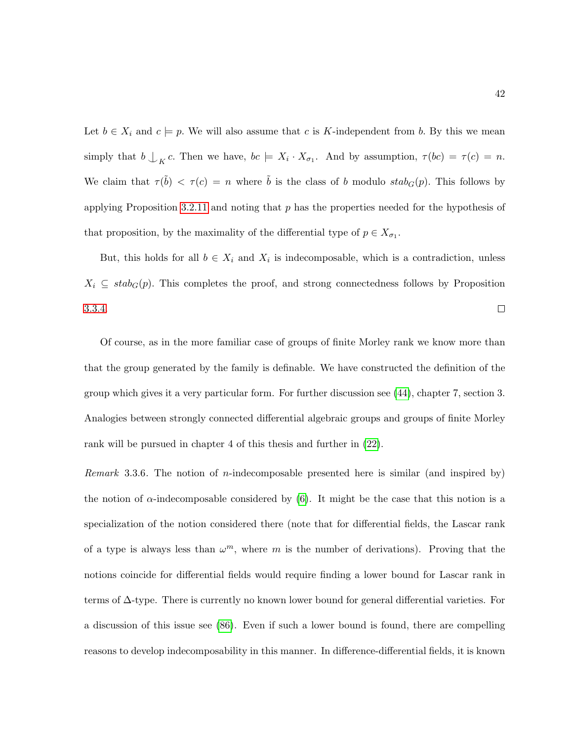Let  $b \in X_i$  and  $c \models p$ . We will also assume that c is K-independent from b. By this we mean simply that  $b \bigcup_K c$ . Then we have,  $bc \models X_i \cdot X_{\sigma_1}$ . And by assumption,  $\tau(bc) = \tau(c) = n$ . We claim that  $\tau(\tilde{b}) < \tau(c) = n$  where  $\tilde{b}$  is the class of b modulo  $stab_G(p)$ . This follows by applying Proposition [3.2.11](#page-48-0) and noting that  $p$  has the properties needed for the hypothesis of that proposition, by the maximality of the differential type of  $p \in X_{\sigma_1}$ .

But, this holds for all  $b \in X_i$  and  $X_i$  is indecomposable, which is a contradiction, unless  $X_i \subseteq \text{stab}_G(p)$ . This completes the proof, and strong connectedness follows by Proposition [3.3.4.](#page-51-0)  $\Box$ 

Of course, as in the more familiar case of groups of finite Morley rank we know more than that the group generated by the family is definable. We have constructed the definition of the group which gives it a very particular form. For further discussion see [\(44\)](#page-217-5), chapter 7, section 3. Analogies between strongly connected differential algebraic groups and groups of finite Morley rank will be pursued in chapter 4 of this thesis and further in [\(22\)](#page-215-3).

*Remark* 3.3.6. The notion of *n*-indecomposable presented here is similar (and inspired by) the notion of  $\alpha$ -indecomposable considered by [\(6\)](#page-214-0). It might be the case that this notion is a specialization of the notion considered there (note that for differential fields, the Lascar rank of a type is always less than  $\omega^m$ , where m is the number of derivations). Proving that the notions coincide for differential fields would require finding a lower bound for Lascar rank in terms of ∆-type. There is currently no known lower bound for general differential varieties. For a discussion of this issue see [\(86\)](#page-220-4). Even if such a lower bound is found, there are compelling reasons to develop indecomposability in this manner. In difference-differential fields, it is known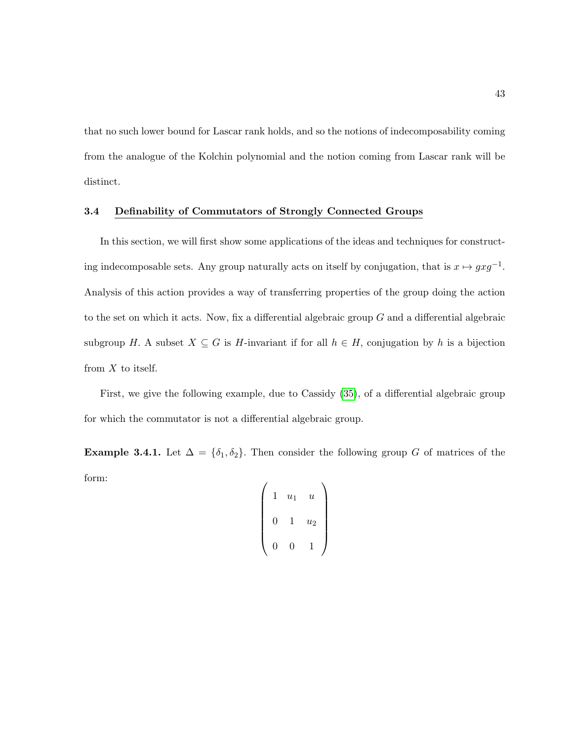that no such lower bound for Lascar rank holds, and so the notions of indecomposability coming from the analogue of the Kolchin polynomial and the notion coming from Lascar rank will be distinct.

## 3.4 Definability of Commutators of Strongly Connected Groups

In this section, we will first show some applications of the ideas and techniques for constructing indecomposable sets. Any group naturally acts on itself by conjugation, that is  $x \mapsto gxg^{-1}$ . Analysis of this action provides a way of transferring properties of the group doing the action to the set on which it acts. Now, fix a differential algebraic group  $G$  and a differential algebraic subgroup H. A subset  $X \subseteq G$  is H-invariant if for all  $h \in H$ , conjugation by h is a bijection from  $X$  to itself.

First, we give the following example, due to Cassidy [\(35\)](#page-216-1), of a differential algebraic group for which the commutator is not a differential algebraic group.

Example 3.4.1. Let  $\Delta = {\delta_1, \delta_2}$ . Then consider the following group G of matrices of the form:

$$
\left(\begin{array}{ccc} 1 & u_1 & u \\ 0 & 1 & u_2 \\ 0 & 0 & 1 \end{array}\right)
$$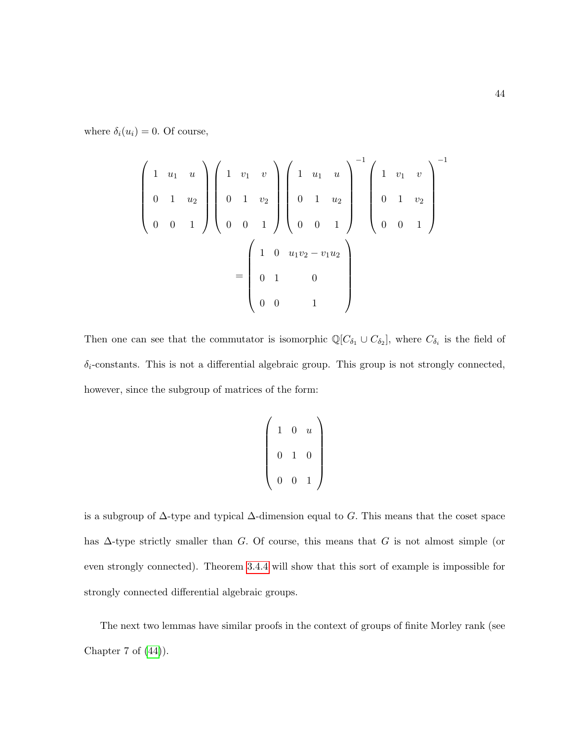where  $\delta_i(u_i) = 0$ . Of course,

$$
\begin{pmatrix}\n1 & u_1 & u \\
0 & 1 & u_2 \\
0 & 0 & 1\n\end{pmatrix}\n\begin{pmatrix}\n1 & v_1 & v \\
0 & 1 & v_2 \\
0 & 0 & 1\n\end{pmatrix}\n\begin{pmatrix}\n1 & u_1 & u \\
0 & 1 & u_2 \\
0 & 0 & 1\n\end{pmatrix}\n\begin{pmatrix}\n1 & v_1 & v \\
0 & 1 & v_2 \\
0 & 0 & 1\n\end{pmatrix}^{-1}
$$
\n
$$
=\n\begin{pmatrix}\n1 & 0 & u_1v_2 - v_1u_2 \\
0 & 1 & 0 \\
0 & 0 & 1\n\end{pmatrix}
$$

Then one can see that the commutator is isomorphic  $\mathbb{Q}[C_{\delta_1} \cup C_{\delta_2}]$ , where  $C_{\delta_i}$  is the field of  $\delta_i$ -constants. This is not a differential algebraic group. This group is not strongly connected, however, since the subgroup of matrices of the form:

$$
\left(\begin{array}{rrr}1 & 0 & u \\ 0 & 1 & 0 \\ 0 & 0 & 1\end{array}\right)
$$

is a subgroup of  $\Delta$ -type and typical  $\Delta$ -dimension equal to G. This means that the coset space has  $\Delta$ -type strictly smaller than G. Of course, this means that G is not almost simple (or even strongly connected). Theorem [3.4.4](#page-57-0) will show that this sort of example is impossible for strongly connected differential algebraic groups.

The next two lemmas have similar proofs in the context of groups of finite Morley rank (see Chapter 7 of [\(44\)](#page-217-5)).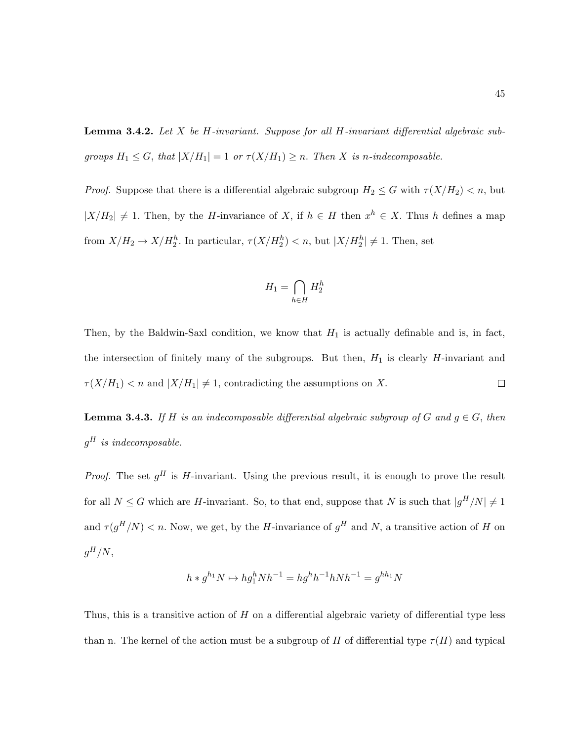**Lemma 3.4.2.** Let X be H-invariant. Suppose for all H-invariant differential algebraic subgroups  $H_1 \leq G$ , that  $|X/H_1| = 1$  or  $\tau(X/H_1) \geq n$ . Then X is n-indecomposable.

*Proof.* Suppose that there is a differential algebraic subgroup  $H_2 \leq G$  with  $\tau(X/H_2) < n$ , but  $|X/H_2| \neq 1$ . Then, by the H-invariance of X, if  $h \in H$  then  $x^h \in X$ . Thus h defines a map from  $X/H_2 \to X/H_2^h$ . In particular,  $\tau(X/H_2^h) < n$ , but  $|X/H_2^h| \neq 1$ . Then, set

$$
H_1 = \bigcap_{h \in H} H_2^h
$$

Then, by the Baldwin-Saxl condition, we know that  $H_1$  is actually definable and is, in fact, the intersection of finitely many of the subgroups. But then,  $H_1$  is clearly  $H$ -invariant and  $\tau(X/H_1)$  < n and  $|X/H_1| \neq 1$ , contradicting the assumptions on X.  $\Box$ 

**Lemma 3.4.3.** If H is an indecomposable differential algebraic subgroup of G and  $g \in G$ , then  $g^H$  is indecomposable.

*Proof.* The set  $g^H$  is H-invariant. Using the previous result, it is enough to prove the result for all  $N \leq G$  which are H-invariant. So, to that end, suppose that N is such that  $|g^H/N| \neq 1$ and  $\tau(g^H/N)$  < n. Now, we get, by the H-invariance of  $g^H$  and N, a transitive action of H on  $g^H/N,$ 

$$
h * g^{h_1} N \mapsto h g_1^h N h^{-1} = h g^h h^{-1} h N h^{-1} = g^{h h_1} N
$$

Thus, this is a transitive action of  $H$  on a differential algebraic variety of differential type less than n. The kernel of the action must be a subgroup of H of differential type  $\tau(H)$  and typical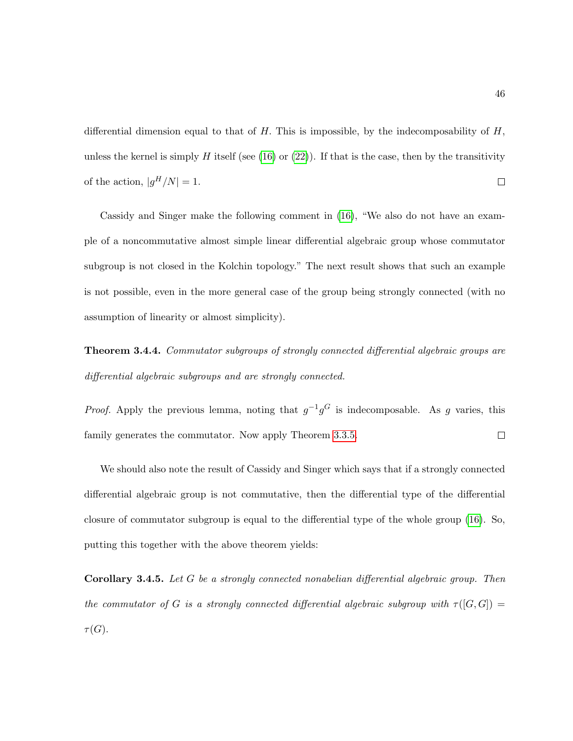differential dimension equal to that of H. This is impossible, by the indecomposability of  $H$ , unless the kernel is simply H itself (see [\(16\)](#page-215-1) or [\(22\)](#page-215-3)). If that is the case, then by the transitivity of the action,  $|g^H/N|=1$ .  $\Box$ 

Cassidy and Singer make the following comment in [\(16\)](#page-215-1), "We also do not have an example of a noncommutative almost simple linear differential algebraic group whose commutator subgroup is not closed in the Kolchin topology." The next result shows that such an example is not possible, even in the more general case of the group being strongly connected (with no assumption of linearity or almost simplicity).

<span id="page-57-0"></span>Theorem 3.4.4. Commutator subgroups of strongly connected differential algebraic groups are differential algebraic subgroups and are strongly connected.

*Proof.* Apply the previous lemma, noting that  $g^{-1}g^G$  is indecomposable. As g varies, this family generates the commutator. Now apply Theorem [3.3.5.](#page-52-0)  $\Box$ 

We should also note the result of Cassidy and Singer which says that if a strongly connected differential algebraic group is not commutative, then the differential type of the differential closure of commutator subgroup is equal to the differential type of the whole group [\(16\)](#page-215-1). So, putting this together with the above theorem yields:

Corollary 3.4.5. Let G be a strongly connected nonabelian differential algebraic group. Then the commutator of G is a strongly connected differential algebraic subgroup with  $\tau([G, G]) =$  $\tau(G).$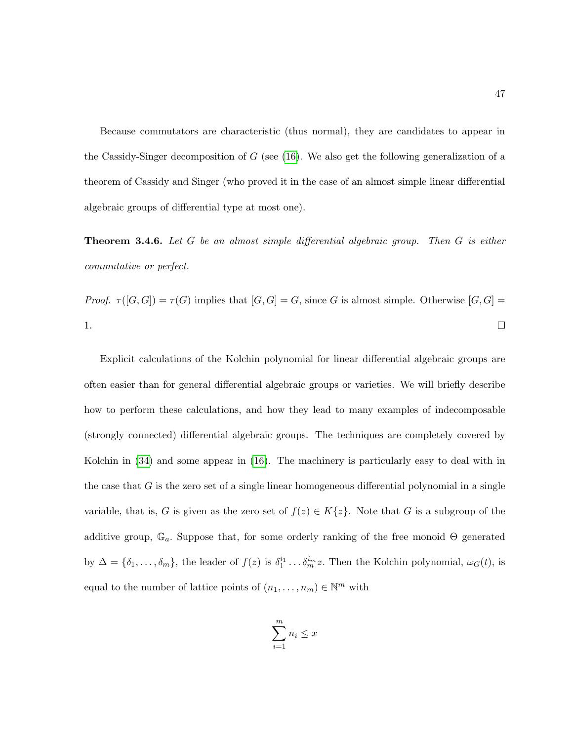Because commutators are characteristic (thus normal), they are candidates to appear in the Cassidy-Singer decomposition of  $G$  (see [\(16\)](#page-215-1). We also get the following generalization of a theorem of Cassidy and Singer (who proved it in the case of an almost simple linear differential algebraic groups of differential type at most one).

**Theorem 3.4.6.** Let G be an almost simple differential algebraic group. Then G is either commutative or perfect.

Proof.  $\tau([G,G]) = \tau(G)$  implies that  $[G,G] = G$ , since G is almost simple. Otherwise  $[G,G] = G$ 1.  $\Box$ 

Explicit calculations of the Kolchin polynomial for linear differential algebraic groups are often easier than for general differential algebraic groups or varieties. We will briefly describe how to perform these calculations, and how they lead to many examples of indecomposable (strongly connected) differential algebraic groups. The techniques are completely covered by Kolchin in [\(34\)](#page-216-2) and some appear in [\(16\)](#page-215-1). The machinery is particularly easy to deal with in the case that  $G$  is the zero set of a single linear homogeneous differential polynomial in a single variable, that is, G is given as the zero set of  $f(z) \in K\{z\}$ . Note that G is a subgroup of the additive group,  $\mathbb{G}_a$ . Suppose that, for some orderly ranking of the free monoid  $\Theta$  generated by  $\Delta = {\delta_1, \ldots, \delta_m}$ , the leader of  $f(z)$  is  $\delta_1^{i_1} \ldots \delta_m^{i_m} z$ . Then the Kolchin polynomial,  $\omega_G(t)$ , is equal to the number of lattice points of  $(n_1, \ldots, n_m) \in \mathbb{N}^m$  with

$$
\sum_{i=1}^{m} n_i \le x
$$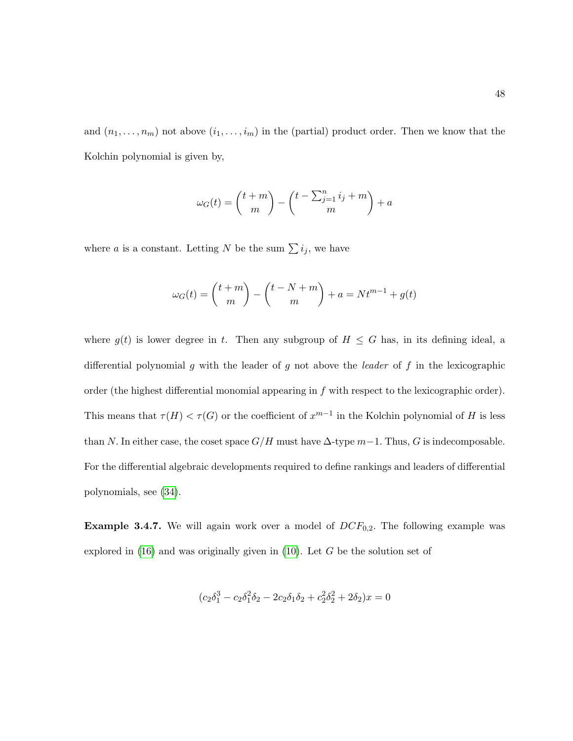and  $(n_1, \ldots, n_m)$  not above  $(i_1, \ldots, i_m)$  in the (partial) product order. Then we know that the Kolchin polynomial is given by,

$$
\omega_G(t) = \binom{t+m}{m} - \binom{t-\sum_{j=1}^n i_j + m}{m} + a
$$

where a is a constant. Letting N be the sum  $\sum i_j$ , we have

$$
\omega_G(t) = \binom{t+m}{m} - \binom{t-N+m}{m} + a = Nt^{m-1} + g(t)
$$

where  $g(t)$  is lower degree in t. Then any subgroup of  $H \leq G$  has, in its defining ideal, a differential polynomial g with the leader of g not above the *leader* of f in the lexicographic order (the highest differential monomial appearing in f with respect to the lexicographic order). This means that  $\tau(H) < \tau(G)$  or the coefficient of  $x^{m-1}$  in the Kolchin polynomial of H is less than N. In either case, the coset space  $G/H$  must have  $\Delta$ -type  $m-1$ . Thus, G is indecomposable. For the differential algebraic developments required to define rankings and leaders of differential polynomials, see [\(34\)](#page-216-2).

**Example 3.4.7.** We will again work over a model of  $DCF_{0,2}$ . The following example was explored in  $(16)$  and was originally given in  $(10)$ . Let G be the solution set of

$$
(c_2\delta_1^3 - c_2\delta_1^2\delta_2 - 2c_2\delta_1\delta_2 + c_2^2\delta_2^2 + 2\delta_2)x = 0
$$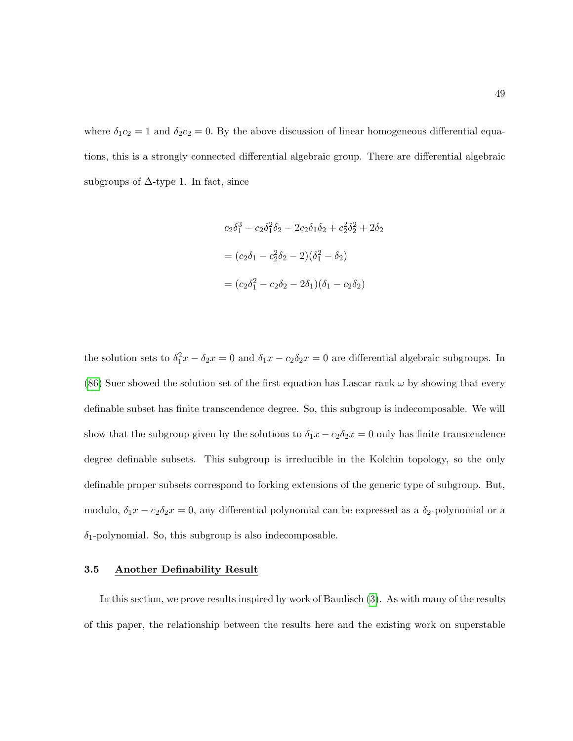where  $\delta_1 c_2 = 1$  and  $\delta_2 c_2 = 0$ . By the above discussion of linear homogeneous differential equations, this is a strongly connected differential algebraic group. There are differential algebraic subgroups of  $\Delta$ -type 1. In fact, since

$$
c_2\delta_1^3 - c_2\delta_1^2\delta_2 - 2c_2\delta_1\delta_2 + c_2^2\delta_2^2 + 2\delta_2
$$
  
=  $(c_2\delta_1 - c_2^2\delta_2 - 2)(\delta_1^2 - \delta_2)$   
=  $(c_2\delta_1^2 - c_2\delta_2 - 2\delta_1)(\delta_1 - c_2\delta_2)$ 

the solution sets to  $\delta_1^2 x - \delta_2 x = 0$  and  $\delta_1 x - c_2 \delta_2 x = 0$  are differential algebraic subgroups. In [\(86\)](#page-220-4) Suer showed the solution set of the first equation has Lascar rank  $\omega$  by showing that every definable subset has finite transcendence degree. So, this subgroup is indecomposable. We will show that the subgroup given by the solutions to  $\delta_1 x - c_2 \delta_2 x = 0$  only has finite transcendence degree definable subsets. This subgroup is irreducible in the Kolchin topology, so the only definable proper subsets correspond to forking extensions of the generic type of subgroup. But, modulo,  $\delta_1 x - c_2 \delta_2 x = 0$ , any differential polynomial can be expressed as a  $\delta_2$ -polynomial or a  $\delta_1$ -polynomial. So, this subgroup is also indecomposable.

#### 3.5 Another Definability Result

In this section, we prove results inspired by work of Baudisch [\(3\)](#page-214-3). As with many of the results of this paper, the relationship between the results here and the existing work on superstable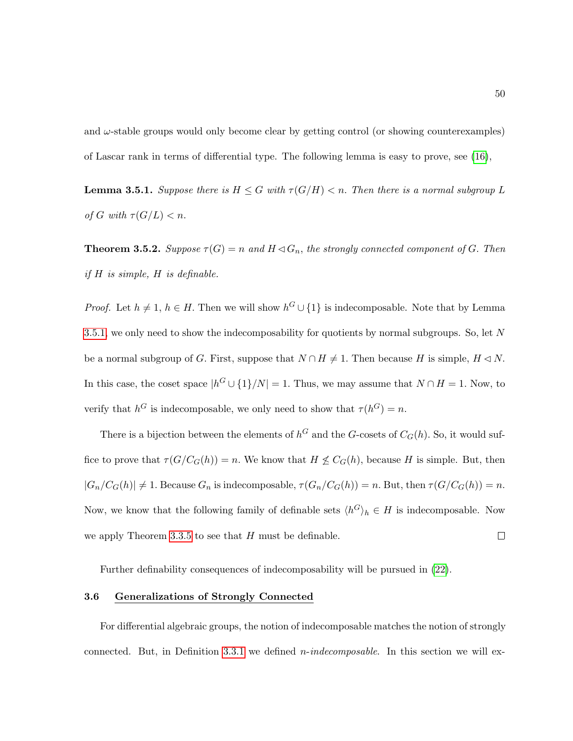and  $\omega$ -stable groups would only become clear by getting control (or showing counterexamples) of Lascar rank in terms of differential type. The following lemma is easy to prove, see [\(16\)](#page-215-1),

<span id="page-61-0"></span>**Lemma 3.5.1.** Suppose there is  $H \leq G$  with  $\tau(G/H) < n$ . Then there is a normal subgroup L of G with  $\tau(G/L) < n$ .

**Theorem 3.5.2.** Suppose  $\tau(G) = n$  and  $H \triangleleft G_n$ , the strongly connected component of G. Then if H is simple, H is definable.

*Proof.* Let  $h \neq 1$ ,  $h \in H$ . Then we will show  $h^G \cup \{1\}$  is indecomposable. Note that by Lemma [3.5.1,](#page-61-0) we only need to show the indecomposability for quotients by normal subgroups. So, let  $N$ be a normal subgroup of G. First, suppose that  $N \cap H \neq 1$ . Then because H is simple,  $H \triangleleft N$ . In this case, the coset space  $|h^G \cup \{1\}/N| = 1$ . Thus, we may assume that  $N \cap H = 1$ . Now, to verify that  $h^G$  is indecomposable, we only need to show that  $\tau(h^G) = n$ .

There is a bijection between the elements of  $h^G$  and the G-cosets of  $C_G(h)$ . So, it would suffice to prove that  $\tau(G/C_G(h)) = n$ . We know that  $H \nleq C_G(h)$ , because H is simple. But, then  $|G_n/C_G(h)| \neq 1$ . Because  $G_n$  is indecomposable,  $\tau(G_n/C_G(h)) = n$ . But, then  $\tau(G/C_G(h)) = n$ . Now, we know that the following family of definable sets  $\langle h^G \rangle_h \in H$  is indecomposable. Now we apply Theorem [3.3.5](#page-52-0) to see that  $H$  must be definable.  $\Box$ 

Further definability consequences of indecomposability will be pursued in [\(22\)](#page-215-3).

### 3.6 Generalizations of Strongly Connected

For differential algebraic groups, the notion of indecomposable matches the notion of strongly connected. But, in Definition [3.3.1](#page-50-0) we defined *n*-indecomposable. In this section we will ex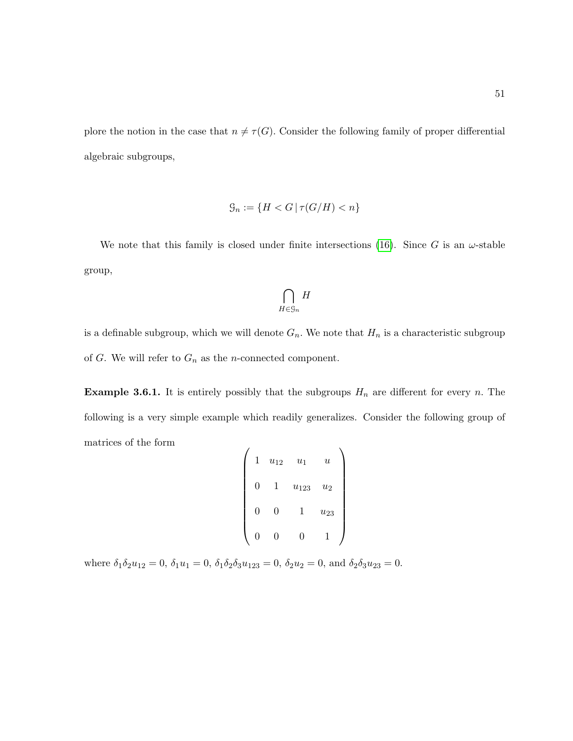plore the notion in the case that  $n \neq \tau(G)$ . Consider the following family of proper differential algebraic subgroups,

$$
\mathcal{G}_n := \{ H < G \mid \tau(G/H) < n \}
$$

We note that this family is closed under finite intersections [\(16\)](#page-215-1). Since G is an  $\omega$ -stable group,

$$
\bigcap_{H\in\mathcal{G}_n}H
$$

is a definable subgroup, which we will denote  $G_n$ . We note that  $H_n$  is a characteristic subgroup of G. We will refer to  $G_n$  as the *n*-connected component.

**Example 3.6.1.** It is entirely possibly that the subgroups  $H_n$  are different for every n. The following is a very simple example which readily generalizes. Consider the following group of matrices of the form  $\overline{1}$  $\overline{ }$ 

| 1 | $u_{12}$ | $u_1$         | $\boldsymbol{\mathit{u}}$ |  |
|---|----------|---------------|---------------------------|--|
| 0 | 1        | $u_{123}$     | $u_2$                     |  |
| 0 | 0        | 1             | $\boldsymbol{u_{23}}$     |  |
| 0 | 0        | $\mathcal{O}$ |                           |  |

where  $\delta_1 \delta_2 u_{12} = 0$ ,  $\delta_1 u_1 = 0$ ,  $\delta_1 \delta_2 \delta_3 u_{123} = 0$ ,  $\delta_2 u_2 = 0$ , and  $\delta_2 \delta_3 u_{23} = 0$ .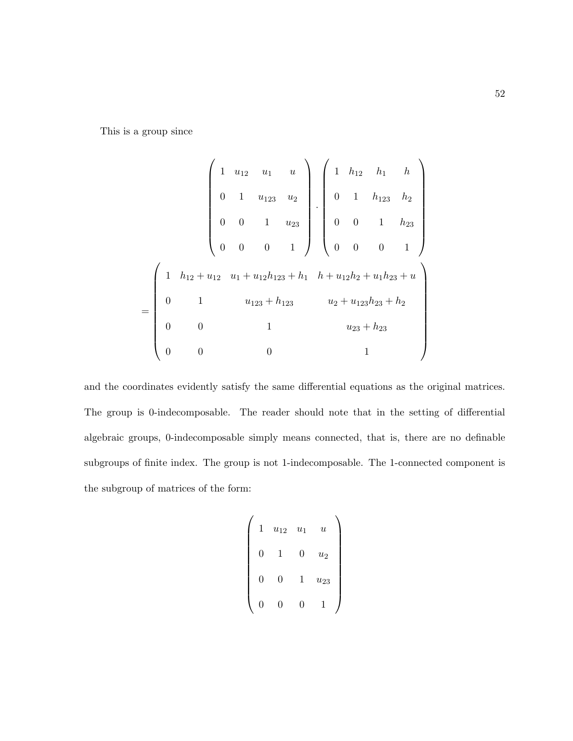This is a group since

$$
= \begin{pmatrix} 1 & u_{12} & u_1 & u \\ 0 & 1 & u_{123} & u_2 \\ 0 & 0 & 1 & u_{23} \\ 0 & 0 & 0 & 1 \end{pmatrix} \cdot \begin{pmatrix} 1 & h_{12} & h_1 & h \\ 0 & 1 & h_{123} & h_2 \\ 0 & 0 & 1 & h_{23} \\ 0 & 0 & 0 & 1 \end{pmatrix}
$$

$$
= \begin{pmatrix} 1 & h_{12} + u_{12} & u_1 + u_{12}h_{123} + h_1 & h + u_{12}h_2 + u_1h_{23} + u \\ 0 & 1 & u_{123} + h_{123} & u_2 + u_{123}h_{23} + h_2 \\ 0 & 0 & 1 & u_{23} + h_{23} \\ 0 & 0 & 0 & 1 \end{pmatrix}
$$

and the coordinates evidently satisfy the same differential equations as the original matrices. The group is 0-indecomposable. The reader should note that in the setting of differential algebraic groups, 0-indecomposable simply means connected, that is, there are no definable subgroups of finite index. The group is not 1-indecomposable. The 1-connected component is the subgroup of matrices of the form:

$$
\begin{pmatrix} 1 & u_{12} & u_1 & u \\ 0 & 1 & 0 & u_2 \\ 0 & 0 & 1 & u_{23} \\ 0 & 0 & 0 & 1 \end{pmatrix}
$$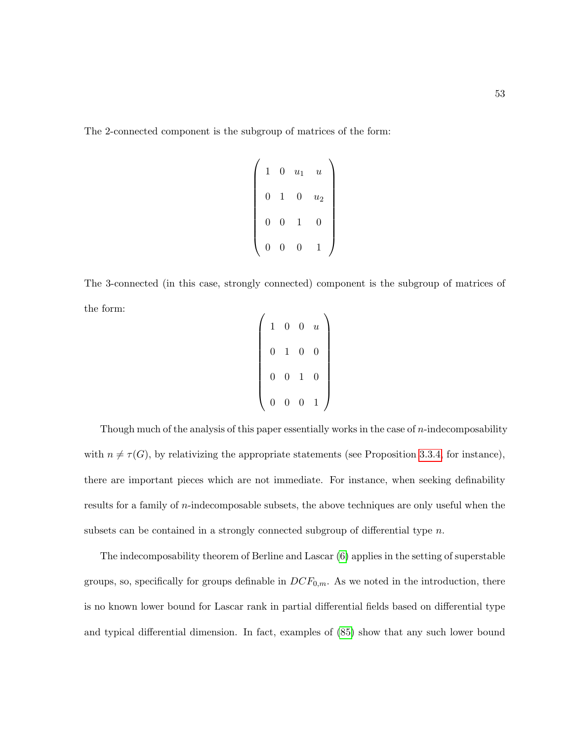The 2-connected component is the subgroup of matrices of the form:

$$
\left(\begin{array}{cccc}1&0&u_1&u\\0&1&0&u_2\\0&0&1&0\\0&0&0&1\end{array}\right)
$$

The 3-connected (in this case, strongly connected) component is the subgroup of matrices of the form:

| 1              | $\boldsymbol{0}$ | $\overline{0}$   | $\boldsymbol{u}$ |
|----------------|------------------|------------------|------------------|
| $\overline{0}$ | $\,1$            | $\boldsymbol{0}$ | $\overline{0}$   |
| $\overline{0}$ | $\boldsymbol{0}$ | $\mathbf{1}$     | $\overline{0}$   |
| 0              | $\overline{0}$   | $\overline{0}$   | 1                |

Though much of the analysis of this paper essentially works in the case of  $n$ -indecomposability with  $n \neq \tau(G)$ , by relativizing the appropriate statements (see Proposition [3.3.4,](#page-51-0) for instance), there are important pieces which are not immediate. For instance, when seeking definability results for a family of *n*-indecomposable subsets, the above techniques are only useful when the subsets can be contained in a strongly connected subgroup of differential type  $n$ .

The indecomposability theorem of Berline and Lascar [\(6\)](#page-214-0) applies in the setting of superstable groups, so, specifically for groups definable in  $DCF_{0,m}$ . As we noted in the introduction, there is no known lower bound for Lascar rank in partial differential fields based on differential type and typical differential dimension. In fact, examples of [\(85\)](#page-220-0) show that any such lower bound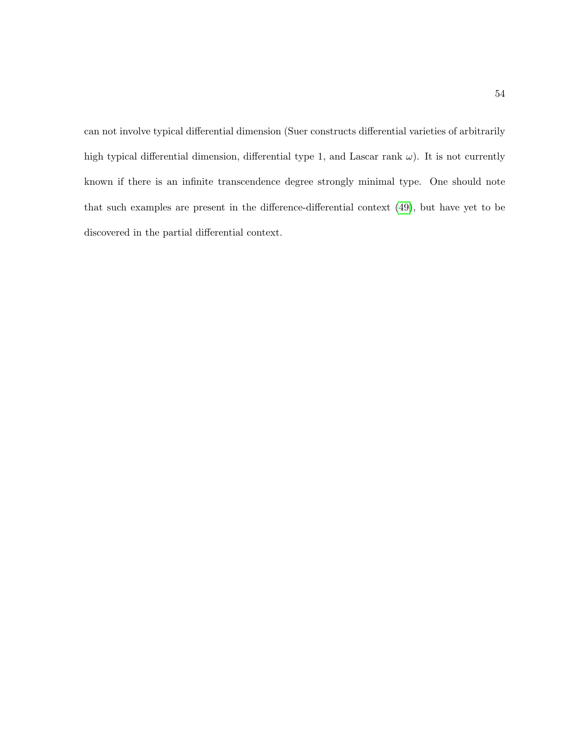can not involve typical differential dimension (Suer constructs differential varieties of arbitrarily high typical differential dimension, differential type 1, and Lascar rank  $\omega$ ). It is not currently known if there is an infinite transcendence degree strongly minimal type. One should note that such examples are present in the difference-differential context [\(49\)](#page-217-2), but have yet to be discovered in the partial differential context.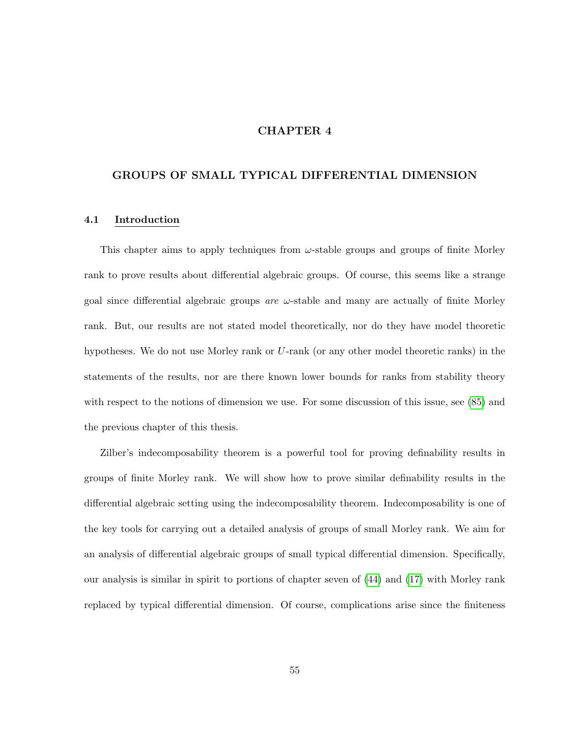# CHAPTER 4

## GROUPS OF SMALL TYPICAL DIFFERENTIAL DIMENSION

#### 4.1 Introduction

This chapter aims to apply techniques from  $\omega$ -stable groups and groups of finite Morley rank to prove results about differential algebraic groups. Of course, this seems like a strange goal since differential algebraic groups are  $\omega$ -stable and many are actually of finite Morley rank. But, our results are not stated model theoretically, nor do they have model theoretic hypotheses. We do not use Morley rank or U-rank (or any other model theoretic ranks) in the statements of the results, nor are there known lower bounds for ranks from stability theory with respect to the notions of dimension we use. For some discussion of this issue, see [\(85\)](#page-220-0) and the previous chapter of this thesis.

Zilber's indecomposability theorem is a powerful tool for proving definability results in groups of finite Morley rank. We will show how to prove similar definability results in the differential algebraic setting using the indecomposability theorem. Indecomposability is one of the key tools for carrying out a detailed analysis of groups of small Morley rank. We aim for an analysis of differential algebraic groups of small typical differential dimension. Specifically, our analysis is similar in spirit to portions of chapter seven of [\(44\)](#page-217-5) and [\(17\)](#page-215-4) with Morley rank replaced by typical differential dimension. Of course, complications arise since the finiteness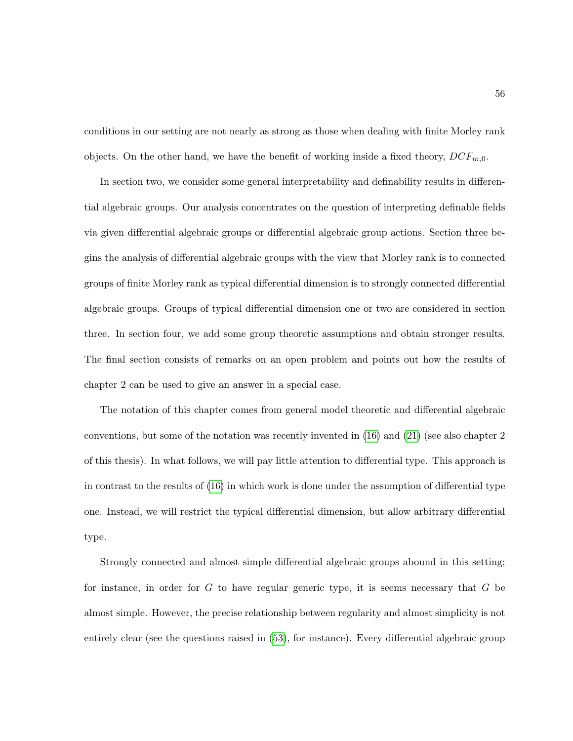conditions in our setting are not nearly as strong as those when dealing with finite Morley rank objects. On the other hand, we have the benefit of working inside a fixed theory,  $DCF_{m,0}$ .

In section two, we consider some general interpretability and definability results in differential algebraic groups. Our analysis concentrates on the question of interpreting definable fields via given differential algebraic groups or differential algebraic group actions. Section three begins the analysis of differential algebraic groups with the view that Morley rank is to connected groups of finite Morley rank as typical differential dimension is to strongly connected differential algebraic groups. Groups of typical differential dimension one or two are considered in section three. In section four, we add some group theoretic assumptions and obtain stronger results. The final section consists of remarks on an open problem and points out how the results of chapter 2 can be used to give an answer in a special case.

The notation of this chapter comes from general model theoretic and differential algebraic conventions, but some of the notation was recently invented in  $(16)$  and  $(21)$  (see also chapter 2) of this thesis). In what follows, we will pay little attention to differential type. This approach is in contrast to the results of [\(16\)](#page-215-1) in which work is done under the assumption of differential type one. Instead, we will restrict the typical differential dimension, but allow arbitrary differential type.

Strongly connected and almost simple differential algebraic groups abound in this setting; for instance, in order for G to have regular generic type, it is seems necessary that  $G$  be almost simple. However, the precise relationship between regularity and almost simplicity is not entirely clear (see the questions raised in [\(53\)](#page-218-2), for instance). Every differential algebraic group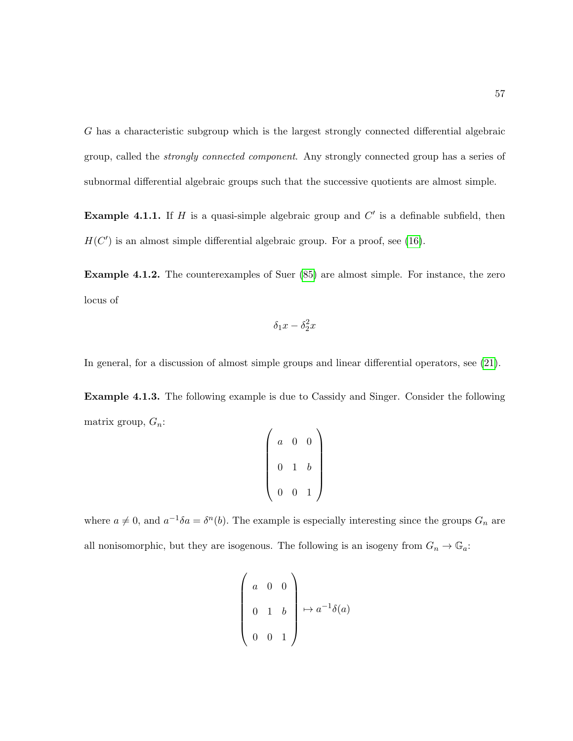G has a characteristic subgroup which is the largest strongly connected differential algebraic group, called the strongly connected component. Any strongly connected group has a series of subnormal differential algebraic groups such that the successive quotients are almost simple.

**Example 4.1.1.** If H is a quasi-simple algebraic group and  $C'$  is a definable subfield, then  $H(C')$  is an almost simple differential algebraic group. For a proof, see [\(16\)](#page-215-1).

Example 4.1.2. The counterexamples of Suer  $(85)$  are almost simple. For instance, the zero locus of

$$
\delta_1 x - \delta_2^2 x
$$

In general, for a discussion of almost simple groups and linear differential operators, see [\(21\)](#page-215-5).

Example 4.1.3. The following example is due to Cassidy and Singer. Consider the following matrix group,  $G_n$ :

$$
\left(\begin{array}{ccc} a & 0 & 0 \\ 0 & 1 & b \\ 0 & 0 & 1 \end{array}\right)
$$

where  $a \neq 0$ , and  $a^{-1}\delta a = \delta^{n}(b)$ . The example is especially interesting since the groups  $G_n$  are all nonisomorphic, but they are isogenous. The following is an isogeny from  $G_n \to \mathbb{G}_a$ :

$$
\begin{pmatrix} a & 0 & 0 \\ 0 & 1 & b \\ 0 & 0 & 1 \end{pmatrix} \mapsto a^{-1}\delta(a)
$$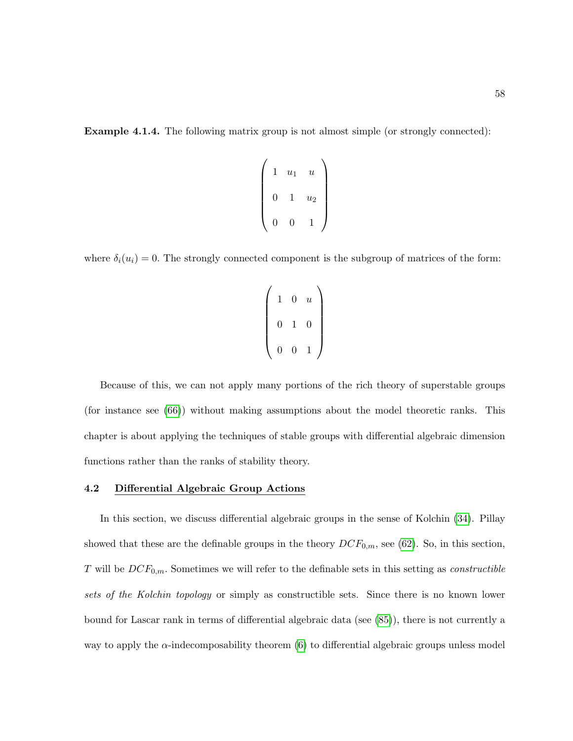**Example 4.1.4.** The following matrix group is not almost simple (or strongly connected):

$$
\left(\begin{array}{ccc} 1 & u_1 & u \\ 0 & 1 & u_2 \\ 0 & 0 & 1 \end{array}\right)
$$

where  $\delta_i(u_i) = 0$ . The strongly connected component is the subgroup of matrices of the form:

$$
\left(\begin{array}{rrr}1 & 0 & u \\ 0 & 1 & 0 \\ 0 & 0 & 1\end{array}\right)
$$

Because of this, we can not apply many portions of the rich theory of superstable groups (for instance see [\(66\)](#page-219-1)) without making assumptions about the model theoretic ranks. This chapter is about applying the techniques of stable groups with differential algebraic dimension functions rather than the ranks of stability theory.

### 4.2 Differential Algebraic Group Actions

In this section, we discuss differential algebraic groups in the sense of Kolchin [\(34\)](#page-216-2). Pillay showed that these are the definable groups in the theory  $DCF_{0,m}$ , see [\(62\)](#page-218-0). So, in this section, T will be  $DCF_{0,m}$ . Sometimes we will refer to the definable sets in this setting as *constructible* sets of the Kolchin topology or simply as constructible sets. Since there is no known lower bound for Lascar rank in terms of differential algebraic data (see [\(85\)](#page-220-0)), there is not currently a way to apply the  $\alpha$ -indecomposability theorem [\(6\)](#page-214-0) to differential algebraic groups unless model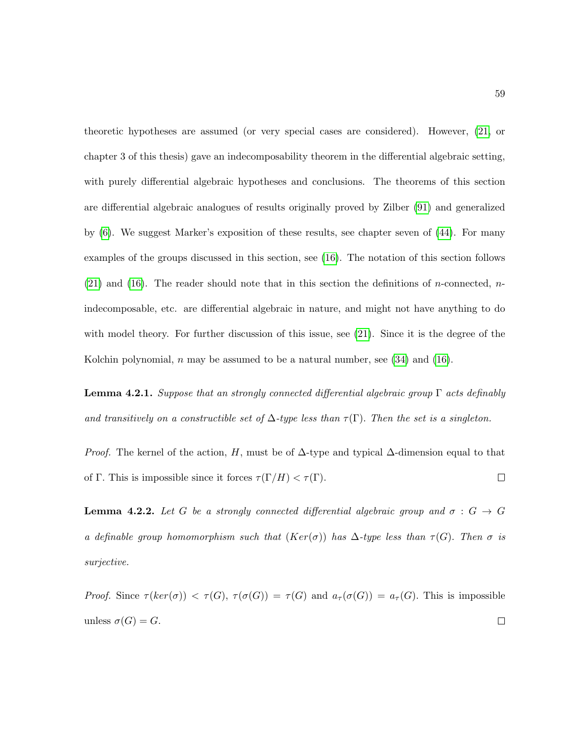theoretic hypotheses are assumed (or very special cases are considered). However, [\(21,](#page-215-5) or chapter 3 of this thesis) gave an indecomposability theorem in the differential algebraic setting, with purely differential algebraic hypotheses and conclusions. The theorems of this section are differential algebraic analogues of results originally proved by Zilber [\(91\)](#page-221-1) and generalized by [\(6\)](#page-214-0). We suggest Marker's exposition of these results, see chapter seven of [\(44\)](#page-217-5). For many examples of the groups discussed in this section, see [\(16\)](#page-215-1). The notation of this section follows  $(21)$  and  $(16)$ . The reader should note that in this section the definitions of *n*-connected, *n*indecomposable, etc. are differential algebraic in nature, and might not have anything to do with model theory. For further discussion of this issue, see  $(21)$ . Since it is the degree of the Kolchin polynomial, n may be assumed to be a natural number, see  $(34)$  and  $(16)$ .

<span id="page-70-0"></span>**Lemma 4.2.1.** Suppose that an strongly connected differential algebraic group  $\Gamma$  acts definably and transitively on a constructible set of  $\Delta$ -type less than  $\tau(\Gamma)$ . Then the set is a singleton.

*Proof.* The kernel of the action, H, must be of  $\Delta$ -type and typical  $\Delta$ -dimension equal to that of Γ. This is impossible since it forces  $\tau(\Gamma/H) < \tau(\Gamma)$ .  $\Box$ 

**Lemma 4.2.2.** Let G be a strongly connected differential algebraic group and  $\sigma : G \rightarrow G$ a definable group homomorphism such that  $(Ker(\sigma))$  has  $\Delta$ -type less than  $\tau(G)$ . Then  $\sigma$  is surjective.

Proof. Since  $\tau(ker(\sigma)) < \tau(G)$ ,  $\tau(\sigma(G)) = \tau(G)$  and  $a_{\tau}(\sigma(G)) = a_{\tau}(G)$ . This is impossible unless  $\sigma(G) = G$ .  $\Box$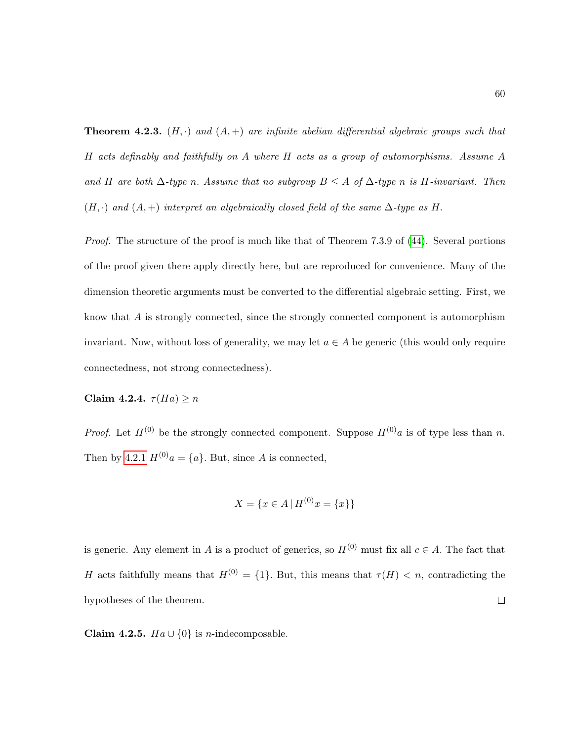**Theorem 4.2.3.**  $(H, \cdot)$  and  $(A, +)$  are infinite abelian differential algebraic groups such that H acts definably and faithfully on A where H acts as a group of automorphisms. Assume A and H are both  $\Delta$ -type n. Assume that no subgroup  $B \leq A$  of  $\Delta$ -type n is H-invariant. Then  $(H, \cdot)$  and  $(A, +)$  interpret an algebraically closed field of the same  $\Delta$ -type as H.

Proof. The structure of the proof is much like that of Theorem 7.3.9 of [\(44\)](#page-217-5). Several portions of the proof given there apply directly here, but are reproduced for convenience. Many of the dimension theoretic arguments must be converted to the differential algebraic setting. First, we know that A is strongly connected, since the strongly connected component is automorphism invariant. Now, without loss of generality, we may let  $a \in A$  be generic (this would only require connectedness, not strong connectedness).

Claim 4.2.4.  $\tau(Ha) \geq n$ 

*Proof.* Let  $H^{(0)}$  be the strongly connected component. Suppose  $H^{(0)}$ a is of type less than n. Then by [4.2.1](#page-70-0)  $H^{(0)}a = \{a\}$ . But, since A is connected,

$$
X = \{ x \in A \mid H^{(0)}x = \{ x \} \}
$$

is generic. Any element in A is a product of generics, so  $H^{(0)}$  must fix all  $c \in A$ . The fact that H acts faithfully means that  $H^{(0)} = \{1\}$ . But, this means that  $\tau(H) < n$ , contradicting the hypotheses of the theorem.  $\Box$ 

Claim 4.2.5.  $Ha \cup \{0\}$  is *n*-indecomposable.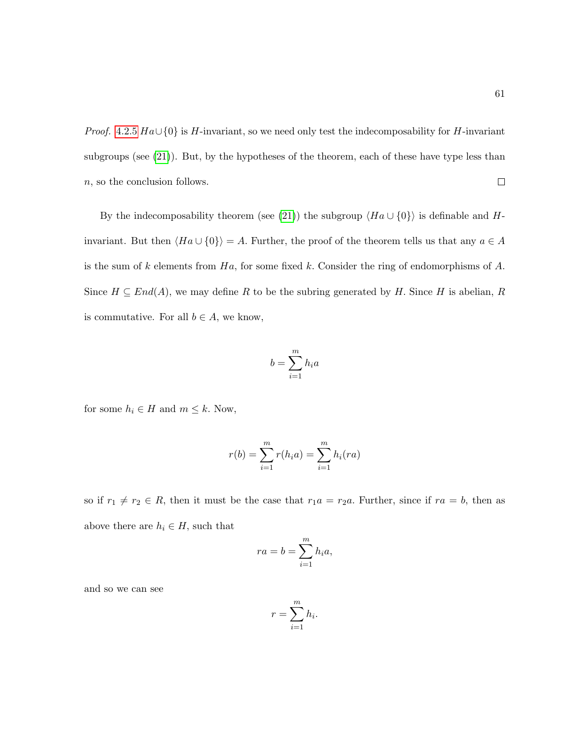*Proof.* [4.2.5](#page-71-0)  $Ha \cup \{0\}$  is H-invariant, so we need only test the indecomposability for H-invariant subgroups (see [\(21\)](#page-215-0)). But, by the hypotheses of the theorem, each of these have type less than  $\Box$ n, so the conclusion follows.

By the indecomposability theorem (see [\(21\)](#page-215-0)) the subgroup  $\langle Ha \cup \{0\} \rangle$  is definable and Hinvariant. But then  $\langle Ha \cup \{0\}\rangle = A$ . Further, the proof of the theorem tells us that any  $a \in A$ is the sum of k elements from  $Ha$ , for some fixed k. Consider the ring of endomorphisms of A. Since  $H \subseteq End(A)$ , we may define R to be the subring generated by H. Since H is abelian, R is commutative. For all  $b \in A$ , we know,

$$
b = \sum_{i=1}^{m} h_i a
$$

for some  $h_i \in H$  and  $m \leq k$ . Now,

$$
r(b) = \sum_{i=1}^{m} r(h_i a) = \sum_{i=1}^{m} h_i (ra)
$$

so if  $r_1 \neq r_2 \in R$ , then it must be the case that  $r_1a = r_2a$ . Further, since if  $ra = b$ , then as above there are  $h_i \in H$ , such that

$$
ra = b = \sum_{i=1}^{m} h_i a,
$$

and so we can see

$$
r = \sum_{i=1}^{m} h_i.
$$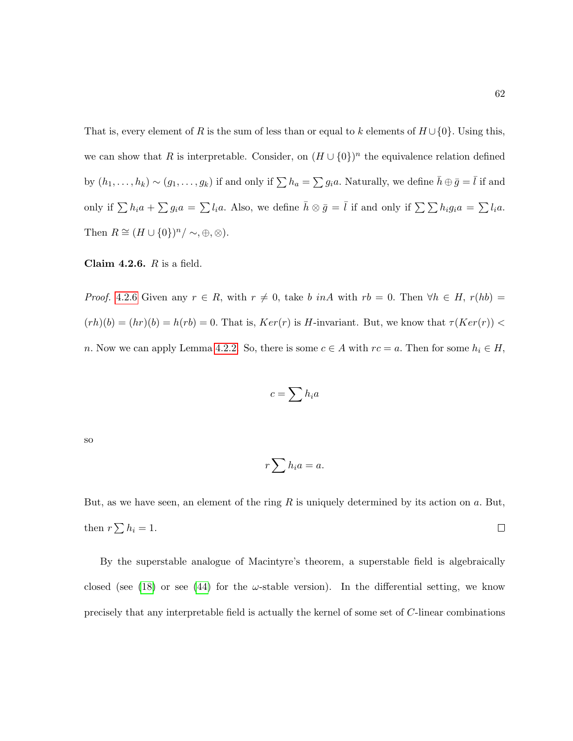That is, every element of R is the sum of less than or equal to k elements of  $H \cup \{0\}$ . Using this, we can show that R is interpretable. Consider, on  $(H \cup \{0\})^n$  the equivalence relation defined by  $(h_1,\ldots,h_k)\sim (g_1,\ldots,g_k)$  if and only if  $\sum h_a=\sum g_ia$ . Naturally, we define  $\bar{h}\oplus\bar{g}=\bar{l}$  if and only if  $\sum h_i a + \sum g_i a = \sum l_i a$ . Also, we define  $\bar{h} \otimes \bar{g} = \bar{l}$  if and only if  $\sum \sum h_i g_i a = \sum l_i a$ . Then  $R \cong (H \cup \{0\})^n / \sim, \oplus, \otimes$ ).

<span id="page-73-0"></span>Claim 4.2.6.  $R$  is a field.

*Proof.* [4.2.6](#page-73-0) Given any  $r \in R$ , with  $r \neq 0$ , take b inA with  $rb = 0$ . Then  $\forall h \in H$ ,  $r(hb) =$  $(rh)(b) = (hr)(b) = h(rb) = 0$ . That is,  $Ker(r)$  is H-invariant. But, we know that  $\tau(Ker(r)) <$ n. Now we can apply Lemma [4.2.2.](#page-70-0) So, there is some  $c \in A$  with  $rc = a$ . Then for some  $h_i \in H$ ,

$$
c=\sum h_ia
$$

so

$$
r\sum h_ia=a.
$$

But, as we have seen, an element of the ring  $R$  is uniquely determined by its action on  $a$ . But, then  $r\sum h_i = 1$ .  $\Box$ 

By the superstable analogue of Macintyre's theorem, a superstable field is algebraically closed (see [\(18\)](#page-215-1) or see [\(44\)](#page-217-0) for the  $\omega$ -stable version). In the differential setting, we know precisely that any interpretable field is actually the kernel of some set of C-linear combinations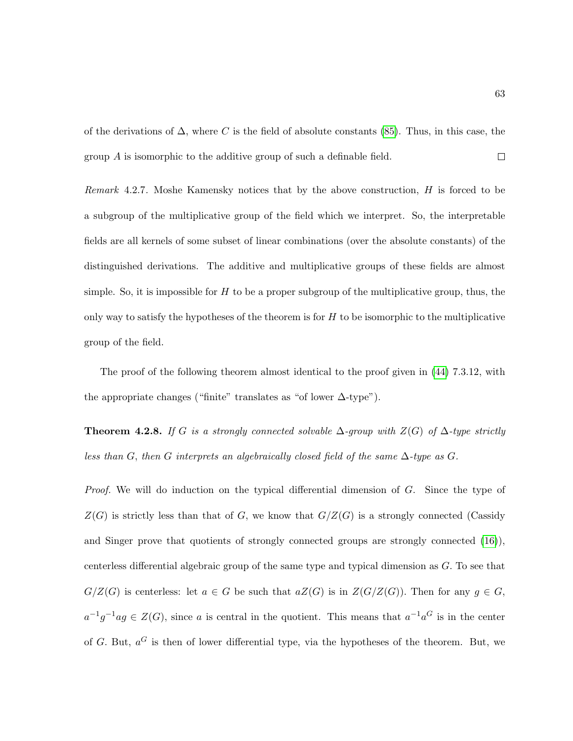of the derivations of  $\Delta$ , where C is the field of absolute constants [\(85\)](#page-220-0). Thus, in this case, the group A is isomorphic to the additive group of such a definable field.  $\Box$ 

Remark 4.2.7. Moshe Kamensky notices that by the above construction,  $H$  is forced to be a subgroup of the multiplicative group of the field which we interpret. So, the interpretable fields are all kernels of some subset of linear combinations (over the absolute constants) of the distinguished derivations. The additive and multiplicative groups of these fields are almost simple. So, it is impossible for  $H$  to be a proper subgroup of the multiplicative group, thus, the only way to satisfy the hypotheses of the theorem is for  $H$  to be isomorphic to the multiplicative group of the field.

The proof of the following theorem almost identical to the proof given in [\(44\)](#page-217-0) 7.3.12, with the appropriate changes ("finite" translates as "of lower  $\Delta$ -type").

<span id="page-74-0"></span>**Theorem 4.2.8.** If G is a strongly connected solvable  $\Delta$ -group with  $Z(G)$  of  $\Delta$ -type strictly less than G, then G interprets an algebraically closed field of the same  $\Delta$ -type as G.

Proof. We will do induction on the typical differential dimension of G. Since the type of  $Z(G)$  is strictly less than that of G, we know that  $G/Z(G)$  is a strongly connected (Cassidy and Singer prove that quotients of strongly connected groups are strongly connected [\(16\)](#page-215-2)), centerless differential algebraic group of the same type and typical dimension as  $G$ . To see that  $G/Z(G)$  is centerless: let  $a \in G$  be such that  $aZ(G)$  is in  $Z(G/Z(G))$ . Then for any  $g \in G$ ,  $a^{-1}g^{-1}ag \in Z(G)$ , since a is central in the quotient. This means that  $a^{-1}a^G$  is in the center of G. But,  $a^G$  is then of lower differential type, via the hypotheses of the theorem. But, we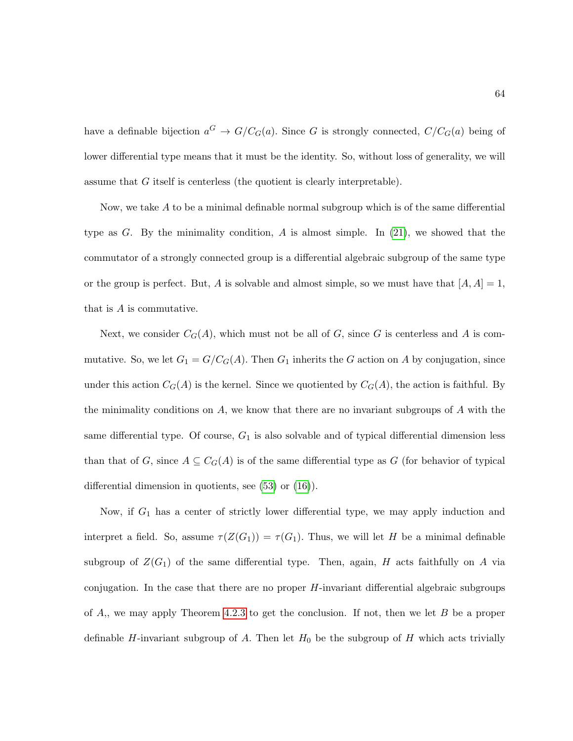have a definable bijection  $a^G \rightarrow G/C_G(a)$ . Since G is strongly connected,  $C/C_G(a)$  being of lower differential type means that it must be the identity. So, without loss of generality, we will assume that G itself is centerless (the quotient is clearly interpretable).

Now, we take A to be a minimal definable normal subgroup which is of the same differential type as G. By the minimality condition, A is almost simple. In  $(21)$ , we showed that the commutator of a strongly connected group is a differential algebraic subgroup of the same type or the group is perfect. But, A is solvable and almost simple, so we must have that  $[A, A] = 1$ , that is A is commutative.

Next, we consider  $C_G(A)$ , which must not be all of G, since G is centerless and A is commutative. So, we let  $G_1 = G/C_G(A)$ . Then  $G_1$  inherits the G action on A by conjugation, since under this action  $C_G(A)$  is the kernel. Since we quotiented by  $C_G(A)$ , the action is faithful. By the minimality conditions on  $A$ , we know that there are no invariant subgroups of  $A$  with the same differential type. Of course,  $G_1$  is also solvable and of typical differential dimension less than that of G, since  $A \subseteq C_G(A)$  is of the same differential type as G (for behavior of typical differential dimension in quotients, see [\(53\)](#page-218-0) or [\(16\)](#page-215-2)).

Now, if  $G_1$  has a center of strictly lower differential type, we may apply induction and interpret a field. So, assume  $\tau(Z(G_1)) = \tau(G_1)$ . Thus, we will let H be a minimal definable subgroup of  $Z(G_1)$  of the same differential type. Then, again, H acts faithfully on A via conjugation. In the case that there are no proper  $H$ -invariant differential algebraic subgroups of  $A$ ,, we may apply Theorem [4.2.3](#page-71-1) to get the conclusion. If not, then we let  $B$  be a proper definable H-invariant subgroup of A. Then let  $H_0$  be the subgroup of H which acts trivially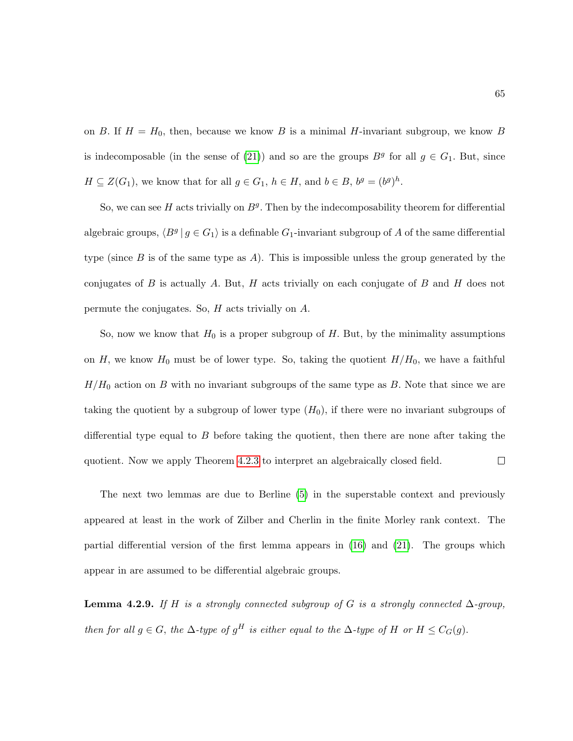on B. If  $H = H_0$ , then, because we know B is a minimal H-invariant subgroup, we know B is indecomposable (in the sense of [\(21\)](#page-215-0)) and so are the groups  $B<sup>g</sup>$  for all  $g \in G_1$ . But, since  $H \subseteq Z(G_1)$ , we know that for all  $g \in G_1$ ,  $h \in H$ , and  $b \in B$ ,  $b^g = (b^g)^h$ .

So, we can see  $H$  acts trivially on  $B<sup>g</sup>$ . Then by the indecomposability theorem for differential algebraic groups,  $\langle B^g | g \in G_1 \rangle$  is a definable  $G_1$ -invariant subgroup of A of the same differential type (since B is of the same type as A). This is impossible unless the group generated by the conjugates of B is actually A. But, H acts trivially on each conjugate of B and H does not permute the conjugates. So,  $H$  acts trivially on  $A$ .

So, now we know that  $H_0$  is a proper subgroup of H. But, by the minimality assumptions on H, we know  $H_0$  must be of lower type. So, taking the quotient  $H/H_0$ , we have a faithful  $H/H_0$  action on B with no invariant subgroups of the same type as B. Note that since we are taking the quotient by a subgroup of lower type  $(H_0)$ , if there were no invariant subgroups of differential type equal to  $B$  before taking the quotient, then there are none after taking the  $\Box$ quotient. Now we apply Theorem [4.2.3](#page-71-1) to interpret an algebraically closed field.

The next two lemmas are due to Berline [\(5\)](#page-214-0) in the superstable context and previously appeared at least in the work of Zilber and Cherlin in the finite Morley rank context. The partial differential version of the first lemma appears in [\(16\)](#page-215-2) and [\(21\)](#page-215-0). The groups which appear in are assumed to be differential algebraic groups.

Lemma 4.2.9. If H is a strongly connected subgroup of G is a strongly connected  $\Delta$ -group, then for all  $g \in G$ , the  $\Delta$ -type of  $g^H$  is either equal to the  $\Delta$ -type of H or  $H \leq C_G(g)$ .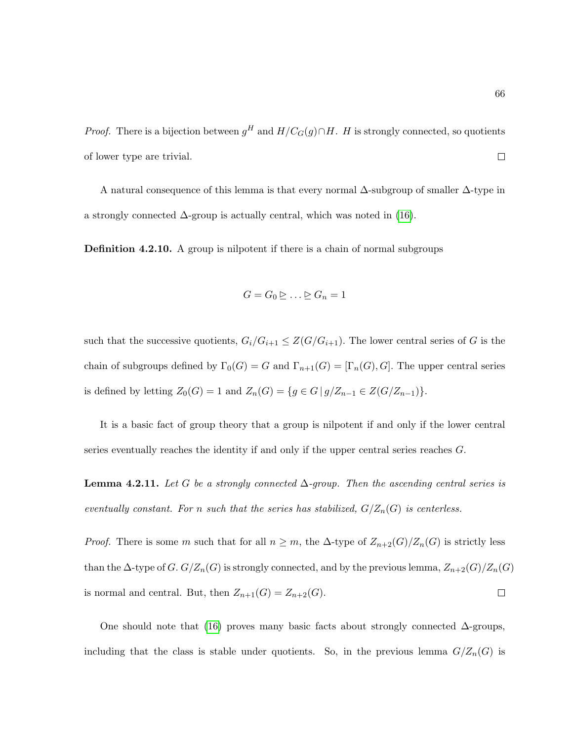*Proof.* There is a bijection between  $g^H$  and  $H/C_G(g) \cap H$ . H is strongly connected, so quotients of lower type are trivial.  $\Box$ 

A natural consequence of this lemma is that every normal ∆-subgroup of smaller ∆-type in a strongly connected  $\Delta$ -group is actually central, which was noted in [\(16\)](#page-215-2).

**Definition 4.2.10.** A group is nilpotent if there is a chain of normal subgroups

$$
G = G_0 \trianglerighteq \ldots \trianglerighteq G_n = 1
$$

such that the successive quotients,  $G_i/G_{i+1} \leq Z(G/G_{i+1})$ . The lower central series of G is the chain of subgroups defined by  $\Gamma_0(G) = G$  and  $\Gamma_{n+1}(G) = [\Gamma_n(G), G]$ . The upper central series is defined by letting  $Z_0(G) = 1$  and  $Z_n(G) = \{ g \in G \mid g/Z_{n-1} \in Z(G/Z_{n-1}) \}.$ 

It is a basic fact of group theory that a group is nilpotent if and only if the lower central series eventually reaches the identity if and only if the upper central series reaches G.

**Lemma 4.2.11.** Let G be a strongly connected  $\Delta$ -group. Then the ascending central series is eventually constant. For n such that the series has stabilized,  $G/Z_n(G)$  is centerless.

*Proof.* There is some m such that for all  $n \geq m$ , the  $\Delta$ -type of  $Z_{n+2}(G)/Z_n(G)$  is strictly less than the  $\Delta$ -type of G.  $G/Z_n(G)$  is strongly connected, and by the previous lemma,  $Z_{n+2}(G)/Z_n(G)$ is normal and central. But, then  $Z_{n+1}(G) = Z_{n+2}(G)$ .  $\Box$ 

One should note that [\(16\)](#page-215-2) proves many basic facts about strongly connected  $\Delta$ -groups, including that the class is stable under quotients. So, in the previous lemma  $G/Z_n(G)$  is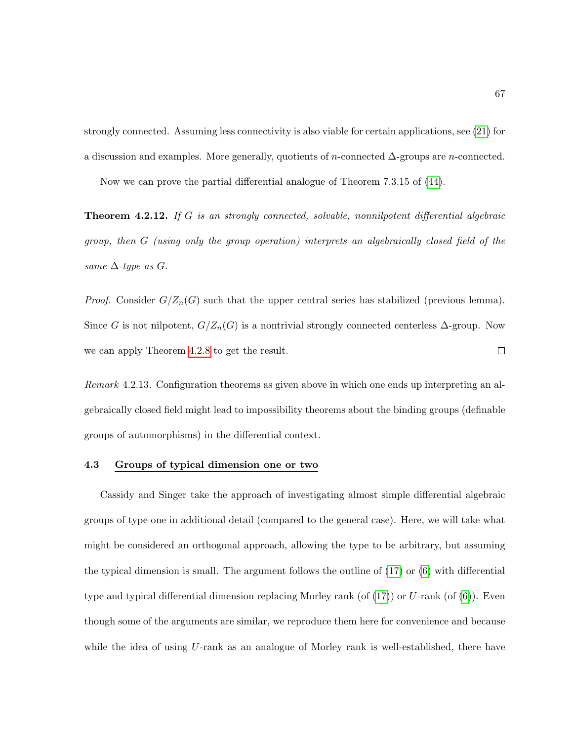strongly connected. Assuming less connectivity is also viable for certain applications, see [\(21\)](#page-215-0) for a discussion and examples. More generally, quotients of n-connected  $\Delta$ -groups are n-connected.

Now we can prove the partial differential analogue of Theorem 7.3.15 of [\(44\)](#page-217-0).

Theorem 4.2.12. If G is an strongly connected, solvable, nonnilpotent differential algebraic group, then G (using only the group operation) interprets an algebraically closed field of the same  $\Delta$ -type as  $G$ .

*Proof.* Consider  $G/Z_n(G)$  such that the upper central series has stabilized (previous lemma). Since G is not nilpotent,  $G/Z_n(G)$  is a nontrivial strongly connected centerless  $\Delta$ -group. Now  $\Box$ we can apply Theorem [4.2.8](#page-74-0) to get the result.

Remark 4.2.13. Configuration theorems as given above in which one ends up interpreting an algebraically closed field might lead to impossibility theorems about the binding groups (definable groups of automorphisms) in the differential context.

## 4.3 Groups of typical dimension one or two

Cassidy and Singer take the approach of investigating almost simple differential algebraic groups of type one in additional detail (compared to the general case). Here, we will take what might be considered an orthogonal approach, allowing the type to be arbitrary, but assuming the typical dimension is small. The argument follows the outline of [\(17\)](#page-215-3) or [\(6\)](#page-214-1) with differential type and typical differential dimension replacing Morley rank (of  $(17)$ ) or U-rank (of  $(6)$ ). Even though some of the arguments are similar, we reproduce them here for convenience and because while the idea of using  $U$ -rank as an analogue of Morley rank is well-established, there have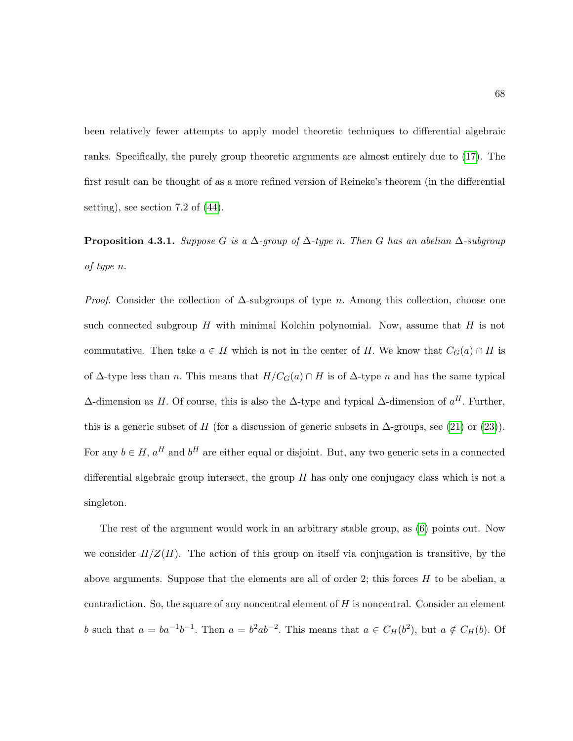been relatively fewer attempts to apply model theoretic techniques to differential algebraic ranks. Specifically, the purely group theoretic arguments are almost entirely due to [\(17\)](#page-215-3). The first result can be thought of as a more refined version of Reineke's theorem (in the differential setting), see section 7.2 of [\(44\)](#page-217-0).

<span id="page-79-0"></span>**Proposition 4.3.1.** Suppose G is a  $\Delta$ -group of  $\Delta$ -type n. Then G has an abelian  $\Delta$ -subgroup of type n.

*Proof.* Consider the collection of  $\Delta$ -subgroups of type n. Among this collection, choose one such connected subgroup  $H$  with minimal Kolchin polynomial. Now, assume that  $H$  is not commutative. Then take  $a \in H$  which is not in the center of H. We know that  $C_G(a) \cap H$  is of  $\Delta$ -type less than *n*. This means that  $H/C_G(a) \cap H$  is of  $\Delta$ -type *n* and has the same typical  $\Delta$ -dimension as H. Of course, this is also the  $\Delta$ -type and typical  $\Delta$ -dimension of  $a^H$ . Further, this is a generic subset of H (for a discussion of generic subsets in  $\Delta$ -groups, see [\(21\)](#page-215-0) or [\(23\)](#page-215-4)). For any  $b \in H$ ,  $a^H$  and  $b^H$  are either equal or disjoint. But, any two generic sets in a connected differential algebraic group intersect, the group  $H$  has only one conjugacy class which is not a singleton.

The rest of the argument would work in an arbitrary stable group, as [\(6\)](#page-214-1) points out. Now we consider  $H/Z(H)$ . The action of this group on itself via conjugation is transitive, by the above arguments. Suppose that the elements are all of order 2; this forces  $H$  to be abelian, a contradiction. So, the square of any noncentral element of  $H$  is noncentral. Consider an element b such that  $a = ba^{-1}b^{-1}$ . Then  $a = b^2ab^{-2}$ . This means that  $a \in C_H(b^2)$ , but  $a \notin C_H(b)$ . Of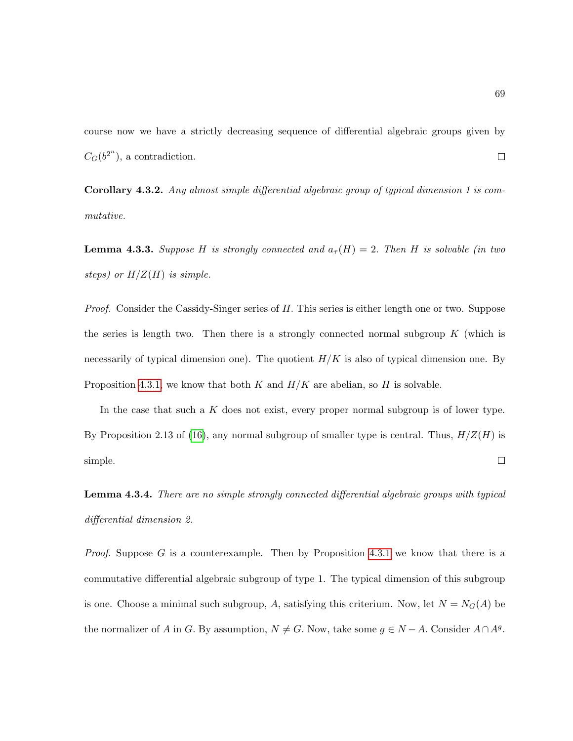course now we have a strictly decreasing sequence of differential algebraic groups given by  $C_G(b^{2^n})$ , a contradiction.  $\Box$ 

Corollary 4.3.2. Any almost simple differential algebraic group of typical dimension 1 is commutative.

**Lemma 4.3.3.** Suppose H is strongly connected and  $a_\tau(H) = 2$ . Then H is solvable (in two steps) or  $H/Z(H)$  is simple.

Proof. Consider the Cassidy-Singer series of H. This series is either length one or two. Suppose the series is length two. Then there is a strongly connected normal subgroup  $K$  (which is necessarily of typical dimension one). The quotient  $H/K$  is also of typical dimension one. By Proposition [4.3.1,](#page-79-0) we know that both K and  $H/K$  are abelian, so H is solvable.

In the case that such a  $K$  does not exist, every proper normal subgroup is of lower type. By Proposition 2.13 of [\(16\)](#page-215-2), any normal subgroup of smaller type is central. Thus,  $H/Z(H)$  is  $\Box$ simple.

<span id="page-80-0"></span>Lemma 4.3.4. There are no simple strongly connected differential algebraic groups with typical differential dimension 2.

*Proof.* Suppose G is a counterexample. Then by Proposition [4.3.1](#page-79-0) we know that there is a commutative differential algebraic subgroup of type 1. The typical dimension of this subgroup is one. Choose a minimal such subgroup, A, satisfying this criterium. Now, let  $N = N_G(A)$  be the normalizer of A in G. By assumption,  $N \neq G$ . Now, take some  $g \in N - A$ . Consider  $A \cap A<sup>g</sup>$ .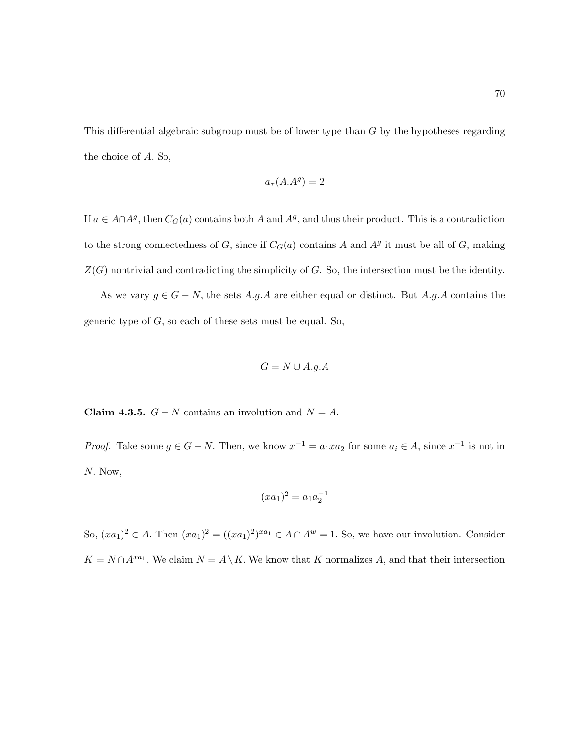This differential algebraic subgroup must be of lower type than G by the hypotheses regarding the choice of A. So,

$$
a_{\tau}(A.A^g) = 2
$$

If  $a \in A \cap A^g$ , then  $C_G(a)$  contains both A and  $A^g$ , and thus their product. This is a contradiction to the strong connectedness of G, since if  $C_G(a)$  contains A and  $A<sup>g</sup>$  it must be all of G, making  $Z(G)$  nontrivial and contradicting the simplicity of G. So, the intersection must be the identity.

As we vary  $g \in G - N$ , the sets A.g.A are either equal or distinct. But A.g.A contains the generic type of  $G$ , so each of these sets must be equal. So,

$$
G = N \cup A.g.A
$$

Claim 4.3.5.  $G - N$  contains an involution and  $N = A$ .

*Proof.* Take some  $g \in G - N$ . Then, we know  $x^{-1} = a_1 x a_2$  for some  $a_i \in A$ , since  $x^{-1}$  is not in N. Now,

$$
(xa_1)^2 = a_1 a_2^{-1}
$$

So,  $(xa_1)^2 \in A$ . Then  $(xa_1)^2 = ((xa_1)^2)^{xa_1} \in A \cap A^w = 1$ . So, we have our involution. Consider  $K = N \cap A^{xa_1}$ . We claim  $N = A \setminus K$ . We know that K normalizes A, and that their intersection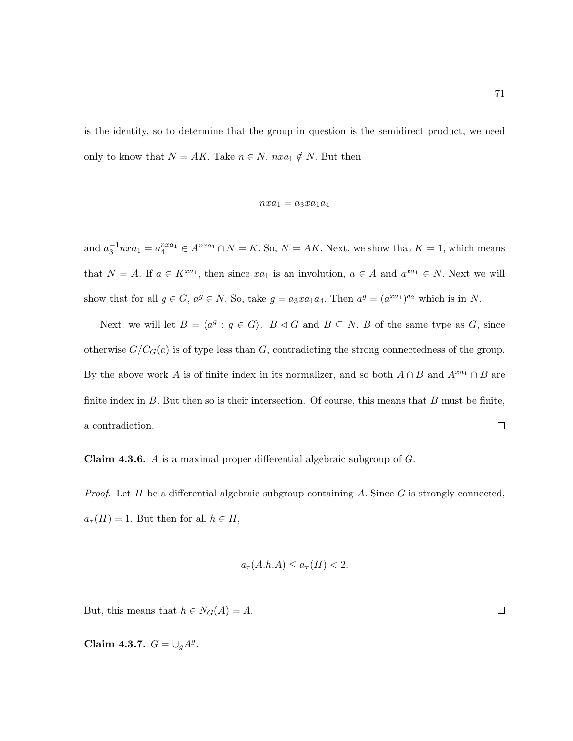is the identity, so to determine that the group in question is the semidirect product, we need only to know that  $N = AK$ . Take  $n \in N$ .  $nxa_1 \notin N$ . But then

$$
\quad nxa_1=a_3xa_1a_4
$$

and  $a_3^{-1} n x a_1 = a_4^{n x a_1} \in A^{n x a_1} \cap N = K$ . So,  $N = AK$ . Next, we show that  $K = 1$ , which means that  $N = A$ . If  $a \in K^{x a_1}$ , then since  $x a_1$  is an involution,  $a \in A$  and  $a^{x a_1} \in N$ . Next we will show that for all  $g \in G$ ,  $a^g \in N$ . So, take  $g = a_3 x a_1 a_4$ . Then  $a^g = (a^{xa_1})^{a_2}$  which is in N.

Next, we will let  $B = \langle a^g : g \in G \rangle$ .  $B \triangleleft G$  and  $B \subseteq N$ . B of the same type as G, since otherwise  $G/C_G(a)$  is of type less than G, contradicting the strong connectedness of the group. By the above work A is of finite index in its normalizer, and so both  $A \cap B$  and  $A^{xa_1} \cap B$  are finite index in  $B$ . But then so is their intersection. Of course, this means that  $B$  must be finite, a contradiction.  $\Box$ 

Claim 4.3.6. A is a maximal proper differential algebraic subgroup of G.

*Proof.* Let H be a differential algebraic subgroup containing A. Since  $G$  is strongly connected,  $a_{\tau}(H) = 1$ . But then for all  $h \in H$ ,

$$
a_{\tau}(A.h.A) \le a_{\tau}(H) < 2.
$$

But, this means that  $h \in N_G(A) = A$ .

Claim 4.3.7.  $G = \bigcup_{g} A^g$ .

 $\Box$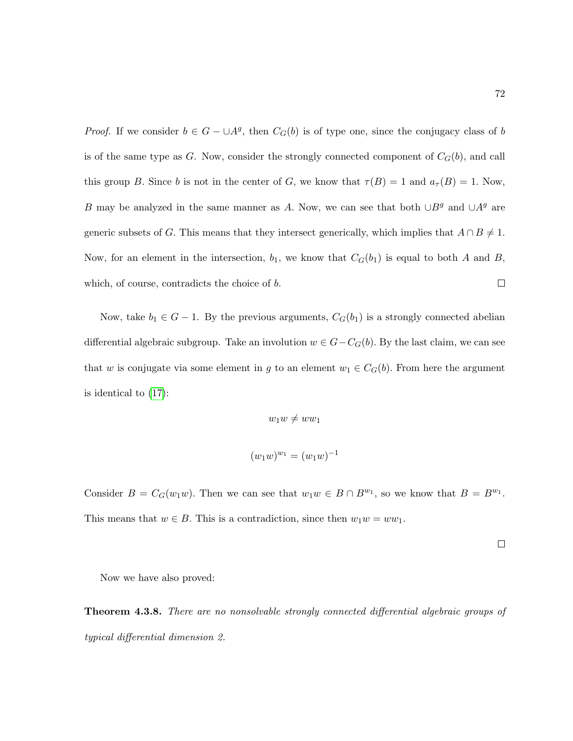*Proof.* If we consider  $b \in G - \cup A^g$ , then  $C_G(b)$  is of type one, since the conjugacy class of b is of the same type as G. Now, consider the strongly connected component of  $C_G(b)$ , and call this group B. Since b is not in the center of G, we know that  $\tau(B) = 1$  and  $a_{\tau}(B) = 1$ . Now, B may be analyzed in the same manner as A. Now, we can see that both  $\cup B<sup>g</sup>$  and  $\cup A<sup>g</sup>$  are generic subsets of G. This means that they intersect generically, which implies that  $A \cap B \neq 1$ . Now, for an element in the intersection,  $b_1$ , we know that  $C_G(b_1)$  is equal to both A and B,  $\Box$ which, of course, contradicts the choice of b.

Now, take  $b_1 \in G - 1$ . By the previous arguments,  $C_G(b_1)$  is a strongly connected abelian differential algebraic subgroup. Take an involution  $w \in G - C_G(b)$ . By the last claim, we can see that w is conjugate via some element in g to an element  $w_1 \in C_G(b)$ . From here the argument is identical to [\(17\)](#page-215-3):

$$
w_1w \neq ww_1
$$

$$
(w_1w)^{w_1} = (w_1w)^{-1}
$$

Consider  $B = C_G(w_1w)$ . Then we can see that  $w_1w \in B \cap B^{w_1}$ , so we know that  $B = B^{w_1}$ . This means that  $w \in B$ . This is a contradiction, since then  $w_1w = ww_1$ .

 $\Box$ 

Now we have also proved:

**Theorem 4.3.8.** There are no nonsolvable strongly connected differential algebraic groups of typical differential dimension 2.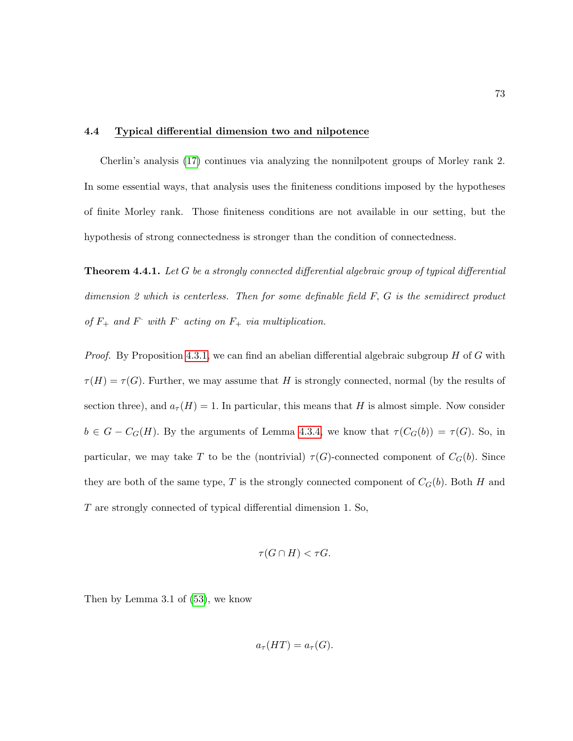#### 4.4 Typical differential dimension two and nilpotence

Cherlin's analysis [\(17\)](#page-215-3) continues via analyzing the nonnilpotent groups of Morley rank 2. In some essential ways, that analysis uses the finiteness conditions imposed by the hypotheses of finite Morley rank. Those finiteness conditions are not available in our setting, but the hypothesis of strong connectedness is stronger than the condition of connectedness.

**Theorem 4.4.1.** Let G be a strongly connected differential algebraic group of typical differential dimension 2 which is centerless. Then for some definable field  $F, G$  is the semidirect product of  $F_+$  and  $F_-$  with  $F_-$  acting on  $F_+$  via multiplication.

*Proof.* By Proposition [4.3.1,](#page-79-0) we can find an abelian differential algebraic subgroup  $H$  of  $G$  with  $\tau(H) = \tau(G)$ . Further, we may assume that H is strongly connected, normal (by the results of section three), and  $a_{\tau}(H) = 1$ . In particular, this means that H is almost simple. Now consider  $b \in G - C_G(H)$ . By the arguments of Lemma [4.3.4,](#page-80-0) we know that  $\tau(C_G(b)) = \tau(G)$ . So, in particular, we may take T to be the (nontrivial)  $\tau(G)$ -connected component of  $C_G(b)$ . Since they are both of the same type, T is the strongly connected component of  $C_G(b)$ . Both H and T are strongly connected of typical differential dimension 1. So,

$$
\tau(G \cap H) < \tau G.
$$

Then by Lemma 3.1 of [\(53\)](#page-218-0), we know

$$
a_{\tau}(HT) = a_{\tau}(G).
$$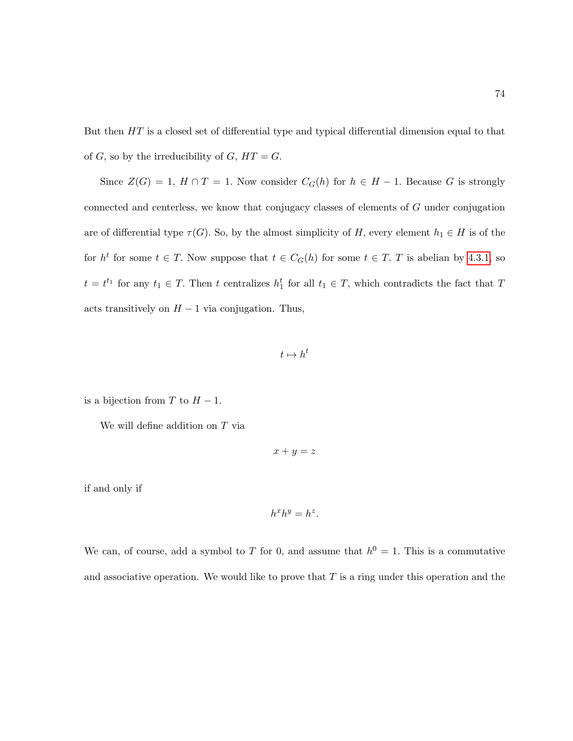But then HT is a closed set of differential type and typical differential dimension equal to that of  $G$ , so by the irreducibility of  $G$ ,  $HT = G$ .

Since  $Z(G) = 1$ ,  $H \cap T = 1$ . Now consider  $C_G(h)$  for  $h \in H - 1$ . Because G is strongly connected and centerless, we know that conjugacy classes of elements of G under conjugation are of differential type  $\tau(G)$ . So, by the almost simplicity of H, every element  $h_1 \in H$  is of the for  $h^t$  for some  $t \in T$ . Now suppose that  $t \in C_G(h)$  for some  $t \in T$ . T is abelian by [4.3.1,](#page-79-0) so  $t = t^{t_1}$  for any  $t_1 \in T$ . Then t centralizes  $h_1^t$  for all  $t_1 \in T$ , which contradicts the fact that T acts transitively on  $H - 1$  via conjugation. Thus,

 $t \mapsto h^t$ 

is a bijection from T to  $H-1$ .

We will define addition on  $T$  via

 $x + y = z$ 

if and only if

$$
h^x h^y = h^z.
$$

We can, of course, add a symbol to T for 0, and assume that  $h^0 = 1$ . This is a commutative and associative operation. We would like to prove that  $T$  is a ring under this operation and the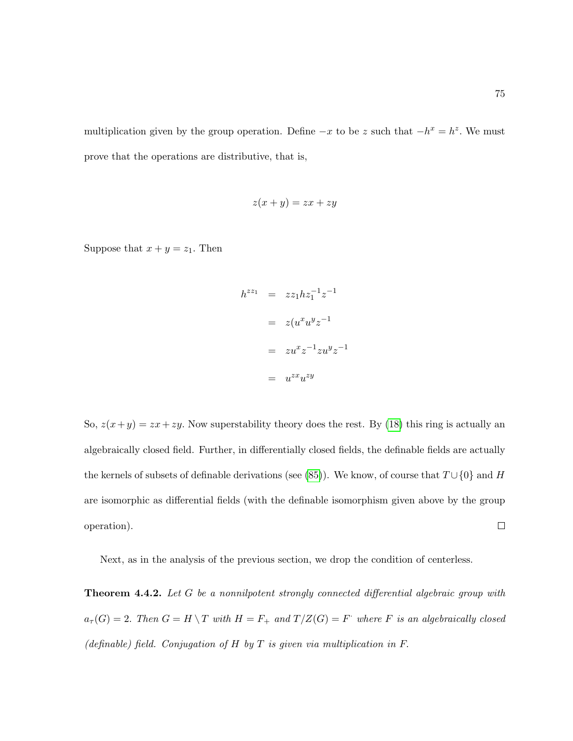multiplication given by the group operation. Define  $-x$  to be z such that  $-h^x = h^z$ . We must prove that the operations are distributive, that is,

$$
z(x+y) = zx + zy
$$

Suppose that  $x + y = z_1$ . Then

$$
h^{zz_1} = zz_1 h z_1^{-1} z^{-1}
$$

$$
= z(u^x u^y z^{-1})
$$

$$
= zu^x z^{-1} z u^y z^{-1}
$$

$$
= u^{zx} u^{zy}
$$

So,  $z(x+y) = zx + zy$ . Now superstability theory does the rest. By [\(18\)](#page-215-1) this ring is actually an algebraically closed field. Further, in differentially closed fields, the definable fields are actually the kernels of subsets of definable derivations (see [\(85\)](#page-220-0)). We know, of course that  $T \cup \{0\}$  and H are isomorphic as differential fields (with the definable isomorphism given above by the group  $\Box$ operation).

Next, as in the analysis of the previous section, we drop the condition of centerless.

<span id="page-86-0"></span>**Theorem 4.4.2.** Let G be a nonnilpotent strongly connected differential algebraic group with  $a_{\tau}(G) = 2$ . Then  $G = H \setminus T$  with  $H = F_+$  and  $T/Z(G) = F$  where F is an algebraically closed (definable) field. Conjugation of  $H$  by  $T$  is given via multiplication in  $F$ .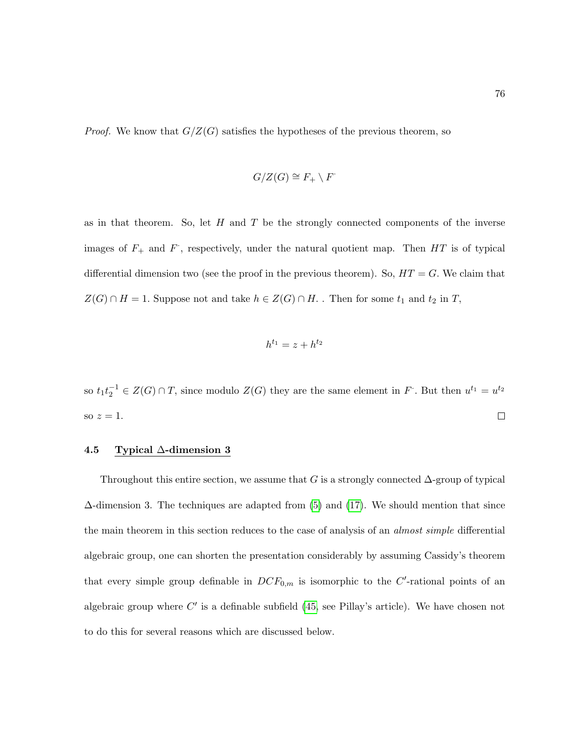*Proof.* We know that  $G/Z(G)$  satisfies the hypotheses of the previous theorem, so

$$
G/Z(G)\cong F_+\setminus F
$$

as in that theorem. So, let  $H$  and  $T$  be the strongly connected components of the inverse images of  $F_+$  and  $F$ , respectively, under the natural quotient map. Then  $HT$  is of typical differential dimension two (see the proof in the previous theorem). So,  $HT = G$ . We claim that  $Z(G) \cap H = 1.$  Suppose not and take  $h \in Z(G) \cap H$  . Then for some  $t_1$  and  $t_2$  in  $T,$ 

$$
h^{t_1} = z + h^{t_2}
$$

so  $t_1t_2^{-1} \in Z(G) \cap T$ , since modulo  $Z(G)$  they are the same element in F. But then  $u^{t_1} = u^{t_2}$  $\Box$ so  $z=1$ .

## 4.5 Typical ∆-dimension 3

Throughout this entire section, we assume that G is a strongly connected  $\Delta$ -group of typical  $\Delta$ -dimension 3. The techniques are adapted from [\(5\)](#page-214-0) and [\(17\)](#page-215-3). We should mention that since the main theorem in this section reduces to the case of analysis of an *almost simple* differential algebraic group, one can shorten the presentation considerably by assuming Cassidy's theorem that every simple group definable in  $DCF_{0,m}$  is isomorphic to the C'-rational points of an algebraic group where  $C'$  is a definable subfield [\(45,](#page-217-1) see Pillay's article). We have chosen not to do this for several reasons which are discussed below.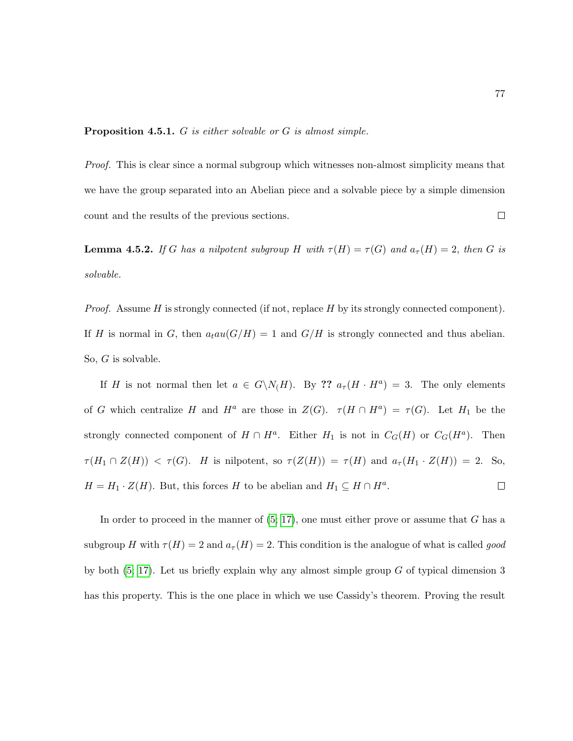**Proposition 4.5.1.** G is either solvable or G is almost simple.

Proof. This is clear since a normal subgroup which witnesses non-almost simplicity means that we have the group separated into an Abelian piece and a solvable piece by a simple dimension count and the results of the previous sections.  $\Box$ 

**Lemma 4.5.2.** If G has a nilpotent subgroup H with  $\tau(H) = \tau(G)$  and  $a_{\tau}(H) = 2$ , then G is solvable.

*Proof.* Assume H is strongly connected (if not, replace H by its strongly connected component). If H is normal in G, then  $a_t a u(G/H) = 1$  and  $G/H$  is strongly connected and thus abelian. So, G is solvable.

If H is not normal then let  $a \in G\backslash N(H)$ . By ??  $a_{\tau}(H \cdot H^a) = 3$ . The only elements of G which centralize H and  $H^a$  are those in  $Z(G)$ .  $\tau(H \cap H^a) = \tau(G)$ . Let  $H_1$  be the strongly connected component of  $H \cap H^a$ . Either  $H_1$  is not in  $C_G(H)$  or  $C_G(H^a)$ . Then  $\tau(H_1 \cap Z(H)) < \tau(G)$ . H is nilpotent, so  $\tau(Z(H)) = \tau(H)$  and  $a_{\tau}(H_1 \cdot Z(H)) = 2$ . So,  $H = H_1 \cdot Z(H)$ . But, this forces H to be abelian and  $H_1 \subseteq H \cap H^a$ .  $\Box$ 

In order to proceed in the manner of  $(5; 17)$  $(5; 17)$ , one must either prove or assume that G has a subgroup H with  $\tau(H) = 2$  and  $a_{\tau}(H) = 2$ . This condition is the analogue of what is called good by both  $(5; 17)$  $(5; 17)$ . Let us briefly explain why any almost simple group G of typical dimension 3 has this property. This is the one place in which we use Cassidy's theorem. Proving the result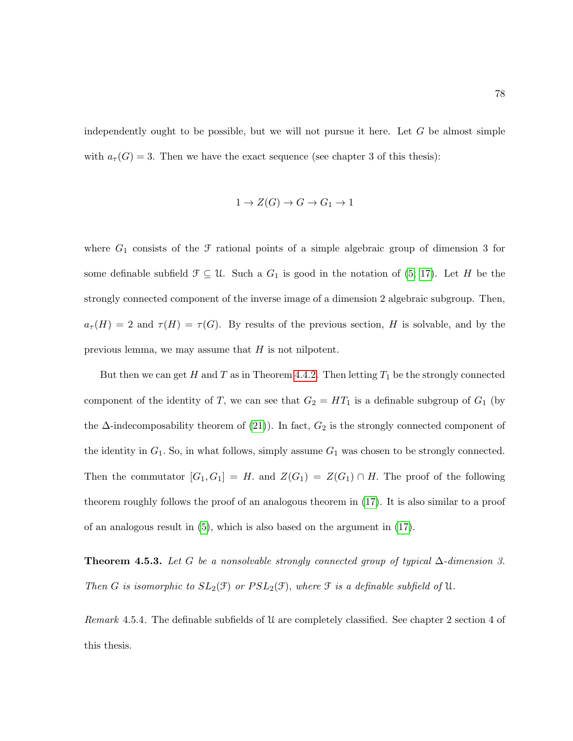independently ought to be possible, but we will not pursue it here. Let  $G$  be almost simple with  $a_{\tau}(G) = 3$ . Then we have the exact sequence (see chapter 3 of this thesis):

$$
1 \to Z(G) \to G \to G_1 \to 1
$$

where  $G_1$  consists of the  $\mathcal F$  rational points of a simple algebraic group of dimension 3 for some definable subfield  $\mathfrak{F} \subseteq \mathfrak{U}$ . Such a  $G_1$  is good in the notation of [\(5;](#page-214-0) [17\)](#page-215-3). Let H be the strongly connected component of the inverse image of a dimension 2 algebraic subgroup. Then,  $a_{\tau}(H) = 2$  and  $\tau(H) = \tau(G)$ . By results of the previous section, H is solvable, and by the previous lemma, we may assume that  $H$  is not nilpotent.

But then we can get H and T as in Theorem [4.4.2.](#page-86-0) Then letting  $T_1$  be the strongly connected component of the identity of T, we can see that  $G_2 = HT_1$  is a definable subgroup of  $G_1$  (by the  $\Delta$ -indecomposability theorem of [\(21\)](#page-215-0)). In fact,  $G_2$  is the strongly connected component of the identity in  $G_1$ . So, in what follows, simply assume  $G_1$  was chosen to be strongly connected. Then the commutator  $[G_1, G_1] = H$ . and  $Z(G_1) = Z(G_1) \cap H$ . The proof of the following theorem roughly follows the proof of an analogous theorem in [\(17\)](#page-215-3). It is also similar to a proof of an analogous result in  $(5)$ , which is also based on the argument in  $(17)$ .

<span id="page-89-0"></span>**Theorem 4.5.3.** Let G be a nonsolvable strongly connected group of typical  $\Delta$ -dimension 3. Then G is isomorphic to  $SL_2(\mathfrak{F})$  or  $PSL_2(\mathfrak{F})$ , where  $\mathfrak{F}$  is a definable subfield of U.

Remark 4.5.4. The definable subfields of U are completely classified. See chapter 2 section 4 of this thesis.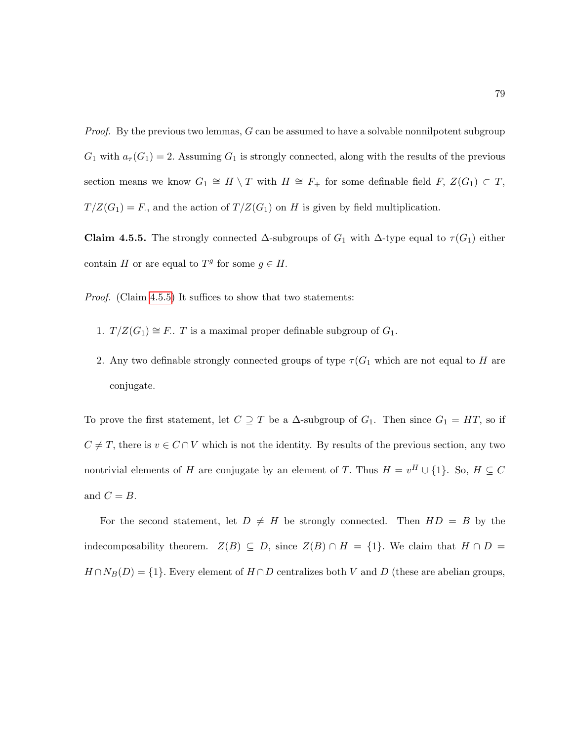*Proof.* By the previous two lemmas, G can be assumed to have a solvable nonnilpotent subgroup  $G_1$  with  $a_\tau(G_1) = 2$ . Assuming  $G_1$  is strongly connected, along with the results of the previous section means we know  $G_1 \cong H \setminus T$  with  $H \cong F_+$  for some definable field  $F, Z(G_1) \subset T$ ,  $T/Z(G_1) = F$ , and the action of  $T/Z(G_1)$  on H is given by field multiplication.

<span id="page-90-0"></span>Claim 4.5.5. The strongly connected  $\Delta$ -subgroups of  $G_1$  with  $\Delta$ -type equal to  $\tau(G_1)$  either contain H or are equal to  $T<sup>g</sup>$  for some  $g \in H$ .

*Proof.* (Claim [4.5.5\)](#page-90-0) It suffices to show that two statements:

- 1.  $T/Z(G_1) \cong F.$  T is a maximal proper definable subgroup of  $G_1$ .
- 2. Any two definable strongly connected groups of type  $\tau(G_1)$  which are not equal to H are conjugate.

To prove the first statement, let  $C \supseteq T$  be a  $\Delta$ -subgroup of  $G_1$ . Then since  $G_1 = HT$ , so if  $C \neq T$ , there is  $v \in C \cap V$  which is not the identity. By results of the previous section, any two nontrivial elements of H are conjugate by an element of T. Thus  $H = v^H \cup \{1\}$ . So,  $H \subseteq C$ and  $C = B$ .

For the second statement, let  $D \neq H$  be strongly connected. Then  $HD = B$  by the indecomposability theorem.  $Z(B) \subseteq D$ , since  $Z(B) \cap H = \{1\}$ . We claim that  $H \cap D =$  $H \cap N_B(D) = \{1\}$ . Every element of  $H \cap D$  centralizes both V and D (these are abelian groups,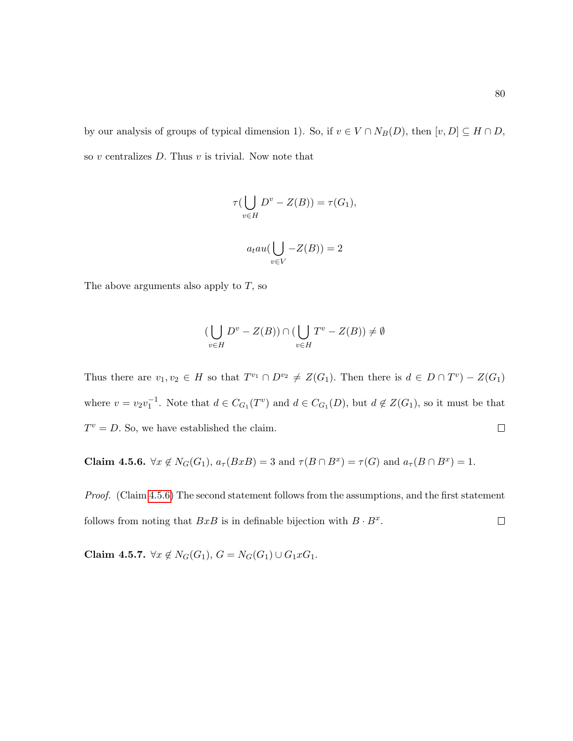by our analysis of groups of typical dimension 1). So, if  $v \in V \cap N_B(D)$ , then  $[v, D] \subseteq H \cap D$ , so  $v$  centralizes  $D$ . Thus  $v$  is trivial. Now note that

$$
\tau(\bigcup_{v \in H} D^v - Z(B)) = \tau(G_1),
$$
  

$$
a_t au(\bigcup_{v \in V} -Z(B)) = 2
$$

The above arguments also apply to  $T$ , so

$$
\left(\bigcup_{v \in H} D^v - Z(B)\right) \cap \left(\bigcup_{v \in H} T^v - Z(B)\right) \neq \emptyset
$$

Thus there are  $v_1, v_2 \in H$  so that  $T^{v_1} \cap D^{v_2} \neq Z(G_1)$ . Then there is  $d \in D \cap T^v - Z(G_1)$ where  $v = v_2 v_1^{-1}$ . Note that  $d \in C_{G_1}(T^v)$  and  $d \in C_{G_1}(D)$ , but  $d \notin Z(G_1)$ , so it must be that  $T^v = D$ . So, we have established the claim.  $\Box$ 

<span id="page-91-0"></span>**Claim 4.5.6.**  $\forall x \notin N_G(G_1), a_\tau(BxB) = 3$  and  $\tau(B \cap B^x) = \tau(G)$  and  $a_\tau(B \cap B^x) = 1$ .

Proof. (Claim [4.5.6\)](#page-91-0) The second statement follows from the assumptions, and the first statement follows from noting that  $BxB$  is in definable bijection with  $B \cdot B^x$ .  $\Box$ 

<span id="page-91-1"></span>Claim 4.5.7.  $\forall x \notin N_G(G_1), G = N_G(G_1) \cup G_1 xG_1.$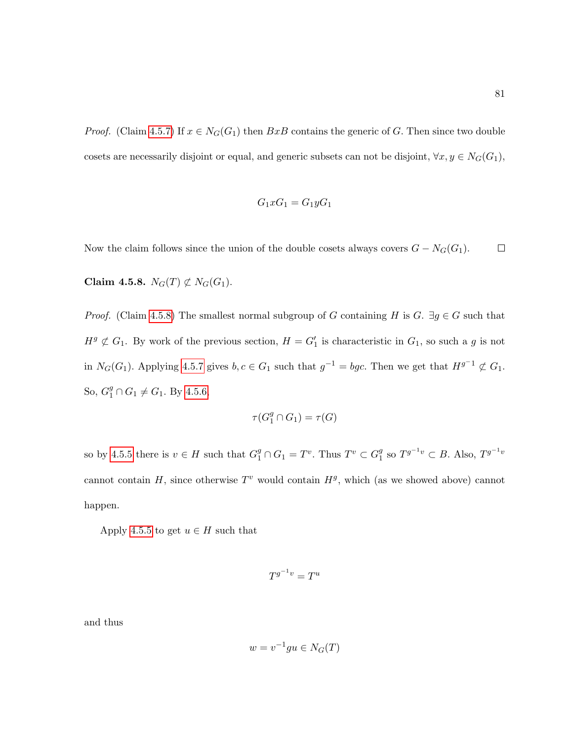*Proof.* (Claim [4.5.7\)](#page-91-1) If  $x \in N_G(G_1)$  then  $BxB$  contains the generic of G. Then since two double cosets are necessarily disjoint or equal, and generic subsets can not be disjoint,  $\forall x, y \in N_G(G_1)$ ,

$$
G_1 x G_1 = G_1 y G_1
$$

Now the claim follows since the union of the double cosets always covers  $G - N_G(G_1)$ .  $\Box$ 

<span id="page-92-0"></span>Claim 4.5.8.  $N_G(T) \not\subset N_G(G_1)$ .

*Proof.* (Claim [4.5.8\)](#page-92-0) The smallest normal subgroup of G containing H is G.  $\exists g \in G$  such that  $H<sup>g</sup> \not\subset G_1$ . By work of the previous section,  $H = G_1'$  is characteristic in  $G_1$ , so such a g is not in  $N_G(G_1)$ . Applying [4.5.7](#page-91-1) gives  $b, c \in G_1$  such that  $g^{-1} = bgc$ . Then we get that  $H^{g^{-1}} \not\subset G_1$ . So,  $G_1^g \cap G_1 \neq G_1$ . By [4.5.6,](#page-91-0)

$$
\tau(G_1^g\cap G_1)=\tau(G)
$$

so by [4.5.5](#page-90-0) there is  $v \in H$  such that  $G_1^g \cap G_1 = T^v$ . Thus  $T^v \subset G_1^g$  $_1^g$  so  $T^{g^{-1}v} \subset B$ . Also,  $T^{g^{-1}v}$ cannot contain H, since otherwise  $T^v$  would contain  $H^g$ , which (as we showed above) cannot happen.

Apply [4.5.5](#page-90-0) to get  $u \in H$  such that

$$
T^{g^{-1}v} = T^u
$$

and thus

$$
w = v^{-1}gu \in N_G(T)
$$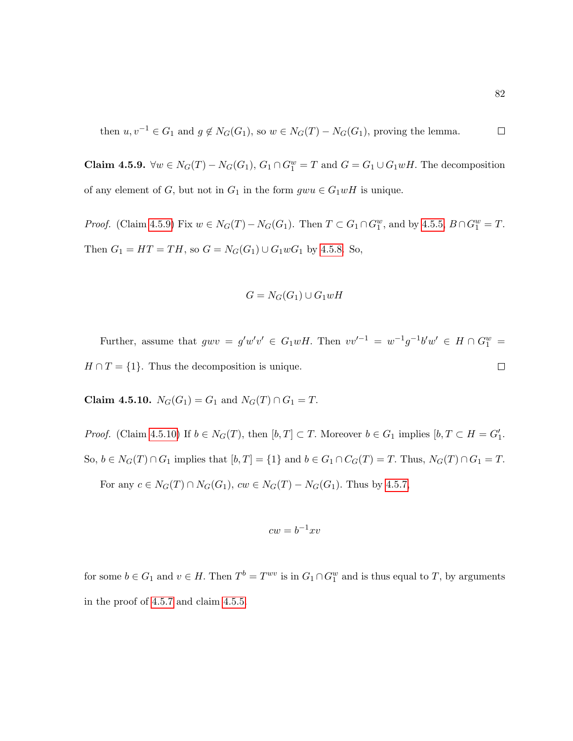then 
$$
u, v^{-1} \in G_1
$$
 and  $g \notin N_G(G_1)$ , so  $w \in N_G(T) - N_G(G_1)$ , proving the lemma.  $\square$ 

<span id="page-93-0"></span>Claim 4.5.9.  $\forall w \in N_G(T) - N_G(G_1)$ ,  $G_1 \cap G_1^w = T$  and  $G = G_1 \cup G_1 wH$ . The decomposition of any element of G, but not in  $G_1$  in the form  $gwu \in G_1wH$  is unique.

*Proof.* (Claim [4.5.9\)](#page-93-0) Fix  $w \in N_G(T) - N_G(G_1)$ . Then  $T \subset G_1 \cap G_1^w$ , and by [4.5.5,](#page-90-0)  $B \cap G_1^w = T$ . Then  $G_1 = HT = TH$ , so  $G = N_G(G_1) \cup G_1 wG_1$  by [4.5.8.](#page-92-0) So,

$$
G=N_G(G_1)\cup G_1wH
$$

Further, assume that  $g w v = g' w' v' \in G_1 w H$ . Then  $v v'^{-1} = w^{-1} g^{-1} b' w' \in H \cap G_1^w =$  $H \cap T = \{1\}$ . Thus the decomposition is unique.  $\Box$ 

<span id="page-93-1"></span>Claim 4.5.10.  $N_G(G_1) = G_1$  and  $N_G(T) \cap G_1 = T$ .

*Proof.* (Claim [4.5.10\)](#page-93-1) If  $b \in N_G(T)$ , then  $[b, T] \subset T$ . Moreover  $b \in G_1$  implies  $[b, T \subset H = G'_1$ . So,  $b \in N_G(T) \cap G_1$  implies that  $[b, T] = \{1\}$  and  $b \in G_1 \cap C_G(T) = T$ . Thus,  $N_G(T) \cap G_1 = T$ .

For any  $c \in N_G(T) \cap N_G(G_1)$ ,  $cw \in N_G(T) - N_G(G_1)$ . Thus by [4.5.7,](#page-91-1)

$$
cw = b^{-1}xv
$$

for some  $b \in G_1$  and  $v \in H$ . Then  $T^b = T^{wv}$  is in  $G_1 \cap G_1^w$  and is thus equal to T, by arguments in the proof of [4.5.7](#page-91-1) and claim [4.5.5.](#page-90-0)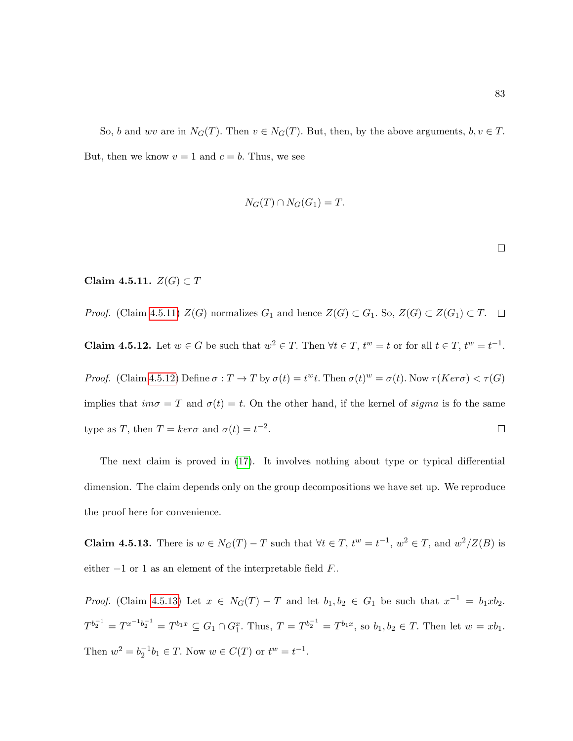So, b and wv are in  $N_G(T)$ . Then  $v \in N_G(T)$ . But, then, by the above arguments,  $b, v \in T$ . But, then we know  $v = 1$  and  $c = b$ . Thus, we see

$$
N_G(T) \cap N_G(G_1) = T.
$$

 $\Box$ 

# <span id="page-94-0"></span>Claim 4.5.11.  $Z(G) \subset T$

<span id="page-94-1"></span>*Proof.* (Claim [4.5.11\)](#page-94-0)  $Z(G)$  normalizes  $G_1$  and hence  $Z(G) \subset G_1$ . So,  $Z(G) \subset Z(G_1) \subset T$ .  $\Box$ 

**Claim 4.5.12.** Let  $w \in G$  be such that  $w^2 \in T$ . Then  $\forall t \in T$ ,  $t^w = t$  or for all  $t \in T$ ,  $t^w = t^{-1}$ .

*Proof.* (Claim [4.5.12\)](#page-94-1) Define  $\sigma: T \to T$  by  $\sigma(t) = t^w t$ . Then  $\sigma(t)^w = \sigma(t)$ . Now  $\tau(Ker\sigma) < \tau(G)$ implies that  $im\sigma = T$  and  $\sigma(t) = t$ . On the other hand, if the kernel of sigma is fo the same type as T, then  $T = \ker \sigma$  and  $\sigma(t) = t^{-2}$ .  $\Box$ 

The next claim is proved in [\(17\)](#page-215-3). It involves nothing about type or typical differential dimension. The claim depends only on the group decompositions we have set up. We reproduce the proof here for convenience.

<span id="page-94-2"></span>**Claim 4.5.13.** There is  $w \in N_G(T) - T$  such that  $\forall t \in T$ ,  $t^w = t^{-1}$ ,  $w^2 \in T$ , and  $w^2/Z(B)$  is either  $-1$  or 1 as an element of the interpretable field  $F$ .

*Proof.* (Claim [4.5.13\)](#page-94-2) Let  $x \in N_G(T) - T$  and let  $b_1, b_2 \in G_1$  be such that  $x^{-1} = b_1xb_2$ .  $T^{b_2^{-1}} = T^{x^{-1}b_2^{-1}} = T^{b_1x} \subseteq G_1 \cap G_1^x$ . Thus,  $T = T^{b_2^{-1}} = T^{b_1x}$ , so  $b_1, b_2 \in T$ . Then let  $w = xb_1$ . Then  $w^2 = b_2^{-1}b_1 \in T$ . Now  $w \in C(T)$  or  $t^w = t^{-1}$ .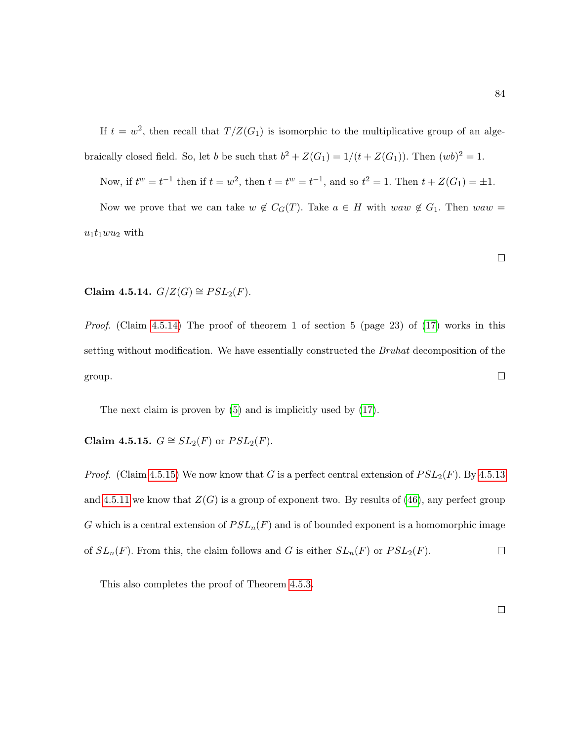If  $t = w^2$ , then recall that  $T/Z(G_1)$  is isomorphic to the multiplicative group of an algebraically closed field. So, let b be such that  $b^2 + Z(G_1) = 1/(t + Z(G_1))$ . Then  $(wb)^2 = 1$ .

Now, if  $t^w = t^{-1}$  then if  $t = w^2$ , then  $t = t^w = t^{-1}$ , and so  $t^2 = 1$ . Then  $t + Z(G_1) = \pm 1$ . Now we prove that we can take  $w \notin C_G(T)$ . Take  $a \in H$  with  $waw \notin G_1$ . Then  $waw =$ 

$$
u_1 t_1 w u_2 \text{ with }
$$

<span id="page-95-0"></span>Claim 4.5.14.  $G/Z(G) \cong PSL_2(F)$ .

Proof. (Claim [4.5.14\)](#page-95-0) The proof of theorem 1 of section 5 (page 23) of [\(17\)](#page-215-3) works in this setting without modification. We have essentially constructed the *Bruhat* decomposition of the  $\Box$ group.

The next claim is proven by [\(5\)](#page-214-0) and is implicitly used by [\(17\)](#page-215-3).

<span id="page-95-1"></span>Claim 4.5.15.  $G \cong SL_2(F)$  or  $PSL_2(F)$ .

*Proof.* (Claim [4.5.15\)](#page-95-1) We now know that G is a perfect central extension of  $PSL_2(F)$ . By [4.5.13](#page-94-2) and [4.5.11](#page-94-0) we know that  $Z(G)$  is a group of exponent two. By results of [\(46\)](#page-217-2), any perfect group G which is a central extension of  $PSL_n(F)$  and is of bounded exponent is a homomorphic image of  $SL_n(F)$ . From this, the claim follows and G is either  $SL_n(F)$  or  $PSL_2(F)$ .  $\hfill \square$ 

This also completes the proof of Theorem [4.5.3.](#page-89-0)

 $\Box$ 

 $\Box$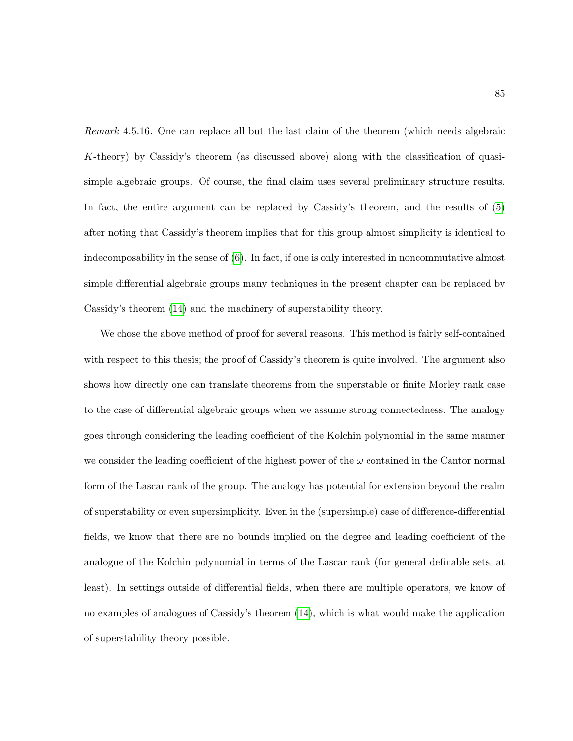Remark 4.5.16. One can replace all but the last claim of the theorem (which needs algebraic K-theory) by Cassidy's theorem (as discussed above) along with the classification of quasisimple algebraic groups. Of course, the final claim uses several preliminary structure results. In fact, the entire argument can be replaced by Cassidy's theorem, and the results of [\(5\)](#page-214-0) after noting that Cassidy's theorem implies that for this group almost simplicity is identical to indecomposability in the sense of [\(6\)](#page-214-1). In fact, if one is only interested in noncommutative almost simple differential algebraic groups many techniques in the present chapter can be replaced by Cassidy's theorem [\(14\)](#page-215-5) and the machinery of superstability theory.

We chose the above method of proof for several reasons. This method is fairly self-contained with respect to this thesis; the proof of Cassidy's theorem is quite involved. The argument also shows how directly one can translate theorems from the superstable or finite Morley rank case to the case of differential algebraic groups when we assume strong connectedness. The analogy goes through considering the leading coefficient of the Kolchin polynomial in the same manner we consider the leading coefficient of the highest power of the  $\omega$  contained in the Cantor normal form of the Lascar rank of the group. The analogy has potential for extension beyond the realm of superstability or even supersimplicity. Even in the (supersimple) case of difference-differential fields, we know that there are no bounds implied on the degree and leading coefficient of the analogue of the Kolchin polynomial in terms of the Lascar rank (for general definable sets, at least). In settings outside of differential fields, when there are multiple operators, we know of no examples of analogues of Cassidy's theorem [\(14\)](#page-215-5), which is what would make the application of superstability theory possible.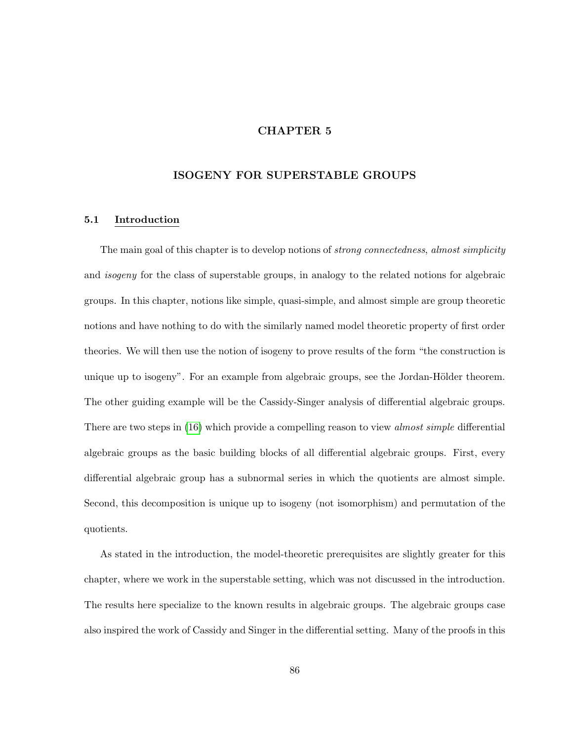# CHAPTER 5

# ISOGENY FOR SUPERSTABLE GROUPS

#### 5.1 Introduction

The main goal of this chapter is to develop notions of *strong connectedness*, *almost simplicity* and isogeny for the class of superstable groups, in analogy to the related notions for algebraic groups. In this chapter, notions like simple, quasi-simple, and almost simple are group theoretic notions and have nothing to do with the similarly named model theoretic property of first order theories. We will then use the notion of isogeny to prove results of the form "the construction is unique up to isogeny". For an example from algebraic groups, see the Jordan-Hölder theorem. The other guiding example will be the Cassidy-Singer analysis of differential algebraic groups. There are two steps in [\(16\)](#page-215-2) which provide a compelling reason to view *almost simple* differential algebraic groups as the basic building blocks of all differential algebraic groups. First, every differential algebraic group has a subnormal series in which the quotients are almost simple. Second, this decomposition is unique up to isogeny (not isomorphism) and permutation of the quotients.

As stated in the introduction, the model-theoretic prerequisites are slightly greater for this chapter, where we work in the superstable setting, which was not discussed in the introduction. The results here specialize to the known results in algebraic groups. The algebraic groups case also inspired the work of Cassidy and Singer in the differential setting. Many of the proofs in this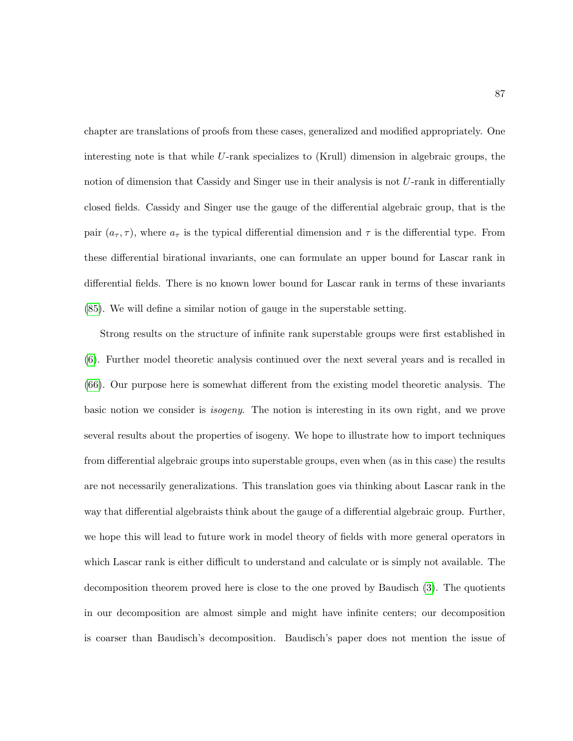chapter are translations of proofs from these cases, generalized and modified appropriately. One interesting note is that while U-rank specializes to (Krull) dimension in algebraic groups, the notion of dimension that Cassidy and Singer use in their analysis is not U-rank in differentially closed fields. Cassidy and Singer use the gauge of the differential algebraic group, that is the pair  $(a_{\tau}, \tau)$ , where  $a_{\tau}$  is the typical differential dimension and  $\tau$  is the differential type. From these differential birational invariants, one can formulate an upper bound for Lascar rank in differential fields. There is no known lower bound for Lascar rank in terms of these invariants [\(85\)](#page-220-0). We will define a similar notion of gauge in the superstable setting.

Strong results on the structure of infinite rank superstable groups were first established in [\(6\)](#page-214-1). Further model theoretic analysis continued over the next several years and is recalled in [\(66\)](#page-219-0). Our purpose here is somewhat different from the existing model theoretic analysis. The basic notion we consider is isogeny. The notion is interesting in its own right, and we prove several results about the properties of isogeny. We hope to illustrate how to import techniques from differential algebraic groups into superstable groups, even when (as in this case) the results are not necessarily generalizations. This translation goes via thinking about Lascar rank in the way that differential algebraists think about the gauge of a differential algebraic group. Further, we hope this will lead to future work in model theory of fields with more general operators in which Lascar rank is either difficult to understand and calculate or is simply not available. The decomposition theorem proved here is close to the one proved by Baudisch [\(3\)](#page-214-2). The quotients in our decomposition are almost simple and might have infinite centers; our decomposition is coarser than Baudisch's decomposition. Baudisch's paper does not mention the issue of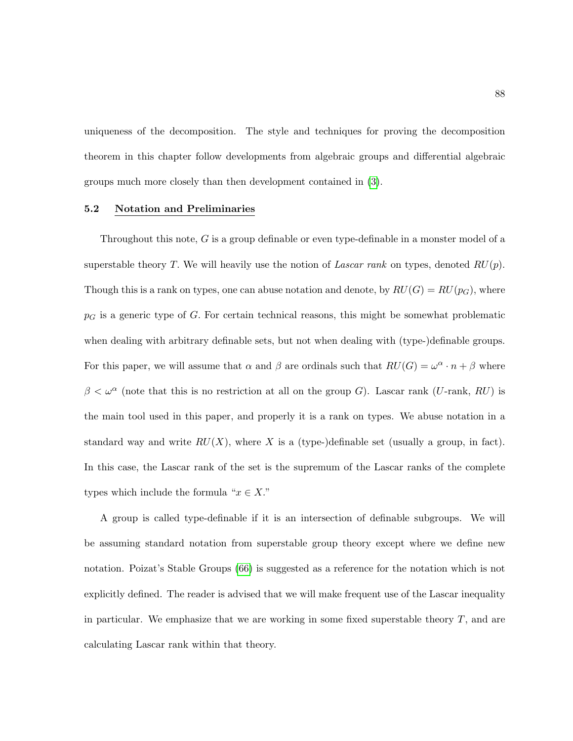uniqueness of the decomposition. The style and techniques for proving the decomposition theorem in this chapter follow developments from algebraic groups and differential algebraic groups much more closely than then development contained in [\(3\)](#page-214-2).

#### 5.2 Notation and Preliminaries

Throughout this note, G is a group definable or even type-definable in a monster model of a superstable theory T. We will heavily use the notion of Lascar rank on types, denoted  $RU(p)$ . Though this is a rank on types, one can abuse notation and denote, by  $RU(G) = RU(p_G)$ , where  $p<sub>G</sub>$  is a generic type of G. For certain technical reasons, this might be somewhat problematic when dealing with arbitrary definable sets, but not when dealing with (type-)definable groups. For this paper, we will assume that  $\alpha$  and  $\beta$  are ordinals such that  $RU(G) = \omega^{\alpha} \cdot n + \beta$  where  $\beta < \omega^{\alpha}$  (note that this is no restriction at all on the group G). Lascar rank (U-rank, RU) is the main tool used in this paper, and properly it is a rank on types. We abuse notation in a standard way and write  $RU(X)$ , where X is a (type-)definable set (usually a group, in fact). In this case, the Lascar rank of the set is the supremum of the Lascar ranks of the complete types which include the formula " $x \in X$ ."

A group is called type-definable if it is an intersection of definable subgroups. We will be assuming standard notation from superstable group theory except where we define new notation. Poizat's Stable Groups [\(66\)](#page-219-0) is suggested as a reference for the notation which is not explicitly defined. The reader is advised that we will make frequent use of the Lascar inequality in particular. We emphasize that we are working in some fixed superstable theory  $T$ , and are calculating Lascar rank within that theory.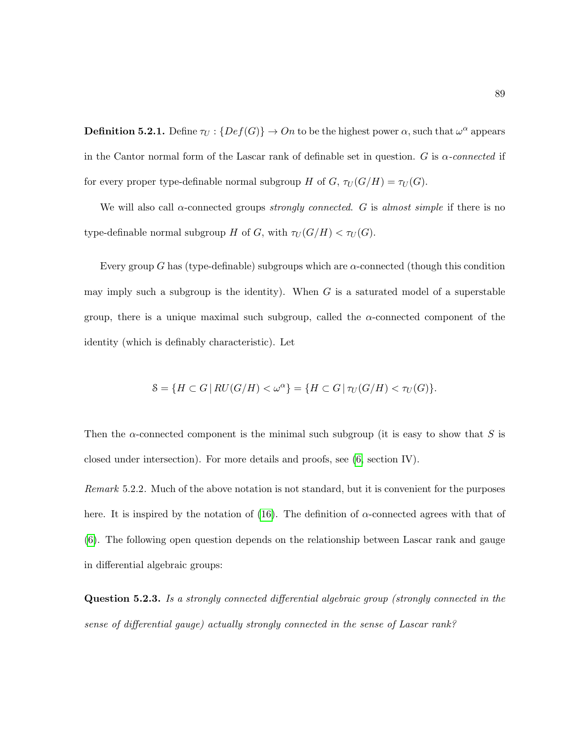**Definition 5.2.1.** Define  $\tau_U : \{Def(G)\} \to On$  to be the highest power  $\alpha$ , such that  $\omega^{\alpha}$  appears in the Cantor normal form of the Lascar rank of definable set in question. G is  $\alpha$ -connected if for every proper type-definable normal subgroup H of  $G$ ,  $\tau_U(G/H) = \tau_U(G)$ .

We will also call  $\alpha$ -connected groups strongly connected. G is almost simple if there is no type-definable normal subgroup H of G, with  $\tau_U(G/H) < \tau_U(G)$ .

Every group G has (type-definable) subgroups which are  $\alpha$ -connected (though this condition may imply such a subgroup is the identity). When  $G$  is a saturated model of a superstable group, there is a unique maximal such subgroup, called the  $\alpha$ -connected component of the identity (which is definably characteristic). Let

$$
\mathcal{S} = \{ H \subset G \mid RU(G/H) < \omega^{\alpha} \} = \{ H \subset G \mid \tau_U(G/H) < \tau_U(G) \}.
$$

Then the  $\alpha$ -connected component is the minimal such subgroup (it is easy to show that S is closed under intersection). For more details and proofs, see [\(6,](#page-214-1) section IV).

Remark 5.2.2. Much of the above notation is not standard, but it is convenient for the purposes here. It is inspired by the notation of [\(16\)](#page-215-2). The definition of  $\alpha$ -connected agrees with that of [\(6\)](#page-214-1). The following open question depends on the relationship between Lascar rank and gauge in differential algebraic groups:

Question 5.2.3. Is a strongly connected differential algebraic group (strongly connected in the sense of differential gauge) actually strongly connected in the sense of Lascar rank?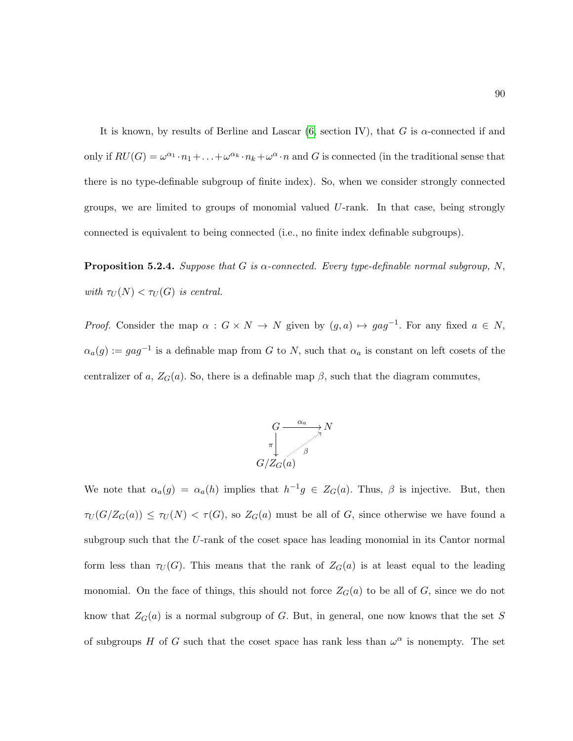It is known, by results of Berline and Lascar  $(6, \text{section IV})$ , that G is  $\alpha$ -connected if and only if  $RU(G) = \omega^{\alpha_1} \cdot n_1 + \ldots + \omega^{\alpha_k} \cdot n_k + \omega^{\alpha} \cdot n$  and G is connected (in the traditional sense that there is no type-definable subgroup of finite index). So, when we consider strongly connected groups, we are limited to groups of monomial valued U-rank. In that case, being strongly connected is equivalent to being connected (i.e., no finite index definable subgroups).

**Proposition 5.2.4.** Suppose that G is  $\alpha$ -connected. Every type-definable normal subgroup, N, with  $\tau_U(N) < \tau_U(G)$  is central.

*Proof.* Consider the map  $\alpha : G \times N \to N$  given by  $(g, a) \mapsto gag^{-1}$ . For any fixed  $a \in N$ ,  $\alpha_a(g) := gag^{-1}$  is a definable map from G to N, such that  $\alpha_a$  is constant on left cosets of the centralizer of a,  $Z_G(a)$ . So, there is a definable map  $\beta$ , such that the diagram commutes,



We note that  $\alpha_a(g) = \alpha_a(h)$  implies that  $h^{-1}g \in Z_G(a)$ . Thus,  $\beta$  is injective. But, then  $\tau_U(G/Z_G(a)) \leq \tau_U(N) < \tau(G)$ , so  $Z_G(a)$  must be all of G, since otherwise we have found a subgroup such that the  $U$ -rank of the coset space has leading monomial in its Cantor normal form less than  $\tau_U(G)$ . This means that the rank of  $Z_G(a)$  is at least equal to the leading monomial. On the face of things, this should not force  $Z_G(a)$  to be all of G, since we do not know that  $Z_G(a)$  is a normal subgroup of G. But, in general, one now knows that the set S of subgroups H of G such that the coset space has rank less than  $\omega^{\alpha}$  is nonempty. The set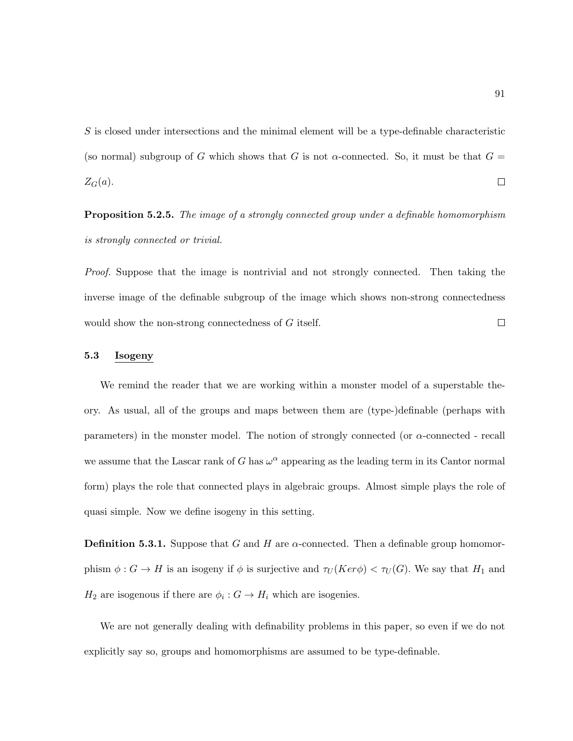S is closed under intersections and the minimal element will be a type-definable characteristic (so normal) subgroup of G which shows that G is not  $\alpha$ -connected. So, it must be that  $G =$  $\Box$  $Z_G(a)$ .

<span id="page-102-0"></span>**Proposition 5.2.5.** The image of a strongly connected group under a definable homomorphism is strongly connected or trivial.

Proof. Suppose that the image is nontrivial and not strongly connected. Then taking the inverse image of the definable subgroup of the image which shows non-strong connectedness would show the non-strong connectedness of G itself.  $\Box$ 

## 5.3 Isogeny

We remind the reader that we are working within a monster model of a superstable theory. As usual, all of the groups and maps between them are (type-)definable (perhaps with parameters) in the monster model. The notion of strongly connected (or  $\alpha$ -connected - recall we assume that the Lascar rank of G has  $\omega^{\alpha}$  appearing as the leading term in its Cantor normal form) plays the role that connected plays in algebraic groups. Almost simple plays the role of quasi simple. Now we define isogeny in this setting.

**Definition 5.3.1.** Suppose that G and H are  $\alpha$ -connected. Then a definable group homomorphism  $\phi: G \to H$  is an isogeny if  $\phi$  is surjective and  $\tau_U(Ker\phi) < \tau_U(G)$ . We say that  $H_1$  and  $H_2$  are isogenous if there are  $\phi_i: G \to H_i$  which are isogenies.

We are not generally dealing with definability problems in this paper, so even if we do not explicitly say so, groups and homomorphisms are assumed to be type-definable.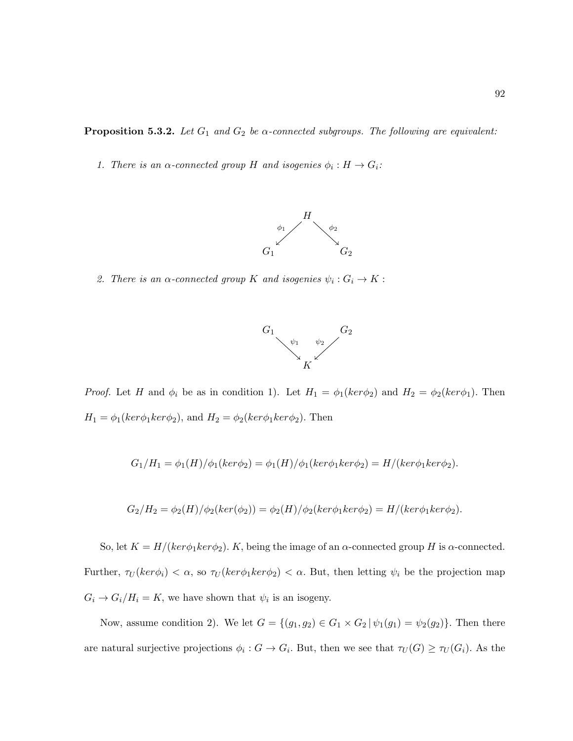<span id="page-103-0"></span>**Proposition 5.3.2.** Let  $G_1$  and  $G_2$  be  $\alpha$ -connected subgroups. The following are equivalent:

1. There is an  $\alpha$ -connected group H and isogenies  $\phi_i : H \to G_i$ :



2. There is an  $\alpha$ -connected group K and isogenies  $\psi_i : G_i \to K$ :



*Proof.* Let H and  $\phi_i$  be as in condition 1). Let  $H_1 = \phi_1(ker\phi_2)$  and  $H_2 = \phi_2(ker\phi_1)$ . Then  $H_1 = \phi_1(ker\phi_1ker\phi_2)$ , and  $H_2 = \phi_2(ker\phi_1ker\phi_2)$ . Then

$$
G_1/H_1 = \phi_1(H)/\phi_1(ker\phi_2) = \phi_1(H)/\phi_1(ker\phi_1ker\phi_2) = H/(ker\phi_1ker\phi_2).
$$

$$
G_2/H_2 = \phi_2(H)/\phi_2(ker(\phi_2)) = \phi_2(H)/\phi_2(ker\phi_1ker\phi_2) = H/(ker\phi_1ker\phi_2).
$$

So, let  $K = H/(ker \phi_1 ker \phi_2)$ . K, being the image of an  $\alpha$ -connected group H is  $\alpha$ -connected. Further,  $\tau_U(ker\phi_i) < \alpha$ , so  $\tau_U(ker\phi_1ker\phi_2) < \alpha$ . But, then letting  $\psi_i$  be the projection map  $G_i \to G_i/H_i = K$ , we have shown that  $\psi_i$  is an isogeny.

Now, assume condition 2). We let  $G = \{(g_1, g_2) \in G_1 \times G_2 | \psi_1(g_1) = \psi_2(g_2)\}\.$  Then there are natural surjective projections  $\phi_i: G \to G_i$ . But, then we see that  $\tau_U(G) \geq \tau_U(G_i)$ . As the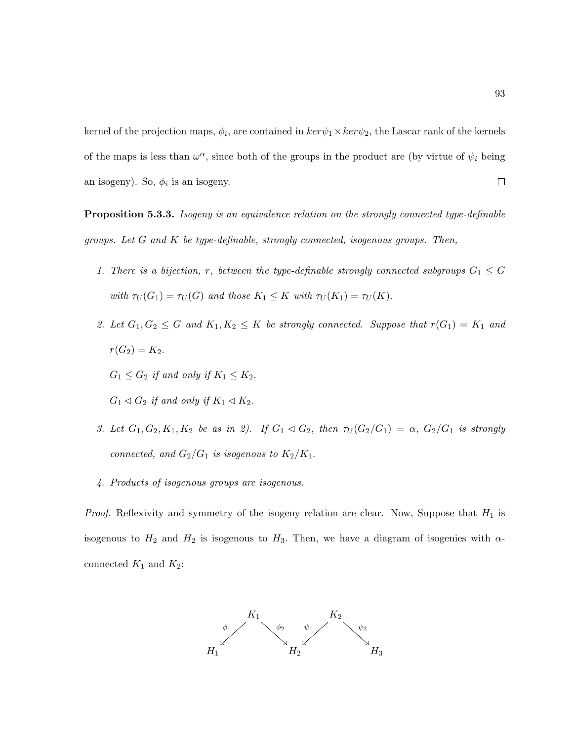kernel of the projection maps,  $\phi_i$ , are contained in  $ker \psi_1 \times ker \psi_2$ , the Lascar rank of the kernels of the maps is less than  $\omega^{\alpha}$ , since both of the groups in the product are (by virtue of  $\psi_i$  being  $\Box$ an isogeny). So,  $\phi_i$  is an isogeny.

**Proposition 5.3.3.** Isogeny is an equivalence relation on the strongly connected type-definable groups. Let  $G$  and  $K$  be type-definable, strongly connected, isogenous groups. Then,

- 1. There is a bijection, r, between the type-definable strongly connected subgroups  $G_1 \leq G$ with  $\tau_U(G_1) = \tau_U(G)$  and those  $K_1 \leq K$  with  $\tau_U(K_1) = \tau_U(K)$ .
- 2. Let  $G_1, G_2 \leq G$  and  $K_1, K_2 \leq K$  be strongly connected. Suppose that  $r(G_1) = K_1$  and  $r(G_2) = K_2.$

 $G_1 \leq G_2$  if and only if  $K_1 \leq K_2$ .

- $G_1 \triangleleft G_2$  if and only if  $K_1 \triangleleft K_2$ .
- 3. Let  $G_1, G_2, K_1, K_2$  be as in 2). If  $G_1 \triangleleft G_2$ , then  $\tau_U(G_2/G_1) = \alpha$ ,  $G_2/G_1$  is strongly connected, and  $G_2/G_1$  is isogenous to  $K_2/K_1$ .
- 4. Products of isogenous groups are isogenous.

*Proof.* Reflexivity and symmetry of the isogeny relation are clear. Now, Suppose that  $H_1$  is isogenous to  $H_2$  and  $H_2$  is isogenous to  $H_3$ . Then, we have a diagram of isogenies with  $\alpha$ connected  $K_1$  and  $K_2$ :

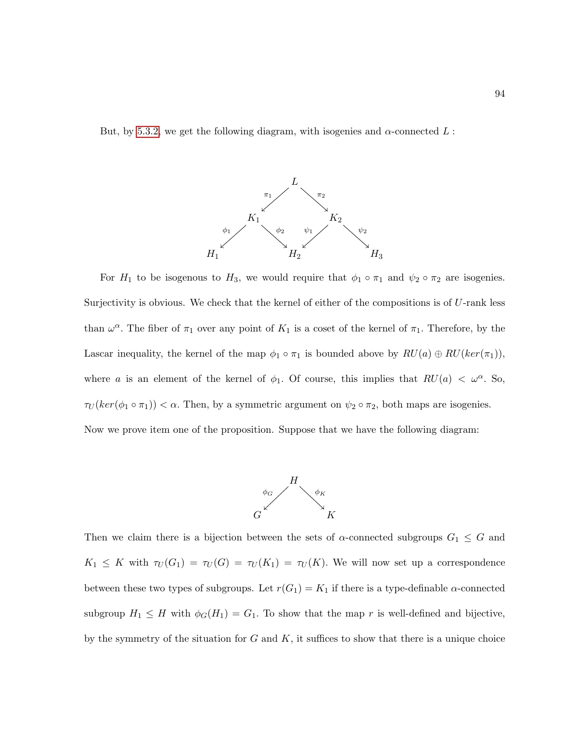But, by [5.3.2,](#page-103-0) we get the following diagram, with isogenies and  $\alpha$ -connected L :



For  $H_1$  to be isogenous to  $H_3$ , we would require that  $\phi_1 \circ \pi_1$  and  $\psi_2 \circ \pi_2$  are isogenies. Surjectivity is obvious. We check that the kernel of either of the compositions is of  $U$ -rank less than  $\omega^{\alpha}$ . The fiber of  $\pi_1$  over any point of  $K_1$  is a coset of the kernel of  $\pi_1$ . Therefore, by the Lascar inequality, the kernel of the map  $\phi_1 \circ \pi_1$  is bounded above by  $RU(a) \oplus RU(ker(\pi_1)),$ where a is an element of the kernel of  $\phi_1$ . Of course, this implies that  $RU(a) < \omega^{\alpha}$ . So,  $\tau_U(ker(\phi_1 \circ \pi_1)) < \alpha$ . Then, by a symmetric argument on  $\psi_2 \circ \pi_2$ , both maps are isogenies. Now we prove item one of the proposition. Suppose that we have the following diagram:



Then we claim there is a bijection between the sets of  $\alpha$ -connected subgroups  $G_1 \leq G$  and  $K_1 \leq K$  with  $\tau_U(G_1) = \tau_U(G) = \tau_U(K_1) = \tau_U(K)$ . We will now set up a correspondence between these two types of subgroups. Let  $r(G_1) = K_1$  if there is a type-definable  $\alpha$ -connected subgroup  $H_1 \leq H$  with  $\phi_G(H_1) = G_1$ . To show that the map r is well-defined and bijective, by the symmetry of the situation for  $G$  and  $K$ , it suffices to show that there is a unique choice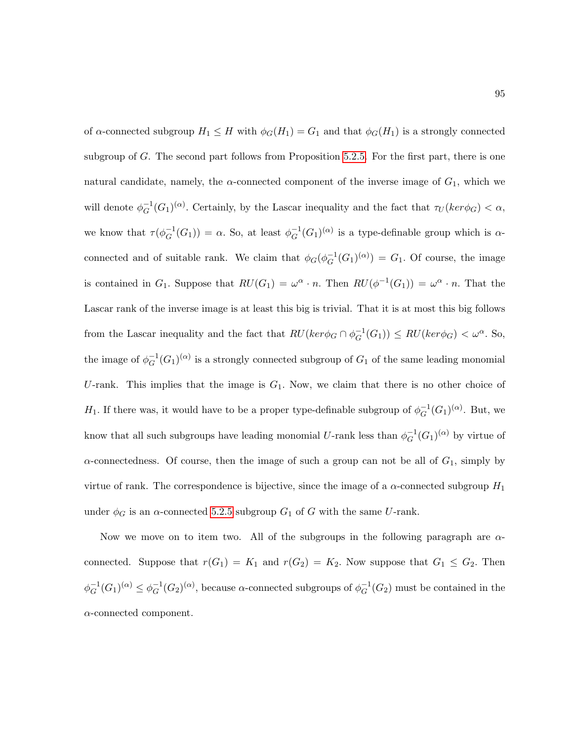of  $\alpha$ -connected subgroup  $H_1 \leq H$  with  $\phi_G(H_1) = G_1$  and that  $\phi_G(H_1)$  is a strongly connected subgroup of G. The second part follows from Proposition [5.2.5.](#page-102-0) For the first part, there is one natural candidate, namely, the  $\alpha$ -connected component of the inverse image of  $G_1$ , which we will denote  $\phi_G^{-1}$  $_G^{-1}(G_1)^{(\alpha)}$ . Certainly, by the Lascar inequality and the fact that  $\tau_U(ker\phi_G) < \alpha$ , we know that  $\tau(\phi_G^{-1})$  $_G^{-1}(G_1)$  =  $\alpha$ . So, at least  $\phi_G^{-1}$  $_G^{-1}(G_1)^{(\alpha)}$  is a type-definable group which is  $\alpha$ connected and of suitable rank. We claim that  $\phi_G(\phi_G^{-1})$  $_G^{-1}(G_1)^{(\alpha)}$  =  $G_1$ . Of course, the image is contained in  $G_1$ . Suppose that  $RU(G_1) = \omega^{\alpha} \cdot n$ . Then  $RU(\phi^{-1}(G_1)) = \omega^{\alpha} \cdot n$ . That the Lascar rank of the inverse image is at least this big is trivial. That it is at most this big follows from the Lascar inequality and the fact that  $RU(ker\phi_G \cap \phi_G^{-1})$  $_G^{-1}(G_1)$ )  $\leq$   $RU(ker\phi_G)$   $\lt \omega^\alpha$ . So, the image of  $\phi^{-1}_C$  $G^{(G)}(G_1)^{(\alpha)}$  is a strongly connected subgroup of  $G_1$  of the same leading monomial U-rank. This implies that the image is  $G_1$ . Now, we claim that there is no other choice of  $H_1$ . If there was, it would have to be a proper type-definable subgroup of  $\phi_G^{-1}$  $_G^{-1}(G_1)^{(\alpha)}$ . But, we know that all such subgroups have leading monomial U-rank less than  $\phi_G^{-1}$  $_G^{-1}(G_1)^{(\alpha)}$  by virtue of  $\alpha$ -connectedness. Of course, then the image of such a group can not be all of  $G_1$ , simply by virtue of rank. The correspondence is bijective, since the image of a  $\alpha$ -connected subgroup  $H_1$ under  $\phi_G$  is an  $\alpha$ -connected [5.2.5](#page-102-0) subgroup  $G_1$  of G with the same U-rank.

Now we move on to item two. All of the subgroups in the following paragraph are  $\alpha$ connected. Suppose that  $r(G_1) = K_1$  and  $r(G_2) = K_2$ . Now suppose that  $G_1 \leq G_2$ . Then  $\phi_G^{-1}$  $_G^{-1}(G_1)^{(\alpha)} \leq \phi_G^{-1}$  $_G^{-1}(G_2)^{(\alpha)}$ , because  $\alpha$ -connected subgroups of  $\phi_G^{-1}$  $_{G}^{-1}(G_2)$  must be contained in the  $\alpha$ -connected component.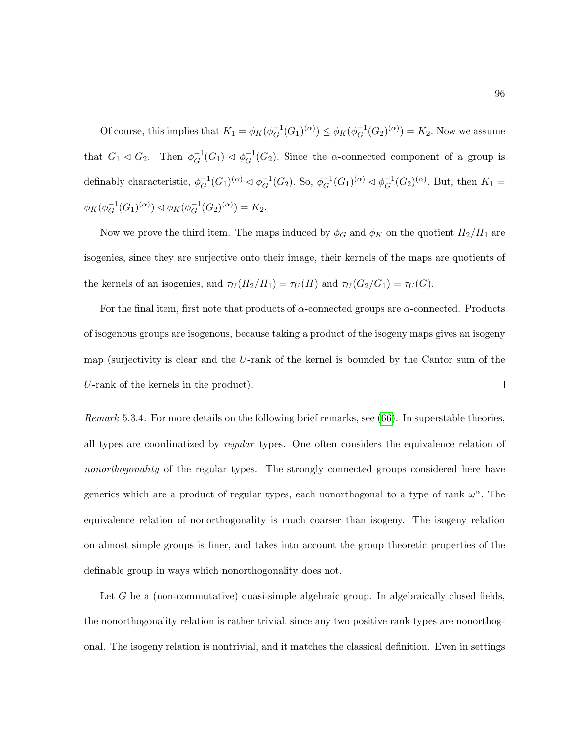Of course, this implies that  $K_1 = \phi_K(\phi_G^{-1})$  $_G^{-1}(G_1)^{(\alpha)}) \leq \phi_K(\phi_G^{-1})$  $_G^{-1}(G_2)^{(\alpha)}$  =  $K_2$ . Now we assume that  $G_1 \lhd G_2$ . Then  $\phi_G^{-1}$  $_G^{-1}(G_1) \lhd \phi_G^{-1}$  $_G^{-1}(G_2)$ . Since the  $\alpha$ -connected component of a group is definably characteristic,  $\phi_G^{-1}$  $_G^{-1}(G_1)^{(\alpha)} \lhd \phi_G^{-1}$  $_G^{-1}(G_2)$ . So,  $\phi_G^{-1}$  $_G^{-1}(G_1)^{(\alpha)} \lhd \phi_G^{-1}$  $_G^{-1}(G_2)^{(\alpha)}$ . But, then  $K_1 =$  $\phi_K(\phi_G^{-1})$  $_G^{-1}(G_1)^{(\alpha)}) \lhd \phi_K(\phi_G^{-1})$  $_G^{-1}(G_2)^{(\alpha)}$  = K<sub>2</sub>.

Now we prove the third item. The maps induced by  $\phi_G$  and  $\phi_K$  on the quotient  $H_2/H_1$  are isogenies, since they are surjective onto their image, their kernels of the maps are quotients of the kernels of an isogenies, and  $\tau_U(H_2/H_1) = \tau_U(H)$  and  $\tau_U(G_2/G_1) = \tau_U(G)$ .

For the final item, first note that products of  $\alpha$ -connected groups are  $\alpha$ -connected. Products of isogenous groups are isogenous, because taking a product of the isogeny maps gives an isogeny map (surjectivity is clear and the U-rank of the kernel is bounded by the Cantor sum of the U-rank of the kernels in the product).  $\Box$ 

Remark 5.3.4. For more details on the following brief remarks, see [\(66\)](#page-219-0). In superstable theories, all types are coordinatized by regular types. One often considers the equivalence relation of nonorthogonality of the regular types. The strongly connected groups considered here have generics which are a product of regular types, each nonorthogonal to a type of rank  $\omega^{\alpha}$ . The equivalence relation of nonorthogonality is much coarser than isogeny. The isogeny relation on almost simple groups is finer, and takes into account the group theoretic properties of the definable group in ways which nonorthogonality does not.

Let G be a (non-commutative) quasi-simple algebraic group. In algebraically closed fields, the nonorthogonality relation is rather trivial, since any two positive rank types are nonorthogonal. The isogeny relation is nontrivial, and it matches the classical definition. Even in settings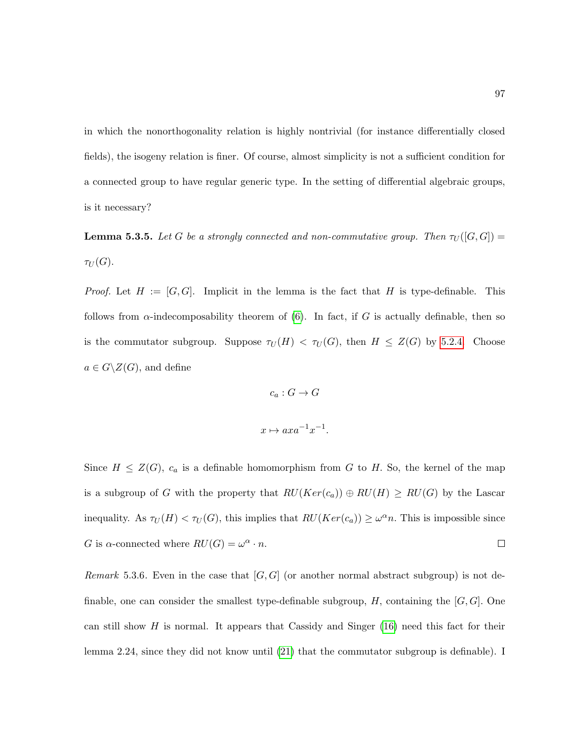in which the nonorthogonality relation is highly nontrivial (for instance differentially closed fields), the isogeny relation is finer. Of course, almost simplicity is not a sufficient condition for a connected group to have regular generic type. In the setting of differential algebraic groups, is it necessary?

<span id="page-108-0"></span>**Lemma 5.3.5.** Let G be a strongly connected and non-commutative group. Then  $\tau_U([G,G])$  $\tau_U(G)$ .

*Proof.* Let  $H := [G, G]$ . Implicit in the lemma is the fact that H is type-definable. This follows from  $\alpha$ -indecomposability theorem of [\(6\)](#page-214-0). In fact, if G is actually definable, then so is the commutator subgroup. Suppose  $\tau_U(H) < \tau_U(G)$ , then  $H \leq Z(G)$  by [5.2.4.](#page-101-0) Choose  $a \in G \backslash Z(G)$ , and define

$$
c_a: G \to G
$$

$$
x \mapsto axa^{-1}x^{-1}.
$$

Since  $H \leq Z(G)$ ,  $c_a$  is a definable homomorphism from G to H. So, the kernel of the map is a subgroup of G with the property that  $RU(Ker(c_a)) \oplus RU(H) \geq RU(G)$  by the Lascar inequality. As  $\tau_U(H) < \tau_U(G)$ , this implies that  $RU(Ker(c_a)) \geq \omega^{\alpha} n$ . This is impossible since G is  $\alpha$ -connected where  $RU(G) = \omega^{\alpha} \cdot n$ .  $\Box$ 

Remark 5.3.6. Even in the case that  $[G, G]$  (or another normal abstract subgroup) is not definable, one can consider the smallest type-definable subgroup,  $H$ , containing the  $[G, G]$ . One can still show H is normal. It appears that Cassidy and Singer  $(16)$  need this fact for their lemma 2.24, since they did not know until [\(21\)](#page-215-1) that the commutator subgroup is definable). I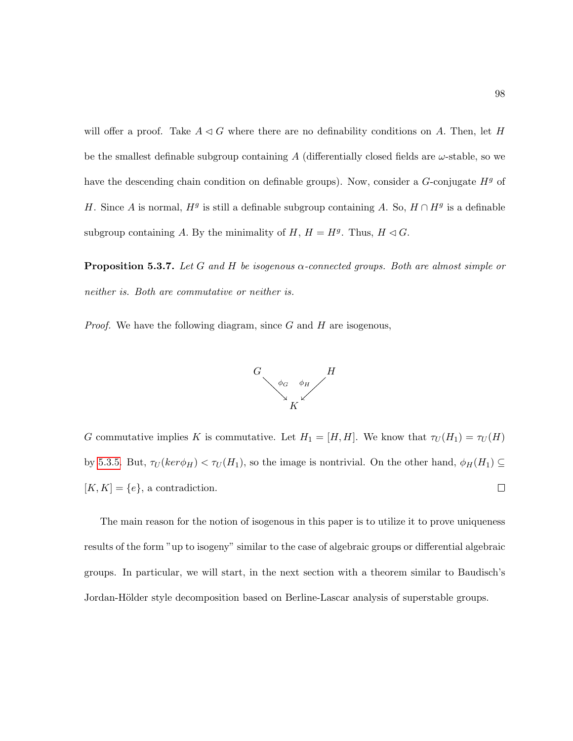will offer a proof. Take  $A \triangleleft G$  where there are no definability conditions on A. Then, let H be the smallest definable subgroup containing A (differentially closed fields are  $\omega$ -stable, so we have the descending chain condition on definable groups). Now, consider a  $G$ -conjugate  $H<sup>g</sup>$  of H. Since A is normal,  $H<sup>g</sup>$  is still a definable subgroup containing A. So,  $H \cap H<sup>g</sup>$  is a definable subgroup containing A. By the minimality of  $H, H = H<sup>g</sup>$ . Thus,  $H \lhd G$ .

**Proposition 5.3.7.** Let G and H be isogenous  $\alpha$ -connected groups. Both are almost simple or neither is. Both are commutative or neither is.

*Proof.* We have the following diagram, since  $G$  and  $H$  are isogenous,



G commutative implies K is commutative. Let  $H_1 = [H, H]$ . We know that  $\tau_U(H_1) = \tau_U(H)$ by [5.3.5.](#page-108-0) But,  $\tau_U(ker\phi_H) < \tau_U(H_1)$ , so the image is nontrivial. On the other hand,  $\phi_H(H_1) \subseteq$  $[K, K] = \{e\}$ , a contradiction.  $\Box$ 

The main reason for the notion of isogenous in this paper is to utilize it to prove uniqueness results of the form "up to isogeny" similar to the case of algebraic groups or differential algebraic groups. In particular, we will start, in the next section with a theorem similar to Baudisch's Jordan-Hölder style decomposition based on Berline-Lascar analysis of superstable groups.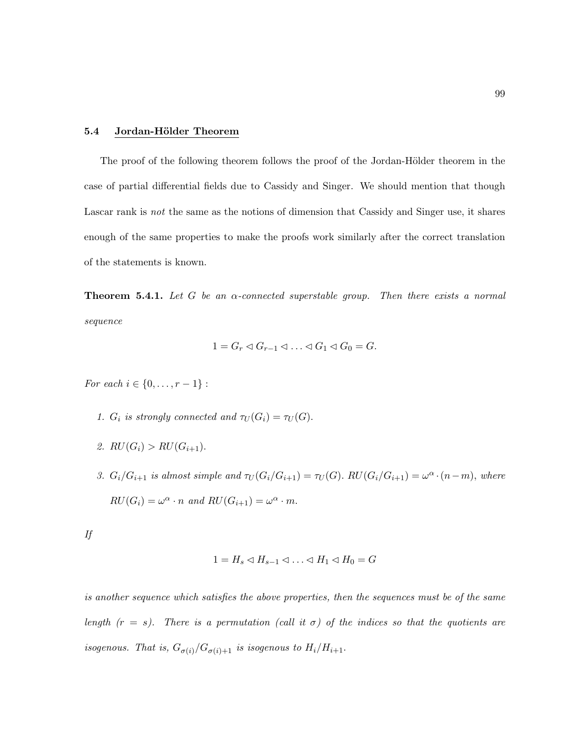### 5.4 Jordan-Hölder Theorem

The proof of the following theorem follows the proof of the Jordan-Hölder theorem in the case of partial differential fields due to Cassidy and Singer. We should mention that though Lascar rank is *not* the same as the notions of dimension that Cassidy and Singer use, it shares enough of the same properties to make the proofs work similarly after the correct translation of the statements is known.

**Theorem 5.4.1.** Let G be an  $\alpha$ -connected superstable group. Then there exists a normal sequence

$$
1 = G_r \lhd G_{r-1} \lhd \ldots \lhd G_1 \lhd G_0 = G.
$$

*For each*  $i \in \{0, ..., r - 1\}$ :

- 1.  $G_i$  is strongly connected and  $\tau_U(G_i) = \tau_U(G)$ .
- 2.  $RU(G_i) > RU(G_{i+1})$ .
- 3.  $G_i/G_{i+1}$  is almost simple and  $\tau_U(G_i/G_{i+1}) = \tau_U(G)$ .  $RU(G_i/G_{i+1}) = \omega^{\alpha} \cdot (n-m)$ , where  $RU(G_i) = \omega^{\alpha} \cdot n$  and  $RU(G_{i+1}) = \omega^{\alpha} \cdot m$ .

| ۰.<br>× |   |
|---------|---|
| ٠.      | ٠ |
| e.      |   |

$$
1 = H_s \lhd H_{s-1} \lhd \ldots \lhd H_1 \lhd H_0 = G
$$

is another sequence which satisfies the above properties, then the sequences must be of the same length  $(r = s)$ . There is a permutation (call it  $\sigma$ ) of the indices so that the quotients are isogenous. That is,  $G_{\sigma(i)}/G_{\sigma(i)+1}$  is isogenous to  $H_i/H_{i+1}$ .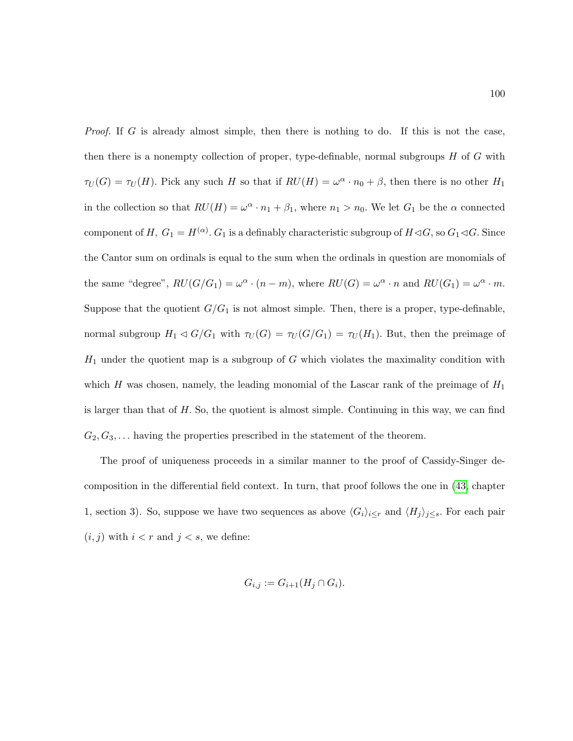Proof. If G is already almost simple, then there is nothing to do. If this is not the case, then there is a nonempty collection of proper, type-definable, normal subgroups  $H$  of  $G$  with  $\tau_U(G) = \tau_U(H)$ . Pick any such H so that if  $RU(H) = \omega^{\alpha} \cdot n_0 + \beta$ , then there is no other  $H_1$ in the collection so that  $RU(H) = \omega^{\alpha} \cdot n_1 + \beta_1$ , where  $n_1 > n_0$ . We let  $G_1$  be the  $\alpha$  connected component of  $H, G_1 = H^{(\alpha)}$ .  $G_1$  is a definably characteristic subgroup of  $H \triangleleft G$ , so  $G_1 \triangleleft G$ . Since the Cantor sum on ordinals is equal to the sum when the ordinals in question are monomials of the same "degree",  $RU(G/G_1) = \omega^{\alpha} \cdot (n-m)$ , where  $RU(G) = \omega^{\alpha} \cdot n$  and  $RU(G_1) = \omega^{\alpha} \cdot m$ . Suppose that the quotient  $G/G_1$  is not almost simple. Then, there is a proper, type-definable, normal subgroup  $H_1 \triangleleft G/G_1$  with  $\tau_U(G) = \tau_U(G/G_1) = \tau_U(H_1)$ . But, then the preimage of  $H_1$  under the quotient map is a subgroup of G which violates the maximality condition with which H was chosen, namely, the leading monomial of the Lascar rank of the preimage of  $H_1$ is larger than that of  $H$ . So, the quotient is almost simple. Continuing in this way, we can find  $G_2, G_3, \ldots$  having the properties prescribed in the statement of the theorem.

The proof of uniqueness proceeds in a similar manner to the proof of Cassidy-Singer decomposition in the differential field context. In turn, that proof follows the one in [\(43,](#page-217-0) chapter 1, section 3). So, suppose we have two sequences as above  $\langle G_i \rangle_{i \leq r}$  and  $\langle H_j \rangle_{j \leq s}$ . For each pair  $(i, j)$  with  $i < r$  and  $j < s$ , we define:

$$
G_{i,j} := G_{i+1}(H_j \cap G_i).
$$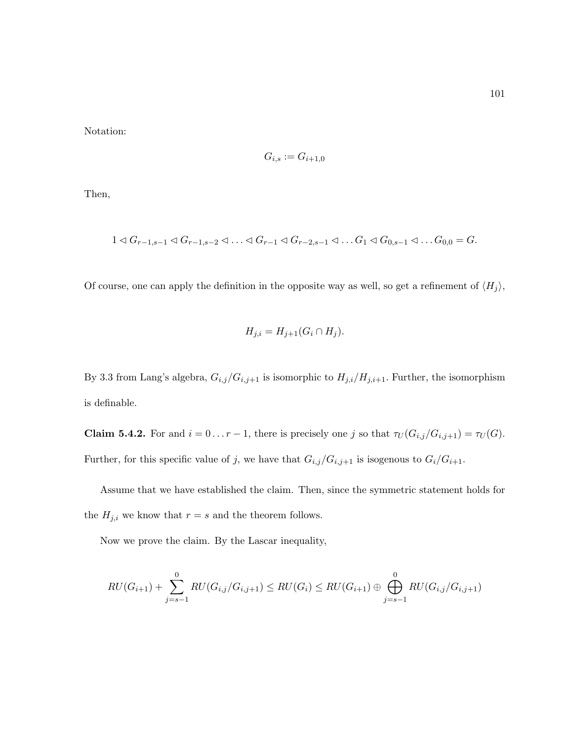Notation:

$$
G_{i,s} := G_{i+1,0}
$$

Then,

$$
1 \triangleleft G_{r-1,s-1} \triangleleft G_{r-1,s-2} \triangleleft \ldots \triangleleft G_{r-1} \triangleleft G_{r-2,s-1} \triangleleft \ldots G_1 \triangleleft G_{0,s-1} \triangleleft \ldots G_{0,0} = G.
$$

Of course, one can apply the definition in the opposite way as well, so get a refinement of  $\langle H_j \rangle$ ,

$$
H_{j,i} = H_{j+1}(G_i \cap H_j).
$$

By 3.3 from Lang's algebra,  $G_{i,j}/G_{i,j+1}$  is isomorphic to  $H_{j,i}/H_{j,i+1}$ . Further, the isomorphism is definable.

**Claim 5.4.2.** For and  $i = 0 \ldots r - 1$ , there is precisely one j so that  $\tau_U(G_{i,j}/G_{i,j+1}) = \tau_U(G)$ . Further, for this specific value of j, we have that  $G_{i,j}/G_{i,j+1}$  is isogenous to  $G_i/G_{i+1}$ .

Assume that we have established the claim. Then, since the symmetric statement holds for the  $H_{j,i}$  we know that  $r = s$  and the theorem follows.

Now we prove the claim. By the Lascar inequality,

$$
RU(G_{i+1}) + \sum_{j=s-1}^{0} RU(G_{i,j}/G_{i,j+1}) \leq RU(G_i) \leq RU(G_{i+1}) \oplus \bigoplus_{j=s-1}^{0} RU(G_{i,j}/G_{i,j+1})
$$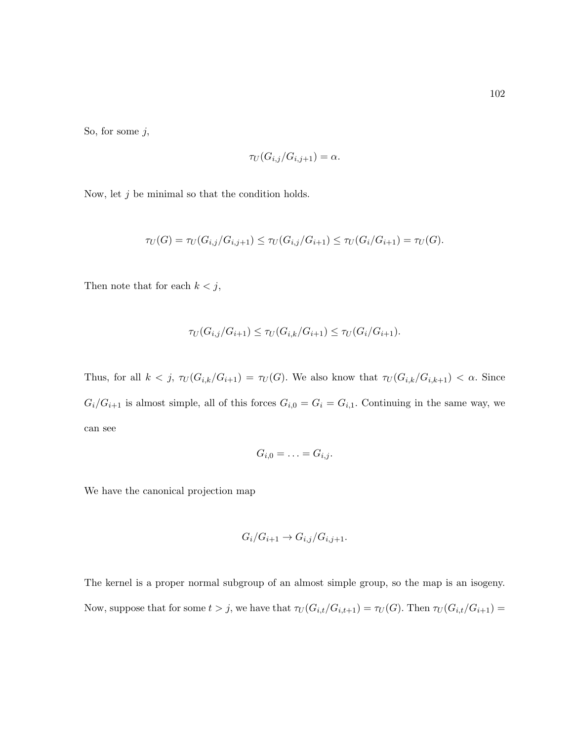So, for some  $j$ ,

$$
\tau_U(G_{i,j}/G_{i,j+1})=\alpha.
$$

Now, let  $j$  be minimal so that the condition holds.

$$
\tau_U(G) = \tau_U(G_{i,j}/G_{i,j+1}) \leq \tau_U(G_{i,j}/G_{i+1}) \leq \tau_U(G_i/G_{i+1}) = \tau_U(G).
$$

Then note that for each  $k < j$ ,

$$
\tau_U(G_{i,j}/G_{i+1}) \le \tau_U(G_{i,k}/G_{i+1}) \le \tau_U(G_i/G_{i+1}).
$$

Thus, for all  $k < j$ ,  $\tau_U(G_{i,k}/G_{i+1}) = \tau_U(G)$ . We also know that  $\tau_U(G_{i,k}/G_{i,k+1}) < \alpha$ . Since  $G_i/G_{i+1}$  is almost simple, all of this forces  $G_{i,0} = G_i = G_{i,1}$ . Continuing in the same way, we can see

$$
G_{i,0}=\ldots=G_{i,j}.
$$

We have the canonical projection map

$$
G_i/G_{i+1} \to G_{i,j}/G_{i,j+1}.
$$

The kernel is a proper normal subgroup of an almost simple group, so the map is an isogeny. Now, suppose that for some  $t > j$ , we have that  $\tau_U(G_{i,t}/G_{i,t+1}) = \tau_U(G)$ . Then  $\tau_U(G_{i,t}/G_{i+1}) =$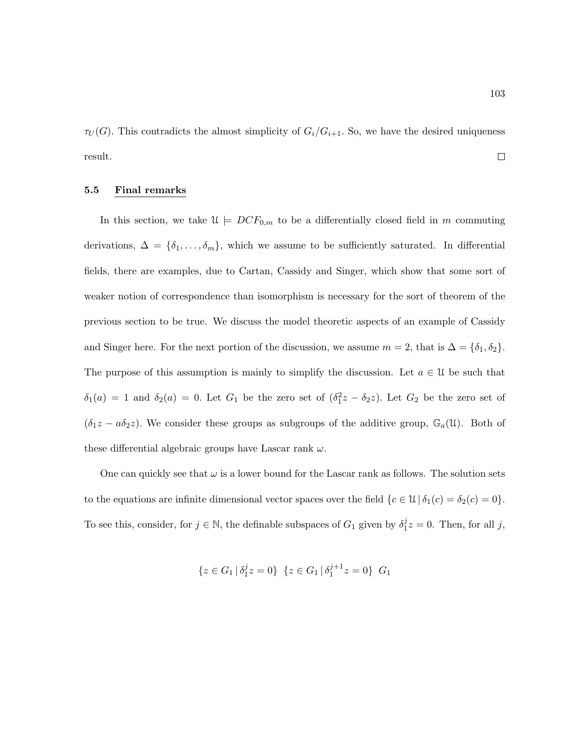$\tau_U(G)$ . This contradicts the almost simplicity of  $G_i/G_{i+1}$ . So, we have the desired uniqueness  $\Box$ result.

### 5.5 Final remarks

In this section, we take  $\mathfrak{U} \models DCF_{0,m}$  to be a differentially closed field in m commuting derivations,  $\Delta = {\delta_1, \ldots, \delta_m}$ , which we assume to be sufficiently saturated. In differential fields, there are examples, due to Cartan, Cassidy and Singer, which show that some sort of weaker notion of correspondence than isomorphism is necessary for the sort of theorem of the previous section to be true. We discuss the model theoretic aspects of an example of Cassidy and Singer here. For the next portion of the discussion, we assume  $m = 2$ , that is  $\Delta = {\delta_1, \delta_2}$ . The purpose of this assumption is mainly to simplify the discussion. Let  $a \in \mathcal{U}$  be such that  $\delta_1(a) = 1$  and  $\delta_2(a) = 0$ . Let  $G_1$  be the zero set of  $(\delta_1^2z - \delta_2z)$ . Let  $G_2$  be the zero set of  $(\delta_1 z - a\delta_2 z)$ . We consider these groups as subgroups of the additive group,  $\mathbb{G}_a(\mathfrak{U})$ . Both of these differential algebraic groups have Lascar rank  $\omega$ .

One can quickly see that  $\omega$  is a lower bound for the Lascar rank as follows. The solution sets to the equations are infinite dimensional vector spaces over the field  ${c \in \mathcal{U} | \delta_1(c) = \delta_2(c) = 0}.$ To see this, consider, for  $j \in \mathbb{N}$ , the definable subspaces of  $G_1$  given by  $\delta_1^j$  $j_1^j z = 0$ . Then, for all j,

$$
\{z \in G_1 \, | \, \delta_1^j z = 0\} \, \{z \in G_1 \, | \, \delta_1^{j+1} z = 0\} \, G_1
$$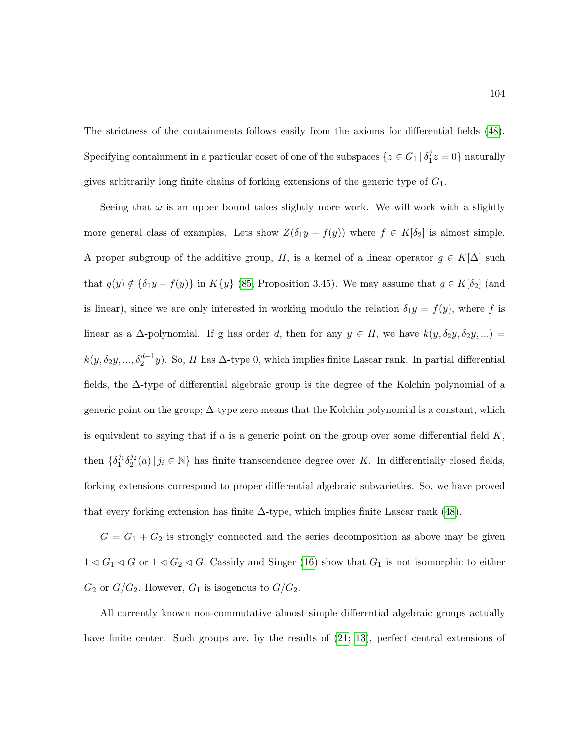The strictness of the containments follows easily from the axioms for differential fields [\(48\)](#page-217-1). Specifying containment in a particular coset of one of the subspaces  $\{z \in G_1 \mid \delta_1^j\}$  $_{1}^{j}z=0\}$  naturally gives arbitrarily long finite chains of forking extensions of the generic type of  $G_1$ .

Seeing that  $\omega$  is an upper bound takes slightly more work. We will work with a slightly more general class of examples. Lets show  $Z(\delta_1y - f(y))$  where  $f \in K[\delta_2]$  is almost simple. A proper subgroup of the additive group, H, is a kernel of a linear operator  $g \in K[\Delta]$  such that  $g(y) \notin {\delta_1 y - f(y)}$  in  $K{y}$  [\(85,](#page-220-0) Proposition 3.45). We may assume that  $g \in K[\delta_2]$  (and is linear), since we are only interested in working modulo the relation  $\delta_1 y = f(y)$ , where f is linear as a  $\Delta$ -polynomial. If g has order d, then for any  $y \in H$ , we have  $k(y, \delta_2y, \delta_2y, ...)$  $k(y, \delta_2y, ..., \delta_2^{d-1}y)$ . So, H has  $\Delta$ -type 0, which implies finite Lascar rank. In partial differential fields, the ∆-type of differential algebraic group is the degree of the Kolchin polynomial of a generic point on the group;  $\Delta$ -type zero means that the Kolchin polynomial is a constant, which is equivalent to saying that if a is a generic point on the group over some differential field  $K$ . then  $\{\delta_1^{j_1}\delta_2^{j_2}(a)\,|\,j_i\in\mathbb{N}\}$  has finite transcendence degree over K. In differentially closed fields, forking extensions correspond to proper differential algebraic subvarieties. So, we have proved that every forking extension has finite  $\Delta$ -type, which implies finite Lascar rank [\(48\)](#page-217-1).

 $G = G_1 + G_2$  is strongly connected and the series decomposition as above may be given  $1 \triangleleft G_1 \triangleleft G$  or  $1 \triangleleft G_2 \triangleleft G$ . Cassidy and Singer [\(16\)](#page-215-0) show that  $G_1$  is not isomorphic to either  $G_2$  or  $G/G_2$ . However,  $G_1$  is isogenous to  $G/G_2$ .

All currently known non-commutative almost simple differential algebraic groups actually have finite center. Such groups are, by the results of  $(21; 13)$  $(21; 13)$ , perfect central extensions of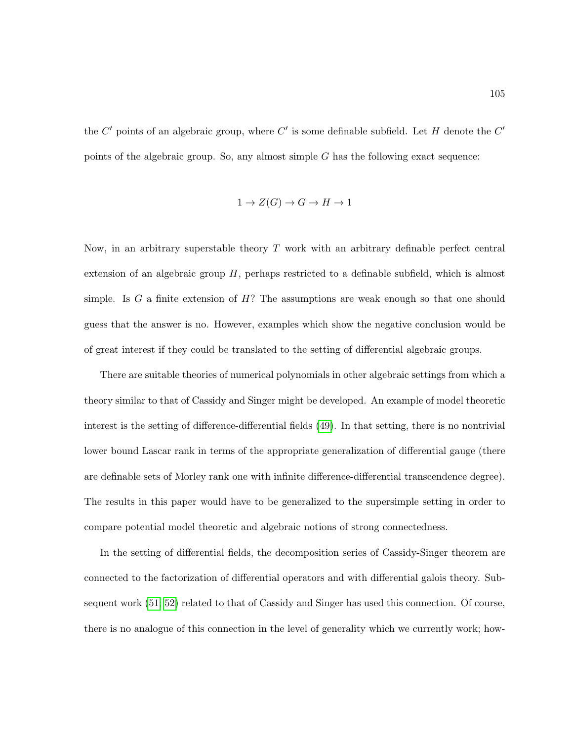the  $C'$  points of an algebraic group, where  $C'$  is some definable subfield. Let H denote the  $C'$ points of the algebraic group. So, any almost simple G has the following exact sequence:

$$
1 \to Z(G) \to G \to H \to 1
$$

Now, in an arbitrary superstable theory  $T$  work with an arbitrary definable perfect central extension of an algebraic group  $H$ , perhaps restricted to a definable subfield, which is almost simple. Is G a finite extension of  $H$ ? The assumptions are weak enough so that one should guess that the answer is no. However, examples which show the negative conclusion would be of great interest if they could be translated to the setting of differential algebraic groups.

There are suitable theories of numerical polynomials in other algebraic settings from which a theory similar to that of Cassidy and Singer might be developed. An example of model theoretic interest is the setting of difference-differential fields [\(49\)](#page-217-2). In that setting, there is no nontrivial lower bound Lascar rank in terms of the appropriate generalization of differential gauge (there are definable sets of Morley rank one with infinite difference-differential transcendence degree). The results in this paper would have to be generalized to the supersimple setting in order to compare potential model theoretic and algebraic notions of strong connectedness.

In the setting of differential fields, the decomposition series of Cassidy-Singer theorem are connected to the factorization of differential operators and with differential galois theory. Subsequent work [\(51;](#page-218-0) [52\)](#page-218-1) related to that of Cassidy and Singer has used this connection. Of course, there is no analogue of this connection in the level of generality which we currently work; how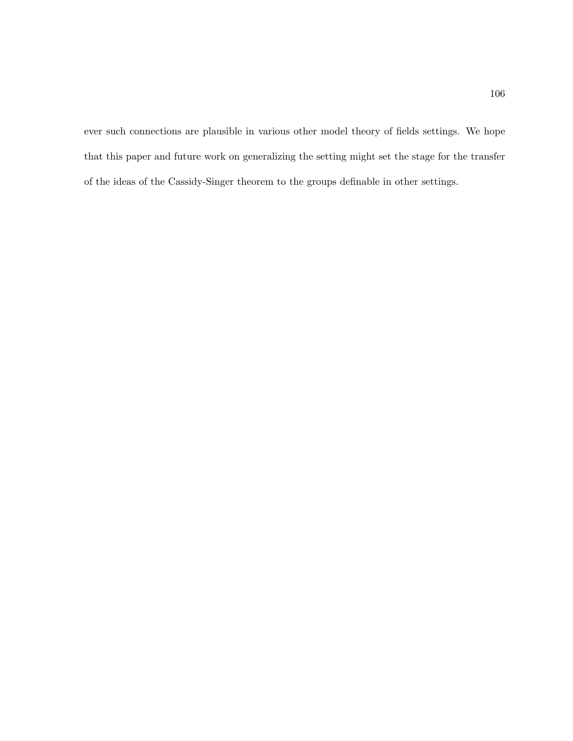ever such connections are plausible in various other model theory of fields settings. We hope that this paper and future work on generalizing the setting might set the stage for the transfer of the ideas of the Cassidy-Singer theorem to the groups definable in other settings.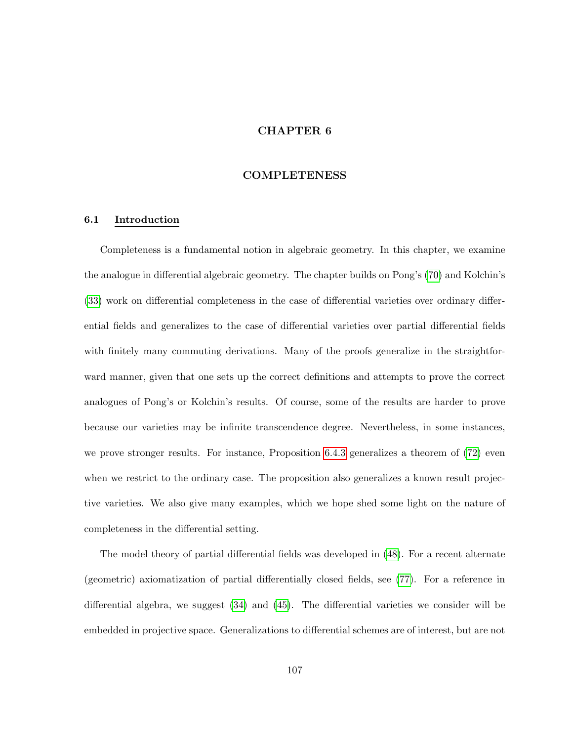# CHAPTER 6

## **COMPLETENESS**

### 6.1 Introduction

Completeness is a fundamental notion in algebraic geometry. In this chapter, we examine the analogue in differential algebraic geometry. The chapter builds on Pong's [\(70\)](#page-219-0) and Kolchin's [\(33\)](#page-216-0) work on differential completeness in the case of differential varieties over ordinary differential fields and generalizes to the case of differential varieties over partial differential fields with finitely many commuting derivations. Many of the proofs generalize in the straightforward manner, given that one sets up the correct definitions and attempts to prove the correct analogues of Pong's or Kolchin's results. Of course, some of the results are harder to prove because our varieties may be infinite transcendence degree. Nevertheless, in some instances, we prove stronger results. For instance, Proposition [6.4.3](#page-132-0) generalizes a theorem of [\(72\)](#page-219-1) even when we restrict to the ordinary case. The proposition also generalizes a known result projective varieties. We also give many examples, which we hope shed some light on the nature of completeness in the differential setting.

The model theory of partial differential fields was developed in [\(48\)](#page-217-1). For a recent alternate (geometric) axiomatization of partial differentially closed fields, see [\(77\)](#page-219-2). For a reference in differential algebra, we suggest [\(34\)](#page-216-1) and [\(45\)](#page-217-3). The differential varieties we consider will be embedded in projective space. Generalizations to differential schemes are of interest, but are not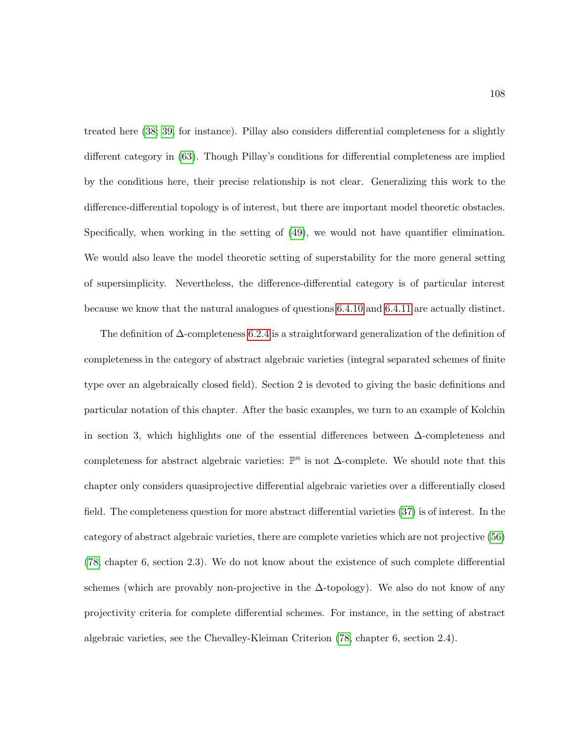treated here [\(38;](#page-217-4) [39,](#page-217-5) for instance). Pillay also considers differential completeness for a slightly different category in [\(63\)](#page-218-2). Though Pillay's conditions for differential completeness are implied by the conditions here, their precise relationship is not clear. Generalizing this work to the difference-differential topology is of interest, but there are important model theoretic obstacles. Specifically, when working in the setting of [\(49\)](#page-217-2), we would not have quantifier elimination. We would also leave the model theoretic setting of superstability for the more general setting of supersimplicity. Nevertheless, the difference-differential category is of particular interest because we know that the natural analogues of questions [6.4.10](#page-134-0) and [6.4.11](#page-134-1) are actually distinct.

The definition of ∆-completeness [6.2.4](#page-127-0) is a straightforward generalization of the definition of completeness in the category of abstract algebraic varieties (integral separated schemes of finite type over an algebraically closed field). Section 2 is devoted to giving the basic definitions and particular notation of this chapter. After the basic examples, we turn to an example of Kolchin in section 3, which highlights one of the essential differences between ∆-completeness and completeness for abstract algebraic varieties:  $\mathbb{P}^n$  is not  $\Delta$ -complete. We should note that this chapter only considers quasiprojective differential algebraic varieties over a differentially closed field. The completeness question for more abstract differential varieties [\(37\)](#page-217-6) is of interest. In the category of abstract algebraic varieties, there are complete varieties which are not projective [\(56\)](#page-218-3) [\(78,](#page-220-1) chapter 6, section 2.3). We do not know about the existence of such complete differential schemes (which are provably non-projective in the  $\Delta$ -topology). We also do not know of any projectivity criteria for complete differential schemes. For instance, in the setting of abstract algebraic varieties, see the Chevalley-Kleiman Criterion [\(78,](#page-220-1) chapter 6, section 2.4).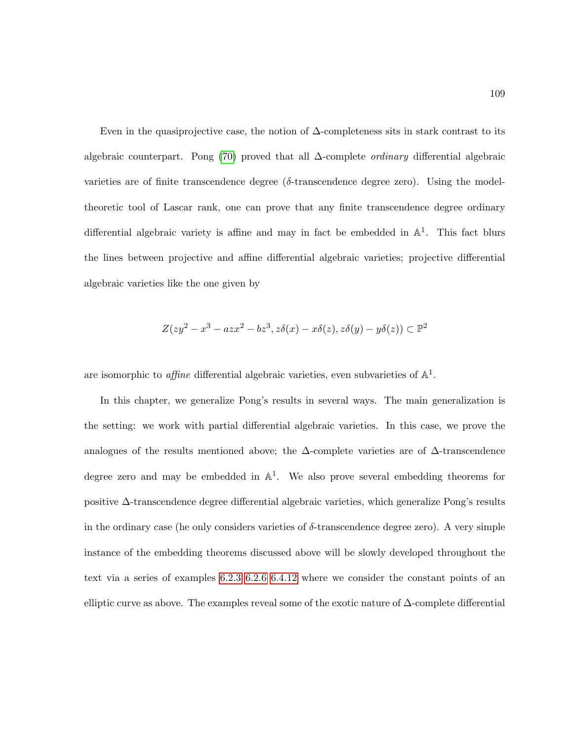Even in the quasiprojective case, the notion of  $\Delta$ -completeness sits in stark contrast to its algebraic counterpart. Pong [\(70\)](#page-219-0) proved that all  $\Delta$ -complete *ordinary* differential algebraic varieties are of finite transcendence degree ( $\delta$ -transcendence degree zero). Using the modeltheoretic tool of Lascar rank, one can prove that any finite transcendence degree ordinary differential algebraic variety is affine and may in fact be embedded in  $\mathbb{A}^1$ . This fact blurs the lines between projective and affine differential algebraic varieties; projective differential algebraic varieties like the one given by

$$
Z(zy^2 - x^3 - azx^2 - bz^3, z\delta(x) - x\delta(z), z\delta(y) - y\delta(z)) \subset \mathbb{P}^2
$$

are isomorphic to *affine* differential algebraic varieties, even subvarieties of  $\mathbb{A}^1$ .

In this chapter, we generalize Pong's results in several ways. The main generalization is the setting: we work with partial differential algebraic varieties. In this case, we prove the analogues of the results mentioned above; the  $\Delta$ -complete varieties are of  $\Delta$ -transcendence degree zero and may be embedded in  $\mathbb{A}^1$ . We also prove several embedding theorems for positive ∆-transcendence degree differential algebraic varieties, which generalize Pong's results in the ordinary case (he only considers varieties of  $\delta$ -transcendence degree zero). A very simple instance of the embedding theorems discussed above will be slowly developed throughout the text via a series of examples [6.2.3](#page-125-0) [6.2.6](#page-128-0) [6.4.12](#page-134-2) where we consider the constant points of an elliptic curve as above. The examples reveal some of the exotic nature of ∆-complete differential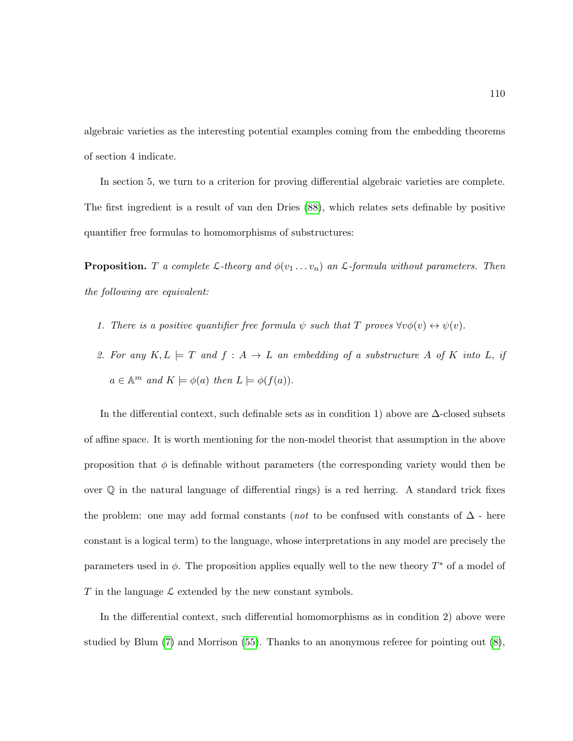algebraic varieties as the interesting potential examples coming from the embedding theorems of section 4 indicate.

In section 5, we turn to a criterion for proving differential algebraic varieties are complete. The first ingredient is a result of van den Dries [\(88\)](#page-220-2), which relates sets definable by positive quantifier free formulas to homomorphisms of substructures:

**Proposition.** T a complete  $\mathcal{L}$ -theory and  $\phi(v_1 \dots v_n)$  an  $\mathcal{L}$ -formula without parameters. Then the following are equivalent:

- 1. There is a positive quantifier free formula  $\psi$  such that T proves  $\forall v \phi(v) \leftrightarrow \psi(v)$ .
- 2. For any  $K, L \models T$  and  $f : A \rightarrow L$  an embedding of a substructure A of K into L, if  $a \in \mathbb{A}^m$  and  $K \models \phi(a)$  then  $L \models \phi(f(a)).$

In the differential context, such definable sets as in condition 1) above are  $\Delta$ -closed subsets of affine space. It is worth mentioning for the non-model theorist that assumption in the above proposition that  $\phi$  is definable without parameters (the corresponding variety would then be over Q in the natural language of differential rings) is a red herring. A standard trick fixes the problem: one may add formal constants (*not* to be confused with constants of  $\Delta$  - here constant is a logical term) to the language, whose interpretations in any model are precisely the parameters used in  $\phi$ . The proposition applies equally well to the new theory  $T^*$  of a model of T in the language  $\mathcal L$  extended by the new constant symbols.

In the differential context, such differential homomorphisms as in condition 2) above were studied by Blum [\(7\)](#page-214-1) and Morrison [\(55\)](#page-218-4). Thanks to an anonymous referee for pointing out [\(8\)](#page-214-2),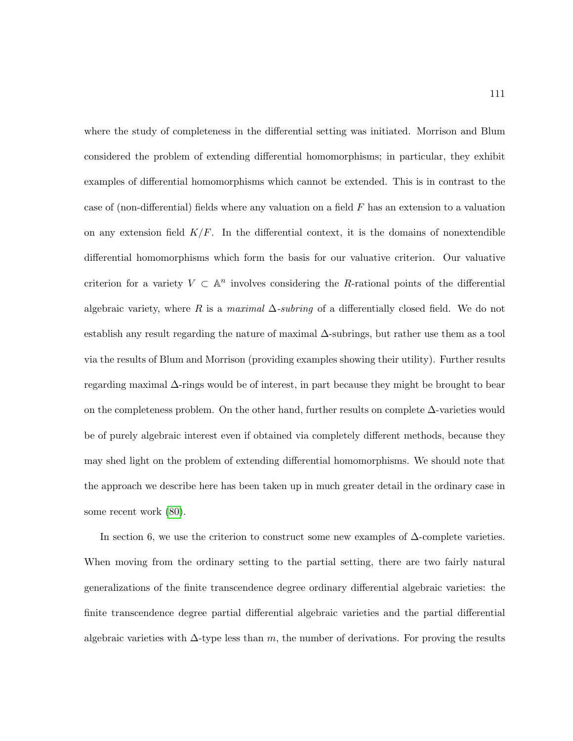where the study of completeness in the differential setting was initiated. Morrison and Blum considered the problem of extending differential homomorphisms; in particular, they exhibit examples of differential homomorphisms which cannot be extended. This is in contrast to the case of (non-differential) fields where any valuation on a field  $F$  has an extension to a valuation on any extension field  $K/F$ . In the differential context, it is the domains of nonextendible differential homomorphisms which form the basis for our valuative criterion. Our valuative criterion for a variety  $V \subset \mathbb{A}^n$  involves considering the R-rational points of the differential algebraic variety, where R is a maximal  $\Delta$ -subring of a differentially closed field. We do not establish any result regarding the nature of maximal ∆-subrings, but rather use them as a tool via the results of Blum and Morrison (providing examples showing their utility). Further results regarding maximal ∆-rings would be of interest, in part because they might be brought to bear on the completeness problem. On the other hand, further results on complete  $\Delta$ -varieties would be of purely algebraic interest even if obtained via completely different methods, because they may shed light on the problem of extending differential homomorphisms. We should note that the approach we describe here has been taken up in much greater detail in the ordinary case in some recent work [\(80\)](#page-220-3).

In section 6, we use the criterion to construct some new examples of  $\Delta$ -complete varieties. When moving from the ordinary setting to the partial setting, there are two fairly natural generalizations of the finite transcendence degree ordinary differential algebraic varieties: the finite transcendence degree partial differential algebraic varieties and the partial differential algebraic varieties with  $\Delta$ -type less than m, the number of derivations. For proving the results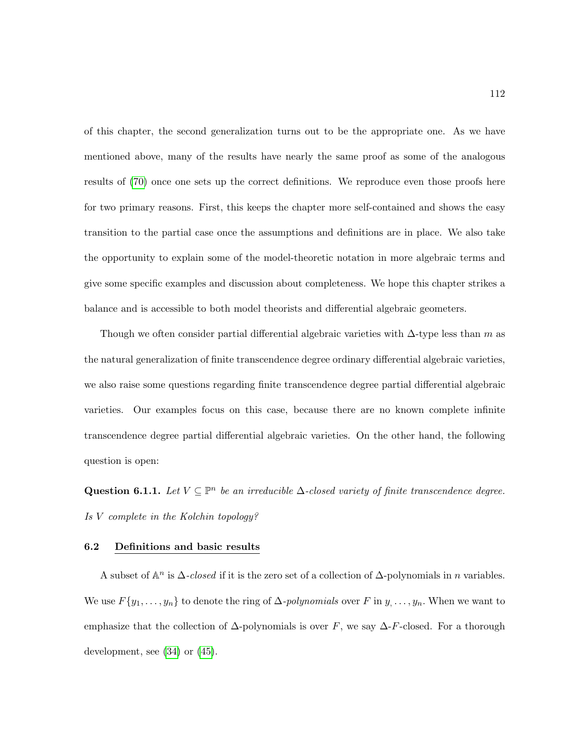of this chapter, the second generalization turns out to be the appropriate one. As we have mentioned above, many of the results have nearly the same proof as some of the analogous results of [\(70\)](#page-219-0) once one sets up the correct definitions. We reproduce even those proofs here for two primary reasons. First, this keeps the chapter more self-contained and shows the easy transition to the partial case once the assumptions and definitions are in place. We also take the opportunity to explain some of the model-theoretic notation in more algebraic terms and give some specific examples and discussion about completeness. We hope this chapter strikes a balance and is accessible to both model theorists and differential algebraic geometers.

Though we often consider partial differential algebraic varieties with  $\Delta$ -type less than m as the natural generalization of finite transcendence degree ordinary differential algebraic varieties, we also raise some questions regarding finite transcendence degree partial differential algebraic varieties. Our examples focus on this case, because there are no known complete infinite transcendence degree partial differential algebraic varieties. On the other hand, the following question is open:

Question 6.1.1. Let  $V \subseteq \mathbb{P}^n$  be an irreducible  $\Delta$ -closed variety of finite transcendence degree. Is V complete in the Kolchin topology?

### 6.2 Definitions and basic results

A subset of  $\mathbb{A}^n$  is  $\Delta$ -closed if it is the zero set of a collection of  $\Delta$ -polynomials in n variables. We use  $F\{y_1, \ldots, y_n\}$  to denote the ring of  $\Delta$ -polynomials over F in  $y_1, \ldots, y_n$ . When we want to emphasize that the collection of  $\Delta$ -polynomials is over F, we say  $\Delta$ -F-closed. For a thorough development, see [\(34\)](#page-216-1) or [\(45\)](#page-217-3).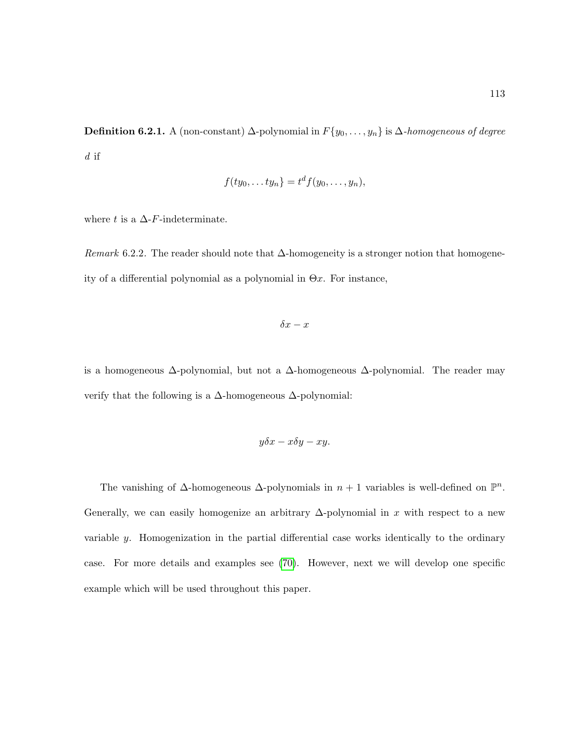**Definition 6.2.1.** A (non-constant)  $\Delta$ -polynomial in  $F\{y_0, \ldots, y_n\}$  is  $\Delta$ -homogeneous of degree d if

$$
f(ty_0,\ldots ty_n)=t^d f(y_0,\ldots,y_n),
$$

where t is a  $\Delta$ -F-indeterminate.

Remark 6.2.2. The reader should note that  $\Delta$ -homogeneity is a stronger notion that homogeneity of a differential polynomial as a polynomial in  $\Theta x$ . For instance,

$$
\delta x - x
$$

is a homogeneous  $\Delta$ -polynomial, but not a  $\Delta$ -homogeneous  $\Delta$ -polynomial. The reader may verify that the following is a ∆-homogeneous ∆-polynomial:

$$
y\delta x - x\delta y - xy.
$$

The vanishing of  $\Delta$ -homogeneous  $\Delta$ -polynomials in  $n + 1$  variables is well-defined on  $\mathbb{P}^n$ . Generally, we can easily homogenize an arbitrary  $\Delta$ -polynomial in x with respect to a new variable y. Homogenization in the partial differential case works identically to the ordinary case. For more details and examples see [\(70\)](#page-219-0). However, next we will develop one specific example which will be used throughout this paper.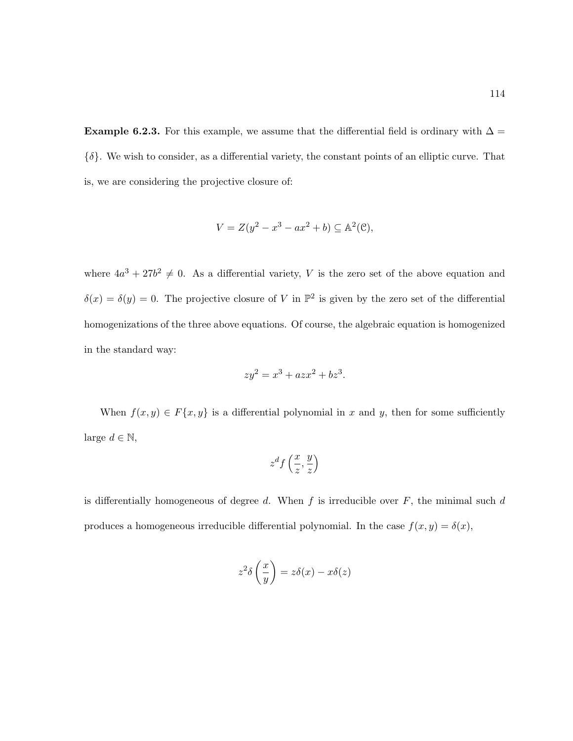<span id="page-125-0"></span>Example 6.2.3. For this example, we assume that the differential field is ordinary with  $\Delta =$  $\{\delta\}$ . We wish to consider, as a differential variety, the constant points of an elliptic curve. That is, we are considering the projective closure of:

$$
V = Z(y^2 - x^3 - ax^2 + b) \subseteq \mathbb{A}^2(\mathcal{C}),
$$

where  $4a^3 + 27b^2 \neq 0$ . As a differential variety, V is the zero set of the above equation and  $\delta(x) = \delta(y) = 0$ . The projective closure of V in  $\mathbb{P}^2$  is given by the zero set of the differential homogenizations of the three above equations. Of course, the algebraic equation is homogenized in the standard way:

$$
zy^2 = x^3 + azx^2 + bz^3
$$

.

When  $f(x, y) \in F\{x, y\}$  is a differential polynomial in x and y, then for some sufficiently large  $d \in \mathbb{N}$ ,

$$
z^d f\left(\frac{x}{z}, \frac{y}{z}\right)
$$

is differentially homogeneous of degree  $d$ . When  $f$  is irreducible over  $F$ , the minimal such  $d$ produces a homogeneous irreducible differential polynomial. In the case  $f(x, y) = \delta(x)$ ,

$$
z^2 \delta\left(\frac{x}{y}\right) = z\delta(x) - x\delta(z)
$$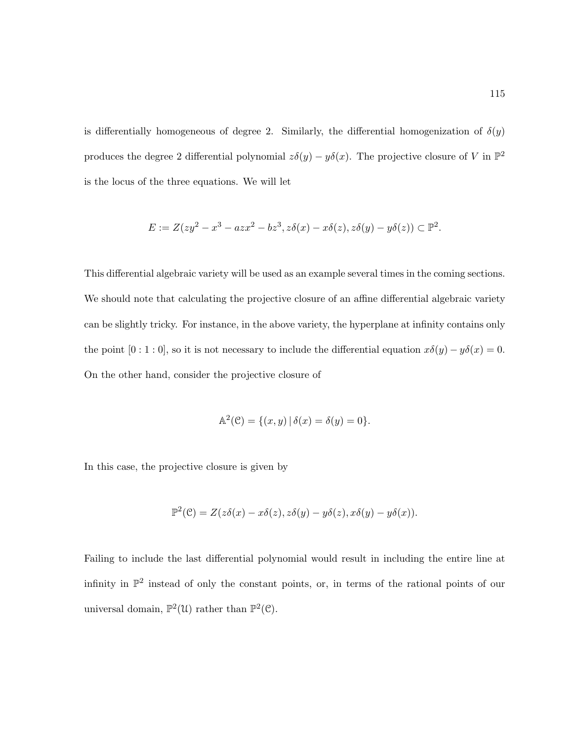is differentially homogeneous of degree 2. Similarly, the differential homogenization of  $\delta(y)$ produces the degree 2 differential polynomial  $z\delta(y) - y\delta(x)$ . The projective closure of V in  $\mathbb{P}^2$ is the locus of the three equations. We will let

$$
E := Z(zy^2 - x^3 - azx^2 - bz^3, z\delta(x) - x\delta(z), z\delta(y) - y\delta(z)) \subset \mathbb{P}^2.
$$

This differential algebraic variety will be used as an example several times in the coming sections. We should note that calculating the projective closure of an affine differential algebraic variety can be slightly tricky. For instance, in the above variety, the hyperplane at infinity contains only the point  $[0:1:0]$ , so it is not necessary to include the differential equation  $x\delta(y) - y\delta(x) = 0$ . On the other hand, consider the projective closure of

$$
\mathbb{A}^{2}(\mathcal{C}) = \{(x, y) | \delta(x) = \delta(y) = 0 \}.
$$

In this case, the projective closure is given by

$$
\mathbb{P}^2(\mathcal{C}) = Z(z\delta(x) - x\delta(z), z\delta(y) - y\delta(z), x\delta(y) - y\delta(x)).
$$

Failing to include the last differential polynomial would result in including the entire line at infinity in  $\mathbb{P}^2$  instead of only the constant points, or, in terms of the rational points of our universal domain,  $\mathbb{P}^2(\mathcal{U})$  rather than  $\mathbb{P}^2(\mathcal{C})$ .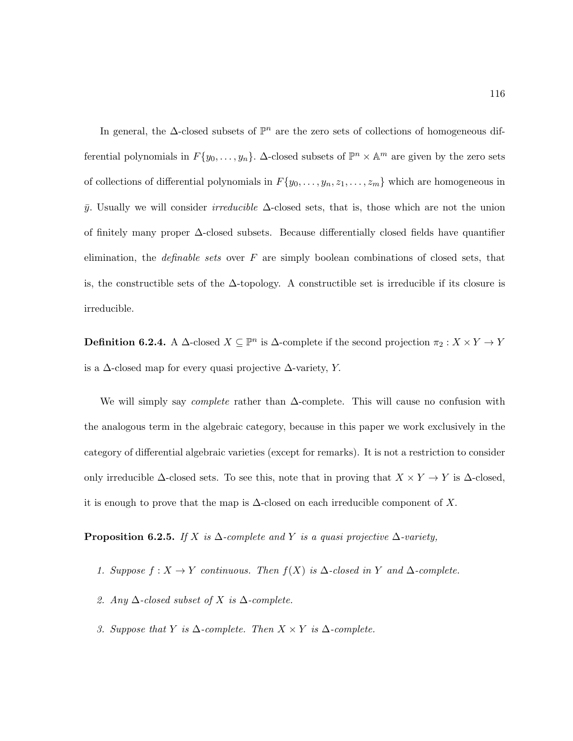In general, the  $\Delta$ -closed subsets of  $\mathbb{P}^n$  are the zero sets of collections of homogeneous differential polynomials in  $F\{y_0, \ldots, y_n\}$ .  $\Delta$ -closed subsets of  $\mathbb{P}^n \times \mathbb{A}^m$  are given by the zero sets of collections of differential polynomials in  $F\{y_0, \ldots, y_n, z_1, \ldots, z_m\}$  which are homogeneous in  $\bar{y}$ . Usually we will consider *irreducible*  $\Delta$ -closed sets, that is, those which are not the union of finitely many proper ∆-closed subsets. Because differentially closed fields have quantifier elimination, the *definable sets* over  $F$  are simply boolean combinations of closed sets, that is, the constructible sets of the  $\Delta$ -topology. A constructible set is irreducible if its closure is irreducible.

<span id="page-127-0"></span>**Definition 6.2.4.** A  $\Delta$ -closed  $X \subseteq \mathbb{P}^n$  is  $\Delta$ -complete if the second projection  $\pi_2 : X \times Y \to Y$ is a  $\Delta$ -closed map for every quasi projective  $\Delta$ -variety, Y.

We will simply say *complete* rather than  $\Delta$ -complete. This will cause no confusion with the analogous term in the algebraic category, because in this paper we work exclusively in the category of differential algebraic varieties (except for remarks). It is not a restriction to consider only irreducible  $\Delta$ -closed sets. To see this, note that in proving that  $X \times Y \to Y$  is  $\Delta$ -closed, it is enough to prove that the map is  $\Delta$ -closed on each irreducible component of X.

<span id="page-127-1"></span>**Proposition 6.2.5.** If X is  $\Delta$ -complete and Y is a quasi projective  $\Delta$ -variety,

- 1. Suppose  $f : X \to Y$  continuous. Then  $f(X)$  is  $\Delta$ -closed in Y and  $\Delta$ -complete.
- 2. Any  $\Delta$ -closed subset of X is  $\Delta$ -complete.
- 3. Suppose that Y is  $\Delta$ -complete. Then  $X \times Y$  is  $\Delta$ -complete.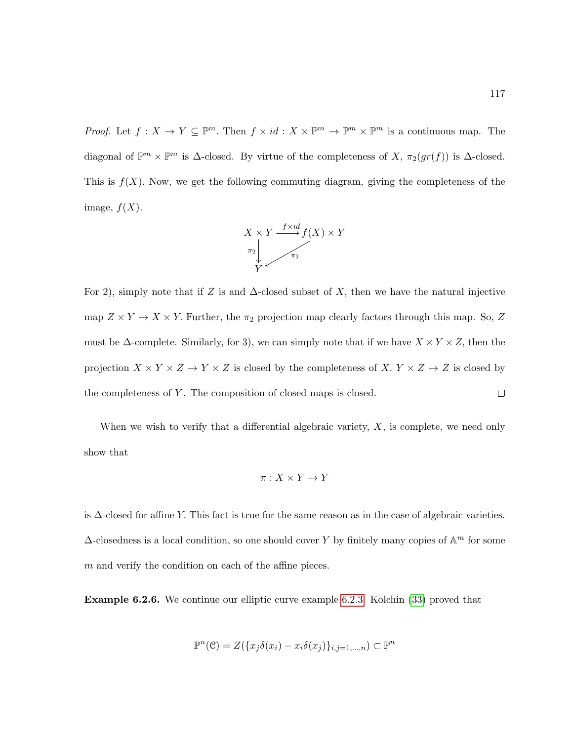*Proof.* Let  $f: X \to Y \subseteq \mathbb{P}^m$ . Then  $f \times id: X \times \mathbb{P}^m \to \mathbb{P}^m \times \mathbb{P}^m$  is a continuous map. The diagonal of  $\mathbb{P}^m \times \mathbb{P}^m$  is  $\Delta$ -closed. By virtue of the completeness of X,  $\pi_2(gr(f))$  is  $\Delta$ -closed. This is  $f(X)$ . Now, we get the following commuting diagram, giving the completeness of the image,  $f(X)$ .



For 2), simply note that if Z is and  $\Delta$ -closed subset of X, then we have the natural injective map  $Z \times Y \to X \times Y$ . Further, the  $\pi_2$  projection map clearly factors through this map. So, Z must be  $\Delta$ -complete. Similarly, for 3), we can simply note that if we have  $X \times Y \times Z$ , then the projection  $X \times Y \times Z \to Y \times Z$  is closed by the completeness of X.  $Y \times Z \to Z$  is closed by the completeness of  $Y$ . The composition of closed maps is closed.  $\Box$ 

When we wish to verify that a differential algebraic variety,  $X$ , is complete, we need only show that

$$
\pi: X \times Y \to Y
$$

is ∆-closed for affine Y. This fact is true for the same reason as in the case of algebraic varieties.  $\Delta$ -closedness is a local condition, so one should cover Y by finitely many copies of  $\mathbb{A}^m$  for some  $m$  and verify the condition on each of the affine pieces.

<span id="page-128-0"></span>Example 6.2.6. We continue our elliptic curve example [6.2.3.](#page-125-0) Kolchin [\(33\)](#page-216-0) proved that

$$
\mathbb{P}^n(\mathcal{C}) = Z(\{x_j \delta(x_i) - x_i \delta(x_j)\}_{i,j=1,\dots,n}) \subset \mathbb{P}^n
$$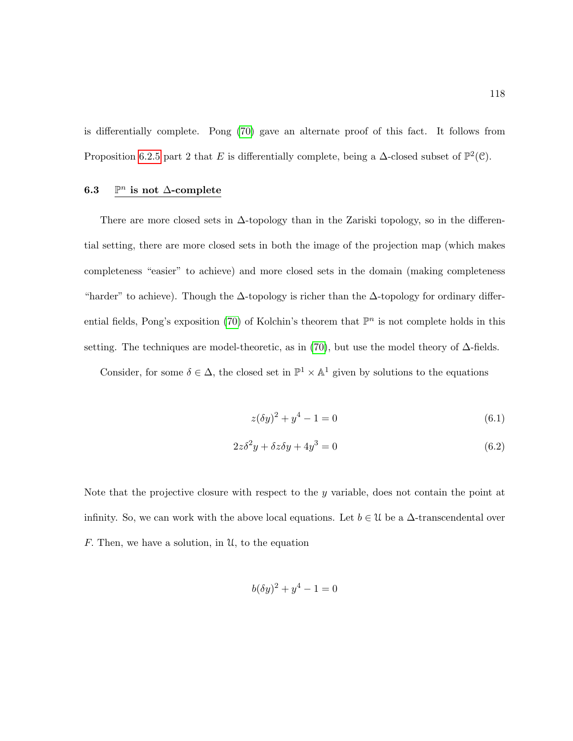is differentially complete. Pong [\(70\)](#page-219-0) gave an alternate proof of this fact. It follows from Proposition [6.2.5](#page-127-1) part 2 that E is differentially complete, being a  $\Delta$ -closed subset of  $\mathbb{P}^2(\mathcal{C})$ .

#### $6.3$ <sup>n</sup> is not ∆-complete

There are more closed sets in ∆-topology than in the Zariski topology, so in the differential setting, there are more closed sets in both the image of the projection map (which makes completeness "easier" to achieve) and more closed sets in the domain (making completeness "harder" to achieve). Though the  $\Delta$ -topology is richer than the  $\Delta$ -topology for ordinary differ-ential fields, Pong's exposition [\(70\)](#page-219-0) of Kolchin's theorem that  $\mathbb{P}^n$  is not complete holds in this setting. The techniques are model-theoretic, as in [\(70\)](#page-219-0), but use the model theory of  $\Delta$ -fields.

Consider, for some  $\delta \in \Delta$ , the closed set in  $\mathbb{P}^1 \times \mathbb{A}^1$  given by solutions to the equations

$$
z(\delta y)^2 + y^4 - 1 = 0 \tag{6.1}
$$

$$
2z\delta^2 y + \delta z \delta y + 4y^3 = 0\tag{6.2}
$$

Note that the projective closure with respect to the  $y$  variable, does not contain the point at infinity. So, we can work with the above local equations. Let  $b \in \mathcal{U}$  be a  $\Delta$ -transcendental over F. Then, we have a solution, in  $\mathcal{U}$ , to the equation

$$
b(\delta y)^2 + y^4 - 1 = 0
$$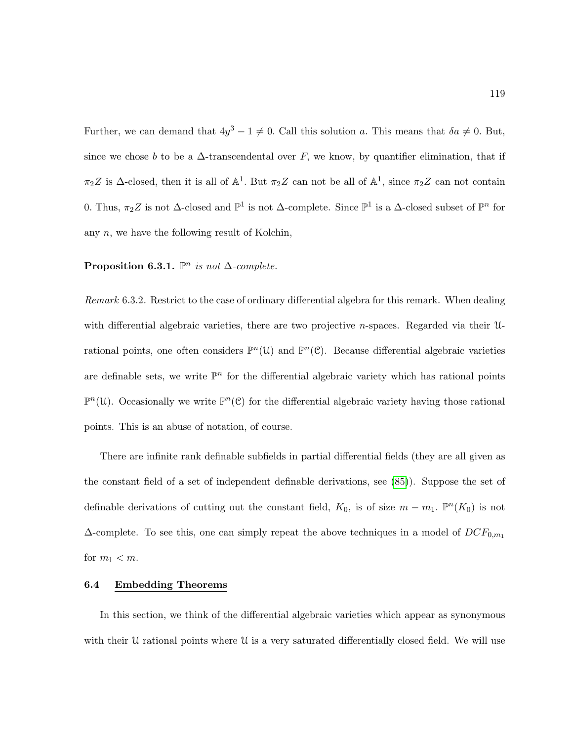Further, we can demand that  $4y^3 - 1 \neq 0$ . Call this solution a. This means that  $\delta a \neq 0$ . But, since we chose b to be a  $\Delta$ -transcendental over F, we know, by quantifier elimination, that if  $\pi_2 Z$  is  $\Delta$ -closed, then it is all of  $\mathbb{A}^1$ . But  $\pi_2 Z$  can not be all of  $\mathbb{A}^1$ , since  $\pi_2 Z$  can not contain 0. Thus,  $\pi_2 Z$  is not  $\Delta$ -closed and  $\mathbb{P}^1$  is not  $\Delta$ -complete. Since  $\mathbb{P}^1$  is a  $\Delta$ -closed subset of  $\mathbb{P}^n$  for any  $n$ , we have the following result of Kolchin,

# Proposition 6.3.1.  $\mathbb{P}^n$  is not  $\Delta$ -complete.

Remark 6.3.2. Restrict to the case of ordinary differential algebra for this remark. When dealing with differential algebraic varieties, there are two projective *n*-spaces. Regarded via their  $\mathcal{U}$ rational points, one often considers  $\mathbb{P}^n(\mathcal{U})$  and  $\mathbb{P}^n(\mathcal{C})$ . Because differential algebraic varieties are definable sets, we write  $\mathbb{P}^n$  for the differential algebraic variety which has rational points  $\mathbb{P}^n(\mathcal{U})$ . Occasionally we write  $\mathbb{P}^n(\mathcal{C})$  for the differential algebraic variety having those rational points. This is an abuse of notation, of course.

There are infinite rank definable subfields in partial differential fields (they are all given as the constant field of a set of independent definable derivations, see [\(85\)](#page-220-0)). Suppose the set of definable derivations of cutting out the constant field,  $K_0$ , is of size  $m - m_1$ .  $\mathbb{P}^n(K_0)$  is not  $\Delta$ -complete. To see this, one can simply repeat the above techniques in a model of  $DCF_{0,m_1}$ for  $m_1 < m$ .

### 6.4 Embedding Theorems

In this section, we think of the differential algebraic varieties which appear as synonymous with their  $\mathcal U$  rational points where  $\mathcal U$  is a very saturated differentially closed field. We will use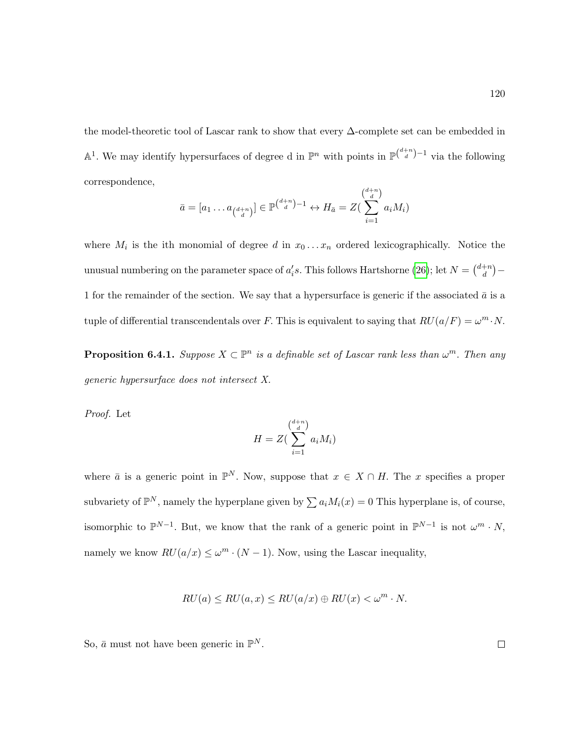the model-theoretic tool of Lascar rank to show that every ∆-complete set can be embedded in  $\mathbb{A}^1$ . We may identify hypersurfaces of degree d in  $\mathbb{P}^n$  with points in  $\mathbb{P}^{\binom{d+n}{d}-1}$  via the following correspondence,

$$
\bar{a} = [a_1 \dots a_{\binom{d+n}{d}}] \in \mathbb{P}^{\binom{d+n}{d}-1} \leftrightarrow H_{\bar{a}} = Z(\sum_{i=1}^{\binom{d+n}{d}} a_i M_i)
$$

where  $M_i$  is the ith monomial of degree d in  $x_0 \ldots x_n$  ordered lexicographically. Notice the unusual numbering on the parameter space of  $a_i's$ . This follows Hartshorne [\(26\)](#page-216-2); let  $N = \binom{d+n}{d}$  $\binom{+n}{d}$  — 1 for the remainder of the section. We say that a hypersurface is generic if the associated  $\bar{a}$  is a tuple of differential transcendentals over F. This is equivalent to saying that  $RU(a/F) = \omega^m \cdot N$ .

<span id="page-131-0"></span>**Proposition 6.4.1.** Suppose  $X \subset \mathbb{P}^n$  is a definable set of Lascar rank less than  $\omega^m$ . Then any generic hypersurface does not intersect X.

Proof. Let

$$
H = Z\left(\sum_{i=1}^{d+n} a_i M_i\right)
$$

where  $\bar{a}$  is a generic point in  $\mathbb{P}^N$ . Now, suppose that  $x \in X \cap H$ . The x specifies a proper subvariety of  $\mathbb{P}^N$ , namely the hyperplane given by  $\sum a_i M_i(x) = 0$  This hyperplane is, of course, isomorphic to  $\mathbb{P}^{N-1}$ . But, we know that the rank of a generic point in  $\mathbb{P}^{N-1}$  is not  $\omega^m \cdot N$ , namely we know  $RU(a/x) \leq \omega^m \cdot (N-1)$ . Now, using the Lascar inequality,

$$
RU(a) \leq RU(a, x) \leq RU(a/x) \oplus RU(x) < \omega^m \cdot N.
$$

So,  $\bar{a}$  must not have been generic in  $\mathbb{P}^N$ .

 $\Box$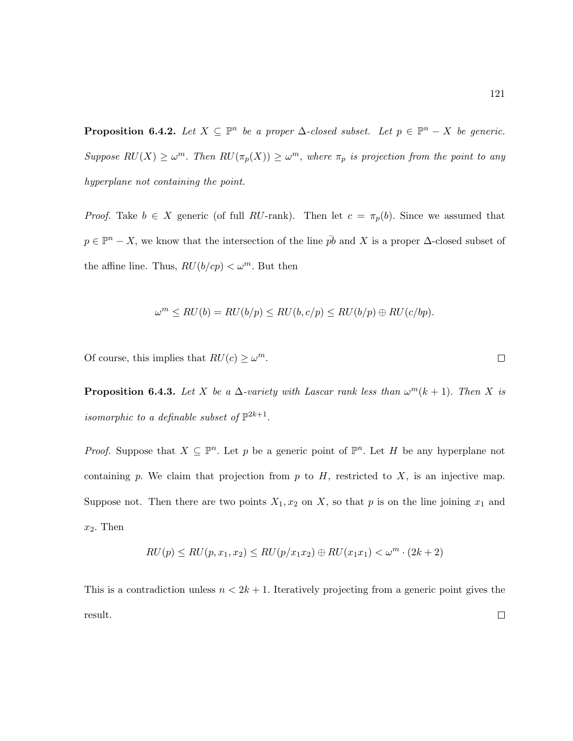<span id="page-132-1"></span>**Proposition 6.4.2.** Let  $X \subseteq \mathbb{P}^n$  be a proper  $\Delta$ -closed subset. Let  $p \in \mathbb{P}^n - X$  be generic. Suppose  $RU(X) \geq \omega^m$ . Then  $RU(\pi_p(X)) \geq \omega^m$ , where  $\pi_p$  is projection from the point to any hyperplane not containing the point.

*Proof.* Take  $b \in X$  generic (of full RU-rank). Then let  $c = \pi_p(b)$ . Since we assumed that  $p \in \mathbb{P}^n - X$ , we know that the intersection of the line  $\bar{p}b$  and X is a proper  $\Delta$ -closed subset of the affine line. Thus,  $RU(b/cp) < \omega^m$ . But then

$$
\omega^m \leq RU(b) = RU(b/p) \leq RU(b,c/p) \leq RU(b/p) \oplus RU(c/bp).
$$

<span id="page-132-0"></span>Of course, this implies that  $RU(c) \geq \omega^m$ .

**Proposition 6.4.3.** Let X be a  $\Delta$ -variety with Lascar rank less than  $\omega^m(k+1)$ . Then X is isomorphic to a definable subset of  $\mathbb{P}^{2k+1}$ .

*Proof.* Suppose that  $X \subseteq \mathbb{P}^n$ . Let p be a generic point of  $\mathbb{P}^n$ . Let H be any hyperplane not containing p. We claim that projection from p to  $H$ , restricted to  $X$ , is an injective map. Suppose not. Then there are two points  $X_1, x_2$  on X, so that p is on the line joining  $x_1$  and  $x_2$ . Then

$$
RU(p) \leq RU(p, x_1, x_2) \leq RU(p/x_1x_2) \oplus RU(x_1x_1) < \omega^m \cdot (2k+2)
$$

This is a contradiction unless  $n < 2k + 1$ . Iteratively projecting from a generic point gives the result. $\Box$ 

 $\Box$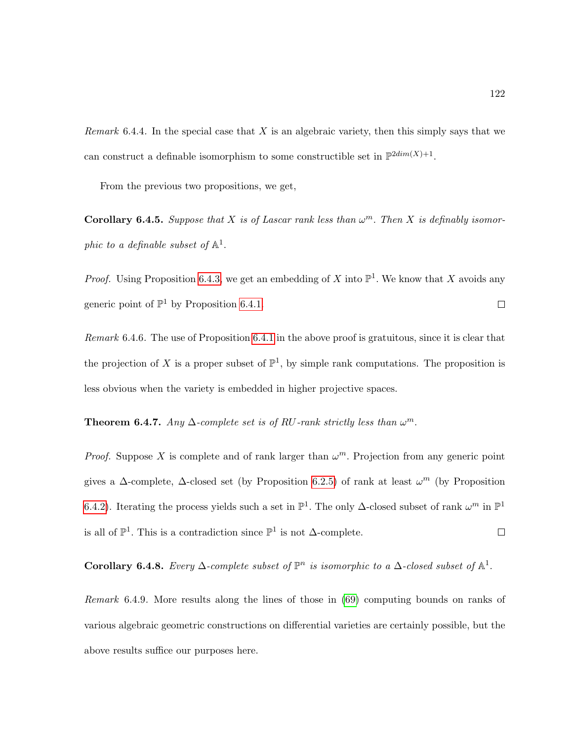*Remark* 6.4.4. In the special case that  $X$  is an algebraic variety, then this simply says that we can construct a definable isomorphism to some constructible set in  $\mathbb{P}^{2dim(X)+1}$ .

From the previous two propositions, we get,

**Corollary 6.4.5.** Suppose that X is of Lascar rank less than  $\omega^m$ . Then X is definably isomorphic to a definable subset of  $\mathbb{A}^1$ .

*Proof.* Using Proposition [6.4.3,](#page-132-0) we get an embedding of X into  $\mathbb{P}^1$ . We know that X avoids any generic point of  $\mathbb{P}^1$  by Proposition [6.4.1.](#page-131-0)  $\Box$ 

Remark 6.4.6. The use of Proposition [6.4.1](#page-131-0) in the above proof is gratuitous, since it is clear that the projection of X is a proper subset of  $\mathbb{P}^1$ , by simple rank computations. The proposition is less obvious when the variety is embedded in higher projective spaces.

**Theorem 6.4.7.** Any  $\Delta$ -complete set is of RU-rank strictly less than  $\omega^m$ .

*Proof.* Suppose X is complete and of rank larger than  $\omega^m$ . Projection from any generic point gives a  $\Delta$ -complete,  $\Delta$ -closed set (by Proposition [6.2.5\)](#page-127-1) of rank at least  $\omega^m$  (by Proposition [6.4.2\)](#page-132-1). Iterating the process yields such a set in  $\mathbb{P}^1$ . The only  $\Delta$ -closed subset of rank  $\omega^m$  in  $\mathbb{P}^1$ is all of  $\mathbb{P}^1$ . This is a contradiction since  $\mathbb{P}^1$  is not ∆-complete.  $\Box$ 

Corollary 6.4.8. Every  $\Delta$ -complete subset of  $\mathbb{P}^n$  is isomorphic to a  $\Delta$ -closed subset of  $\mathbb{A}^1$ .

Remark 6.4.9. More results along the lines of those in [\(69\)](#page-219-3) computing bounds on ranks of various algebraic geometric constructions on differential varieties are certainly possible, but the above results suffice our purposes here.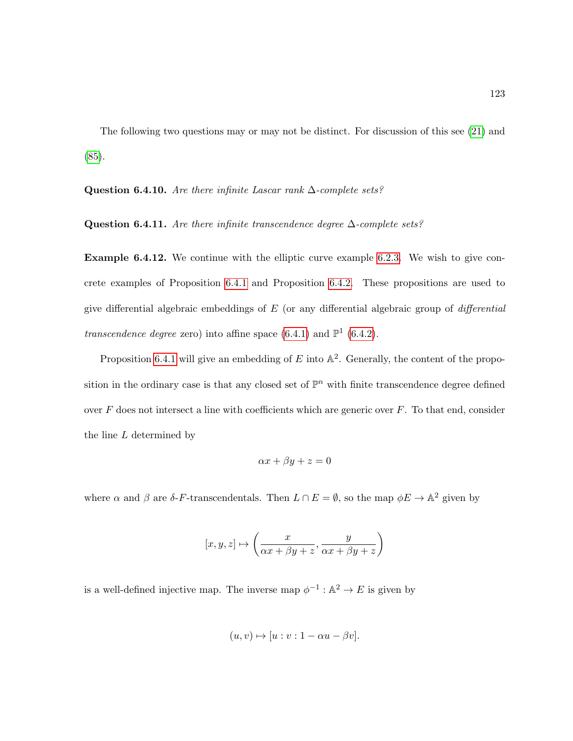The following two questions may or may not be distinct. For discussion of this see [\(21\)](#page-215-1) and [\(85\)](#page-220-0).

<span id="page-134-1"></span><span id="page-134-0"></span>Question 6.4.10. Are there infinite Lascar rank  $\Delta$ -complete sets?

<span id="page-134-2"></span>Question 6.4.11. Are there infinite transcendence degree  $\Delta$ -complete sets?

Example 6.4.12. We continue with the elliptic curve example [6.2.3.](#page-125-0) We wish to give concrete examples of Proposition [6.4.1](#page-131-0) and Proposition [6.4.2.](#page-132-1) These propositions are used to give differential algebraic embeddings of  $E$  (or any differential algebraic group of *differential* transcendence degree zero) into affine space  $(6.4.1)$  and  $\mathbb{P}^1$   $(6.4.2)$ .

Proposition [6.4.1](#page-131-0) will give an embedding of  $E$  into  $\mathbb{A}^2$ . Generally, the content of the proposition in the ordinary case is that any closed set of  $\mathbb{P}^n$  with finite transcendence degree defined over  $F$  does not intersect a line with coefficients which are generic over  $F$ . To that end, consider the line L determined by

$$
\alpha x + \beta y + z = 0
$$

where  $\alpha$  and  $\beta$  are  $\delta$ -F-transcendentals. Then  $L \cap E = \emptyset$ , so the map  $\phi E \to \mathbb{A}^2$  given by

$$
[x,y,z]\mapsto \left(\frac{x}{\alpha x+\beta y+z},\frac{y}{\alpha x+\beta y+z}\right)
$$

is a well-defined injective map. The inverse map  $\phi^{-1} : \mathbb{A}^2 \to E$  is given by

$$
(u, v) \mapsto [u : v : 1 - \alpha u - \beta v].
$$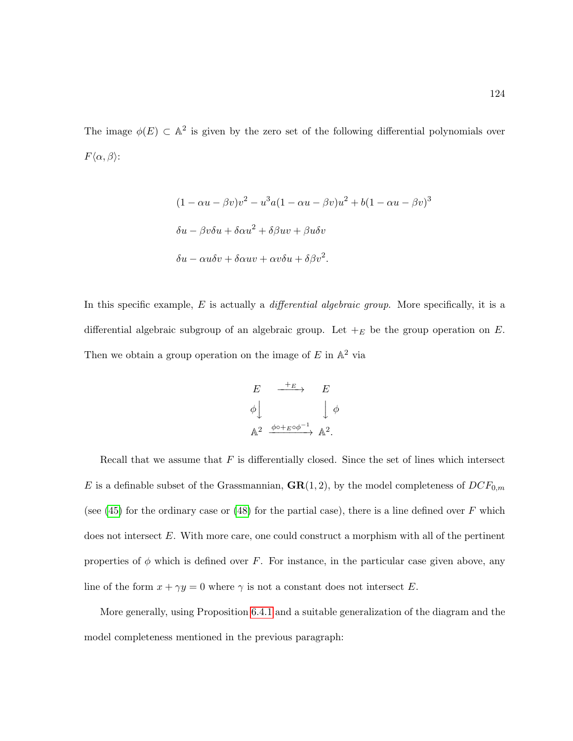The image  $\phi(E) \subset \mathbb{A}^2$  is given by the zero set of the following differential polynomials over  $F\langle \alpha, \beta \rangle$ :

$$
(1 - \alpha u - \beta v)v^{2} - u^{3}a(1 - \alpha u - \beta v)u^{2} + b(1 - \alpha u - \beta v)^{3}
$$

$$
\delta u - \beta v \delta u + \delta \alpha u^{2} + \delta \beta u v + \beta u \delta v
$$

$$
\delta u - \alpha u \delta v + \delta \alpha u v + \alpha v \delta u + \delta \beta v^{2}.
$$

In this specific example,  $E$  is actually a *differential algebraic group*. More specifically, it is a differential algebraic subgroup of an algebraic group. Let  $+_{E}$  be the group operation on E. Then we obtain a group operation on the image of  $E$  in  $\mathbb{A}^2$  via

$$
E \xrightarrow{+E} E
$$
  
\n
$$
\phi \downarrow \qquad \qquad \downarrow \phi
$$
  
\n
$$
\mathbb{A}^2 \xrightarrow{\phi \circ +E \circ \phi^{-1}} \mathbb{A}^2.
$$

Recall that we assume that  $F$  is differentially closed. Since the set of lines which intersect E is a definable subset of the Grassmannian,  $\mathbf{GR}(1,2)$ , by the model completeness of  $DCF_{0,m}$ (see  $(45)$  for the ordinary case or  $(48)$  for the partial case), there is a line defined over F which does not intersect  $E$ . With more care, one could construct a morphism with all of the pertinent properties of  $\phi$  which is defined over F. For instance, in the particular case given above, any line of the form  $x + \gamma y = 0$  where  $\gamma$  is not a constant does not intersect E.

More generally, using Proposition [6.4.1](#page-131-0) and a suitable generalization of the diagram and the model completeness mentioned in the previous paragraph: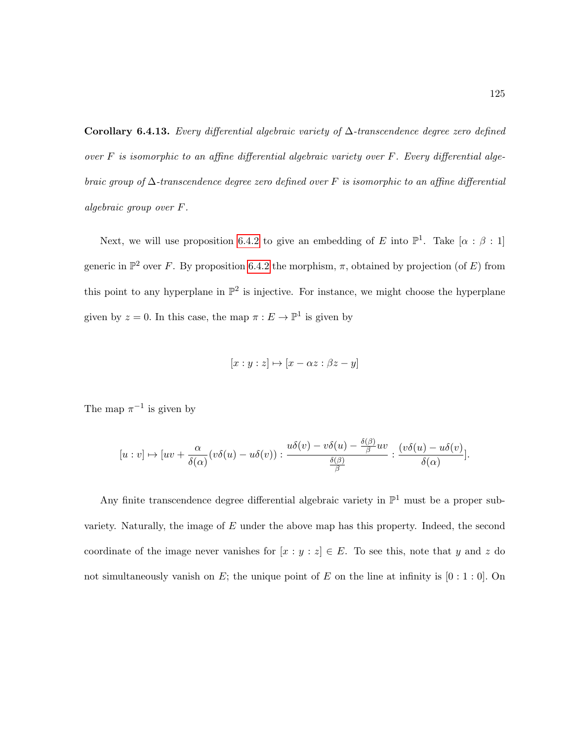<span id="page-136-0"></span>Corollary 6.4.13. Every differential algebraic variety of  $\Delta$ -transcendence degree zero defined over  $F$  is isomorphic to an affine differential algebraic variety over  $F$ . Every differential algebraic group of  $\Delta$ -transcendence degree zero defined over F is isomorphic to an affine differential algebraic group over F.

Next, we will use proposition [6.4.2](#page-132-1) to give an embedding of E into  $\mathbb{P}^1$ . Take  $[\alpha : \beta : 1]$ generic in  $\mathbb{P}^2$  over F. By proposition [6.4.2](#page-132-1) the morphism,  $\pi$ , obtained by projection (of E) from this point to any hyperplane in  $\mathbb{P}^2$  is injective. For instance, we might choose the hyperplane given by  $z = 0$ . In this case, the map  $\pi : E \to \mathbb{P}^1$  is given by

$$
[x:y:z] \mapsto [x - \alpha z : \beta z - y]
$$

The map  $\pi^{-1}$  is given by

$$
[u:v]\mapsto [uv+\frac{\alpha}{\delta(\alpha)}(v\delta(u)-u\delta(v)): \frac{u\delta(v)-v\delta(u)-\frac{\delta(\beta)}{\beta}uv}{\frac{\delta(\beta)}{\beta}}:\frac{(v\delta(u)-u\delta(v))}{\delta(\alpha)}].
$$

Any finite transcendence degree differential algebraic variety in  $\mathbb{P}^1$  must be a proper subvariety. Naturally, the image of  $E$  under the above map has this property. Indeed, the second coordinate of the image never vanishes for  $[x : y : z] \in E$ . To see this, note that y and z do not simultaneously vanish on E; the unique point of E on the line at infinity is  $[0:1:0]$ . On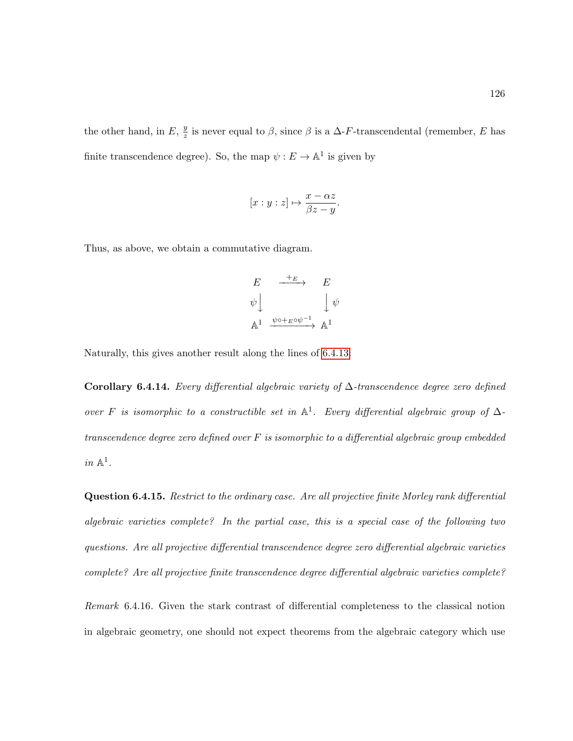the other hand, in E,  $\frac{y}{z}$  $\frac{y}{z}$  is never equal to  $\beta$ , since  $\beta$  is a  $\Delta$ -F-transcendental (remember, E has finite transcendence degree). So, the map  $\psi : E \to \mathbb{A}^1$  is given by

$$
[x:y:z]\mapsto \frac{x-\alpha z}{\beta z-y}.
$$

Thus, as above, we obtain a commutative diagram.

$$
E \xrightarrow{+E} E
$$
  
\n
$$
\psi \downarrow \qquad \qquad \downarrow \psi
$$
  
\n
$$
\mathbb{A}^1 \xrightarrow{\psi \circ +E \circ \psi^{-1}} \mathbb{A}^1
$$

Naturally, this gives another result along the lines of [6.4.13:](#page-136-0)

Corollary 6.4.14. Every differential algebraic variety of ∆-transcendence degree zero defined over F is isomorphic to a constructible set in  $\mathbb{A}^1$ . Every differential algebraic group of  $\Delta$ transcendence degree zero defined over F is isomorphic to a differential algebraic group embedded  $in \mathbb{A}^1$ .

Question 6.4.15. Restrict to the ordinary case. Are all projective finite Morley rank differential algebraic varieties complete? In the partial case, this is a special case of the following two questions. Are all projective differential transcendence degree zero differential algebraic varieties complete? Are all projective finite transcendence degree differential algebraic varieties complete?

Remark 6.4.16. Given the stark contrast of differential completeness to the classical notion in algebraic geometry, one should not expect theorems from the algebraic category which use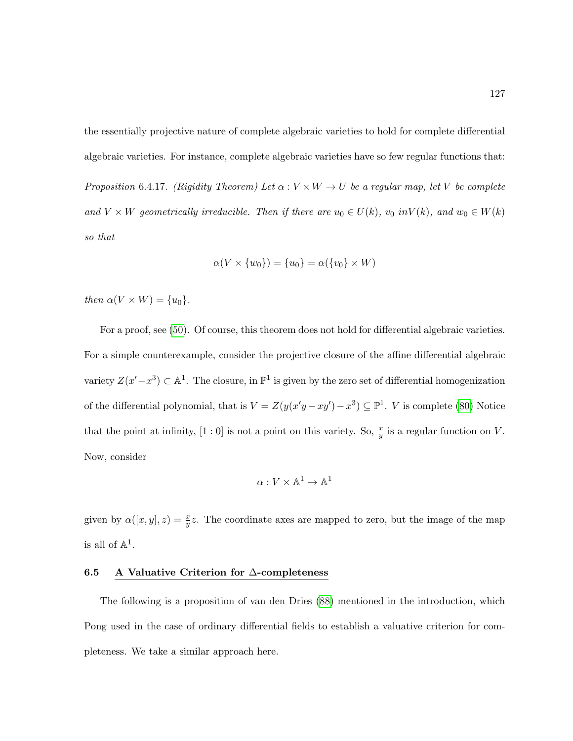the essentially projective nature of complete algebraic varieties to hold for complete differential algebraic varieties. For instance, complete algebraic varieties have so few regular functions that: Proposition 6.4.17. (Rigidity Theorem) Let  $\alpha: V \times W \to U$  be a regular map, let V be complete and  $V \times W$  geometrically irreducible. Then if there are  $u_0 \in U(k)$ ,  $v_0$  in $V(k)$ , and  $w_0 \in W(k)$ so that

$$
\alpha(V \times \{w_0\}) = \{u_0\} = \alpha(\{v_0\} \times W)
$$

then  $\alpha(V \times W) = \{u_0\}.$ 

For a proof, see [\(50\)](#page-217-7). Of course, this theorem does not hold for differential algebraic varieties. For a simple counterexample, consider the projective closure of the affine differential algebraic variety  $Z(x'-x^3) \subset \mathbb{A}^1$ . The closure, in  $\mathbb{P}^1$  is given by the zero set of differential homogenization of the differential polynomial, that is  $V = Z(y(x'y - xy') - x^3) \subseteq \mathbb{P}^1$ . V is complete [\(80\)](#page-220-3) Notice that the point at infinity,  $[1:0]$  is not a point on this variety. So,  $\frac{x}{y}$  is a regular function on V. Now, consider

$$
\alpha: V \times \mathbb{A}^1 \to \mathbb{A}^1
$$

given by  $\alpha([x,y],z) = \frac{x}{y}z$ . The coordinate axes are mapped to zero, but the image of the map is all of  $\mathbb{A}^1$ .

### 6.5 A Valuative Criterion for ∆-completeness

The following is a proposition of van den Dries [\(88\)](#page-220-2) mentioned in the introduction, which Pong used in the case of ordinary differential fields to establish a valuative criterion for completeness. We take a similar approach here.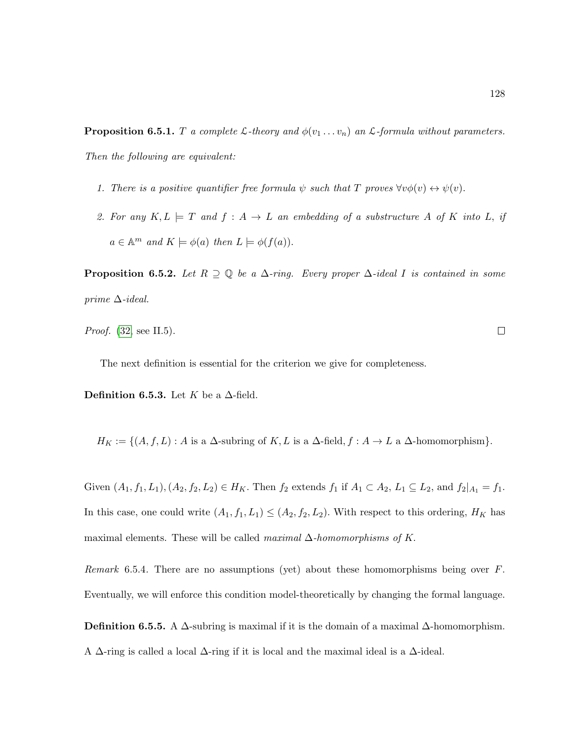<span id="page-139-0"></span>**Proposition 6.5.1.** T a complete L-theory and  $\phi(v_1 \ldots v_n)$  an L-formula without parameters. Then the following are equivalent:

- 1. There is a positive quantifier free formula  $\psi$  such that T proves  $\forall v \phi(v) \leftrightarrow \psi(v)$ .
- 2. For any  $K, L \models T$  and  $f : A \rightarrow L$  an embedding of a substructure A of K into L, if  $a \in \mathbb{A}^m$  and  $K \models \phi(a)$  then  $L \models \phi(f(a)).$

**Proposition 6.5.2.** Let  $R \supseteq \mathbb{Q}$  be a  $\Delta$ -ring. Every proper  $\Delta$ -ideal I is contained in some prime  $\Delta$ -ideal.

```
Proof.(32, see II.5).
```
The next definition is essential for the criterion we give for completeness.

Definition 6.5.3. Let K be a  $\Delta$ -field.

$$
H_K := \{(A, f, L) : A \text{ is a } \Delta\text{-subring of } K, L \text{ is a } \Delta\text{-field}, f : A \to L \text{ a } \Delta\text{-homomorphism}\}.
$$

Given  $(A_1, f_1, L_1), (A_2, f_2, L_2) \in H_K$ . Then  $f_2$  extends  $f_1$  if  $A_1 \subset A_2$ ,  $L_1 \subseteq L_2$ , and  $f_2|_{A_1} = f_1$ . In this case, one could write  $(A_1, f_1, L_1) \leq (A_2, f_2, L_2)$ . With respect to this ordering,  $H_K$  has maximal elements. These will be called maximal  $\Delta$ -homomorphisms of K.

Remark 6.5.4. There are no assumptions (yet) about these homomorphisms being over F. Eventually, we will enforce this condition model-theoretically by changing the formal language.

Definition 6.5.5. A  $\Delta$ -subring is maximal if it is the domain of a maximal  $\Delta$ -homomorphism. A  $\Delta$ -ring is called a local  $\Delta$ -ring if it is local and the maximal ideal is a  $\Delta$ -ideal.

 $\Box$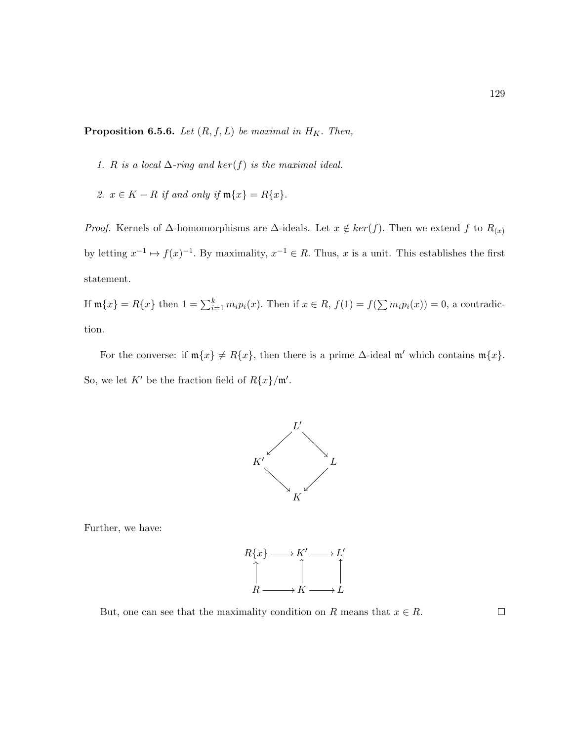<span id="page-140-0"></span>**Proposition 6.5.6.** Let  $(R, f, L)$  be maximal in  $H_K$ . Then,

- 1. R is a local  $\Delta$ -ring and ker(f) is the maximal ideal.
- 2.  $x \in K R$  if and only if  $\mathfrak{m}{x} = R{x}$ .

*Proof.* Kernels of  $\Delta$ -homomorphisms are  $\Delta$ -ideals. Let  $x \notin ker(f)$ . Then we extend f to  $R_{(x)}$ by letting  $x^{-1} \mapsto f(x)^{-1}$ . By maximality,  $x^{-1} \in R$ . Thus, x is a unit. This establishes the first statement.

If  $\mathfrak{m}{x} = R{x}$  then  $1 = \sum_{i=1}^{k} m_i p_i(x)$ . Then if  $x \in R$ ,  $f(1) = f(\sum m_i p_i(x)) = 0$ , a contradiction.

For the converse: if  $m\{x\} \neq R\{x\}$ , then there is a prime  $\Delta$ -ideal m' which contains  $m\{x\}$ . So, we let K' be the fraction field of  $R\{x\}$ /m'.



Further, we have:



But, one can see that the maximality condition on R means that  $x \in R$ .

 $\Box$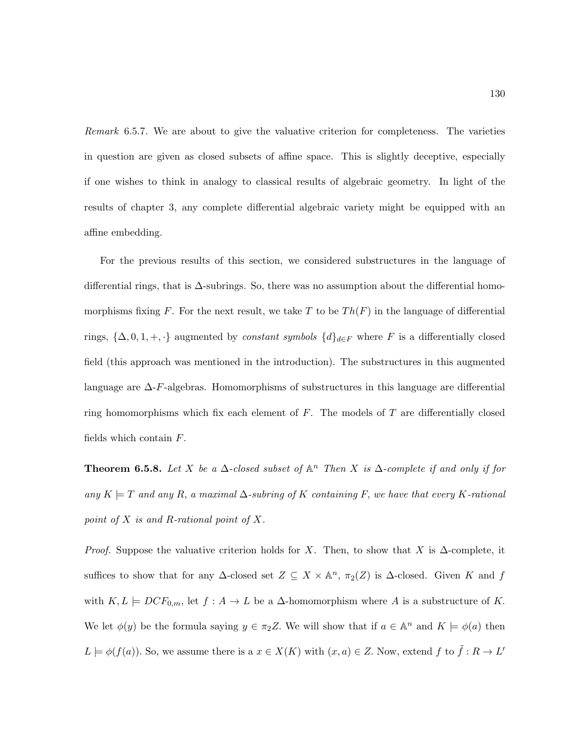Remark 6.5.7. We are about to give the valuative criterion for completeness. The varieties in question are given as closed subsets of affine space. This is slightly deceptive, especially if one wishes to think in analogy to classical results of algebraic geometry. In light of the results of chapter 3, any complete differential algebraic variety might be equipped with an affine embedding.

For the previous results of this section, we considered substructures in the language of differential rings, that is ∆-subrings. So, there was no assumption about the differential homomorphisms fixing F. For the next result, we take T to be  $Th(F)$  in the language of differential rings,  $\{\Delta, 0, 1, +, \cdot\}$  augmented by *constant symbols*  $\{d\}_{d\in F}$  where F is a differentially closed field (this approach was mentioned in the introduction). The substructures in this augmented language are  $\Delta$ -F-algebras. Homomorphisms of substructures in this language are differential ring homomorphisms which fix each element of  $F$ . The models of  $T$  are differentially closed fields which contain F.

**Theorem 6.5.8.** Let X be a  $\Delta$ -closed subset of  $\mathbb{A}^n$  Then X is  $\Delta$ -complete if and only if for any  $K \models T$  and any R, a maximal  $\Delta$ -subring of K containing F, we have that every K-rational point of  $X$  is and  $R$ -rational point of  $X$ .

*Proof.* Suppose the valuative criterion holds for X. Then, to show that X is  $\Delta$ -complete, it suffices to show that for any  $\Delta$ -closed set  $Z \subseteq X \times \mathbb{A}^n$ ,  $\pi_2(Z)$  is  $\Delta$ -closed. Given K and f with  $K, L \models DCF_{0,m}$ , let  $f : A \to L$  be a  $\Delta$ -homomorphism where A is a substructure of K. We let  $\phi(y)$  be the formula saying  $y \in \pi_2 Z$ . We will show that if  $a \in \mathbb{A}^n$  and  $K \models \phi(a)$  then  $L \models \phi(f(a))$ . So, we assume there is a  $x \in X(K)$  with  $(x, a) \in Z$ . Now, extend f to  $\tilde{f} : R \to L'$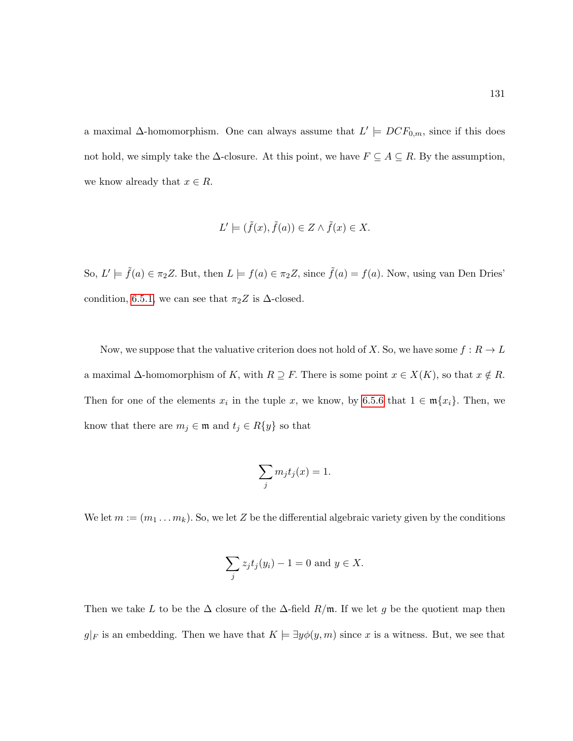a maximal  $\Delta$ -homomorphism. One can always assume that  $L' \models DCF_{0,m}$ , since if this does not hold, we simply take the  $\Delta$ -closure. At this point, we have  $F \subseteq A \subseteq R$ . By the assumption, we know already that  $x \in R$ .

$$
L' \models (\tilde{f}(x), \tilde{f}(a)) \in Z \land \tilde{f}(x) \in X.
$$

So,  $L' \models \tilde{f}(a) \in \pi_2 Z$ . But, then  $L \models f(a) \in \pi_2 Z$ , since  $\tilde{f}(a) = f(a)$ . Now, using van Den Dries' condition, [6.5.1,](#page-139-0) we can see that  $\pi_2 Z$  is  $\Delta$ -closed.

Now, we suppose that the valuative criterion does not hold of X. So, we have some  $f: R \to L$ a maximal  $\Delta$ -homomorphism of K, with  $R \supseteq F$ . There is some point  $x \in X(K)$ , so that  $x \notin R$ . Then for one of the elements  $x_i$  in the tuple x, we know, by [6.5.6](#page-140-0) that  $1 \in \mathfrak{m}{x_i}$ . Then, we know that there are  $m_j \in \mathfrak{m}$  and  $t_j \in R\{y\}$  so that

$$
\sum_j m_j t_j(x) = 1.
$$

We let  $m := (m_1 \dots m_k)$ . So, we let Z be the differential algebraic variety given by the conditions

$$
\sum_j z_j t_j(y_i) - 1 = 0 \text{ and } y \in X.
$$

Then we take L to be the  $\Delta$  closure of the  $\Delta$ -field  $R/\mathfrak{m}$ . If we let g be the quotient map then  $g|_F$  is an embedding. Then we have that  $K \models \exists y \phi(y, m)$  since x is a witness. But, we see that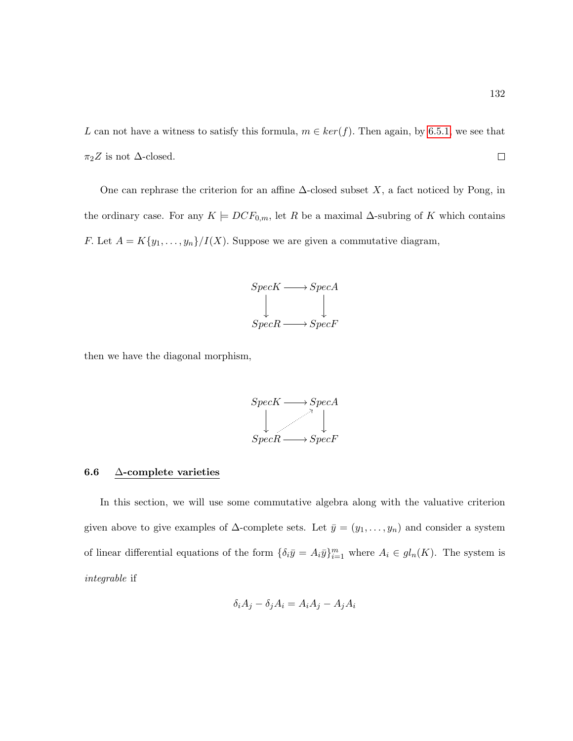L can not have a witness to satisfy this formula,  $m \in ker(f)$ . Then again, by [6.5.1,](#page-139-0) we see that  $\pi_2 Z$  is not  $\Delta$ -closed.  $\Box$ 

One can rephrase the criterion for an affine  $\Delta$ -closed subset X, a fact noticed by Pong, in the ordinary case. For any  $K \models DCF_{0,m}$ , let R be a maximal  $\Delta$ -subring of K which contains F. Let  $A = K\{y_1, \ldots, y_n\}/I(X)$ . Suppose we are given a commutative diagram,



then we have the diagonal morphism,



## 6.6 ∆-complete varieties

In this section, we will use some commutative algebra along with the valuative criterion given above to give examples of  $\Delta$ -complete sets. Let  $\bar{y} = (y_1, \ldots, y_n)$  and consider a system of linear differential equations of the form  $\{\delta_i \bar{y} = A_i \bar{y}\}_{i=1}^m$  where  $A_i \in gl_n(K)$ . The system is integrable if

$$
\delta_i A_j - \delta_j A_i = A_i A_j - A_j A_i
$$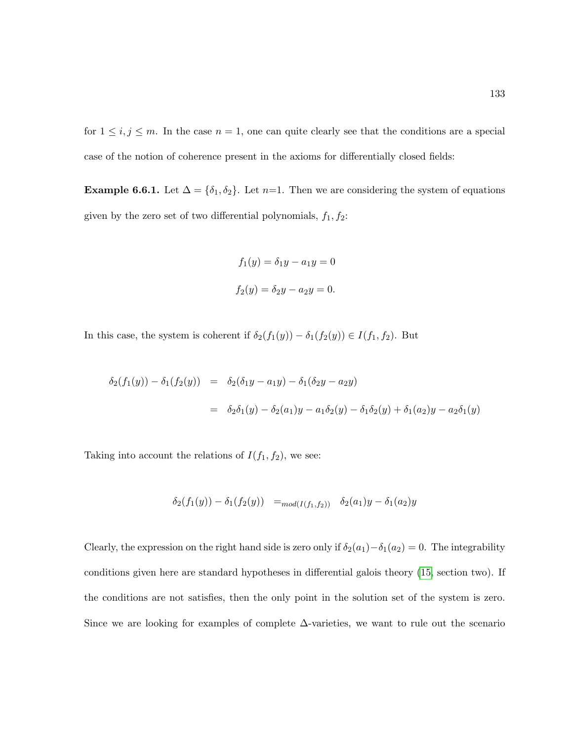for  $1 \leq i, j \leq m$ . In the case  $n = 1$ , one can quite clearly see that the conditions are a special case of the notion of coherence present in the axioms for differentially closed fields:

**Example 6.6.1.** Let  $\Delta = {\delta_1, \delta_2}$ . Let n=1. Then we are considering the system of equations given by the zero set of two differential polynomials,  $f_1, f_2$ :

$$
f_1(y) = \delta_1 y - a_1 y = 0
$$
  

$$
f_2(y) = \delta_2 y - a_2 y = 0.
$$

In this case, the system is coherent if  $\delta_2(f_1(y)) - \delta_1(f_2(y)) \in I(f_1, f_2)$ . But

$$
\delta_2(f_1(y)) - \delta_1(f_2(y)) = \delta_2(\delta_1 y - a_1 y) - \delta_1(\delta_2 y - a_2 y)
$$
  
= 
$$
\delta_2 \delta_1(y) - \delta_2(a_1) y - a_1 \delta_2(y) - \delta_1 \delta_2(y) + \delta_1(a_2) y - a_2 \delta_1(y)
$$

Taking into account the relations of  $I(f_1, f_2)$ , we see:

$$
\delta_2(f_1(y)) - \delta_1(f_2(y)) =_{mod(I(f_1, f_2))} \delta_2(a_1)y - \delta_1(a_2)y
$$

Clearly, the expression on the right hand side is zero only if  $\delta_2(a_1) - \delta_1(a_2) = 0$ . The integrability conditions given here are standard hypotheses in differential galois theory [\(15,](#page-215-0) section two). If the conditions are not satisfies, then the only point in the solution set of the system is zero. Since we are looking for examples of complete  $\Delta$ -varieties, we want to rule out the scenario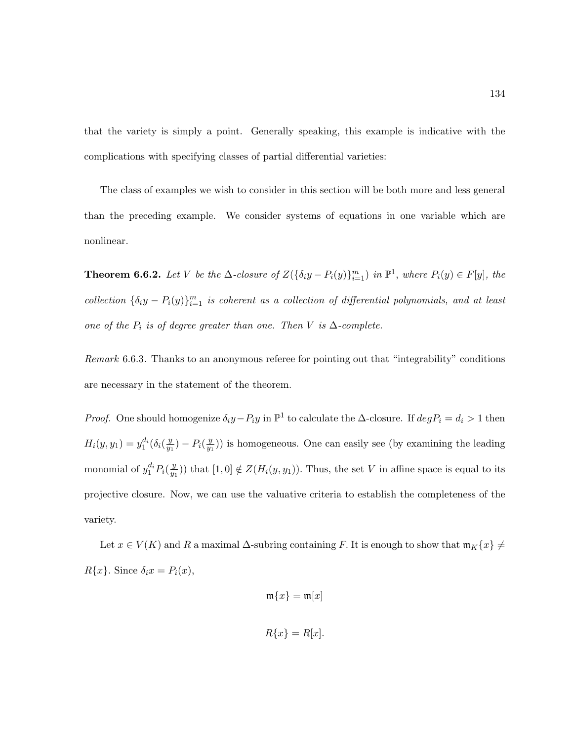that the variety is simply a point. Generally speaking, this example is indicative with the complications with specifying classes of partial differential varieties:

The class of examples we wish to consider in this section will be both more and less general than the preceding example. We consider systems of equations in one variable which are nonlinear.

**Theorem 6.6.2.** Let V be the  $\Delta$ -closure of  $Z(\{\delta_i y - P_i(y)\}_{i=1}^m)$  in  $\mathbb{P}^1$ , where  $P_i(y) \in F[y]$ , the collection  $\{\delta_i y - P_i(y)\}_{i=1}^m$  is coherent as a collection of differential polynomials, and at least one of the  $P_i$  is of degree greater than one. Then V is  $\Delta$ -complete.

Remark 6.6.3. Thanks to an anonymous referee for pointing out that "integrability" conditions are necessary in the statement of the theorem.

*Proof.* One should homogenize  $\delta_i y - P_i y$  in  $\mathbb{P}^1$  to calculate the  $\Delta$ -closure. If  $deg P_i = d_i > 1$  then  $H_i(y, y_1) = y_1^{d_i}(\delta_i(\frac{y}{y_1}))$  $\frac{y}{y_1}$ ) –  $P_i(\frac{y}{y_1})$  $\frac{y}{y_1}$ ) is homogeneous. One can easily see (by examining the leading monomial of  $y_1^{d_i} P_i(\frac{y}{y_1})$  $(y_{y_1})$  that  $[1,0] \notin Z(H_i(y, y_1))$ . Thus, the set V in affine space is equal to its projective closure. Now, we can use the valuative criteria to establish the completeness of the variety.

Let  $x \in V(K)$  and R a maximal  $\Delta$ -subring containing F. It is enough to show that  $\mathfrak{m}_K\{x\} \neq$  $R\{x\}$ . Since  $\delta_i x = P_i(x)$ ,

$$
\mathfrak{m}\{x\}=\mathfrak{m}[x]
$$

$$
R\{x\} = R[x].
$$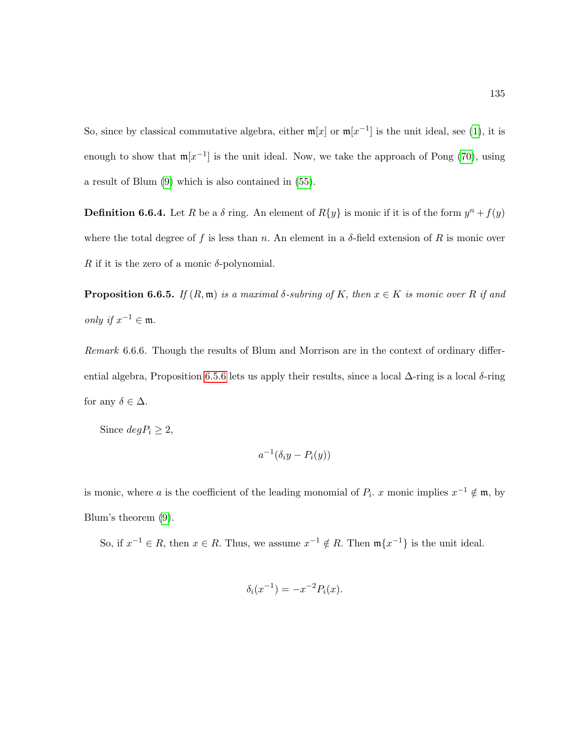So, since by classical commutative algebra, either  $m[x]$  or  $m[x^{-1}]$  is the unit ideal, see [\(1\)](#page-214-0), it is enough to show that  $m[x^{-1}]$  is the unit ideal. Now, we take the approach of Pong [\(70\)](#page-219-0), using a result of Blum [\(9\)](#page-214-1) which is also contained in [\(55\)](#page-218-0).

**Definition 6.6.4.** Let R be a  $\delta$  ring. An element of  $R\{y\}$  is monic if it is of the form  $y^{n} + f(y)$ where the total degree of f is less than n. An element in a  $\delta$ -field extension of R is monic over R if it is the zero of a monic  $\delta$ -polynomial.

**Proposition 6.6.5.** If  $(R, \mathfrak{m})$  is a maximal  $\delta$ -subring of K, then  $x \in K$  is monic over R if and *only* if  $x^{-1} \in \mathfrak{m}$ .

Remark 6.6.6. Though the results of Blum and Morrison are in the context of ordinary differ-ential algebra, Proposition [6.5.6](#page-140-0) lets us apply their results, since a local  $\Delta$ -ring is a local  $\delta$ -ring for any  $\delta \in \Delta$ .

Since  $deg P_i \geq 2$ ,

$$
a^{-1}(\delta_i y - P_i(y))
$$

is monic, where a is the coefficient of the leading monomial of  $P_i$ . x monic implies  $x^{-1} \notin \mathfrak{m}$ , by Blum's theorem [\(9\)](#page-214-1).

So, if  $x^{-1} \in R$ , then  $x \in R$ . Thus, we assume  $x^{-1} \notin R$ . Then  $\mathfrak{m}\lbrace x^{-1} \rbrace$  is the unit ideal.

$$
\delta_i(x^{-1}) = -x^{-2} P_i(x).
$$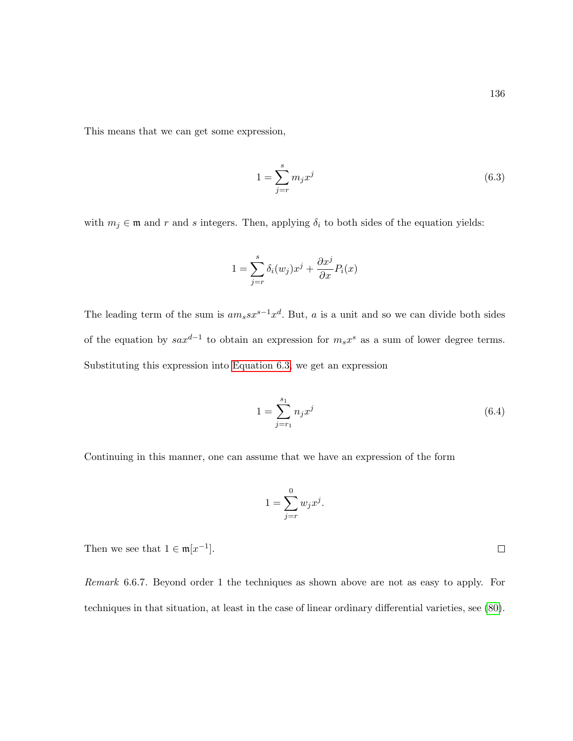This means that we can get some expression,

<span id="page-147-0"></span>
$$
1 = \sum_{j=r}^{s} m_j x^j \tag{6.3}
$$

with  $m_j \in \mathfrak{m}$  and r and s integers. Then, applying  $\delta_i$  to both sides of the equation yields:

$$
1 = \sum_{j=r}^{s} \delta_i(w_j) x^j + \frac{\partial x^j}{\partial x} P_i(x)
$$

The leading term of the sum is  $am_s s x^{s-1} x^d$ . But, a is a unit and so we can divide both sides of the equation by  $sax^{d-1}$  to obtain an expression for  $m_sx^s$  as a sum of lower degree terms. Substituting this expression into [Equation 6.3,](#page-147-0) we get an expression

$$
1 = \sum_{j=r_1}^{s_1} n_j x^j \tag{6.4}
$$

Continuing in this manner, one can assume that we have an expression of the form

$$
1 = \sum_{j=r}^{0} w_j x^j.
$$

Then we see that  $1 \in \mathfrak{m}[x^{-1}]$ .

Remark 6.6.7. Beyond order 1 the techniques as shown above are not as easy to apply. For techniques in that situation, at least in the case of linear ordinary differential varieties, see [\(80\)](#page-220-0).

 $\Box$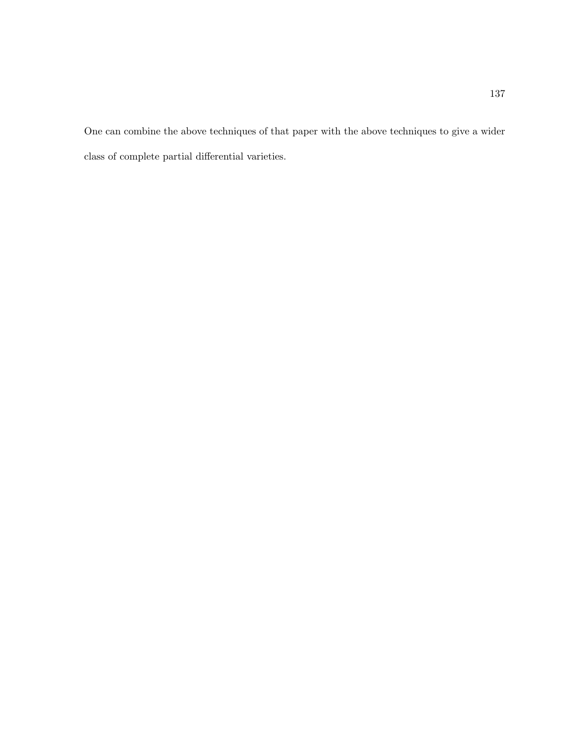One can combine the above techniques of that paper with the above techniques to give a wider class of complete partial differential varieties.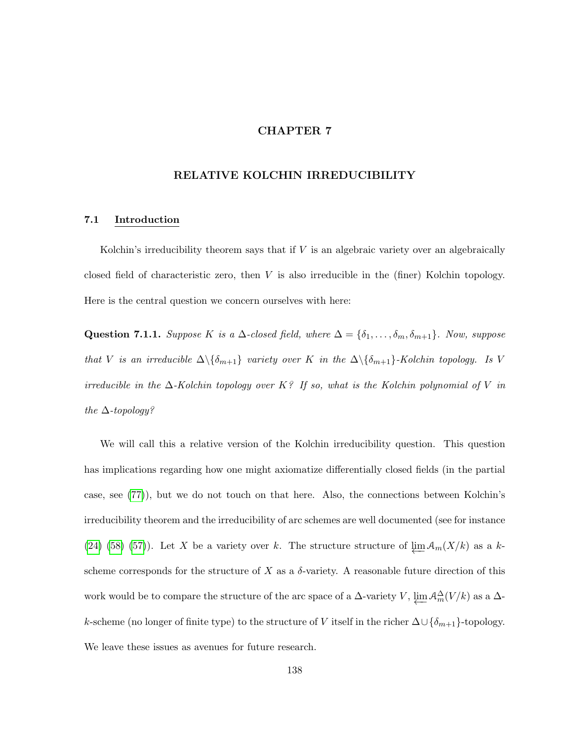## CHAPTER 7

# RELATIVE KOLCHIN IRREDUCIBILITY

## 7.1 Introduction

Kolchin's irreducibility theorem says that if  $V$  is an algebraic variety over an algebraically closed field of characteristic zero, then V is also irreducible in the (finer) Kolchin topology. Here is the central question we concern ourselves with here:

Question 7.1.1. Suppose K is a  $\Delta$ -closed field, where  $\Delta = {\delta_1, \ldots, \delta_m, \delta_{m+1}}$ . Now, suppose that V is an irreducible  $\Delta \setminus {\delta_{m+1}}$  variety over K in the  $\Delta \setminus {\delta_{m+1}}$ -Kolchin topology. Is V irreducible in the  $\Delta$ -Kolchin topology over K? If so, what is the Kolchin polynomial of V in the  $\Delta$ -topology?

We will call this a relative version of the Kolchin irreducibility question. This question has implications regarding how one might axiomatize differentially closed fields (in the partial case, see [\(77\)](#page-219-1)), but we do not touch on that here. Also, the connections between Kolchin's irreducibility theorem and the irreducibility of arc schemes are well documented (see for instance [\(24\)](#page-216-0) [\(58\)](#page-218-1) [\(57\)](#page-218-2)). Let X be a variety over k. The structure structure of  $\varprojlim A_m(X/k)$  as a kscheme corresponds for the structure of X as a  $\delta$ -variety. A reasonable future direction of this work would be to compare the structure of the arc space of a  $\Delta$ -variety V,  $\varprojlim_{m} A_{m}^{\Delta}(V/k)$  as a  $\Delta$ k-scheme (no longer of finite type) to the structure of V itself in the richer  $\Delta \cup {\delta_{m+1}}$ -topology. We leave these issues as avenues for future research.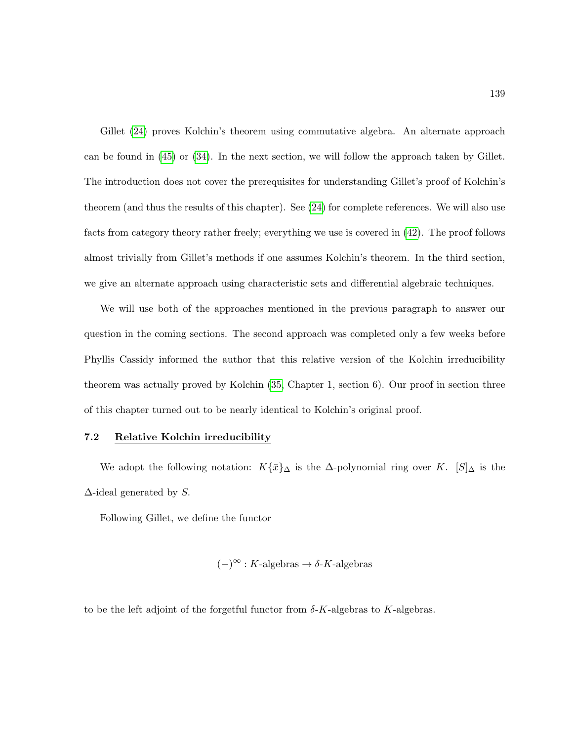Gillet [\(24\)](#page-216-0) proves Kolchin's theorem using commutative algebra. An alternate approach can be found in [\(45\)](#page-217-0) or [\(34\)](#page-216-1). In the next section, we will follow the approach taken by Gillet. The introduction does not cover the prerequisites for understanding Gillet's proof of Kolchin's theorem (and thus the results of this chapter). See [\(24\)](#page-216-0) for complete references. We will also use facts from category theory rather freely; everything we use is covered in [\(42\)](#page-217-1). The proof follows almost trivially from Gillet's methods if one assumes Kolchin's theorem. In the third section, we give an alternate approach using characteristic sets and differential algebraic techniques.

We will use both of the approaches mentioned in the previous paragraph to answer our question in the coming sections. The second approach was completed only a few weeks before Phyllis Cassidy informed the author that this relative version of the Kolchin irreducibility theorem was actually proved by Kolchin [\(35,](#page-216-2) Chapter 1, section 6). Our proof in section three of this chapter turned out to be nearly identical to Kolchin's original proof.

## 7.2 Relative Kolchin irreducibility

We adopt the following notation:  $K\{\bar{x}\}_\Delta$  is the  $\Delta$ -polynomial ring over K. [S] $_\Delta$  is the  $\Delta$ -ideal generated by S.

Following Gillet, we define the functor

$$
(-)^{\infty}: K\text{-algebras} \to \delta\text{-}K\text{-algebras}
$$

to be the left adjoint of the forgetful functor from  $\delta$ -K-algebras to K-algebras.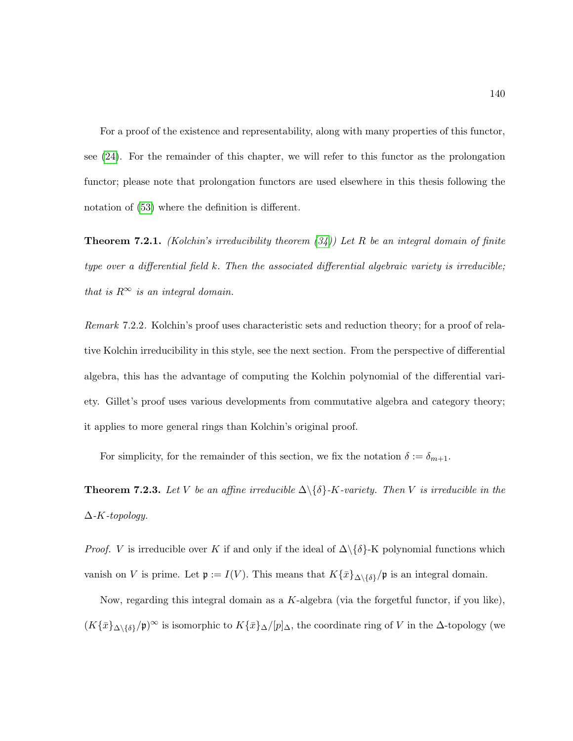For a proof of the existence and representability, along with many properties of this functor, see [\(24\)](#page-216-0). For the remainder of this chapter, we will refer to this functor as the prolongation functor; please note that prolongation functors are used elsewhere in this thesis following the notation of [\(53\)](#page-218-3) where the definition is different.

<span id="page-151-0"></span>**Theorem 7.2.1.** (Kolchin's irreducibility theorem  $(34)$ ) Let R be an integral domain of finite type over a differential field k. Then the associated differential algebraic variety is irreducible; that is  $R^{\infty}$  is an integral domain.

Remark 7.2.2. Kolchin's proof uses characteristic sets and reduction theory; for a proof of relative Kolchin irreducibility in this style, see the next section. From the perspective of differential algebra, this has the advantage of computing the Kolchin polynomial of the differential variety. Gillet's proof uses various developments from commutative algebra and category theory; it applies to more general rings than Kolchin's original proof.

For simplicity, for the remainder of this section, we fix the notation  $\delta := \delta_{m+1}$ .

**Theorem 7.2.3.** Let V be an affine irreducible  $\Delta \setminus \{\delta\}$ -K-variety. Then V is irreducible in the  $\Delta$ -K-topology.

*Proof.* V is irreducible over K if and only if the ideal of  $\Delta \setminus {\delta}$ -K polynomial functions which vanish on V is prime. Let  $\mathfrak{p} := I(V)$ . This means that  $K\{\bar{x}\}_{\Delta\setminus{\{\delta\}}}^{\prime}$  is an integral domain.

Now, regarding this integral domain as a K-algebra (via the forgetful functor, if you like),  $(K{\{\bar{x}\}}_{\Delta\setminus{\{\delta\}}}/\mathfrak{p})^{\infty}$  is isomorphic to  $K{\{\bar{x}\}}_{\Delta}/[p]_{\Delta}$ , the coordinate ring of V in the  $\Delta$ -topology (we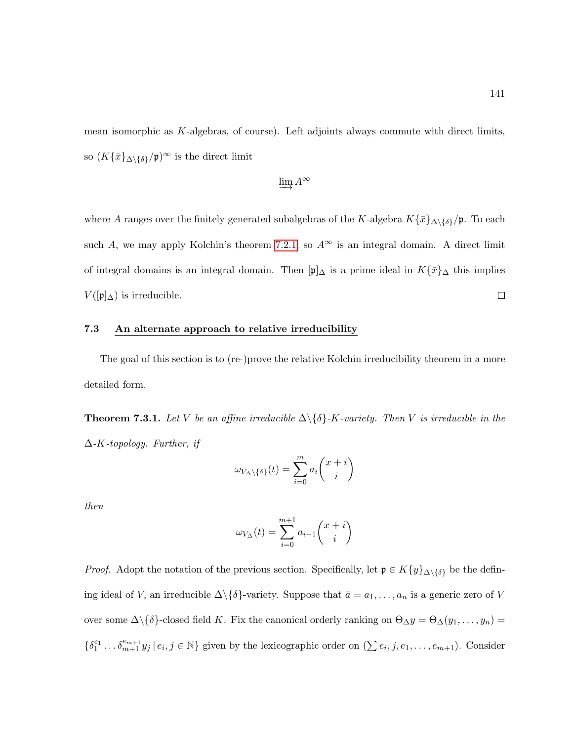mean isomorphic as K-algebras, of course). Left adjoints always commute with direct limits, so  $(K\{\bar{x}\}_{\Delta\backslash\{\delta\}}/{\mathfrak{p}})^\infty$  is the direct limit

$$
\varinjlim A^\infty
$$

where A ranges over the finitely generated subalgebras of the K-algebra  $K\{\bar{x}\}_{\Delta\setminus{\{\delta\}}}^{\prime}$ . To each such A, we may apply Kolchin's theorem [7.2.1,](#page-151-0) so  $A^{\infty}$  is an integral domain. A direct limit of integral domains is an integral domain. Then  $[\mathfrak{p}]_\Delta$  is a prime ideal in  $K\{\bar{x}\}_\Delta$  this implies  $\Box$  $V(\pmb{\psi}|\Delta)$  is irreducible.

## 7.3 An alternate approach to relative irreducibility

The goal of this section is to (re-)prove the relative Kolchin irreducibility theorem in a more detailed form.

**Theorem 7.3.1.** Let V be an affine irreducible  $\Delta \setminus {\delta}$ -K-variety. Then V is irreducible in the  $\Delta$ -K-topology. Further, if

$$
\omega_{V_{\Delta}\backslash\{\delta\}}(t)=\sum_{i=0}^m a_i\binom{x+i}{i}
$$

then

$$
\omega_{V_{\Delta}}(t) = \sum_{i=0}^{m+1} a_{i-1} {x + i \choose i}
$$

*Proof.* Adopt the notation of the previous section. Specifically, let  $\mathfrak{p} \in K\{y\}_{\Delta\setminus\{\delta\}}$  be the defining ideal of V, an irreducible  $\Delta \setminus \{ \delta \}$ -variety. Suppose that  $\bar{a} = a_1, \ldots, a_n$  is a generic zero of V over some  $\Delta \setminus \{\delta\}$ -closed field K. Fix the canonical orderly ranking on  $\Theta_{\Delta} y = \Theta_{\Delta}(y_1, \ldots, y_n) =$  $\{\delta_1^{e_1} \dots \delta_{m+1}^{e_{m+1}} y_j \mid e_i, j \in \mathbb{N}\}\$  given by the lexicographic order on  $(\sum e_i, j, e_1, \dots, e_{m+1})\$ . Consider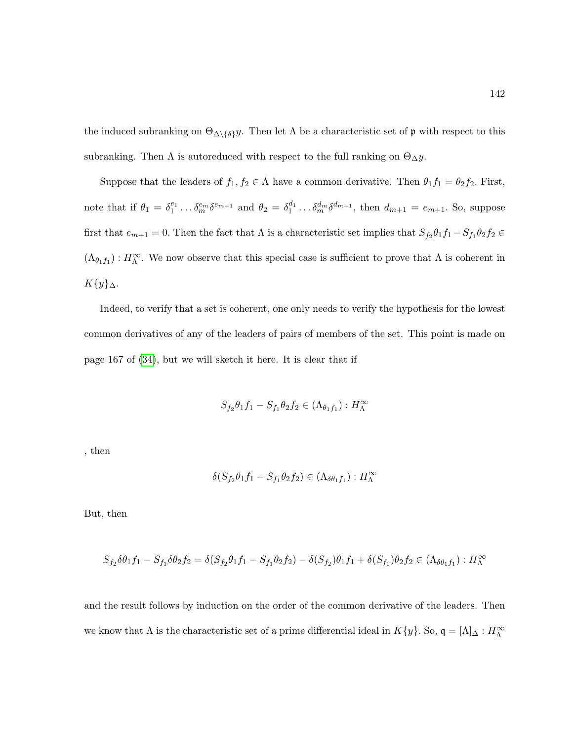the induced subranking on  $\Theta_{\Delta\setminus\{\delta\}}y$ . Then let  $\Lambda$  be a characteristic set of p with respect to this subranking. Then  $\Lambda$  is autoreduced with respect to the full ranking on  $\Theta_{\Delta} y$ .

Suppose that the leaders of  $f_1, f_2 \in \Lambda$  have a common derivative. Then  $\theta_1 f_1 = \theta_2 f_2$ . First, note that if  $\theta_1 = \delta_1^{e_1} \dots \delta_m^{e_m} \delta^{e_{m+1}}$  and  $\theta_2 = \delta_1^{d_1} \dots \delta_m^{d_m} \delta^{d_{m+1}}$ , then  $d_{m+1} = e_{m+1}$ . So, suppose first that  $e_{m+1} = 0$ . Then the fact that  $\Lambda$  is a characteristic set implies that  $S_{f_2}\theta_1f_1 - S_{f_1}\theta_2f_2 \in$  $(\Lambda_{\theta_1 f_1}): H_\Lambda^\infty$ . We now observe that this special case is sufficient to prove that  $\Lambda$  is coherent in  $K{y}_{\Delta}$ .

Indeed, to verify that a set is coherent, one only needs to verify the hypothesis for the lowest common derivatives of any of the leaders of pairs of members of the set. This point is made on page 167 of [\(34\)](#page-216-1), but we will sketch it here. It is clear that if

$$
S_{f_2}\theta_1 f_1 - S_{f_1}\theta_2 f_2 \in (\Lambda_{\theta_1 f_1}) : H_\Lambda^\infty
$$

, then

$$
\delta(S_{f_2}\theta_1 f_1 - S_{f_1}\theta_2 f_2) \in (\Lambda_{\delta\theta_1 f_1}) : H_\Lambda^\infty
$$

But, then

$$
S_{f_2}\delta\theta_1f_1 - S_{f_1}\delta\theta_2f_2 = \delta(S_{f_2}\theta_1f_1 - S_{f_1}\theta_2f_2) - \delta(S_{f_2})\theta_1f_1 + \delta(S_{f_1})\theta_2f_2 \in (\Lambda_{\delta\theta_1f_1}): H_0^{\infty}
$$

and the result follows by induction on the order of the common derivative of the leaders. Then we know that  $\Lambda$  is the characteristic set of a prime differential ideal in  $K\{y\}$ . So,  $\mathfrak{q} = [\Lambda]_{\Delta}: H_{\Lambda}^{\infty}$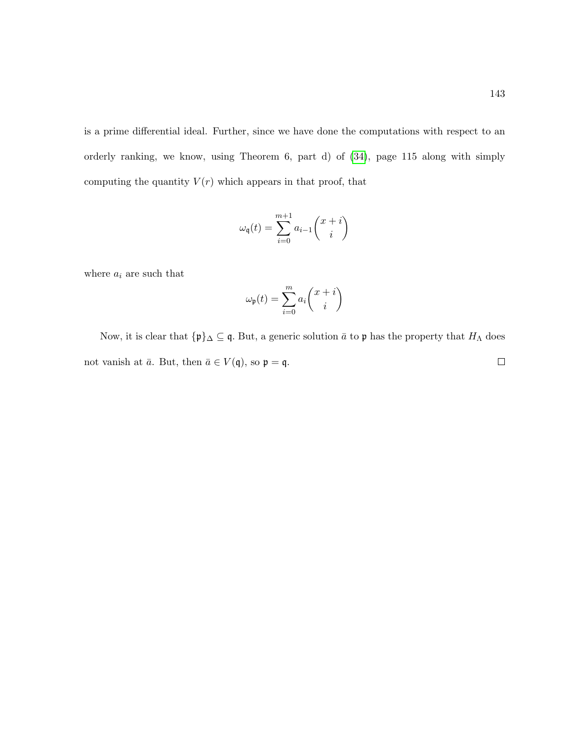is a prime differential ideal. Further, since we have done the computations with respect to an orderly ranking, we know, using Theorem 6, part d) of [\(34\)](#page-216-1), page 115 along with simply computing the quantity  $V(r)$  which appears in that proof, that

$$
\omega_{\mathfrak{q}}(t)=\sum_{i=0}^{m+1}a_{i-1}\binom{x+i}{i}
$$

where  $a_i$  are such that

$$
\omega_{\mathfrak{p}}(t)=\sum_{i=0}^m a_i \binom{x+i}{i}
$$

Now, it is clear that  $\{\mathfrak{p}\}_\Delta \subseteq \mathfrak{q}$ . But, a generic solution  $\bar{a}$  to  $\mathfrak{p}$  has the property that  $H_\Lambda$  does not vanish at  $\bar{a}$ . But, then  $\bar{a} \in V(\mathfrak{q})$ , so  $\mathfrak{p} = \mathfrak{q}$ .  $\Box$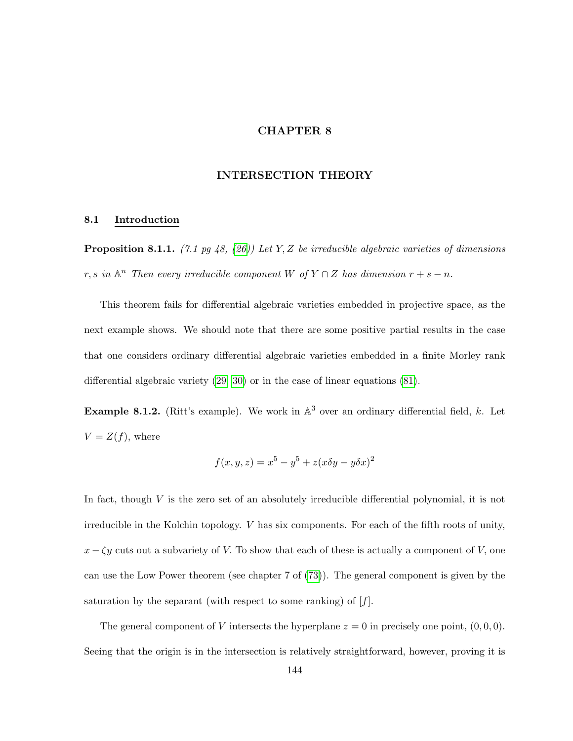# CHAPTER 8

## INTERSECTION THEORY

#### 8.1 Introduction

**Proposition 8.1.1.** (7.1 pg 48, [\(26\)](#page-216-3)) Let Y, Z be irreducible algebraic varieties of dimensions r, s in  $\mathbb{A}^n$  Then every irreducible component W of  $Y \cap Z$  has dimension  $r + s - n$ .

This theorem fails for differential algebraic varieties embedded in projective space, as the next example shows. We should note that there are some positive partial results in the case that one considers ordinary differential algebraic varieties embedded in a finite Morley rank differential algebraic variety [\(29;](#page-216-4) [30\)](#page-216-5) or in the case of linear equations [\(81\)](#page-220-1).

**Example 8.1.2.** (Ritt's example). We work in  $\mathbb{A}^3$  over an ordinary differential field, k. Let  $V = Z(f)$ , where

$$
f(x, y, z) = x^5 - y^5 + z(x\delta y - y\delta x)^2
$$

In fact, though  $V$  is the zero set of an absolutely irreducible differential polynomial, it is not irreducible in the Kolchin topology. V has six components. For each of the fifth roots of unity,  $x - \zeta y$  cuts out a subvariety of V. To show that each of these is actually a component of V, one can use the Low Power theorem (see chapter 7 of [\(73\)](#page-219-2)). The general component is given by the saturation by the separant (with respect to some ranking) of  $[f]$ .

The general component of V intersects the hyperplane  $z = 0$  in precisely one point,  $(0, 0, 0)$ . Seeing that the origin is in the intersection is relatively straightforward, however, proving it is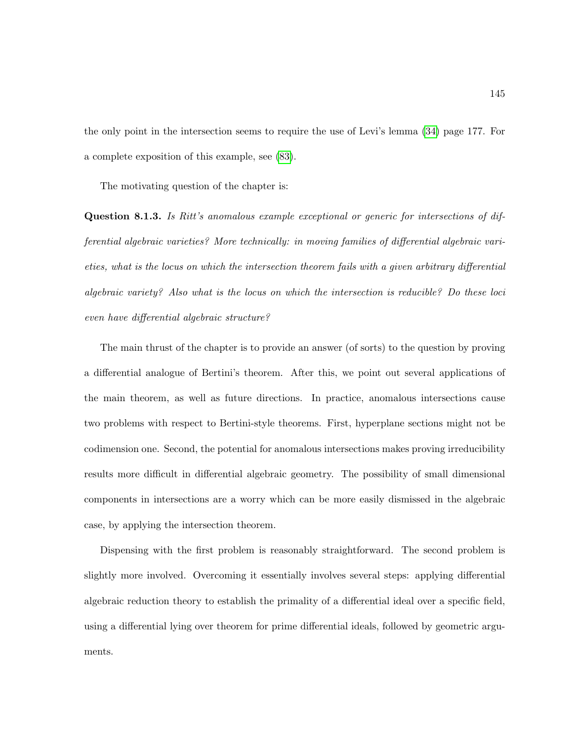the only point in the intersection seems to require the use of Levi's lemma [\(34\)](#page-216-1) page 177. For a complete exposition of this example, see [\(83\)](#page-220-2).

The motivating question of the chapter is:

Question 8.1.3. Is Ritt's anomalous example exceptional or generic for intersections of differential algebraic varieties? More technically: in moving families of differential algebraic varieties, what is the locus on which the intersection theorem fails with a given arbitrary differential algebraic variety? Also what is the locus on which the intersection is reducible? Do these loci even have differential algebraic structure?

The main thrust of the chapter is to provide an answer (of sorts) to the question by proving a differential analogue of Bertini's theorem. After this, we point out several applications of the main theorem, as well as future directions. In practice, anomalous intersections cause two problems with respect to Bertini-style theorems. First, hyperplane sections might not be codimension one. Second, the potential for anomalous intersections makes proving irreducibility results more difficult in differential algebraic geometry. The possibility of small dimensional components in intersections are a worry which can be more easily dismissed in the algebraic case, by applying the intersection theorem.

Dispensing with the first problem is reasonably straightforward. The second problem is slightly more involved. Overcoming it essentially involves several steps: applying differential algebraic reduction theory to establish the primality of a differential ideal over a specific field, using a differential lying over theorem for prime differential ideals, followed by geometric arguments.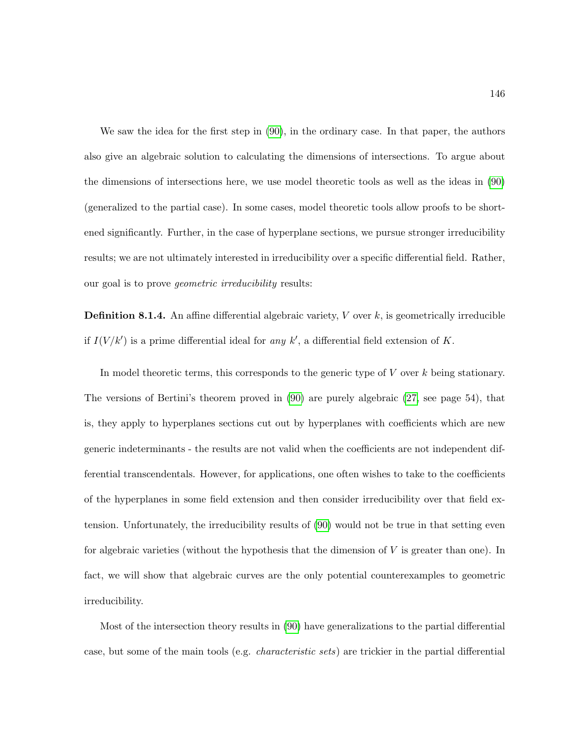We saw the idea for the first step in [\(90\)](#page-220-3), in the ordinary case. In that paper, the authors also give an algebraic solution to calculating the dimensions of intersections. To argue about the dimensions of intersections here, we use model theoretic tools as well as the ideas in [\(90\)](#page-220-3) (generalized to the partial case). In some cases, model theoretic tools allow proofs to be shortened significantly. Further, in the case of hyperplane sections, we pursue stronger irreducibility results; we are not ultimately interested in irreducibility over a specific differential field. Rather, our goal is to prove *geometric irreducibility* results:

**Definition 8.1.4.** An affine differential algebraic variety,  $V$  over  $k$ , is geometrically irreducible if  $I(V/k')$  is a prime differential ideal for any k', a differential field extension of K.

In model theoretic terms, this corresponds to the generic type of  $V$  over  $k$  being stationary. The versions of Bertini's theorem proved in [\(90\)](#page-220-3) are purely algebraic [\(27,](#page-216-6) see page 54), that is, they apply to hyperplanes sections cut out by hyperplanes with coefficients which are new generic indeterminants - the results are not valid when the coefficients are not independent differential transcendentals. However, for applications, one often wishes to take to the coefficients of the hyperplanes in some field extension and then consider irreducibility over that field extension. Unfortunately, the irreducibility results of [\(90\)](#page-220-3) would not be true in that setting even for algebraic varieties (without the hypothesis that the dimension of  $V$  is greater than one). In fact, we will show that algebraic curves are the only potential counterexamples to geometric irreducibility.

Most of the intersection theory results in [\(90\)](#page-220-3) have generalizations to the partial differential case, but some of the main tools (e.g. characteristic sets) are trickier in the partial differential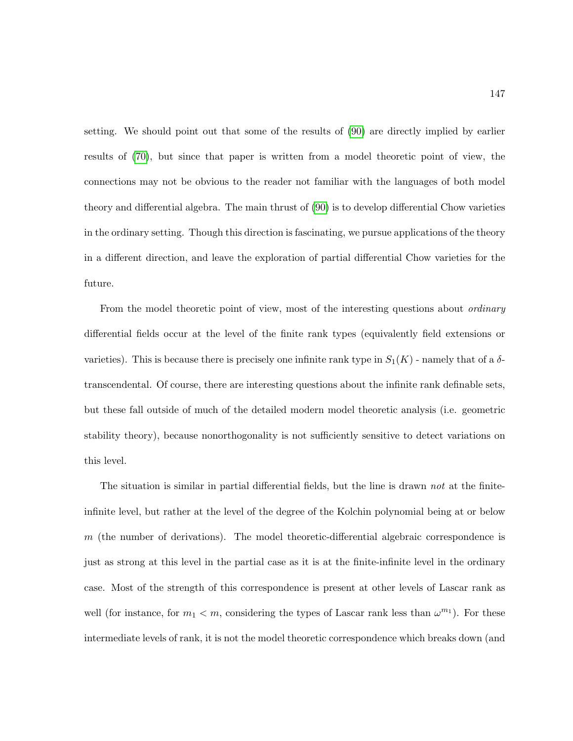setting. We should point out that some of the results of [\(90\)](#page-220-3) are directly implied by earlier results of [\(70\)](#page-219-0), but since that paper is written from a model theoretic point of view, the connections may not be obvious to the reader not familiar with the languages of both model theory and differential algebra. The main thrust of [\(90\)](#page-220-3) is to develop differential Chow varieties in the ordinary setting. Though this direction is fascinating, we pursue applications of the theory in a different direction, and leave the exploration of partial differential Chow varieties for the future.

From the model theoretic point of view, most of the interesting questions about *ordinary* differential fields occur at the level of the finite rank types (equivalently field extensions or varieties). This is because there is precisely one infinite rank type in  $S_1(K)$  - namely that of a  $\delta$ transcendental. Of course, there are interesting questions about the infinite rank definable sets, but these fall outside of much of the detailed modern model theoretic analysis (i.e. geometric stability theory), because nonorthogonality is not sufficiently sensitive to detect variations on this level.

The situation is similar in partial differential fields, but the line is drawn not at the finiteinfinite level, but rather at the level of the degree of the Kolchin polynomial being at or below  $m$  (the number of derivations). The model theoretic-differential algebraic correspondence is just as strong at this level in the partial case as it is at the finite-infinite level in the ordinary case. Most of the strength of this correspondence is present at other levels of Lascar rank as well (for instance, for  $m_1 < m$ , considering the types of Lascar rank less than  $\omega^{m_1}$ ). For these intermediate levels of rank, it is not the model theoretic correspondence which breaks down (and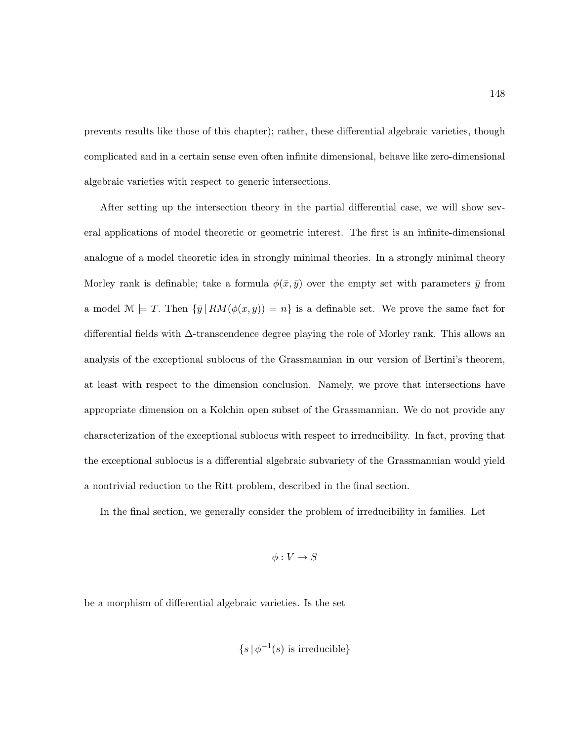prevents results like those of this chapter); rather, these differential algebraic varieties, though complicated and in a certain sense even often infinite dimensional, behave like zero-dimensional algebraic varieties with respect to generic intersections.

After setting up the intersection theory in the partial differential case, we will show several applications of model theoretic or geometric interest. The first is an infinite-dimensional analogue of a model theoretic idea in strongly minimal theories. In a strongly minimal theory Morley rank is definable; take a formula  $\phi(\bar{x}, \bar{y})$  over the empty set with parameters  $\bar{y}$  from a model  $\mathcal{M} \models T$ . Then  $\{\bar{y} \mid RM(\phi(x, y)) = n\}$  is a definable set. We prove the same fact for differential fields with ∆-transcendence degree playing the role of Morley rank. This allows an analysis of the exceptional sublocus of the Grassmannian in our version of Bertini's theorem, at least with respect to the dimension conclusion. Namely, we prove that intersections have appropriate dimension on a Kolchin open subset of the Grassmannian. We do not provide any characterization of the exceptional sublocus with respect to irreducibility. In fact, proving that the exceptional sublocus is a differential algebraic subvariety of the Grassmannian would yield a nontrivial reduction to the Ritt problem, described in the final section.

In the final section, we generally consider the problem of irreducibility in families. Let

$$
\phi: V \to S
$$

be a morphism of differential algebraic varieties. Is the set

$$
\{s \, | \, \phi^{-1}(s) \text{ is irreducible}\}
$$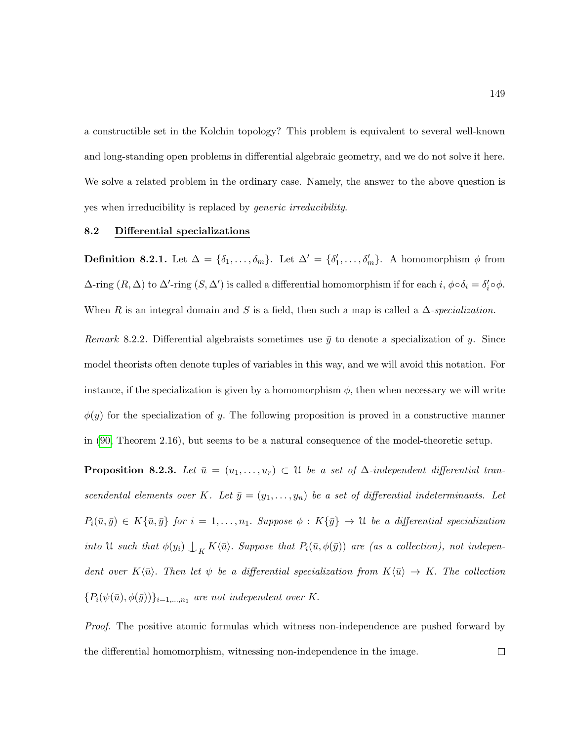a constructible set in the Kolchin topology? This problem is equivalent to several well-known and long-standing open problems in differential algebraic geometry, and we do not solve it here. We solve a related problem in the ordinary case. Namely, the answer to the above question is yes when irreducibility is replaced by generic irreducibility.

### 8.2 Differential specializations

**Definition 8.2.1.** Let  $\Delta = {\delta_1, \ldots, \delta_m}$ . Let  $\Delta' = {\delta'_1, \ldots, \delta'_m}$ . A homomorphism  $\phi$  from  $\Delta$ -ring  $(R, \Delta)$  to  $\Delta'$ -ring  $(S, \Delta')$  is called a differential homomorphism if for each  $i, \phi \circ \delta_i = \delta'_i \circ \phi$ . When R is an integral domain and S is a field, then such a map is called a  $\Delta$ -specialization.

Remark 8.2.2. Differential algebraists sometimes use  $\bar{y}$  to denote a specialization of y. Since model theorists often denote tuples of variables in this way, and we will avoid this notation. For instance, if the specialization is given by a homomorphism  $\phi$ , then when necessary we will write  $\phi(y)$  for the specialization of y. The following proposition is proved in a constructive manner in [\(90,](#page-220-3) Theorem 2.16), but seems to be a natural consequence of the model-theoretic setup.

<span id="page-160-0"></span>**Proposition 8.2.3.** Let  $\bar{u} = (u_1, \ldots, u_r) \subset \mathcal{U}$  be a set of  $\Delta$ -independent differential transcendental elements over K. Let  $\bar{y} = (y_1, \ldots, y_n)$  be a set of differential indeterminants. Let  $P_i(\bar{u}, \bar{y}) \in K\{\bar{u}, \bar{y}\}$  for  $i = 1, \ldots, n_1$ . Suppose  $\phi : K\{\bar{y}\} \to \mathfrak{U}$  be a differential specialization into U such that  $\phi(y_i) \perp_K K \langle \bar{u} \rangle$ . Suppose that  $P_i(\bar{u}, \phi(\bar{y}))$  are (as a collection), not independent over  $K\langle \bar{u}\rangle$ . Then let  $\psi$  be a differential specialization from  $K\langle \bar{u}\rangle \to K$ . The collection  ${P_i(\psi(\bar{u}), \phi(\bar{y}))}_{i=1,\dots,n_1}$  are not independent over K.

Proof. The positive atomic formulas which witness non-independence are pushed forward by the differential homomorphism, witnessing non-independence in the image. $\Box$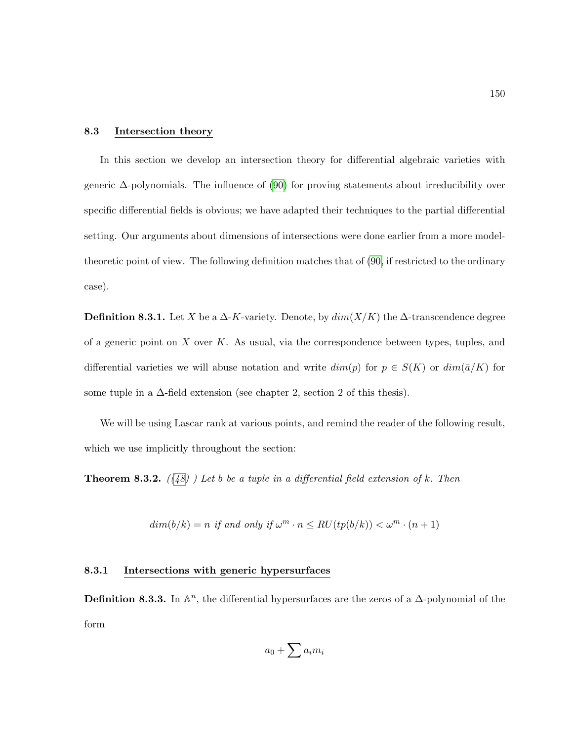### 8.3 Intersection theory

In this section we develop an intersection theory for differential algebraic varieties with generic ∆-polynomials. The influence of [\(90\)](#page-220-3) for proving statements about irreducibility over specific differential fields is obvious; we have adapted their techniques to the partial differential setting. Our arguments about dimensions of intersections were done earlier from a more modeltheoretic point of view. The following definition matches that of [\(90,](#page-220-3) if restricted to the ordinary case).

**Definition 8.3.1.** Let X be a  $\Delta$ -K-variety. Denote, by  $dim(X/K)$  the  $\Delta$ -transcendence degree of a generic point on  $X$  over  $K$ . As usual, via the correspondence between types, tuples, and differential varieties we will abuse notation and write  $dim(p)$  for  $p \in S(K)$  or  $dim(\bar{a}/K)$  for some tuple in a  $\Delta$ -field extension (see chapter 2, section 2 of this thesis).

We will be using Lascar rank at various points, and remind the reader of the following result, which we use implicitly throughout the section:

**Theorem 8.3.2.**  $((48)$  $((48)$  ) Let b be a tuple in a differential field extension of k. Then

$$
dim(b/k) = n \text{ if and only if } \omega^m \cdot n \leq RU(tp(b/k)) < \omega^m \cdot (n+1)
$$

## 8.3.1 Intersections with generic hypersurfaces

**Definition 8.3.3.** In  $\mathbb{A}^n$ , the differential hypersurfaces are the zeros of a  $\Delta$ -polynomial of the form

$$
a_0 + \sum a_i m_i
$$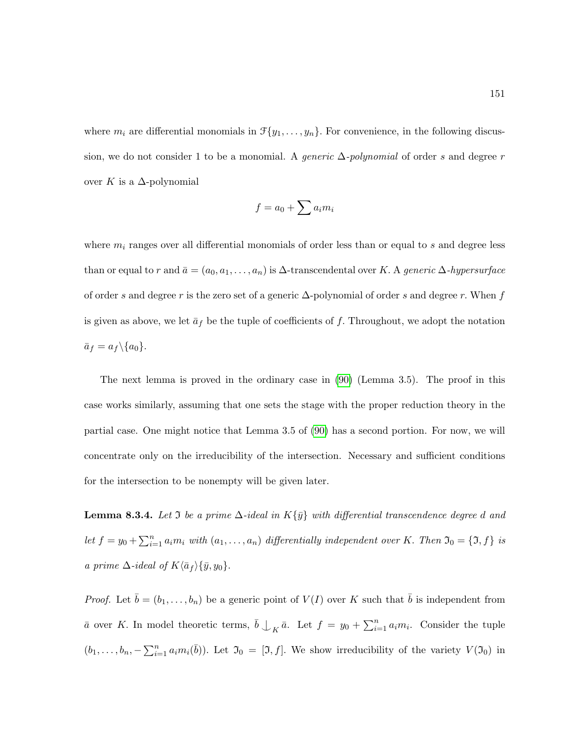where  $m_i$  are differential monomials in  $\mathcal{F}{y_1, \ldots, y_n}$ . For convenience, in the following discussion, we do not consider 1 to be a monomial. A *generic*  $\Delta$ -polynomial of order s and degree r over K is a  $\Delta$ -polynomial

$$
f = a_0 + \sum a_i m_i
$$

where  $m_i$  ranges over all differential monomials of order less than or equal to s and degree less than or equal to r and  $\bar{a} = (a_0, a_1, \ldots, a_n)$  is  $\Delta$ -transcendental over K. A generic  $\Delta$ -hypersurface of order s and degree r is the zero set of a generic  $\Delta$ -polynomial of order s and degree r. When f is given as above, we let  $\bar{a}_f$  be the tuple of coefficients of f. Throughout, we adopt the notation  $\bar{a}_f = a_f \backslash \{a_0\}.$ 

The next lemma is proved in the ordinary case in [\(90\)](#page-220-3) (Lemma 3.5). The proof in this case works similarly, assuming that one sets the stage with the proper reduction theory in the partial case. One might notice that Lemma 3.5 of [\(90\)](#page-220-3) has a second portion. For now, we will concentrate only on the irreducibility of the intersection. Necessary and sufficient conditions for the intersection to be nonempty will be given later.

<span id="page-162-0"></span>**Lemma 8.3.4.** Let  $\Im$  be a prime  $\Delta$ -ideal in  $K\{\bar{y}\}\$  with differential transcendence degree d and let  $f = y_0 + \sum_{i=1}^n a_i m_i$  with  $(a_1, \ldots, a_n)$  differentially independent over K. Then  $\mathfrak{I}_0 = \{\mathfrak{I}, f\}$  is a prime  $\Delta$ -ideal of  $K\langle \bar{a}_f \rangle \{\bar{y}, y_0\}.$ 

*Proof.* Let  $\bar{b} = (b_1, \ldots, b_n)$  be a generic point of  $V(I)$  over K such that  $\bar{b}$  is independent from  $\bar{a}$  over K. In model theoretic terms,  $\bar{b} \bigcup_K \bar{a}$ . Let  $f = y_0 + \sum_{i=1}^n a_i m_i$ . Consider the tuple  $(b_1,\ldots,b_n,-\sum_{i=1}^n a_i m_i(\bar{b}))$ . Let  $\mathfrak{I}_0 = [\mathfrak{I},f]$ . We show irreducibility of the variety  $V(\mathfrak{I}_0)$  in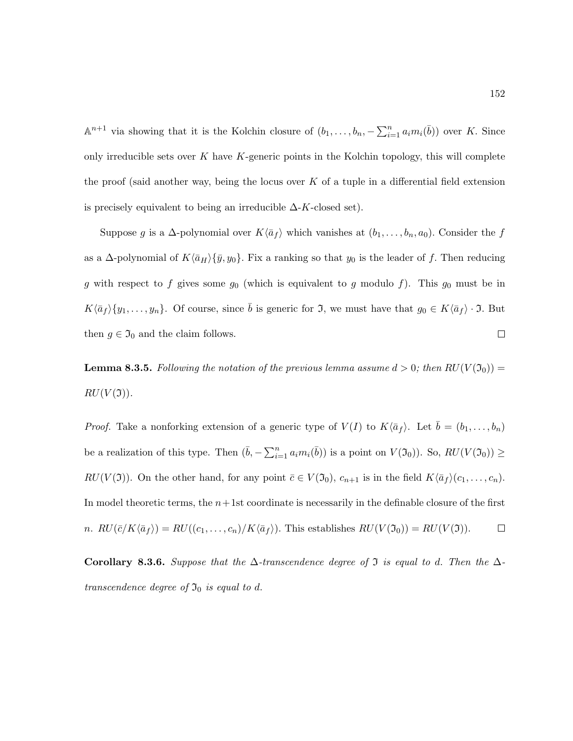$\mathbb{A}^{n+1}$  via showing that it is the Kolchin closure of  $(b_1, \ldots, b_n, -\sum_{i=1}^n a_i m_i(\bar{b}))$  over K. Since only irreducible sets over  $K$  have  $K$ -generic points in the Kolchin topology, this will complete the proof (said another way, being the locus over K of a tuple in a differential field extension is precisely equivalent to being an irreducible  $\Delta$ -K-closed set).

Suppose g is a  $\Delta$ -polynomial over  $K\langle \bar{a}_f \rangle$  which vanishes at  $(b_1, \ldots, b_n, a_0)$ . Consider the f as a  $\Delta$ -polynomial of  $K\langle \bar{a}_H\rangle \{\bar{y}, y_0\}$ . Fix a ranking so that  $y_0$  is the leader of f. Then reducing g with respect to f gives some  $g_0$  (which is equivalent to g modulo f). This  $g_0$  must be in  $K\langle \bar{a}_f\rangle \{y_1, \ldots, y_n\}.$  Of course, since  $\bar{b}$  is generic for  $\mathfrak{I}$ , we must have that  $g_0 \in K\langle \bar{a}_f \rangle \cdot \mathfrak{I}$ . But  $\Box$ then  $g \in \mathfrak{I}_0$  and the claim follows.

<span id="page-163-0"></span>**Lemma 8.3.5.** Following the notation of the previous lemma assume  $d > 0$ ; then  $RU(V(\mathfrak{I}_0)) =$  $RU(V(3))$ .

*Proof.* Take a nonforking extension of a generic type of  $V(I)$  to  $K\langle \bar{a}_f \rangle$ . Let  $\bar{b} = (b_1, \ldots, b_n)$ be a realization of this type. Then  $(\bar{b}, -\sum_{i=1}^n a_i m_i(\bar{b}))$  is a point on  $V(\mathfrak{I}_0))$ . So,  $RU(V(\mathfrak{I}_0)) \ge$  $RU(V(3))$ . On the other hand, for any point  $\bar{c} \in V(3_0)$ ,  $c_{n+1}$  is in the field  $K\langle \bar{a}_f \rangle(c_1, \ldots, c_n)$ . In model theoretic terms, the  $n+1$ st coordinate is necessarily in the definable closure of the first n.  $RU(\bar{c}/K\langle \bar{a}_f \rangle) = RU((c_1, \ldots, c_n)/K\langle \bar{a}_f \rangle)$ . This establishes  $RU(V(\mathfrak{I}_0)) = RU(V(\mathfrak{I}))$ .  $\Box$ 

Corollary 8.3.6. Suppose that the  $\Delta$ -transcendence degree of  $\Im$  is equal to d. Then the  $\Delta$ transcendence degree of  $\mathfrak{I}_0$  is equal to d.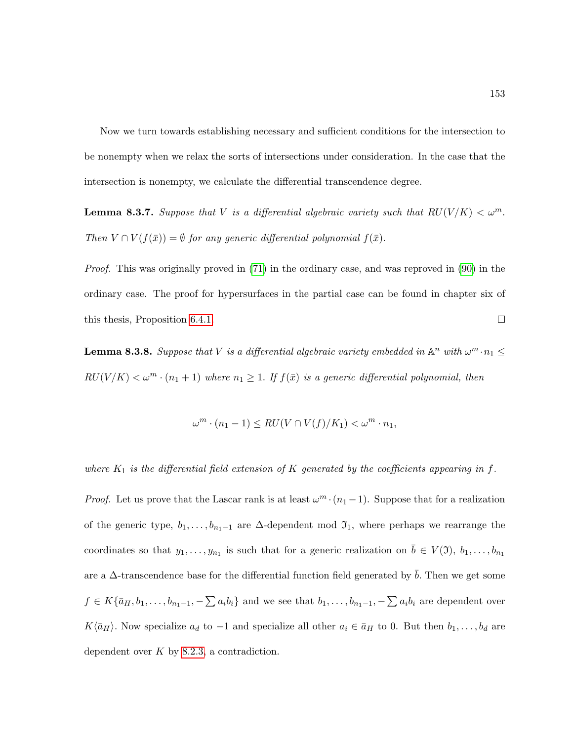Now we turn towards establishing necessary and sufficient conditions for the intersection to be nonempty when we relax the sorts of intersections under consideration. In the case that the intersection is nonempty, we calculate the differential transcendence degree.

<span id="page-164-0"></span>**Lemma 8.3.7.** Suppose that V is a differential algebraic variety such that  $RU(V/K) < \omega^m$ . Then  $V \cap V(f(\bar{x})) = \emptyset$  for any generic differential polynomial  $f(\bar{x})$ .

Proof. This was originally proved in [\(71\)](#page-219-3) in the ordinary case, and was reproved in [\(90\)](#page-220-3) in the ordinary case. The proof for hypersurfaces in the partial case can be found in chapter six of  $\Box$ this thesis, Proposition [6.4.1.](#page-131-0)

<span id="page-164-1"></span>**Lemma 8.3.8.** Suppose that V is a differential algebraic variety embedded in  $\mathbb{A}^n$  with  $\omega^m \cdot n_1 \leq$  $RU(V/K) < \omega^m \cdot (n_1 + 1)$  where  $n_1 \geq 1$ . If  $f(\bar{x})$  is a generic differential polynomial, then

$$
\omega^m \cdot (n_1 - 1) \leq RU(V \cap V(f)/K_1) < \omega^m \cdot n_1,
$$

where  $K_1$  is the differential field extension of K generated by the coefficients appearing in f.

*Proof.* Let us prove that the Lascar rank is at least  $\omega^m \cdot (n_1 - 1)$ . Suppose that for a realization of the generic type,  $b_1, \ldots, b_{n_1-1}$  are  $\Delta$ -dependent mod  $\mathfrak{I}_1$ , where perhaps we rearrange the coordinates so that  $y_1, \ldots, y_{n_1}$  is such that for a generic realization on  $\bar{b} \in V(1), b_1, \ldots, b_{n_1}$ are a  $\Delta$ -transcendence base for the differential function field generated by b. Then we get some  $f \in K\{\bar{a}_H, b_1, \ldots, b_{n_1-1}, -\sum a_ib_i\}$  and we see that  $b_1, \ldots, b_{n_1-1}, -\sum a_ib_i$  are dependent over  $K\langle \bar{a}_H \rangle$ . Now specialize  $a_d$  to −1 and specialize all other  $a_i \in \bar{a}_H$  to 0. But then  $b_1, \ldots, b_d$  are dependent over  $K$  by [8.2.3,](#page-160-0) a contradiction.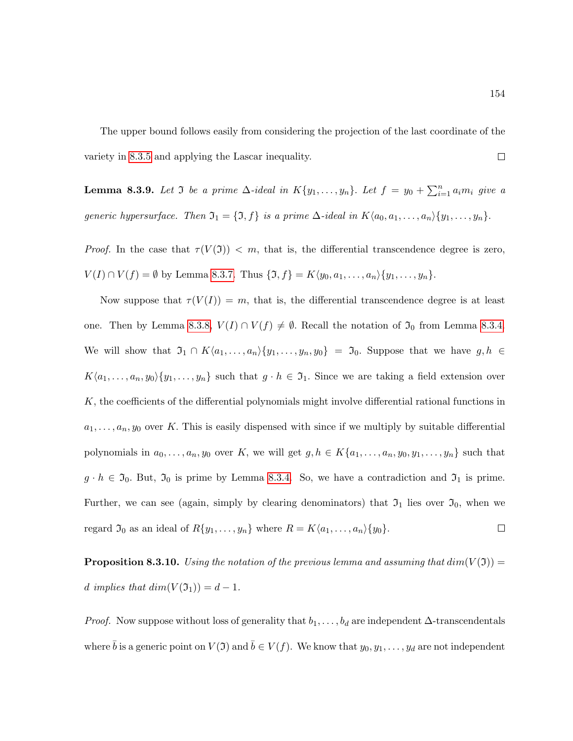The upper bound follows easily from considering the projection of the last coordinate of the variety in [8.3.5](#page-163-0) and applying the Lascar inequality.  $\Box$ 

<span id="page-165-0"></span>**Lemma 8.3.9.** Let  $\Im$  be a prime  $\Delta$ -ideal in  $K\{y_1,\ldots,y_n\}$ . Let  $f = y_0 + \sum_{i=1}^n a_i m_i$  give a generic hypersurface. Then  $\mathfrak{I}_1 = \{\mathfrak{I}, f\}$  is a prime  $\Delta$ -ideal in  $K\langle a_0, a_1, \ldots, a_n \rangle \{y_1, \ldots, y_n\}.$ 

*Proof.* In the case that  $\tau(V(\mathfrak{I})) < m$ , that is, the differential transcendence degree is zero,  $V(I) \cap V(f) = \emptyset$  by Lemma [8.3.7.](#page-164-0) Thus  $\{\mathfrak{I}, f\} = K\langle y_0, a_1, \ldots, a_n \rangle \{y_1, \ldots, y_n\}.$ 

Now suppose that  $\tau(V(I)) = m$ , that is, the differential transcendence degree is at least one. Then by Lemma [8.3.8,](#page-164-1)  $V(I) \cap V(f) \neq \emptyset$ . Recall the notation of  $\mathfrak{I}_0$  from Lemma [8.3.4.](#page-162-0) We will show that  $\mathfrak{I}_1 \cap K\langle a_1, \ldots, a_n \rangle \{y_1, \ldots, y_n, y_0\} = \mathfrak{I}_0$ . Suppose that we have  $g, h \in$  $K\langle a_1, \ldots, a_n, y_0 \rangle \{y_1, \ldots, y_n\}$  such that  $g \cdot h \in \mathfrak{I}_1$ . Since we are taking a field extension over  $K$ , the coefficients of the differential polynomials might involve differential rational functions in  $a_1, \ldots, a_n, y_0$  over K. This is easily dispensed with since if we multiply by suitable differential polynomials in  $a_0, \ldots, a_n, y_0$  over K, we will get  $g, h \in K\{a_1, \ldots, a_n, y_0, y_1, \ldots, y_n\}$  such that  $g \cdot h \in \mathfrak{I}_0$ . But,  $\mathfrak{I}_0$  is prime by Lemma [8.3.4.](#page-162-0) So, we have a contradiction and  $\mathfrak{I}_1$  is prime. Further, we can see (again, simply by clearing denominators) that  $\mathfrak{I}_1$  lies over  $\mathfrak{I}_0$ , when we regard  $\mathfrak{I}_0$  as an ideal of  $R\{y_1, \ldots, y_n\}$  where  $R = K\langle a_1, \ldots, a_n \rangle \{y_0\}.$  $\Box$ 

**Proposition 8.3.10.** Using the notation of the previous lemma and assuming that  $dim(V(3)) =$ d implies that  $dim(V(\mathfrak{I}_1)) = d - 1$ .

*Proof.* Now suppose without loss of generality that  $b_1, \ldots, b_d$  are independent ∆-transcendentals where  $\bar{b}$  is a generic point on  $V(\mathfrak{I})$  and  $\bar{b} \in V(f)$ . We know that  $y_0, y_1, \ldots, y_d$  are not independent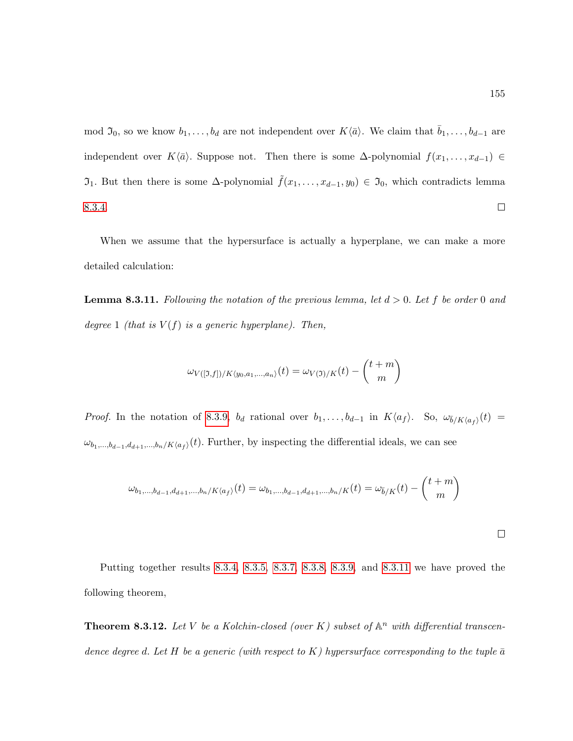mod  $\mathfrak{I}_0$ , so we know  $b_1, \ldots, b_d$  are not independent over  $K\langle \bar{a}\rangle$ . We claim that  $\bar{b}_1, \ldots, b_{d-1}$  are independent over K $\langle \bar{a} \rangle$ . Suppose not. Then there is some  $\Delta$ -polynomial  $f(x_1, \ldots, x_{d-1}) \in$  $\mathfrak{I}_1$ . But then there is some Δ-polynomial  $\tilde{f}(x_1,\ldots,x_{d-1},y_0) \in \mathfrak{I}_0$ , which contradicts lemma [8.3.4.](#page-162-0)  $\Box$ 

When we assume that the hypersurface is actually a hyperplane, we can make a more detailed calculation:

<span id="page-166-0"></span>**Lemma 8.3.11.** Following the notation of the previous lemma, let  $d > 0$ . Let f be order 0 and degree 1 (that is  $V(f)$  is a generic hyperplane). Then,

$$
\omega_{V([0,f])/K\langle y_0,a_1,\ldots,a_n\rangle}(t) = \omega_{V(0)/K}(t) - \binom{t+m}{m}
$$

*Proof.* In the notation of [8.3.9,](#page-165-0)  $b_d$  rational over  $b_1, \ldots, b_{d-1}$  in  $K\langle a_f \rangle$ . So,  $\omega_{\bar{b}/K\langle a_f \rangle}(t)$  $\omega_{b_1,...,b_{d-1},d_{d+1},...,b_n/K\langle a_f\rangle}(t)$ . Further, by inspecting the differential ideals, we can see

$$
\omega_{b_1,\dots,b_{d-1},d_{d+1},\dots,b_n/K\langle a_f \rangle}(t) = \omega_{b_1,\dots,b_{d-1},d_{d+1},\dots,b_n/K}(t) = \omega_{\bar{b}/K}(t) - \binom{t+m}{m}
$$

 $\Box$ 

Putting together results [8.3.4,](#page-162-0) [8.3.5,](#page-163-0) [8.3.7,](#page-164-0) [8.3.8,](#page-164-1) [8.3.9,](#page-165-0) and [8.3.11](#page-166-0) we have proved the following theorem,

<span id="page-166-1"></span>**Theorem 8.3.12.** Let V be a Kolchin-closed (over K) subset of  $\mathbb{A}^n$  with differential transcendence degree d. Let H be a generic (with respect to K) hypersurface corresponding to the tuple  $\bar{a}$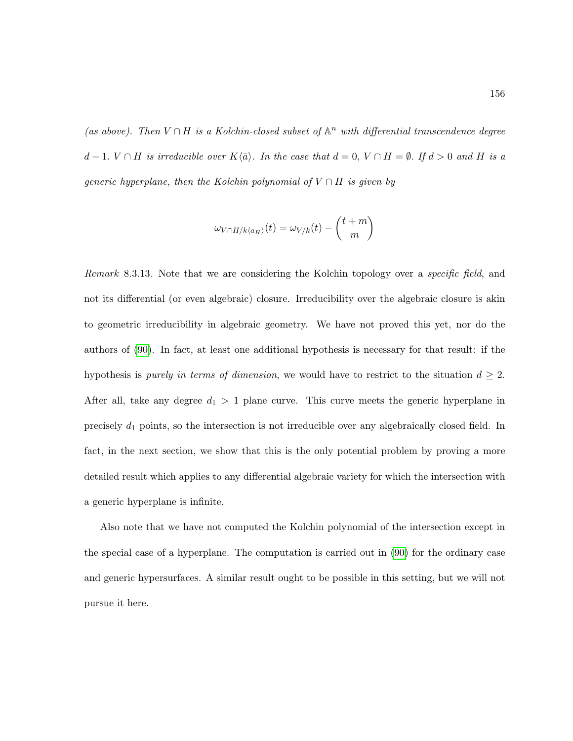(as above). Then  $V \cap H$  is a Kolchin-closed subset of  $\mathbb{A}^n$  with differential transcendence degree d − 1.  $V \cap H$  is irreducible over  $K\langle \bar{a} \rangle$ . In the case that  $d = 0$ ,  $V \cap H = \emptyset$ . If  $d > 0$  and H is a generic hyperplane, then the Kolchin polynomial of  $V \cap H$  is given by

$$
\omega_{V\cap H/k\langle a_H\rangle}(t) = \omega_{V/k}(t) - \binom{t+m}{m}
$$

Remark 8.3.13. Note that we are considering the Kolchin topology over a *specific field*, and not its differential (or even algebraic) closure. Irreducibility over the algebraic closure is akin to geometric irreducibility in algebraic geometry. We have not proved this yet, nor do the authors of [\(90\)](#page-220-3). In fact, at least one additional hypothesis is necessary for that result: if the hypothesis is *purely in terms of dimension*, we would have to restrict to the situation  $d \geq 2$ . After all, take any degree  $d_1 > 1$  plane curve. This curve meets the generic hyperplane in precisely  $d_1$  points, so the intersection is not irreducible over any algebraically closed field. In fact, in the next section, we show that this is the only potential problem by proving a more detailed result which applies to any differential algebraic variety for which the intersection with a generic hyperplane is infinite.

Also note that we have not computed the Kolchin polynomial of the intersection except in the special case of a hyperplane. The computation is carried out in [\(90\)](#page-220-3) for the ordinary case and generic hypersurfaces. A similar result ought to be possible in this setting, but we will not pursue it here.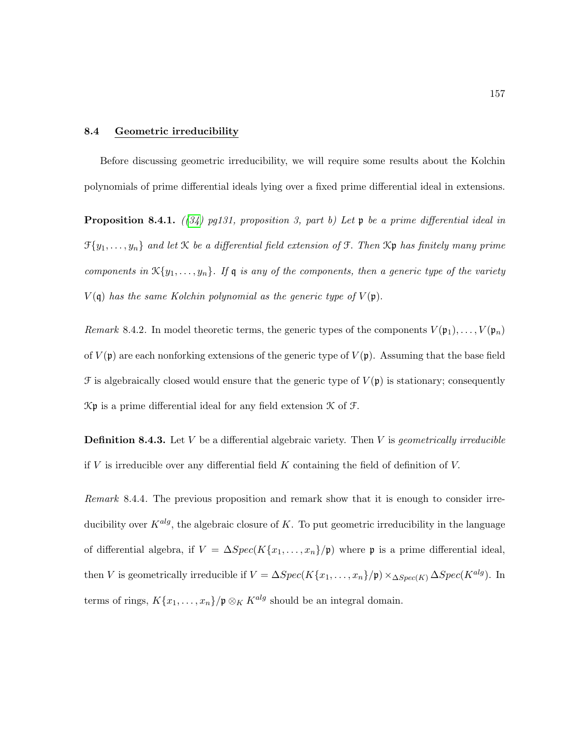#### 8.4 Geometric irreducibility

Before discussing geometric irreducibility, we will require some results about the Kolchin polynomials of prime differential ideals lying over a fixed prime differential ideal in extensions.

<span id="page-168-0"></span>**Proposition 8.4.1.** ([\(34\)](#page-216-1) pg131, proposition 3, part b) Let  $\mathfrak p$  be a prime differential ideal in  $\mathfrak{F}\{y_1,\ldots,y_n\}$  and let  $\mathfrak K$  be a differential field extension of  $\mathfrak F$ . Then  $\mathfrak K$  has finitely many prime components in  $\mathcal{K}{y_1,\ldots,y_n}$ . If  $\mathfrak q$  is any of the components, then a generic type of the variety  $V(\mathfrak{q})$  has the same Kolchin polynomial as the generic type of  $V(\mathfrak{p})$ .

Remark 8.4.2. In model theoretic terms, the generic types of the components  $V(\mathfrak{p}_1), \ldots, V(\mathfrak{p}_n)$ of  $V(\mathfrak{p})$  are each nonforking extensions of the generic type of  $V(\mathfrak{p})$ . Assuming that the base field  $\mathcal F$  is algebraically closed would ensure that the generic type of  $V(\mathfrak p)$  is stationary; consequently  $\mathcal{K} \mathfrak{p}$  is a prime differential ideal for any field extension  $\mathcal{K}$  of  $\mathcal{F}$ .

**Definition 8.4.3.** Let  $V$  be a differential algebraic variety. Then  $V$  is *geometrically irreducible* if V is irreducible over any differential field K containing the field of definition of V.

Remark 8.4.4. The previous proposition and remark show that it is enough to consider irreducibility over  $K^{alg}$ , the algebraic closure of K. To put geometric irreducibility in the language of differential algebra, if  $V = \Delta Spec(K\{x_1, \ldots, x_n\}/\mathfrak{p})$  where  $\mathfrak{p}$  is a prime differential ideal, then V is geometrically irreducible if  $V = \Delta Spec(K\{x_1, \ldots, x_n\}/\mathfrak{p}) \times_{\Delta Spec(K)} \Delta Spec(K^{alg})$ . In terms of rings,  $K\{x_1, \ldots, x_n\}/\mathfrak{p} \otimes_K K^{alg}$  should be an integral domain.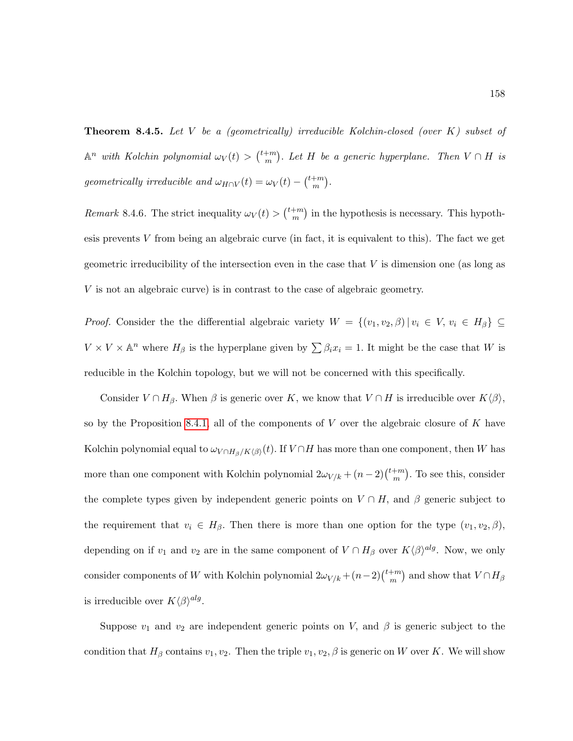**Theorem 8.4.5.** Let  $V$  be a (geometrically) irreducible Kolchin-closed (over  $K$ ) subset of  $\mathbb{A}^n$  with Kolchin polynomial  $\omega_V(t) > \binom{t+m}{m}$  $\binom{+m}{m}$ . Let H be a generic hyperplane. Then  $V \cap H$  is geometrically irreducible and  $\omega_{H\cap V}(t) = \omega_V(t) - \binom{t+m}{m}$  $_{m}^{+m}$ ).

*Remark* 8.4.6. The strict inequality  $\omega_V(t) > \binom{t+m}{m}$  $\binom{+m}{m}$  in the hypothesis is necessary. This hypothesis prevents  $V$  from being an algebraic curve (in fact, it is equivalent to this). The fact we get geometric irreducibility of the intersection even in the case that V is dimension one (as long as V is not an algebraic curve) is in contrast to the case of algebraic geometry.

*Proof.* Consider the the differential algebraic variety  $W = \{(v_1, v_2, \beta) | v_i \in V, v_i \in H_\beta\} \subseteq$  $V \times V \times \mathbb{A}^n$  where  $H_\beta$  is the hyperplane given by  $\sum \beta_i x_i = 1$ . It might be the case that W is reducible in the Kolchin topology, but we will not be concerned with this specifically.

Consider  $V \cap H_\beta$ . When  $\beta$  is generic over K, we know that  $V \cap H$  is irreducible over  $K(\beta)$ , so by the Proposition [8.4.1,](#page-168-0) all of the components of  $V$  over the algebraic closure of  $K$  have Kolchin polynomial equal to  $\omega_{V\cap H_\beta/K\langle\beta\rangle}(t).$  If  $V\cap H$  has more than one component, then W has more than one component with Kolchin polynomial  $2\omega_{V/k} + (n-2)\binom{t+m}{m}$  $\binom{+m}{m}$ . To see this, consider the complete types given by independent generic points on  $V \cap H$ , and  $\beta$  generic subject to the requirement that  $v_i \in H_\beta$ . Then there is more than one option for the type  $(v_1, v_2, \beta)$ , depending on if  $v_1$  and  $v_2$  are in the same component of  $V \cap H_\beta$  over  $K\langle\beta\rangle^{alg}$ . Now, we only consider components of W with Kolchin polynomial  $2\omega_{V/k} + (n-2)\binom{t+m}{m}$  $\binom{+m}{m}$  and show that  $V \cap H_\beta$ is irreducible over  $K\langle\beta\rangle^{alg}$ .

Suppose  $v_1$  and  $v_2$  are independent generic points on V, and  $\beta$  is generic subject to the condition that  $H_\beta$  contains  $v_1, v_2$ . Then the triple  $v_1, v_2, \beta$  is generic on W over K. We will show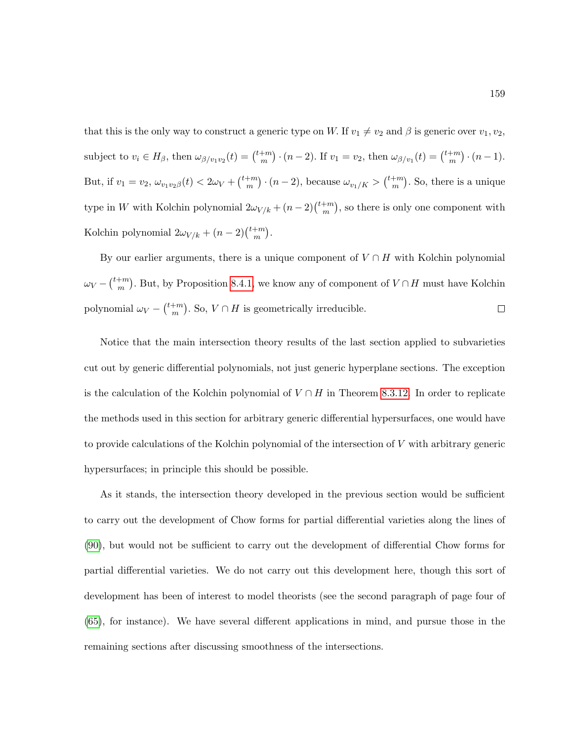that this is the only way to construct a generic type on W. If  $v_1 \neq v_2$  and  $\beta$  is generic over  $v_1, v_2$ , subject to  $v_i \in H_\beta$ , then  $\omega_{\beta/v_1v_2}(t) = \binom{t+m}{m}$  $\binom{m}{m} \cdot (n-2)$ . If  $v_1 = v_2$ , then  $\omega_{\beta/v_1}(t) = \binom{t+m}{m}$  $\binom{+m}{m} \cdot (n-1).$ But, if  $v_1 = v_2, \, \omega_{v_1 v_2 \beta}(t) < 2\omega_V + \binom{t+m}{m}$  $\binom{m}{m} \cdot (n-2)$ , because  $\omega_{v_1/K} > \binom{t+m}{m}$  $\binom{+m}{m}$ . So, there is a unique type in W with Kolchin polynomial  $2\omega_{V/k} + (n-2)\binom{t+m}{m}$  $\binom{+m}{m}$ , so there is only one component with Kolchin polynomial  $2\omega_{V/k} + (n-2)\binom{t+m}{m}$  $\frac{+m}{m}$ .

By our earlier arguments, there is a unique component of  $V \cap H$  with Kolchin polynomial  $\omega_V - \binom{t+m}{m}$  $\binom{+m}{m}$ . But, by Proposition [8.4.1,](#page-168-0) we know any of component of  $V \cap H$  must have Kolchin polynomial  $\omega_V - \binom{t+m}{m}$  $\binom{+m}{m}$ . So,  $V \cap H$  is geometrically irreducible.  $\Box$ 

Notice that the main intersection theory results of the last section applied to subvarieties cut out by generic differential polynomials, not just generic hyperplane sections. The exception is the calculation of the Kolchin polynomial of  $V \cap H$  in Theorem [8.3.12.](#page-166-1) In order to replicate the methods used in this section for arbitrary generic differential hypersurfaces, one would have to provide calculations of the Kolchin polynomial of the intersection of V with arbitrary generic hypersurfaces; in principle this should be possible.

As it stands, the intersection theory developed in the previous section would be sufficient to carry out the development of Chow forms for partial differential varieties along the lines of [\(90\)](#page-220-3), but would not be sufficient to carry out the development of differential Chow forms for partial differential varieties. We do not carry out this development here, though this sort of development has been of interest to model theorists (see the second paragraph of page four of [\(65\)](#page-219-4), for instance). We have several different applications in mind, and pursue those in the remaining sections after discussing smoothness of the intersections.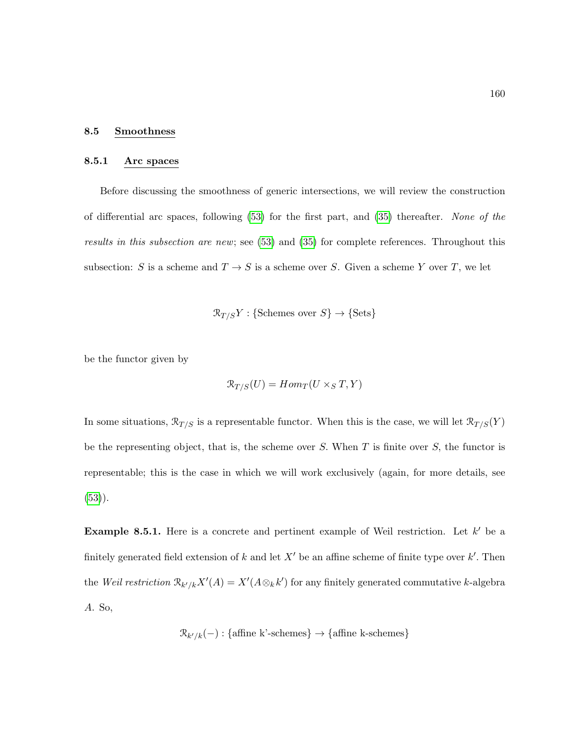#### 8.5 Smoothness

### 8.5.1 Arc spaces

Before discussing the smoothness of generic intersections, we will review the construction of differential arc spaces, following  $(53)$  for the first part, and  $(35)$  thereafter. None of the results in this subsection are new; see [\(53\)](#page-218-3) and [\(35\)](#page-216-2) for complete references. Throughout this subsection: S is a scheme and  $T \to S$  is a scheme over S. Given a scheme Y over T, we let

$$
\mathcal{R}_{T/S}Y: \{\text{Schemes over } S\} \to \{\text{Sets}\}\
$$

be the functor given by

$$
\mathcal{R}_{T/S}(U)=Hom_T(U\times_S T,Y)
$$

In some situations,  $\mathcal{R}_{T/S}$  is a representable functor. When this is the case, we will let  $\mathcal{R}_{T/S}(Y)$ be the representing object, that is, the scheme over  $S$ . When  $T$  is finite over  $S$ , the functor is representable; this is the case in which we will work exclusively (again, for more details, see  $(53)$ .

<span id="page-171-0"></span>**Example 8.5.1.** Here is a concrete and pertinent example of Weil restriction. Let  $k'$  be a finitely generated field extension of k and let  $X'$  be an affine scheme of finite type over k'. Then the Weil restriction  $\mathcal{R}_{k'/k}X'(A) = X'(A \otimes_k k')$  for any finitely generated commutative k-algebra A. So,

$$
\mathcal{R}_{k'/k}(-): \{\text{affine k'-schemes}\} \to \{\text{affine k-schemes}\}\
$$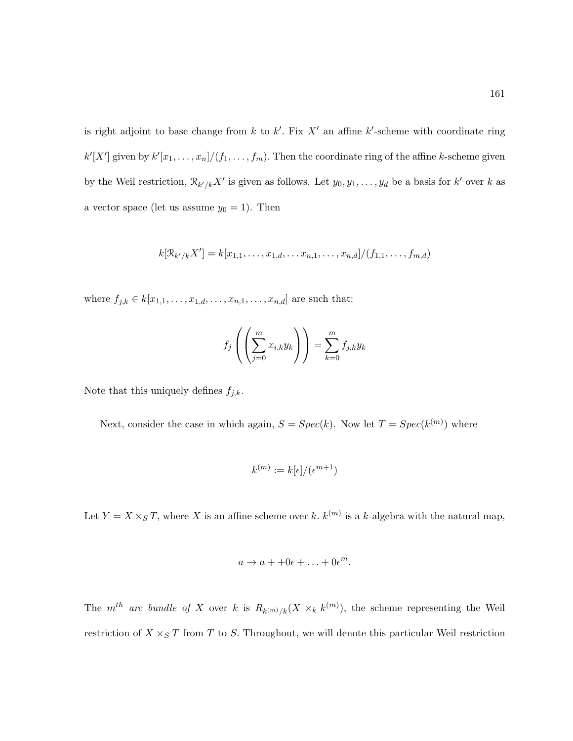is right adjoint to base change from  $k$  to  $k'$ . Fix  $X'$  an affine  $k'$ -scheme with coordinate ring  $k'[X']$  given by  $k'[x_1, \ldots, x_n]/(f_1, \ldots, f_m)$ . Then the coordinate ring of the affine k-scheme given by the Weil restriction,  $\mathcal{R}_{k'/k}X'$  is given as follows. Let  $y_0, y_1, \ldots, y_d$  be a basis for  $k'$  over k as a vector space (let us assume  $y_0 = 1$ ). Then

$$
k[\mathcal{R}_{k'/k}X'] = k[x_{1,1},\ldots,x_{1,d},\ldots,x_{n,1},\ldots,x_{n,d}]/(f_{1,1},\ldots,f_{m,d})
$$

where  $f_{j,k} \in k[x_{1,1}, \ldots, x_{1,d}, \ldots, x_{n,1}, \ldots, x_{n,d}]$  are such that:

$$
f_j\left(\left(\sum_{j=0}^m x_{i,k} y_k\right)\right) = \sum_{k=0}^m f_{j,k} y_k
$$

Note that this uniquely defines  $f_{j,k}$ .

Next, consider the case in which again,  $S = Spec(k)$ . Now let  $T = Spec(k^{(m)})$  where

$$
k^{(m)} := k[\epsilon]/(\epsilon^{m+1})
$$

Let  $Y = X \times_S T$ , where X is an affine scheme over k,  $k^{(m)}$  is a k-algebra with the natural map,

$$
a \to a + +0\epsilon + \ldots + 0\epsilon^m.
$$

The  $m^{th}$  arc bundle of X over k is  $R_{k^{(m)}/k}(X \times_{k} k^{(m)})$ , the scheme representing the Weil restriction of  $X \times_S T$  from T to S. Throughout, we will denote this particular Weil restriction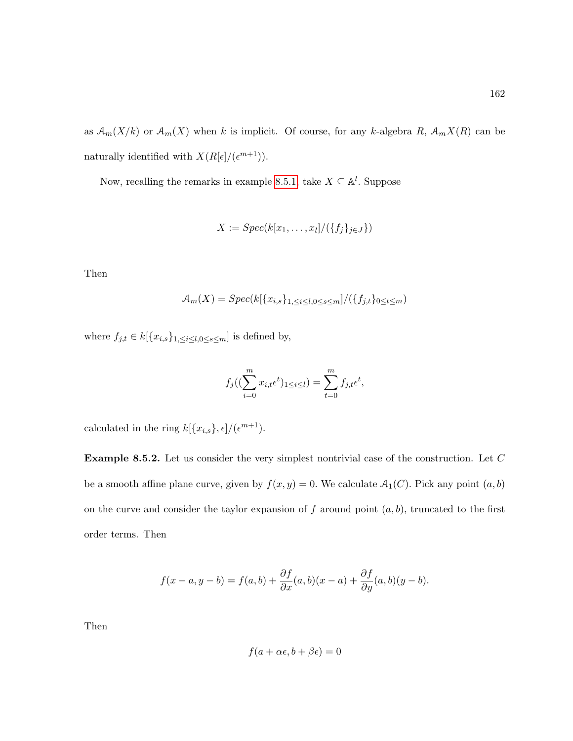162

as  $\mathcal{A}_m(X/k)$  or  $\mathcal{A}_m(X)$  when k is implicit. Of course, for any k-algebra R,  $\mathcal{A}_m(X(R)$  can be naturally identified with  $X(R[\epsilon]/(\epsilon^{m+1}))$ .

Now, recalling the remarks in example [8.5.1,](#page-171-0) take  $X \subseteq \mathbb{A}^l$ . Suppose

$$
X := Spec(k[x_1,\ldots,x_l]/(\{f_j\}_{j\in J}\})
$$

Then

$$
\mathcal{A}_m(X) = Spec(k[\{x_{i,s}\}_{1,\leq i\leq l,0\leq s\leq m}]/(\{f_{j,t}\}_{0\leq t\leq m})
$$

where  $f_{j,t} \in k[\lbrace x_{i,s} \rbrace_{1, \leq i \leq l, 0 \leq s \leq m}]$  is defined by,

$$
f_j((\sum_{i=0}^m x_{i,t} \epsilon^t)_{1 \le i \le l}) = \sum_{t=0}^m f_{j,t} \epsilon^t,
$$

calculated in the ring  $k[\{x_{i,s}\},\epsilon]/(\epsilon^{m+1}).$ 

**Example 8.5.2.** Let us consider the very simplest nontrivial case of the construction. Let  $C$ be a smooth affine plane curve, given by  $f(x, y) = 0$ . We calculate  $A_1(C)$ . Pick any point  $(a, b)$ on the curve and consider the taylor expansion of  $f$  around point  $(a, b)$ , truncated to the first order terms. Then

$$
f(x-a, y-b) = f(a,b) + \frac{\partial f}{\partial x}(a,b)(x-a) + \frac{\partial f}{\partial y}(a,b)(y-b).
$$

Then

$$
f(a + \alpha \epsilon, b + \beta \epsilon) = 0
$$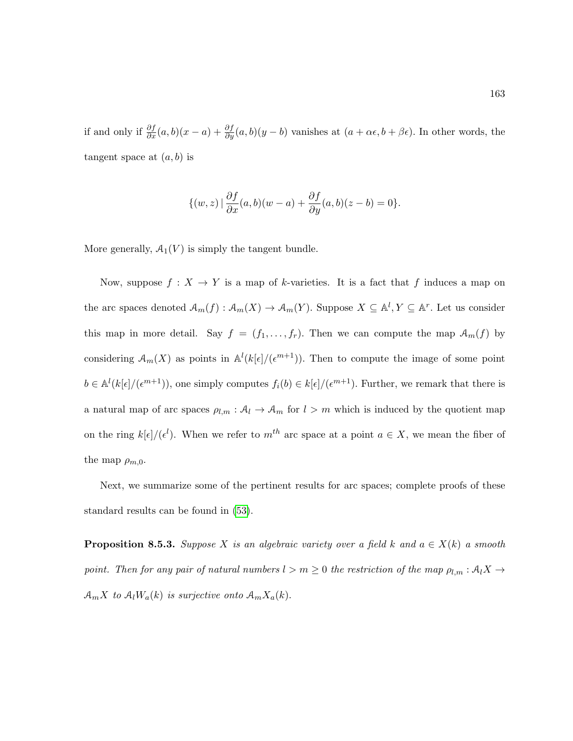if and only if  $\frac{\partial f}{\partial x}(a,b)(x-a)+\frac{\partial f}{\partial y}(a,b)(y-b)$  vanishes at  $(a+\alpha\epsilon,b+\beta\epsilon)$ . In other words, the tangent space at  $(a, b)$  is

$$
\{(w,z) | \frac{\partial f}{\partial x}(a,b)(w-a) + \frac{\partial f}{\partial y}(a,b)(z-b) = 0\}.
$$

More generally,  $A_1(V)$  is simply the tangent bundle.

Now, suppose  $f: X \to Y$  is a map of k-varieties. It is a fact that f induces a map on the arc spaces denoted  $\mathcal{A}_m(f) : \mathcal{A}_m(X) \to \mathcal{A}_m(Y)$ . Suppose  $X \subseteq \mathbb{A}^l, Y \subseteq \mathbb{A}^r$ . Let us consider this map in more detail. Say  $f = (f_1, \ldots, f_r)$ . Then we can compute the map  $\mathcal{A}_m(f)$  by considering  $\mathcal{A}_m(X)$  as points in  $\mathbb{A}^l(k[\epsilon]/(\epsilon^{m+1}))$ . Then to compute the image of some point  $b \in \mathbb{A}^{l}(k[\epsilon]/(\epsilon^{m+1}))$ , one simply computes  $f_i(b) \in k[\epsilon]/(\epsilon^{m+1})$ . Further, we remark that there is a natural map of arc spaces  $\rho_{l,m}: A_l \to A_m$  for  $l > m$  which is induced by the quotient map on the ring  $k[\epsilon]/(\epsilon^l)$ . When we refer to  $m^{th}$  arc space at a point  $a \in X$ , we mean the fiber of the map  $\rho_{m,0}$ .

Next, we summarize some of the pertinent results for arc spaces; complete proofs of these standard results can be found in [\(53\)](#page-218-3).

**Proposition 8.5.3.** Suppose X is an algebraic variety over a field k and  $a \in X(k)$  a smooth point. Then for any pair of natural numbers  $l > m \geq 0$  the restriction of the map  $\rho_{l,m} : A_l X \to$  $\mathcal{A}_m X$  to  $\mathcal{A}_l W_a(k)$  is surjective onto  $\mathcal{A}_m X_a(k)$ .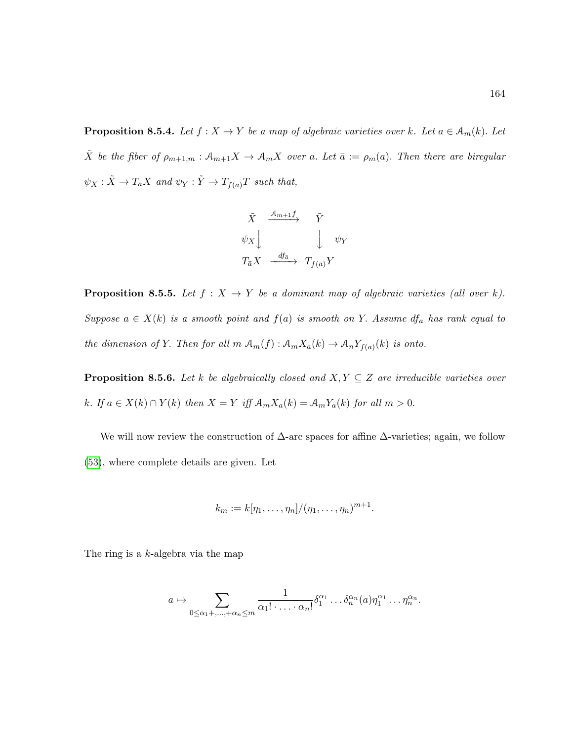**Proposition 8.5.4.** Let  $f : X \to Y$  be a map of algebraic varieties over k. Let  $a \in A_m(k)$ . Let  $\tilde{X}$  be the fiber of  $\rho_{m+1,m} : A_{m+1}X \to A_mX$  over a. Let  $\bar{a} := \rho_m(a)$ . Then there are biregular  $\psi_X : \tilde X \to T_{\bar a} X \ \, and \,\, \psi_Y : \tilde Y \to T_{f(\bar a)} T \ \, such \,\, that,$ 

$$
\begin{array}{ccc}\n\tilde{X} & \xrightarrow{A_{m+1}f} & \tilde{Y} \\
\psi_{X} & & \downarrow & \psi_{Y} \\
T_{\bar{a}}X & \xrightarrow{df_{\bar{a}}} & T_{f(\bar{a})}Y\n\end{array}
$$

**Proposition 8.5.5.** Let  $f : X \to Y$  be a dominant map of algebraic varieties (all over k). Suppose  $a \in X(k)$  is a smooth point and  $f(a)$  is smooth on Y. Assume  $df_a$  has rank equal to the dimension of Y. Then for all  $m \mathcal{A}_m(f) : \mathcal{A}_m X_a(k) \to \mathcal{A}_n Y_{f(a)}(k)$  is onto.

**Proposition 8.5.6.** Let k be algebraically closed and  $X, Y \subseteq Z$  are irreducible varieties over k. If  $a \in X(k) \cap Y(k)$  then  $X = Y$  iff  $\mathcal{A}_{m}X_{a}(k) = \mathcal{A}_{m}Y_{a}(k)$  for all  $m > 0$ .

We will now review the construction of  $\Delta$ -arc spaces for affine  $\Delta$ -varieties; again, we follow [\(53\)](#page-218-3), where complete details are given. Let

$$
k_m := k[\eta_1, \ldots, \eta_n]/(\eta_1, \ldots, \eta_n)^{m+1}.
$$

The ring is a k-algebra via the map

$$
a \mapsto \sum_{0 \le \alpha_1 + \ldots + \alpha_n \le m} \frac{1}{\alpha_1! \cdot \ldots \cdot \alpha_n!} \delta_1^{\alpha_1} \ldots \delta_n^{\alpha_n}(a) \eta_1^{\alpha_1} \ldots \eta_n^{\alpha_n}.
$$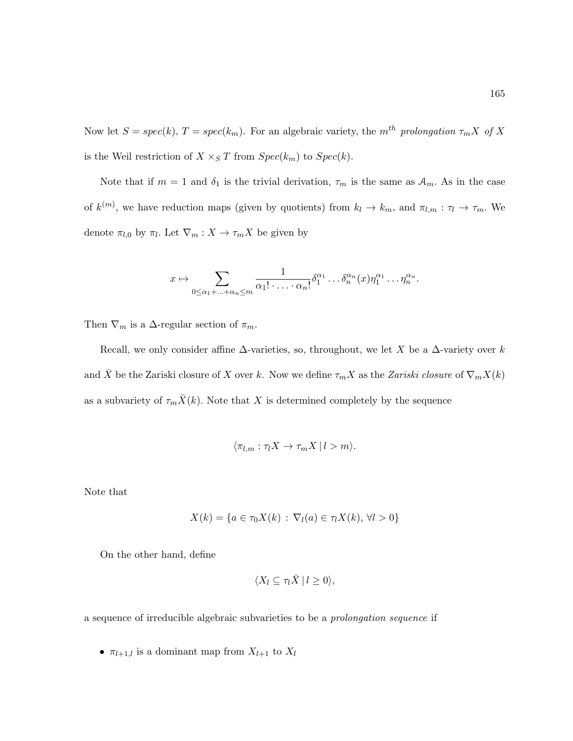Now let  $S = spec(k), T = spec(k_m)$ . For an algebraic variety, the m<sup>th</sup> prolongation  $\tau_m X$  of X is the Weil restriction of  $X \times_S T$  from  $Spec(k_m)$  to  $Spec(k)$ .

Note that if  $m = 1$  and  $\delta_1$  is the trivial derivation,  $\tau_m$  is the same as  $\mathcal{A}_m$ . As in the case of  $k^{(m)}$ , we have reduction maps (given by quotients) from  $k_l \to k_m$ , and  $\pi_{l,m} : \tau_l \to \tau_m$ . We denote  $\pi_{l,0}$  by  $\pi_l$ . Let  $\nabla_m : X \to \tau_m X$  be given by

$$
x \mapsto \sum_{0 \le \alpha_1 + \ldots + \alpha_n \le m} \frac{1}{\alpha_1! \cdot \ldots \cdot \alpha_n!} \delta_1^{\alpha_1} \ldots \delta_n^{\alpha_n}(x) \eta_1^{\alpha_1} \ldots \eta_n^{\alpha_n}.
$$

Then  $\nabla_m$  is a  $\Delta$ -regular section of  $\pi_m$ .

Recall, we only consider affine  $\Delta$ -varieties, so, throughout, we let X be a  $\Delta$ -variety over k and  $\bar{X}$  be the Zariski closure of X over k. Now we define  $\tau_m X$  as the Zariski closure of  $\nabla_m X(k)$ as a subvariety of  $\tau_m \bar{X}(k)$ . Note that X is determined completely by the sequence

$$
\langle \pi_{l,m} : \tau_l X \to \tau_m X \mid l > m \rangle.
$$

Note that

$$
X(k) = \{ a \in \tau_0 X(k) : \nabla_l(a) \in \tau_l X(k), \forall l > 0 \}
$$

On the other hand, define

$$
\langle X_l \subseteq \tau_l X \, | \, l \geq 0 \rangle,
$$

a sequence of irreducible algebraic subvarieties to be a prolongation sequence if

•  $\pi_{l+1,l}$  is a dominant map from  $X_{l+1}$  to  $X_l$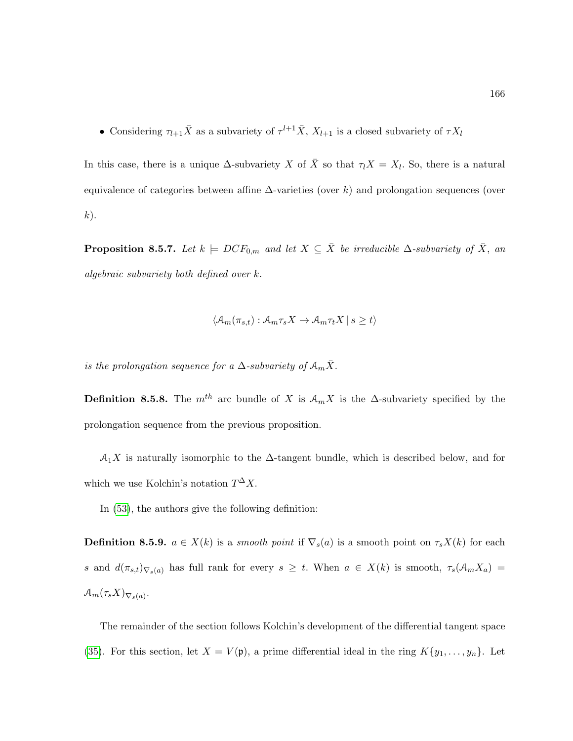• Considering  $\tau_{l+1}\bar{X}$  as a subvariety of  $\tau^{l+1}\bar{X}, X_{l+1}$  is a closed subvariety of  $\tau X_l$ 

In this case, there is a unique  $\Delta$ -subvariety X of  $\bar{X}$  so that  $\tau_l X = X_l$ . So, there is a natural equivalence of categories between affine  $\Delta$ -varieties (over k) and prolongation sequences (over  $k$ ).

**Proposition 8.5.7.** Let  $k \models DCF_{0,m}$  and let  $X \subseteq \overline{X}$  be irreducible  $\Delta$ -subvariety of  $\overline{X}$ , an algebraic subvariety both defined over k.

$$
\langle \mathcal{A}_m(\pi_{s,t}) : \mathcal{A}_m \tau_s X \to \mathcal{A}_m \tau_t X \mid s \ge t \rangle
$$

is the prolongation sequence for a  $\Delta$ -subvariety of  $\mathcal{A}_m \bar{X}$ .

**Definition 8.5.8.** The  $m^{th}$  arc bundle of X is  $\mathcal{A}_m X$  is the  $\Delta$ -subvariety specified by the prolongation sequence from the previous proposition.

 $A_1X$  is naturally isomorphic to the  $\Delta$ -tangent bundle, which is described below, and for which we use Kolchin's notation  $T^{\Delta}X$ .

In [\(53\)](#page-218-3), the authors give the following definition:

<span id="page-177-0"></span>**Definition 8.5.9.**  $a \in X(k)$  is a smooth point if  $\nabla_s(a)$  is a smooth point on  $\tau_s X(k)$  for each s and  $d(\pi_{s,t})_{\nabla_s(a)}$  has full rank for every  $s \geq t$ . When  $a \in X(k)$  is smooth,  $\tau_s(\mathcal{A}_m X_a) =$  $\mathcal{A}_m(\tau_s X)_{\nabla_s(a)}.$ 

The remainder of the section follows Kolchin's development of the differential tangent space [\(35\)](#page-216-2). For this section, let  $X = V(\mathfrak{p})$ , a prime differential ideal in the ring  $K\{y_1, \ldots, y_n\}$ . Let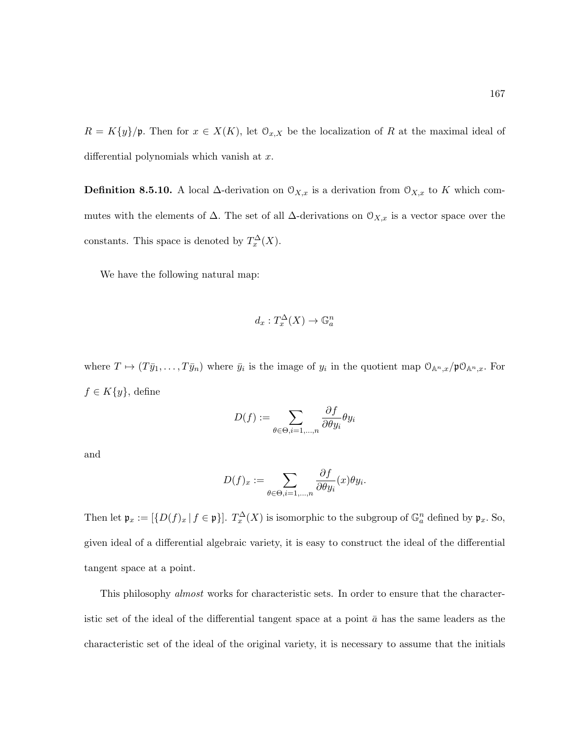$R = K\{y\}/\mathfrak{p}$ . Then for  $x \in X(K)$ , let  $\mathfrak{O}_{x,X}$  be the localization of R at the maximal ideal of differential polynomials which vanish at  $x$ .

**Definition 8.5.10.** A local  $\Delta$ -derivation on  $\mathcal{O}_{X,x}$  is a derivation from  $\mathcal{O}_{X,x}$  to K which commutes with the elements of  $\Delta$ . The set of all  $\Delta$ -derivations on  $\mathcal{O}_{X,x}$  is a vector space over the constants. This space is denoted by  $T_x^{\Delta}(X)$ .

We have the following natural map:

$$
d_x: T_x^{\Delta}(X) \to \mathbb{G}_a^n
$$

where  $T \mapsto (T\bar{y}_1,\ldots,T\bar{y}_n)$  where  $\bar{y}_i$  is the image of  $y_i$  in the quotient map  $\mathcal{O}_{\mathbb{A}^n,x}/\mathfrak{p}\mathcal{O}_{\mathbb{A}^n,x}$ . For  $f \in K\{y\}$ , define

$$
D(f) := \sum_{\theta \in \Theta, i=1,\dots,n} \frac{\partial f}{\partial \theta y_i} \theta y_i
$$

and

$$
D(f)_x := \sum_{\theta \in \Theta, i=1,\dots,n} \frac{\partial f}{\partial \theta y_i}(x) \theta y_i.
$$

Then let  $\mathfrak{p}_x := [\{D(f)_x \mid f \in \mathfrak{p}\}].$   $T_x^{\Delta}(X)$  is isomorphic to the subgroup of  $\mathbb{G}_a^n$  defined by  $\mathfrak{p}_x$ . So, given ideal of a differential algebraic variety, it is easy to construct the ideal of the differential tangent space at a point.

This philosophy almost works for characteristic sets. In order to ensure that the characteristic set of the ideal of the differential tangent space at a point  $\bar{a}$  has the same leaders as the characteristic set of the ideal of the original variety, it is necessary to assume that the initials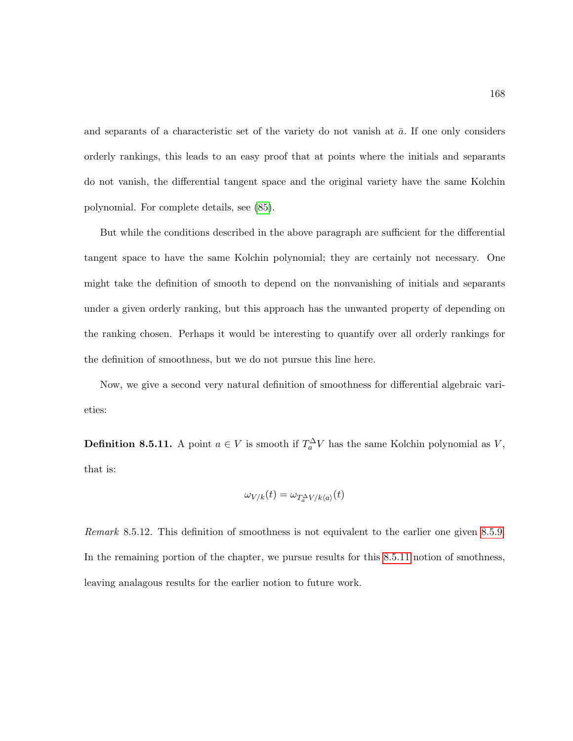and separants of a characteristic set of the variety do not vanish at  $\bar{a}$ . If one only considers orderly rankings, this leads to an easy proof that at points where the initials and separants do not vanish, the differential tangent space and the original variety have the same Kolchin polynomial. For complete details, see [\(85\)](#page-220-4).

But while the conditions described in the above paragraph are sufficient for the differential tangent space to have the same Kolchin polynomial; they are certainly not necessary. One might take the definition of smooth to depend on the nonvanishing of initials and separants under a given orderly ranking, but this approach has the unwanted property of depending on the ranking chosen. Perhaps it would be interesting to quantify over all orderly rankings for the definition of smoothness, but we do not pursue this line here.

Now, we give a second very natural definition of smoothness for differential algebraic varieties:

<span id="page-179-0"></span>**Definition 8.5.11.** A point  $a \in V$  is smooth if  $T_a^{\Delta}V$  has the same Kolchin polynomial as V, that is:

$$
\omega_{V/k}(t) = \omega_{T_a^{\Delta}V/k\langle a \rangle}(t)
$$

Remark 8.5.12. This definition of smoothness is not equivalent to the earlier one given [8.5.9.](#page-177-0) In the remaining portion of the chapter, we pursue results for this [8.5.11](#page-179-0) notion of smothness, leaving analagous results for the earlier notion to future work.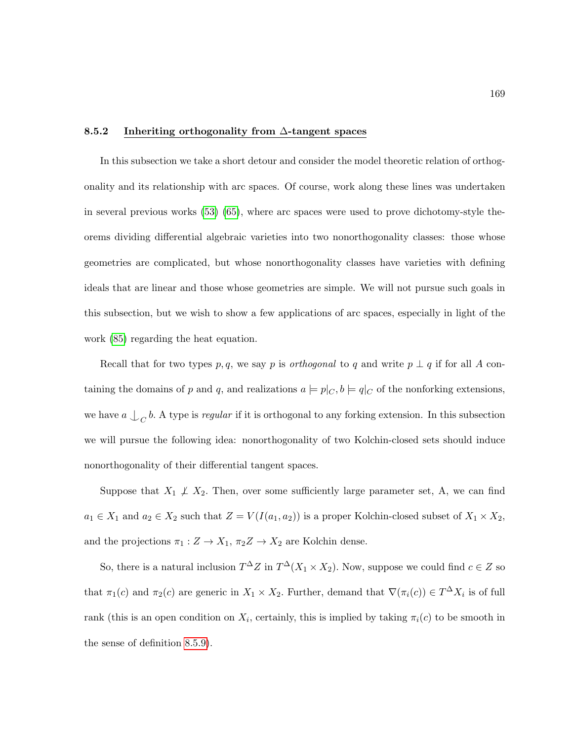### 8.5.2 Inheriting orthogonality from ∆-tangent spaces

In this subsection we take a short detour and consider the model theoretic relation of orthogonality and its relationship with arc spaces. Of course, work along these lines was undertaken in several previous works [\(53\)](#page-218-0) [\(65\)](#page-219-0), where arc spaces were used to prove dichotomy-style theorems dividing differential algebraic varieties into two nonorthogonality classes: those whose geometries are complicated, but whose nonorthogonality classes have varieties with defining ideals that are linear and those whose geometries are simple. We will not pursue such goals in this subsection, but we wish to show a few applications of arc spaces, especially in light of the work [\(85\)](#page-220-0) regarding the heat equation.

Recall that for two types p, q, we say p is *orthogonal* to q and write  $p \perp q$  if for all A containing the domains of p and q, and realizations  $a \models p|_C, b \models q|_C$  of the nonforking extensions, we have  $a \bigcup_C b$ . A type is *regular* if it is orthogonal to any forking extension. In this subsection we will pursue the following idea: nonorthogonality of two Kolchin-closed sets should induce nonorthogonality of their differential tangent spaces.

Suppose that  $X_1 \not\perp X_2$ . Then, over some sufficiently large parameter set, A, we can find  $a_1 \in X_1$  and  $a_2 \in X_2$  such that  $Z = V(I(a_1, a_2))$  is a proper Kolchin-closed subset of  $X_1 \times X_2$ , and the projections  $\pi_1:Z\to X_1,$   $\pi_2 Z\to X_2$  are Kolchin dense.

So, there is a natural inclusion  $T^{\Delta}Z$  in  $T^{\Delta}(X_1 \times X_2)$ . Now, suppose we could find  $c \in Z$  so that  $\pi_1(c)$  and  $\pi_2(c)$  are generic in  $X_1 \times X_2$ . Further, demand that  $\nabla(\pi_i(c)) \in T^{\Delta}X_i$  is of full rank (this is an open condition on  $X_i$ , certainly, this is implied by taking  $\pi_i(c)$  to be smooth in the sense of definition [8.5.9\)](#page-177-0).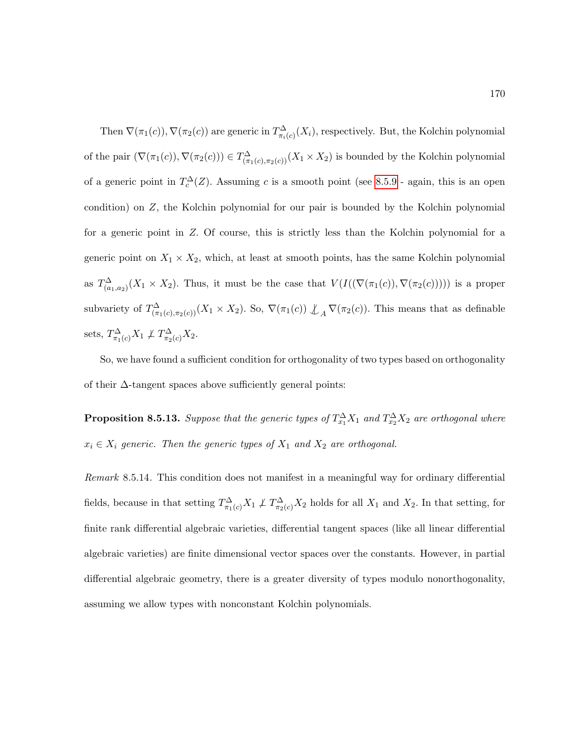Then  $\nabla(\pi_1(c))$ ,  $\nabla(\pi_2(c))$  are generic in  $T^{\Delta}_{\pi_i(c)}(X_i)$ , respectively. But, the Kolchin polynomial of the pair  $(\nabla(\pi_1(c)), \nabla(\pi_2(c))) \in T^{\Delta}_{(\pi_1(c), \pi_2(c))}(X_1 \times X_2)$  is bounded by the Kolchin polynomial of a generic point in  $T_c^{\Delta}(Z)$ . Assuming c is a smooth point (see [8.5.9](#page-177-0) - again, this is an open condition) on Z, the Kolchin polynomial for our pair is bounded by the Kolchin polynomial for a generic point in Z. Of course, this is strictly less than the Kolchin polynomial for a generic point on  $X_1 \times X_2$ , which, at least at smooth points, has the same Kolchin polynomial as  $T^{\Delta}_{(a_1,a_2)}(X_1 \times X_2)$ . Thus, it must be the case that  $V(I((\nabla(\pi_1(c)), \nabla(\pi_2(c))))$  is a proper subvariety of  $T^{\Delta}_{(\pi_1(c),\pi_2(c))}(X_1 \times X_2)$ . So,  $\nabla(\pi_1(c)) \not\perp_A \nabla(\pi_2(c))$ . This means that as definable sets,  $T_{\pi_1(c)}^{\Delta} X_1 \not\perp T_{\pi_2(c)}^{\Delta} X_2$ .

So, we have found a sufficient condition for orthogonality of two types based on orthogonality of their  $\Delta$ -tangent spaces above sufficiently general points:

**Proposition 8.5.13.** Suppose that the generic types of  $T_{x_1}^{\Delta}X_1$  and  $T_{x_2}^{\Delta}X_2$  are orthogonal where  $x_i \in X_i$  generic. Then the generic types of  $X_1$  and  $X_2$  are orthogonal.

Remark 8.5.14. This condition does not manifest in a meaningful way for ordinary differential fields, because in that setting  $T^{\Delta}_{\pi_1(c)}X_1 \not\perp T^{\Delta}_{\pi_2(c)}X_2$  holds for all  $X_1$  and  $X_2$ . In that setting, for finite rank differential algebraic varieties, differential tangent spaces (like all linear differential algebraic varieties) are finite dimensional vector spaces over the constants. However, in partial differential algebraic geometry, there is a greater diversity of types modulo nonorthogonality, assuming we allow types with nonconstant Kolchin polynomials.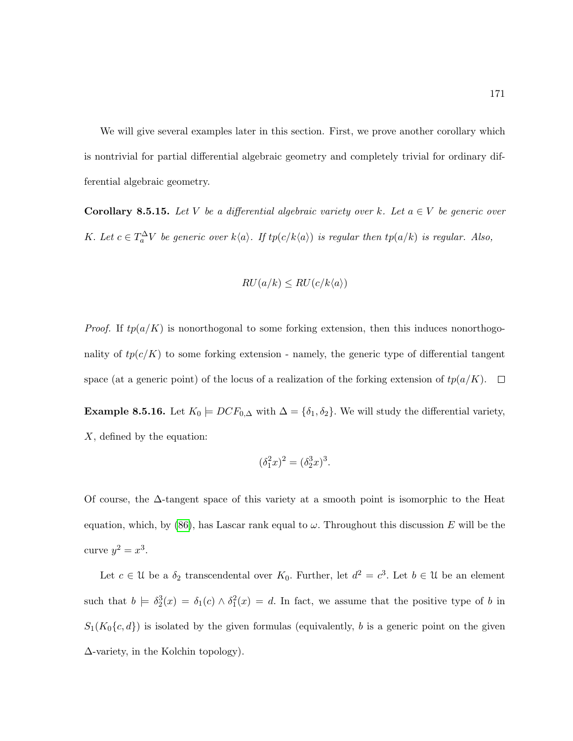We will give several examples later in this section. First, we prove another corollary which is nontrivial for partial differential algebraic geometry and completely trivial for ordinary differential algebraic geometry.

<span id="page-182-0"></span>**Corollary 8.5.15.** Let V be a differential algebraic variety over k. Let  $a \in V$  be generic over K. Let  $c \in T_a^{\Delta} V$  be generic over  $k\langle a \rangle$ . If  $tp(c/k\langle a \rangle)$  is regular then  $tp(a/k)$  is regular. Also,

$$
RU(a/k) \leq RU(c/k\langle a \rangle)
$$

*Proof.* If  $tp(a/K)$  is nonorthogonal to some forking extension, then this induces nonorthogonality of  $tp(c/K)$  to some forking extension - namely, the generic type of differential tangent space (at a generic point) of the locus of a realization of the forking extension of  $tp(a/K)$ .  $\Box$ 

Example 8.5.16. Let  $K_0 \models DCF_{0,\Delta}$  with  $\Delta = {\delta_1, \delta_2}$ . We will study the differential variety, X, defined by the equation:

$$
(\delta_1^2 x)^2 = (\delta_2^3 x)^3.
$$

Of course, the  $\Delta$ -tangent space of this variety at a smooth point is isomorphic to the Heat equation, which, by [\(86\)](#page-220-1), has Lascar rank equal to  $\omega$ . Throughout this discussion E will be the curve  $y^2 = x^3$ .

Let  $c \in \mathcal{U}$  be a  $\delta_2$  transcendental over  $K_0$ . Further, let  $d^2 = c^3$ . Let  $b \in \mathcal{U}$  be an element such that  $b \models \delta_2^3(x) = \delta_1(c) \wedge \delta_1^2(x) = d$ . In fact, we assume that the positive type of b in  $S_1(K_0\{c,d\})$  is isolated by the given formulas (equivalently, b is a generic point on the given ∆-variety, in the Kolchin topology).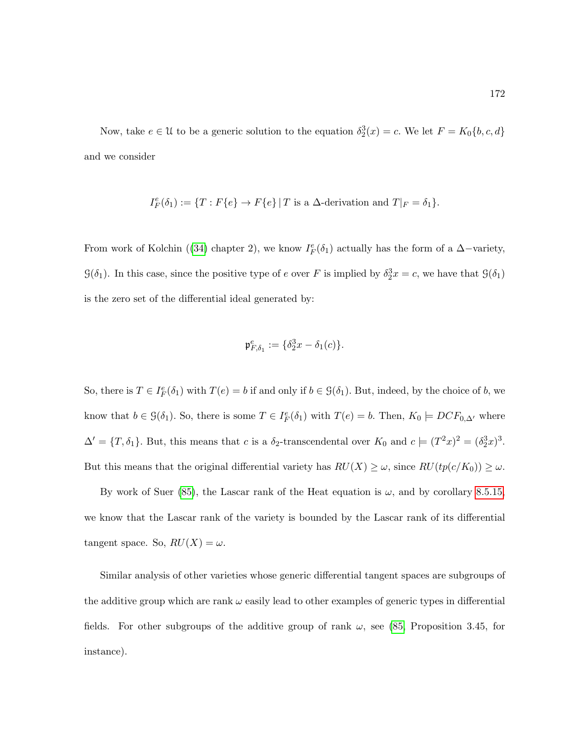Now, take  $e \in \mathcal{U}$  to be a generic solution to the equation  $\delta_2^3(x) = c$ . We let  $F = K_0\{b, c, d\}$ and we consider

$$
I_F^e(\delta_1) := \{ T : F\{e\} \to F\{e\} \mid T \text{ is a } \Delta \text{-derivation and } T|_F = \delta_1 \}.
$$

From work of Kolchin ([\(34\)](#page-216-0) chapter 2), we know  $I_F^e(\delta_1)$  actually has the form of a  $\Delta$ -variety,  $\mathcal{G}(\delta_1)$ . In this case, since the positive type of e over F is implied by  $\delta_2^3 x = c$ , we have that  $\mathcal{G}(\delta_1)$ is the zero set of the differential ideal generated by:

$$
\mathfrak{p}_{F,\delta_1}^e := \{\delta_2^3 x - \delta_1(c)\}.
$$

So, there is  $T \in I_F^e(\delta_1)$  with  $T(e) = b$  if and only if  $b \in \mathcal{G}(\delta_1)$ . But, indeed, by the choice of b, we know that  $b \in \mathcal{G}(\delta_1)$ . So, there is some  $T \in I_F^e(\delta_1)$  with  $T(e) = b$ . Then,  $K_0 \models DCF_{0,\Delta'}$  where  $\Delta' = \{T, \delta_1\}$ . But, this means that c is a  $\delta_2$ -transcendental over  $K_0$  and  $c \models (T^2x)^2 = (\delta_2^3x)^3$ . But this means that the original differential variety has  $RU(X) \geq \omega$ , since  $RU(tp(c/K_0)) \geq \omega$ .

By work of Suer [\(85\)](#page-220-0), the Lascar rank of the Heat equation is  $\omega$ , and by corollary [8.5.15,](#page-182-0) we know that the Lascar rank of the variety is bounded by the Lascar rank of its differential tangent space. So,  $RU(X) = \omega$ .

Similar analysis of other varieties whose generic differential tangent spaces are subgroups of the additive group which are rank  $\omega$  easily lead to other examples of generic types in differential fields. For other subgroups of the additive group of rank  $\omega$ , see [\(85,](#page-220-0) Proposition 3.45, for instance).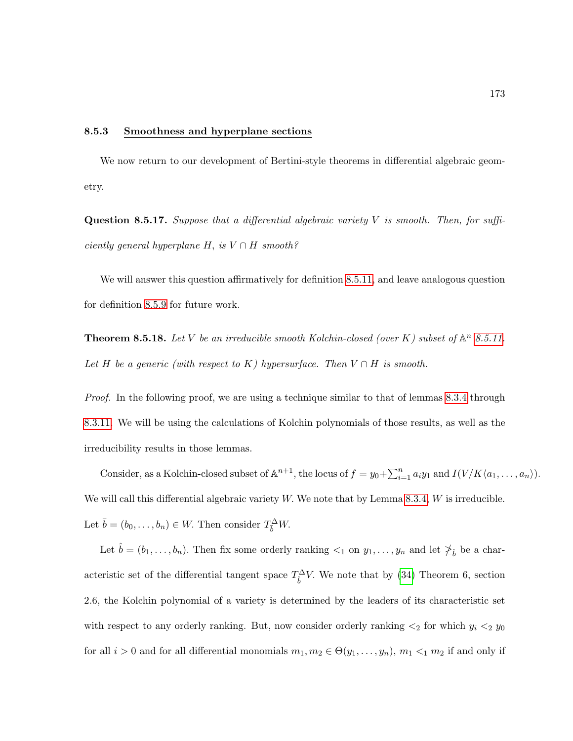#### 8.5.3 Smoothness and hyperplane sections

We now return to our development of Bertini-style theorems in differential algebraic geometry.

**Question 8.5.17.** Suppose that a differential algebraic variety  $V$  is smooth. Then, for suffi $ciently\ general\ hyperplane\ H,\ is\ V\cap H\ smooth?$ 

We will answer this question affirmatively for definition [8.5.11,](#page-179-0) and leave analogous question for definition [8.5.9](#page-177-0) for future work.

**Theorem 8.5.18.** Let V be an irreducible smooth Kolchin-closed (over K) subset of  $\mathbb{A}^n$  [8.5.11.](#page-179-0) Let H be a generic (with respect to K) hypersurface. Then  $V \cap H$  is smooth.

Proof. In the following proof, we are using a technique similar to that of lemmas [8.3.4](#page-162-0) through [8.3.11.](#page-166-0) We will be using the calculations of Kolchin polynomials of those results, as well as the irreducibility results in those lemmas.

Consider, as a Kolchin-closed subset of  $\mathbb{A}^{n+1}$ , the locus of  $f = y_0 + \sum_{i=1}^n a_i y_1$  and  $I(V/K\langle a_1, \ldots, a_n \rangle)$ . We will call this differential algebraic variety  $W$ . We note that by Lemma [8.3.4,](#page-162-0)  $W$  is irreducible. Let  $\bar{b} = (b_0, \ldots, b_n) \in W$ . Then consider  $T_{\bar{b}}^{\Delta} W$ .

Let  $\hat{b} = (b_1, \ldots, b_n)$ . Then fix some orderly ranking  $\lt_1$  on  $y_1, \ldots, y_n$  and let  $\neq_{\hat{b}}$  be a characteristic set of the differential tangent space  $T_b^{\Delta}V$ . We note that by [\(34\)](#page-216-0) Theorem 6, section 2.6, the Kolchin polynomial of a variety is determined by the leaders of its characteristic set with respect to any orderly ranking. But, now consider orderly ranking  $\lt_2$  for which  $y_i \lt_2 y_0$ for all  $i > 0$  and for all differential monomials  $m_1, m_2 \in \Theta(y_1, \ldots, y_n)$ ,  $m_1 <_1 m_2$  if and only if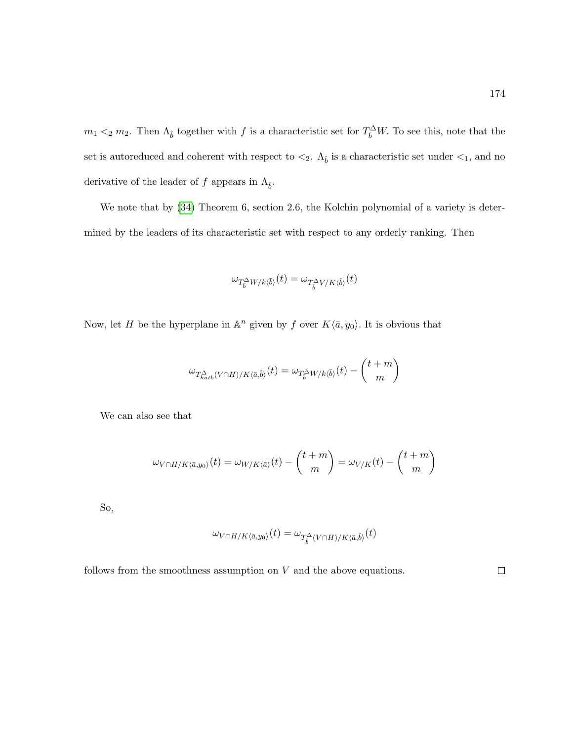$m_1 <_2 m_2$ . Then  $\Lambda_{\hat{b}}$  together with f is a characteristic set for  $T_{\overline{b}}^{\Delta}W$ . To see this, note that the set is autoreduced and coherent with respect to  $\lt_2$ .  $\Lambda_{\hat{b}}$  is a characteristic set under  $\lt_1$ , and no derivative of the leader of f appears in  $\Lambda_{\hat{b}}$ .

We note that by  $(34)$  Theorem 6, section 2.6, the Kolchin polynomial of a variety is determined by the leaders of its characteristic set with respect to any orderly ranking. Then

$$
\omega_{T^{\Delta}_{\bar{b}}W/k\langle\bar{b}\rangle}(t)=\omega_{T^{\Delta}_{\hat{b}}V/K\langle\hat{b}\rangle}(t)
$$

Now, let H be the hyperplane in  $\mathbb{A}^n$  given by f over  $K\langle \bar{a}, y_0 \rangle$ . It is obvious that

$$
\omega_{T_{hab}^\Delta(V\cap H)/K\langle \bar a,\hat b\rangle}(t)=\omega_{T_{\bar b}^\Delta W/k\langle \bar b\rangle}(t)-\binom{t+m}{m}
$$

We can also see that

$$
\omega_{V\cap H/K\langle \bar{a},y_0\rangle}(t)=\omega_{W/K\langle \bar{a}\rangle}(t)-{t+m\choose m}=\omega_{V/K}(t)-{t+m\choose m}
$$

So,

$$
\omega_{V\cap H/K\langle \bar{a},y_0\rangle}(t)=\omega_{T_{\tilde{b}}^{\Delta}(V\cap H)/K\langle \bar{a},\hat{b}\rangle}(t)
$$

follows from the smoothness assumption on  $V$  and the above equations.

 $\Box$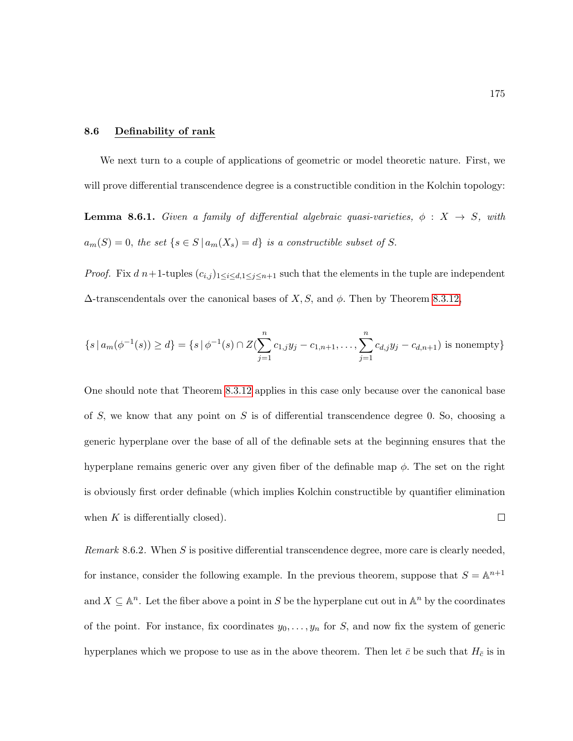## 8.6 Definability of rank

We next turn to a couple of applications of geometric or model theoretic nature. First, we will prove differential transcendence degree is a constructible condition in the Kolchin topology:

<span id="page-186-0"></span>**Lemma 8.6.1.** Given a family of differential algebraic quasi-varieties,  $\phi : X \rightarrow S$ , with  $a_m(S) = 0$ , the set  $\{s \in S \mid a_m(X_s) = d\}$  is a constructible subset of S.

*Proof.* Fix  $d\,n+1$ -tuples  $(c_{i,j})_{1\leq i\leq d,1\leq j\leq n+1}$  such that the elements in the tuple are independent  $\Delta$ -transcendentals over the canonical bases of X, S, and  $\phi$ . Then by Theorem [8.3.12,](#page-166-1)

$$
\{s \mid a_m(\phi^{-1}(s)) \ge d\} = \{s \mid \phi^{-1}(s) \cap Z(\sum_{j=1}^n c_{1,j} y_j - c_{1,n+1}, \dots, \sum_{j=1}^n c_{d,j} y_j - c_{d,n+1}) \text{ is nonempty}\}
$$

One should note that Theorem [8.3.12](#page-166-1) applies in this case only because over the canonical base of  $S$ , we know that any point on  $S$  is of differential transcendence degree 0. So, choosing a generic hyperplane over the base of all of the definable sets at the beginning ensures that the hyperplane remains generic over any given fiber of the definable map  $\phi$ . The set on the right is obviously first order definable (which implies Kolchin constructible by quantifier elimination  $\Box$ when  $K$  is differentially closed).

*Remark* 8.6.2. When S is positive differential transcendence degree, more care is clearly needed, for instance, consider the following example. In the previous theorem, suppose that  $S = \mathbb{A}^{n+1}$ and  $X \subseteq \mathbb{A}^n$ . Let the fiber above a point in S be the hyperplane cut out in  $\mathbb{A}^n$  by the coordinates of the point. For instance, fix coordinates  $y_0, \ldots, y_n$  for S, and now fix the system of generic hyperplanes which we propose to use as in the above theorem. Then let  $\bar{c}$  be such that  $H_{\bar{c}}$  is in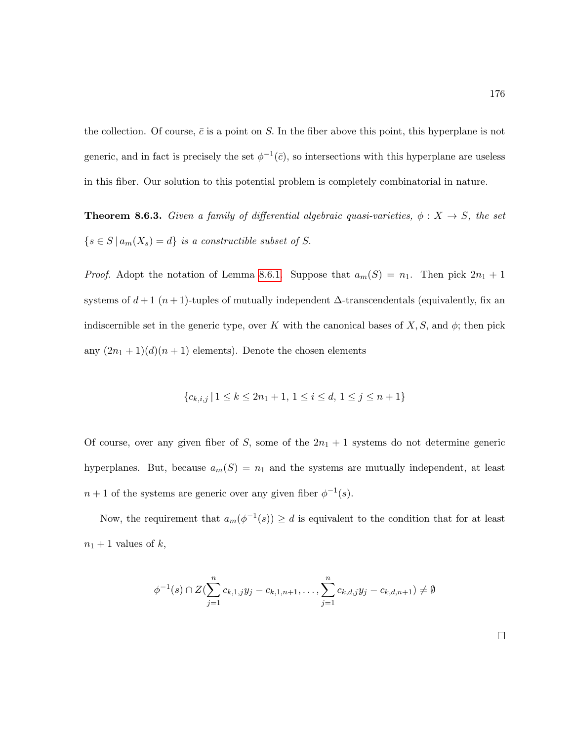the collection. Of course,  $\bar{c}$  is a point on S. In the fiber above this point, this hyperplane is not generic, and in fact is precisely the set  $\phi^{-1}(\bar{c})$ , so intersections with this hyperplane are useless in this fiber. Our solution to this potential problem is completely combinatorial in nature.

<span id="page-187-0"></span>**Theorem 8.6.3.** Given a family of differential algebraic quasi-varieties,  $\phi: X \to S$ , the set  $\{s \in S \mid a_m(X_s) = d\}$  is a constructible subset of S.

*Proof.* Adopt the notation of Lemma [8.6.1.](#page-186-0) Suppose that  $a_m(S) = n_1$ . Then pick  $2n_1 + 1$ systems of  $d+1$  ( $n+1$ )-tuples of mutually independent  $\Delta$ -transcendentals (equivalently, fix an indiscernible set in the generic type, over K with the canonical bases of  $X, S$ , and  $\phi$ ; then pick any  $(2n_1 + 1)(d)(n + 1)$  elements). Denote the chosen elements

$$
\{c_{k,i,j} \mid 1 \le k \le 2n_1+1, \, 1 \le i \le d, \, 1 \le j \le n+1\}
$$

Of course, over any given fiber of S, some of the  $2n_1 + 1$  systems do not determine generic hyperplanes. But, because  $a_m(S) = n_1$  and the systems are mutually independent, at least  $n+1$  of the systems are generic over any given fiber  $\phi^{-1}(s)$ .

Now, the requirement that  $a_m(\phi^{-1}(s)) \geq d$  is equivalent to the condition that for at least  $n_1 + 1$  values of k,

$$
\phi^{-1}(s) \cap Z(\sum_{j=1}^{n} c_{k,1,j}y_j - c_{k,1,n+1}, \dots, \sum_{j=1}^{n} c_{k,d,j}y_j - c_{k,d,n+1}) \neq \emptyset
$$

 $\Box$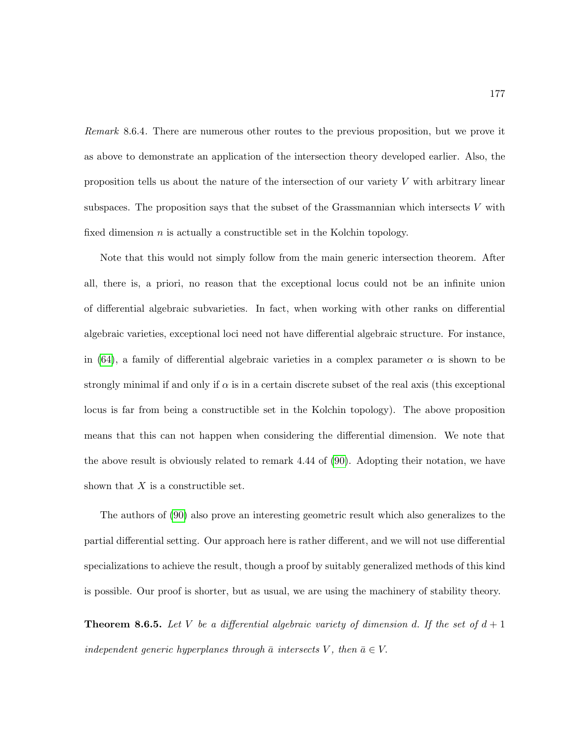Remark 8.6.4. There are numerous other routes to the previous proposition, but we prove it as above to demonstrate an application of the intersection theory developed earlier. Also, the proposition tells us about the nature of the intersection of our variety  $V$  with arbitrary linear subspaces. The proposition says that the subset of the Grassmannian which intersects  $V$  with fixed dimension  $n$  is actually a constructible set in the Kolchin topology.

Note that this would not simply follow from the main generic intersection theorem. After all, there is, a priori, no reason that the exceptional locus could not be an infinite union of differential algebraic subvarieties. In fact, when working with other ranks on differential algebraic varieties, exceptional loci need not have differential algebraic structure. For instance, in [\(64\)](#page-219-1), a family of differential algebraic varieties in a complex parameter  $\alpha$  is shown to be strongly minimal if and only if  $\alpha$  is in a certain discrete subset of the real axis (this exceptional locus is far from being a constructible set in the Kolchin topology). The above proposition means that this can not happen when considering the differential dimension. We note that the above result is obviously related to remark 4.44 of [\(90\)](#page-220-2). Adopting their notation, we have shown that  $X$  is a constructible set.

The authors of [\(90\)](#page-220-2) also prove an interesting geometric result which also generalizes to the partial differential setting. Our approach here is rather different, and we will not use differential specializations to achieve the result, though a proof by suitably generalized methods of this kind is possible. Our proof is shorter, but as usual, we are using the machinery of stability theory.

**Theorem 8.6.5.** Let V be a differential algebraic variety of dimension d. If the set of  $d+1$ independent generic hyperplanes through  $\bar{a}$  intersects V, then  $\bar{a} \in V$ .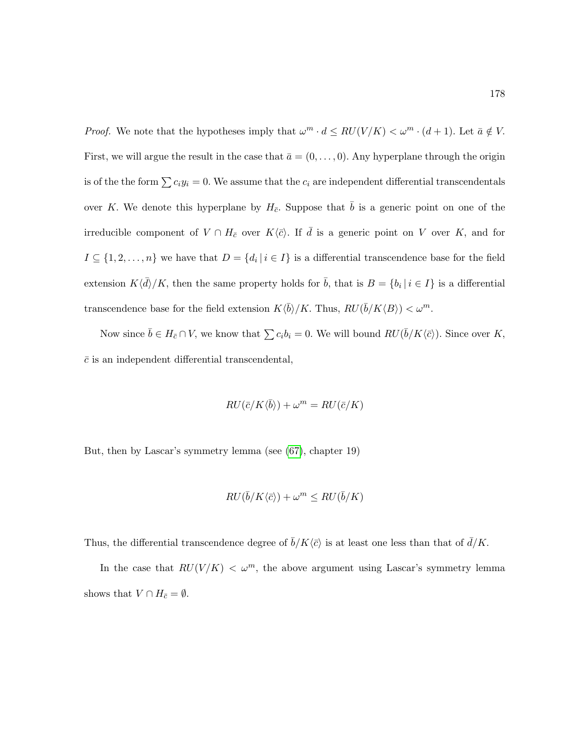*Proof.* We note that the hypotheses imply that  $\omega^m \cdot d \leq RU(V/K) < \omega^m \cdot (d+1)$ . Let  $\bar{a} \notin V$ . First, we will argue the result in the case that  $\bar{a} = (0, \ldots, 0)$ . Any hyperplane through the origin is of the the form  $\sum c_i y_i = 0$ . We assume that the  $c_i$  are independent differential transcendentals over K. We denote this hyperplane by  $H_{\bar{c}}$ . Suppose that  $\bar{b}$  is a generic point on one of the irreducible component of  $V \cap H_{\bar{c}}$  over  $K\langle \bar{c} \rangle$ . If  $\bar{d}$  is a generic point on V over K, and for  $I \subseteq \{1, 2, \ldots, n\}$  we have that  $D = \{d_i | i \in I\}$  is a differential transcendence base for the field extension  $K\langle \bar{d}\rangle/K$ , then the same property holds for  $\bar{b}$ , that is  $B = \{b_i | i \in I\}$  is a differential transcendence base for the field extension  $K \langle \bar{b} \rangle / K$ . Thus,  $RU(\bar{b}/K\langle B \rangle) < \omega^m$ .

Now since  $\bar{b} \in H_{\bar{c}} \cap V$ , we know that  $\sum c_i b_i = 0$ . We will bound  $RU(\bar{b}/K\langle \bar{c}\rangle)$ . Since over K,  $\bar{c}$  is an independent differential transcendental,

$$
RU(\bar{c}/K\langle \bar{b}\rangle) + \omega^m = RU(\bar{c}/K)
$$

But, then by Lascar's symmetry lemma (see [\(67\)](#page-219-2), chapter 19)

$$
RU(\bar{b}/K\langle \bar{c}\rangle) + \omega^m \leq RU(\bar{b}/K)
$$

Thus, the differential transcendence degree of  $\bar{b}/K\langle \bar{c} \rangle$  is at least one less than that of  $\bar{d}/K$ .

In the case that  $RU(V/K) < \omega^m$ , the above argument using Lascar's symmetry lemma shows that  $V \cap H_{\bar{c}} = \emptyset$ .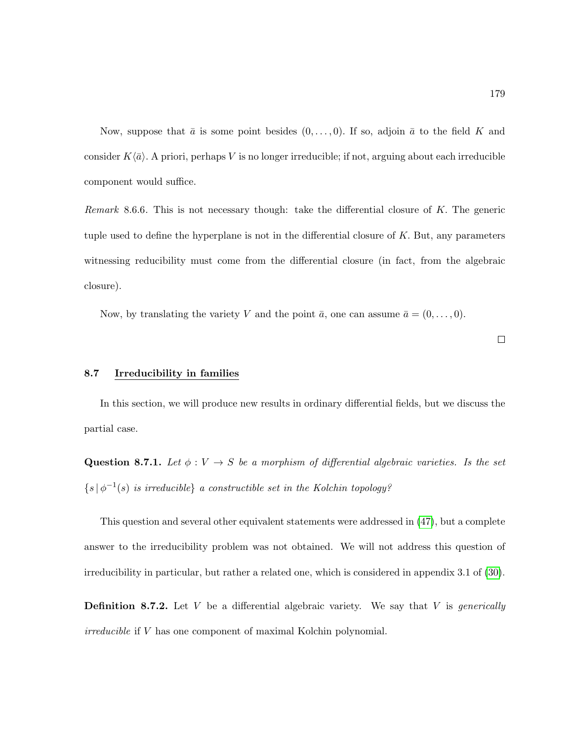Now, suppose that  $\bar{a}$  is some point besides  $(0, \ldots, 0)$ . If so, adjoin  $\bar{a}$  to the field K and consider  $K\langle \bar{a} \rangle$ . A priori, perhaps V is no longer irreducible; if not, arguing about each irreducible component would suffice.

Remark 8.6.6. This is not necessary though: take the differential closure of  $K$ . The generic tuple used to define the hyperplane is not in the differential closure of  $K$ . But, any parameters witnessing reducibility must come from the differential closure (in fact, from the algebraic closure).

Now, by translating the variety V and the point  $\bar{a}$ , one can assume  $\bar{a} = (0, \ldots, 0)$ .

 $\Box$ 

### 8.7 Irreducibility in families

In this section, we will produce new results in ordinary differential fields, but we discuss the partial case.

Question 8.7.1. Let  $\phi: V \to S$  be a morphism of differential algebraic varieties. Is the set  $\{s | \phi^{-1}(s)$  is irreducible a constructible set in the Kolchin topology?

This question and several other equivalent statements were addressed in [\(47\)](#page-217-0), but a complete answer to the irreducibility problem was not obtained. We will not address this question of irreducibility in particular, but rather a related one, which is considered in appendix 3.1 of [\(30\)](#page-216-1).

**Definition 8.7.2.** Let V be a differential algebraic variety. We say that V is *generically* irreducible if V has one component of maximal Kolchin polynomial.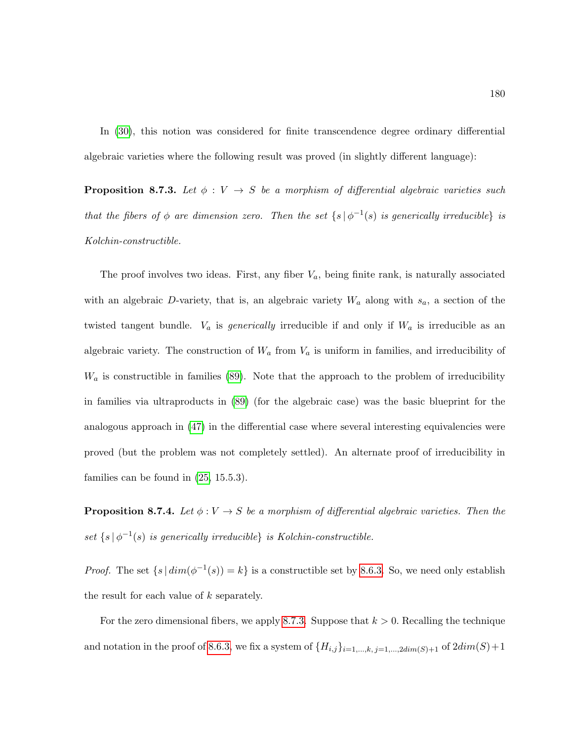In [\(30\)](#page-216-1), this notion was considered for finite transcendence degree ordinary differential algebraic varieties where the following result was proved (in slightly different language):

<span id="page-191-0"></span>**Proposition 8.7.3.** Let  $\phi: V \to S$  be a morphism of differential algebraic varieties such that the fibers of  $\phi$  are dimension zero. Then the set  $\{s \mid \phi^{-1}(s)$  is generically irreducible is Kolchin-constructible.

The proof involves two ideas. First, any fiber  $V_a$ , being finite rank, is naturally associated with an algebraic D-variety, that is, an algebraic variety  $W_a$  along with  $s_a$ , a section of the twisted tangent bundle.  $V_a$  is *generically* irreducible if and only if  $W_a$  is irreducible as an algebraic variety. The construction of  $W_a$  from  $V_a$  is uniform in families, and irreducibility of  $W_a$  is constructible in families [\(89\)](#page-220-3). Note that the approach to the problem of irreducibility in families via ultraproducts in [\(89\)](#page-220-3) (for the algebraic case) was the basic blueprint for the analogous approach in [\(47\)](#page-217-0) in the differential case where several interesting equivalencies were proved (but the problem was not completely settled). An alternate proof of irreducibility in families can be found in [\(25,](#page-216-2) 15.5.3).

<span id="page-191-1"></span>**Proposition 8.7.4.** Let  $\phi: V \to S$  be a morphism of differential algebraic varieties. Then the set  $\{s | \phi^{-1}(s)$  is generically irreducible} is Kolchin-constructible.

*Proof.* The set  $\{s \mid dim(\phi^{-1}(s)) = k\}$  is a constructible set by [8.6.3.](#page-187-0) So, we need only establish the result for each value of  $k$  separately.

For the zero dimensional fibers, we apply [8.7.3.](#page-191-0) Suppose that  $k > 0$ . Recalling the technique and notation in the proof of [8.6.3,](#page-187-0) we fix a system of  ${H_{i,j}}_{i=1,\ldots,k, j=1,\ldots,2dim(S)+1}$  of  $2dim(S)+1$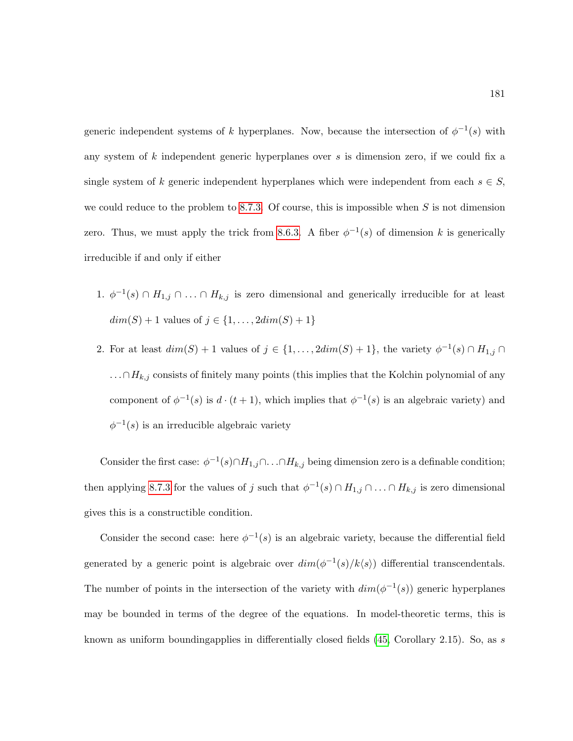generic independent systems of k hyperplanes. Now, because the intersection of  $\phi^{-1}(s)$  with any system of k independent generic hyperplanes over s is dimension zero, if we could fix a single system of k generic independent hyperplanes which were independent from each  $s \in S$ , we could reduce to the problem to [8.7.3.](#page-191-0) Of course, this is impossible when  $S$  is not dimension zero. Thus, we must apply the trick from [8.6.3.](#page-187-0) A fiber  $\phi^{-1}(s)$  of dimension k is generically irreducible if and only if either

- 1.  $\phi^{-1}(s) \cap H_{1,j} \cap \ldots \cap H_{k,j}$  is zero dimensional and generically irreducible for at least  $dim(S) + 1$  values of  $j \in \{1, ..., 2dim(S) + 1\}$
- 2. For at least  $dim(S) + 1$  values of  $j \in \{1, ..., 2dim(S) + 1\}$ , the variety  $\phi^{-1}(s) \cap H_{1,j} \cap$ . . .∩ $H_{k,j}$  consists of finitely many points (this implies that the Kolchin polynomial of any component of  $\phi^{-1}(s)$  is  $d \cdot (t+1)$ , which implies that  $\phi^{-1}(s)$  is an algebraic variety) and  $\phi^{-1}(s)$  is an irreducible algebraic variety

Consider the first case:  $\phi^{-1}(s) \cap H_{1,j} \cap \ldots \cap H_{k,j}$  being dimension zero is a definable condition; then applying [8.7.3](#page-191-0) for the values of j such that  $\phi^{-1}(s) \cap H_{1,j} \cap \ldots \cap H_{k,j}$  is zero dimensional gives this is a constructible condition.

Consider the second case: here  $\phi^{-1}(s)$  is an algebraic variety, because the differential field generated by a generic point is algebraic over  $dim(\phi^{-1}(s)/k\langle s \rangle)$  differential transcendentals. The number of points in the intersection of the variety with  $dim(\phi^{-1}(s))$  generic hyperplanes may be bounded in terms of the degree of the equations. In model-theoretic terms, this is known as uniform boundingapplies in differentially closed fields  $(45, Corollary 2.15)$ . So, as s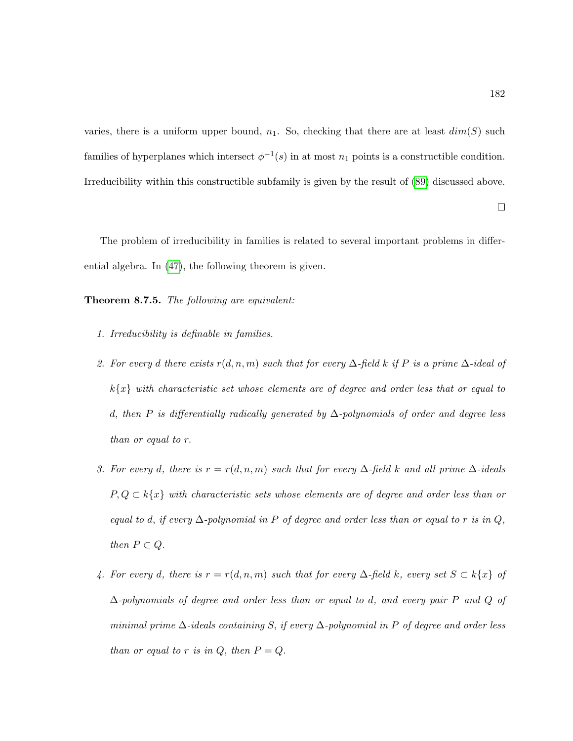varies, there is a uniform upper bound,  $n_1$ . So, checking that there are at least  $dim(S)$  such families of hyperplanes which intersect  $\phi^{-1}(s)$  in at most  $n_1$  points is a constructible condition. Irreducibility within this constructible subfamily is given by the result of [\(89\)](#page-220-3) discussed above.

The problem of irreducibility in families is related to several important problems in differential algebra. In [\(47\)](#page-217-0), the following theorem is given.

Theorem 8.7.5. The following are equivalent:

- 1. Irreducibility is definable in families.
- 2. For every d there exists  $r(d, n, m)$  such that for every  $\Delta$ -field k if P is a prime  $\Delta$ -ideal of  $k\{x\}$  with characteristic set whose elements are of degree and order less that or equal to d, then P is differentially radically generated by  $\Delta$ -polynomials of order and degree less than or equal to r.
- 3. For every d, there is  $r = r(d, n, m)$  such that for every  $\Delta$ -field k and all prime  $\Delta$ -ideals  $P, Q \subset k\{x\}$  with characteristic sets whose elements are of degree and order less than or equal to d, if every  $\Delta$ -polynomial in P of degree and order less than or equal to r is in Q, then  $P \subset Q$ .
- 4. For every d, there is  $r = r(d, n, m)$  such that for every  $\Delta$ -field k, every set  $S \subset k\{x\}$  of  $\Delta$ -polynomials of degree and order less than or equal to d, and every pair P and Q of minimal prime  $\Delta$ -ideals containing S, if every  $\Delta$ -polynomial in P of degree and order less than or equal to r is in  $Q$ , then  $P = Q$ .

 $\Box$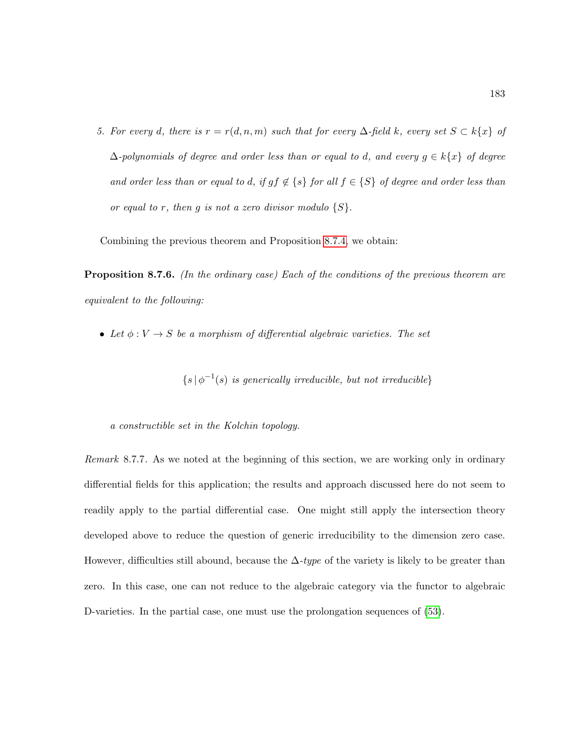5. For every d, there is  $r = r(d, n, m)$  such that for every  $\Delta$ -field k, every set  $S \subset k\{x\}$  of  $\Delta$ -polynomials of degree and order less than or equal to d, and every  $g \in k\{x\}$  of degree and order less than or equal to d, if  $gf \notin \{s\}$  for all  $f \in \{S\}$  of degree and order less than or equal to r, then g is not a zero divisor modulo  $\{S\}.$ 

Combining the previous theorem and Proposition [8.7.4,](#page-191-1) we obtain:

**Proposition 8.7.6.** (In the ordinary case) Each of the conditions of the previous theorem are equivalent to the following:

• Let  $\phi: V \to S$  be a morphism of differential algebraic varieties. The set

 $\{s | \phi^{-1}(s)$  is generically irreducible, but not irreducible}

a constructible set in the Kolchin topology.

Remark 8.7.7. As we noted at the beginning of this section, we are working only in ordinary differential fields for this application; the results and approach discussed here do not seem to readily apply to the partial differential case. One might still apply the intersection theory developed above to reduce the question of generic irreducibility to the dimension zero case. However, difficulties still abound, because the  $\Delta$ -type of the variety is likely to be greater than zero. In this case, one can not reduce to the algebraic category via the functor to algebraic D-varieties. In the partial case, one must use the prolongation sequences of [\(53\)](#page-218-0).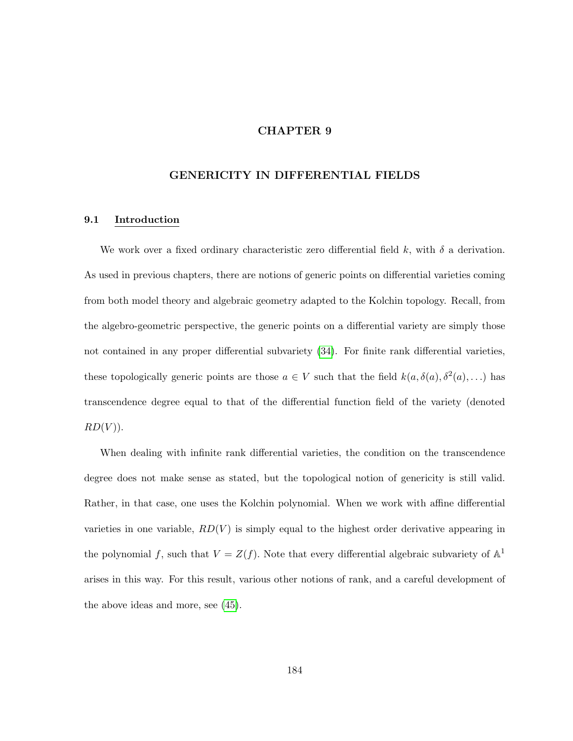# CHAPTER 9

# GENERICITY IN DIFFERENTIAL FIELDS

### 9.1 Introduction

We work over a fixed ordinary characteristic zero differential field k, with  $\delta$  a derivation. As used in previous chapters, there are notions of generic points on differential varieties coming from both model theory and algebraic geometry adapted to the Kolchin topology. Recall, from the algebro-geometric perspective, the generic points on a differential variety are simply those not contained in any proper differential subvariety [\(34\)](#page-216-0). For finite rank differential varieties, these topologically generic points are those  $a \in V$  such that the field  $k(a, \delta(a), \delta^2(a), ...)$  has transcendence degree equal to that of the differential function field of the variety (denoted  $RD(V)$ ).

When dealing with infinite rank differential varieties, the condition on the transcendence degree does not make sense as stated, but the topological notion of genericity is still valid. Rather, in that case, one uses the Kolchin polynomial. When we work with affine differential varieties in one variable,  $RD(V)$  is simply equal to the highest order derivative appearing in the polynomial f, such that  $V = Z(f)$ . Note that every differential algebraic subvariety of  $\mathbb{A}^1$ arises in this way. For this result, various other notions of rank, and a careful development of the above ideas and more, see [\(45\)](#page-217-1).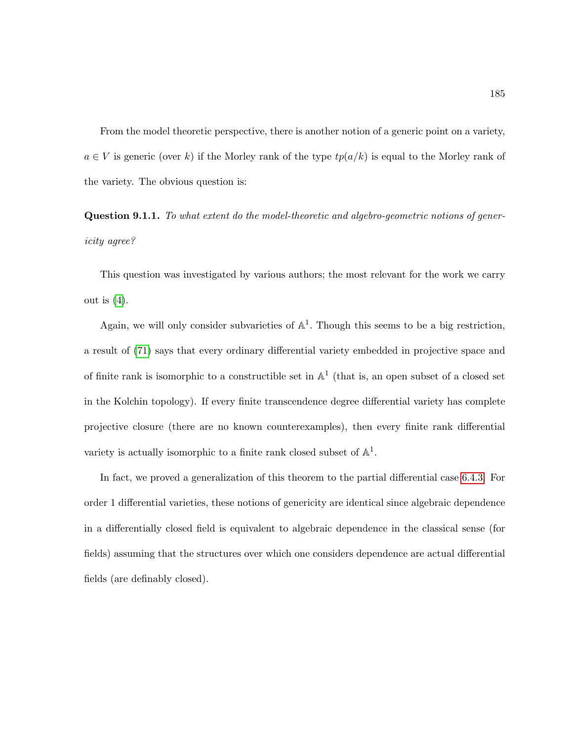From the model theoretic perspective, there is another notion of a generic point on a variety,  $a \in V$  is generic (over k) if the Morley rank of the type  $tp(a/k)$  is equal to the Morley rank of the variety. The obvious question is:

Question 9.1.1. To what extent do the model-theoretic and algebro-geometric notions of genericity agree?

This question was investigated by various authors; the most relevant for the work we carry out is  $(4)$ .

Again, we will only consider subvarieties of  $\mathbb{A}^1$ . Though this seems to be a big restriction, a result of [\(71\)](#page-219-3) says that every ordinary differential variety embedded in projective space and of finite rank is isomorphic to a constructible set in  $\mathbb{A}^1$  (that is, an open subset of a closed set in the Kolchin topology). If every finite transcendence degree differential variety has complete projective closure (there are no known counterexamples), then every finite rank differential variety is actually isomorphic to a finite rank closed subset of  $\mathbb{A}^1$ .

In fact, we proved a generalization of this theorem to the partial differential case [6.4.3.](#page-132-0) For order 1 differential varieties, these notions of genericity are identical since algebraic dependence in a differentially closed field is equivalent to algebraic dependence in the classical sense (for fields) assuming that the structures over which one considers dependence are actual differential fields (are definably closed).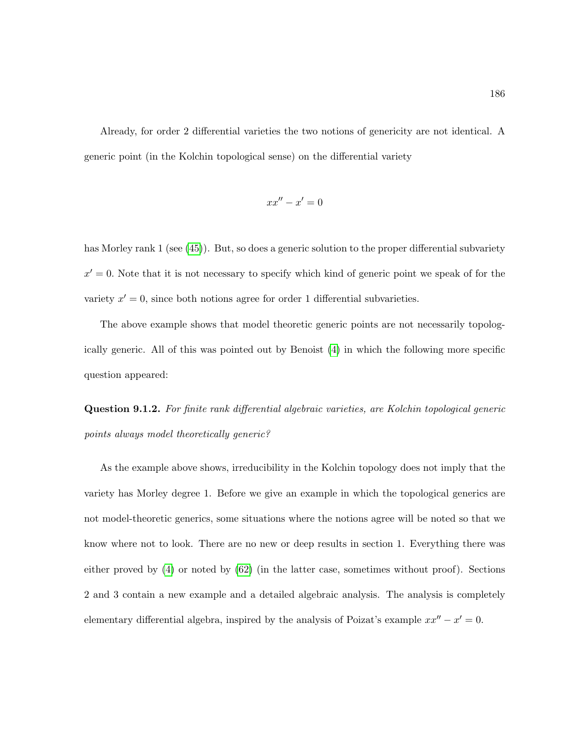Already, for order 2 differential varieties the two notions of genericity are not identical. A generic point (in the Kolchin topological sense) on the differential variety

$$
xx''-x'=0
$$

has Morley rank 1 (see [\(45\)](#page-217-1)). But, so does a generic solution to the proper differential subvariety  $x' = 0$ . Note that it is not necessary to specify which kind of generic point we speak of for the variety  $x' = 0$ , since both notions agree for order 1 differential subvarieties.

The above example shows that model theoretic generic points are not necessarily topologically generic. All of this was pointed out by Benoist [\(4\)](#page-214-0) in which the following more specific question appeared:

Question 9.1.2. For finite rank differential algebraic varieties, are Kolchin topological generic points always model theoretically generic?

As the example above shows, irreducibility in the Kolchin topology does not imply that the variety has Morley degree 1. Before we give an example in which the topological generics are not model-theoretic generics, some situations where the notions agree will be noted so that we know where not to look. There are no new or deep results in section 1. Everything there was either proved by [\(4\)](#page-214-0) or noted by [\(62\)](#page-218-1) (in the latter case, sometimes without proof). Sections 2 and 3 contain a new example and a detailed algebraic analysis. The analysis is completely elementary differential algebra, inspired by the analysis of Poizat's example  $xx'' - x' = 0$ .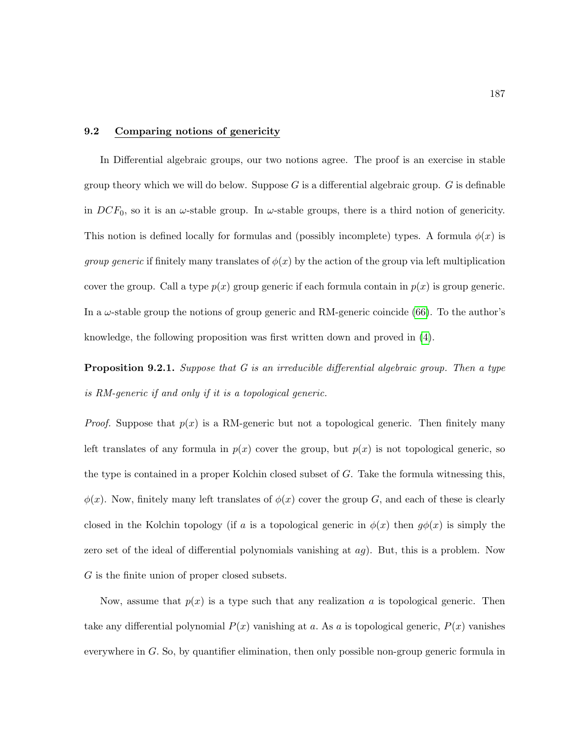## 9.2 Comparing notions of genericity

In Differential algebraic groups, our two notions agree. The proof is an exercise in stable group theory which we will do below. Suppose  $G$  is a differential algebraic group.  $G$  is definable in  $DCF_0$ , so it is an  $\omega$ -stable group. In  $\omega$ -stable groups, there is a third notion of genericity. This notion is defined locally for formulas and (possibly incomplete) types. A formula  $\phi(x)$  is *group generic* if finitely many translates of  $\phi(x)$  by the action of the group via left multiplication cover the group. Call a type  $p(x)$  group generic if each formula contain in  $p(x)$  is group generic. In a  $\omega$ -stable group the notions of group generic and RM-generic coincide [\(66\)](#page-219-4). To the author's knowledge, the following proposition was first written down and proved in [\(4\)](#page-214-0).

<span id="page-198-0"></span>**Proposition 9.2.1.** Suppose that G is an irreducible differential algebraic group. Then a type is RM-generic if and only if it is a topological generic.

*Proof.* Suppose that  $p(x)$  is a RM-generic but not a topological generic. Then finitely many left translates of any formula in  $p(x)$  cover the group, but  $p(x)$  is not topological generic, so the type is contained in a proper Kolchin closed subset of  $G$ . Take the formula witnessing this,  $\phi(x)$ . Now, finitely many left translates of  $\phi(x)$  cover the group G, and each of these is clearly closed in the Kolchin topology (if a is a topological generic in  $\phi(x)$  then  $g\phi(x)$  is simply the zero set of the ideal of differential polynomials vanishing at  $ag$ ). But, this is a problem. Now G is the finite union of proper closed subsets.

Now, assume that  $p(x)$  is a type such that any realization a is topological generic. Then take any differential polynomial  $P(x)$  vanishing at a. As a is topological generic,  $P(x)$  vanishes everywhere in  $G$ . So, by quantifier elimination, then only possible non-group generic formula in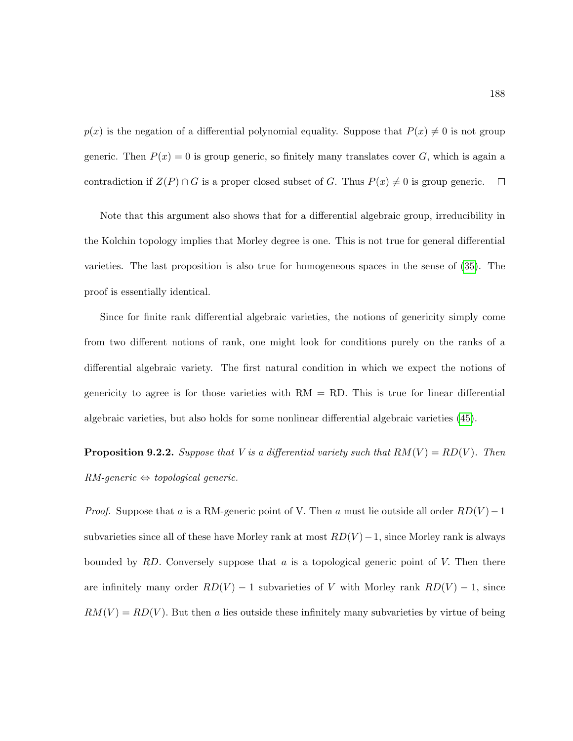$p(x)$  is the negation of a differential polynomial equality. Suppose that  $P(x) \neq 0$  is not group generic. Then  $P(x) = 0$  is group generic, so finitely many translates cover G, which is again a contradiction if  $Z(P) \cap G$  is a proper closed subset of G. Thus  $P(x) \neq 0$  is group generic.  $\Box$ 

Note that this argument also shows that for a differential algebraic group, irreducibility in the Kolchin topology implies that Morley degree is one. This is not true for general differential varieties. The last proposition is also true for homogeneous spaces in the sense of [\(35\)](#page-216-3). The proof is essentially identical.

Since for finite rank differential algebraic varieties, the notions of genericity simply come from two different notions of rank, one might look for conditions purely on the ranks of a differential algebraic variety. The first natural condition in which we expect the notions of genericity to agree is for those varieties with  $RM = RD$ . This is true for linear differential algebraic varieties, but also holds for some nonlinear differential algebraic varieties [\(45\)](#page-217-1).

<span id="page-199-0"></span>**Proposition 9.2.2.** Suppose that V is a differential variety such that  $RM(V) = RD(V)$ . Then  $RM\text{-}generic \Leftrightarrow topological \ generic.$ 

*Proof.* Suppose that a is a RM-generic point of V. Then a must lie outside all order  $RD(V) - 1$ subvarieties since all of these have Morley rank at most  $RD(V)$  – 1, since Morley rank is always bounded by  $RD$ . Conversely suppose that a is a topological generic point of V. Then there are infinitely many order  $RD(V) - 1$  subvarieties of V with Morley rank  $RD(V) - 1$ , since  $RM(V) = RD(V)$ . But then a lies outside these infinitely many subvarieties by virtue of being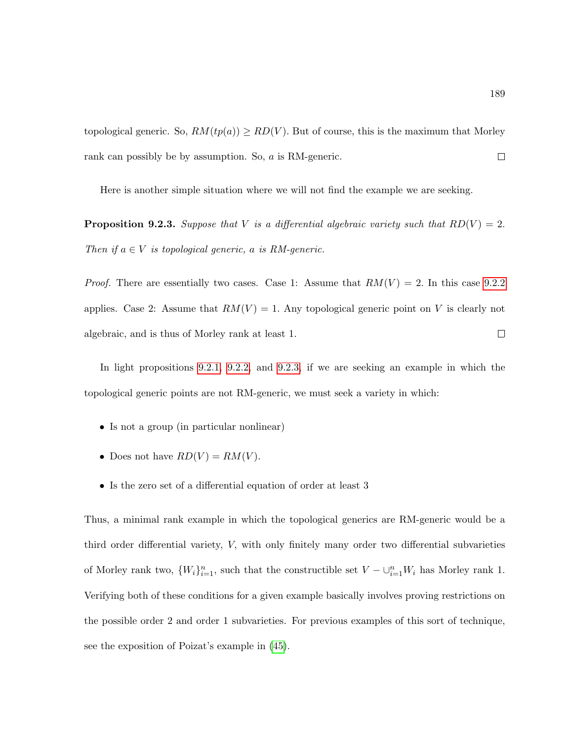topological generic. So,  $RM(tp(a)) \geq RD(V)$ . But of course, this is the maximum that Morley rank can possibly be by assumption. So, a is RM-generic.  $\Box$ 

Here is another simple situation where we will not find the example we are seeking.

<span id="page-200-0"></span>**Proposition 9.2.3.** Suppose that V is a differential algebraic variety such that  $RD(V) = 2$ . Then if  $a \in V$  is topological generic, a is RM-generic.

*Proof.* There are essentially two cases. Case 1: Assume that  $RM(V) = 2$ . In this case [9.2.2](#page-199-0) applies. Case 2: Assume that  $RM(V) = 1$ . Any topological generic point on V is clearly not algebraic, and is thus of Morley rank at least 1.  $\Box$ 

In light propositions [9.2.1,](#page-198-0) [9.2.2,](#page-199-0) and [9.2.3,](#page-200-0) if we are seeking an example in which the topological generic points are not RM-generic, we must seek a variety in which:

- Is not a group (in particular nonlinear)
- Does not have  $RD(V) = RM(V)$ .
- Is the zero set of a differential equation of order at least 3

Thus, a minimal rank example in which the topological generics are RM-generic would be a third order differential variety, V, with only finitely many order two differential subvarieties of Morley rank two,  $\{W_i\}_{i=1}^n$ , such that the constructible set  $V - \bigcup_{i=1}^n W_i$  has Morley rank 1. Verifying both of these conditions for a given example basically involves proving restrictions on the possible order 2 and order 1 subvarieties. For previous examples of this sort of technique, see the exposition of Poizat's example in [\(45\)](#page-217-1).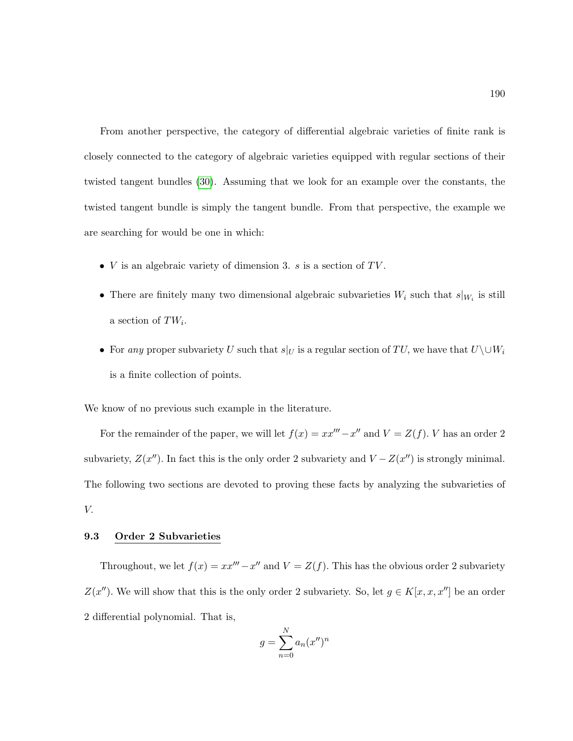From another perspective, the category of differential algebraic varieties of finite rank is closely connected to the category of algebraic varieties equipped with regular sections of their twisted tangent bundles [\(30\)](#page-216-1). Assuming that we look for an example over the constants, the twisted tangent bundle is simply the tangent bundle. From that perspective, the example we are searching for would be one in which:

- $V$  is an algebraic variety of dimension 3.  $s$  is a section of  $TV$ .
- There are finitely many two dimensional algebraic subvarieties  $W_i$  such that  $s|_{W_i}$  is still a section of  $TW_i$ .
- For any proper subvariety U such that  $s|_U$  is a regular section of TU, we have that  $U\setminus\cup W_i$ is a finite collection of points.

We know of no previous such example in the literature.

For the remainder of the paper, we will let  $f(x) = xx''' - x''$  and  $V = Z(f)$ . V has an order 2 subvariety,  $Z(x'')$ . In fact this is the only order 2 subvariety and  $V - Z(x'')$  is strongly minimal. The following two sections are devoted to proving these facts by analyzing the subvarieties of V.

## 9.3 Order 2 Subvarieties

Throughout, we let  $f(x) = xx''' - x''$  and  $V = Z(f)$ . This has the obvious order 2 subvariety  $Z(x'')$ . We will show that this is the only order 2 subvariety. So, let  $g \in K[x, x, x'']$  be an order 2 differential polynomial. That is,

$$
g = \sum_{n=0}^{N} a_n (x'')^n
$$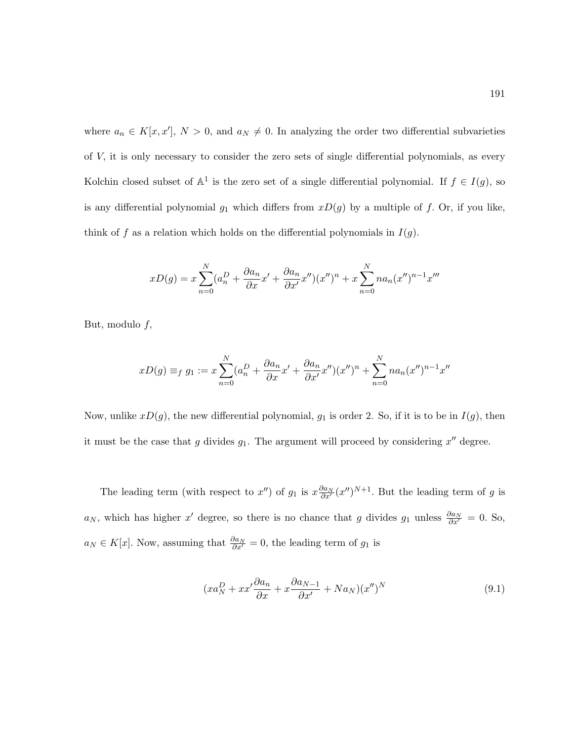where  $a_n \in K[x, x'], N > 0$ , and  $a_N \neq 0$ . In analyzing the order two differential subvarieties of V, it is only necessary to consider the zero sets of single differential polynomials, as every Kolchin closed subset of  $\mathbb{A}^1$  is the zero set of a single differential polynomial. If  $f \in I(g)$ , so is any differential polynomial  $g_1$  which differs from  $xD(g)$  by a multiple of f. Or, if you like, think of f as a relation which holds on the differential polynomials in  $I(g)$ .

$$
xD(g) = x \sum_{n=0}^{N} (a_n^D + \frac{\partial a_n}{\partial x} x' + \frac{\partial a_n}{\partial x'} x'')(x'')^n + x \sum_{n=0}^{N} n a_n (x'')^{n-1} x'''
$$

But, modulo  $f$ ,

$$
xD(g) \equiv_f g_1 := x \sum_{n=0}^N (a_n^D + \frac{\partial a_n}{\partial x} x' + \frac{\partial a_n}{\partial x'} x'')(x'')^n + \sum_{n=0}^N n a_n (x'')^{n-1} x''
$$

Now, unlike  $xD(g)$ , the new differential polynomial,  $g_1$  is order 2. So, if it is to be in  $I(g)$ , then it must be the case that g divides  $g_1$ . The argument will proceed by considering  $x''$  degree.

The leading term (with respect to  $x''$ ) of  $g_1$  is  $x \frac{\partial a_N}{\partial x'} (x'')^{N+1}$ . But the leading term of g is  $a_N$ , which has higher x' degree, so there is no chance that g divides  $g_1$  unless  $\frac{\partial a_N}{\partial x'} = 0$ . So,  $a_N \in K[x]$ . Now, assuming that  $\frac{\partial a_N}{\partial x'} = 0$ , the leading term of  $g_1$  is

<span id="page-202-0"></span>
$$
(xa_N^D + xx'\frac{\partial a_n}{\partial x} + x\frac{\partial a_{N-1}}{\partial x'} + Na_N)(x'')^N
$$
\n(9.1)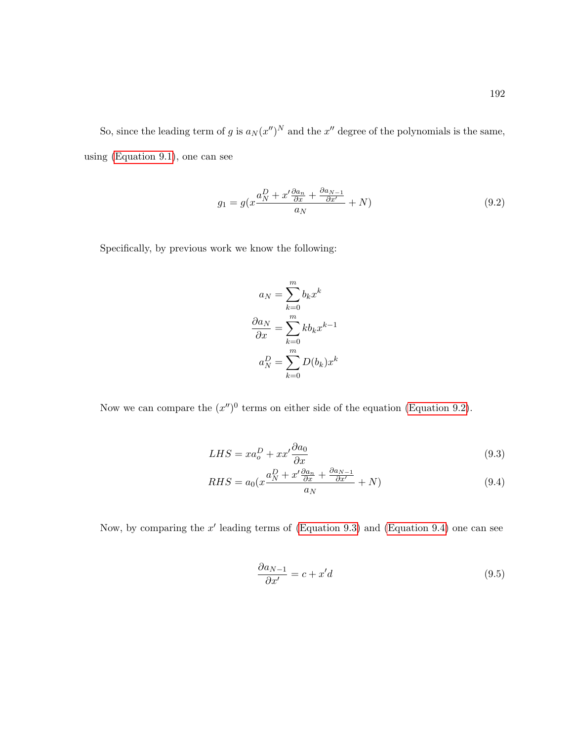So, since the leading term of g is  $a_N (x'')^N$  and the  $x''$  degree of the polynomials is the same, using [\(Equation 9.1\)](#page-202-0), one can see

$$
g_1 = g(x\frac{a_N^D + x'\frac{\partial a_n}{\partial x} + \frac{\partial a_{N-1}}{\partial x'}}{a_N} + N)
$$
\n(9.2)

Specifically, by previous work we know the following:

<span id="page-203-0"></span>
$$
a_N = \sum_{k=0}^m b_k x^k
$$

$$
\frac{\partial a_N}{\partial x} = \sum_{k=0}^m k b_k x^{k-1}
$$

$$
a_N^D = \sum_{k=0}^m D(b_k) x^k
$$

Now we can compare the  $(x'')^0$  terms on either side of the equation [\(Equation 9.2\)](#page-203-0).

$$
LHS = xa_o^D + xx'\frac{\partial a_0}{\partial x} \tag{9.3}
$$

$$
RHS = a_0(x\frac{a_N^D + x'\frac{\partial a_n}{\partial x} + \frac{\partial a_{N-1}}{\partial x'}}{a_N} + N)
$$
\n(9.4)

Now, by comparing the  $x'$  leading terms of [\(Equation 9.3\)](#page-203-1) and [\(Equation 9.4\)](#page-203-2) one can see

<span id="page-203-2"></span><span id="page-203-1"></span>
$$
\frac{\partial a_{N-1}}{\partial x'} = c + x'd \tag{9.5}
$$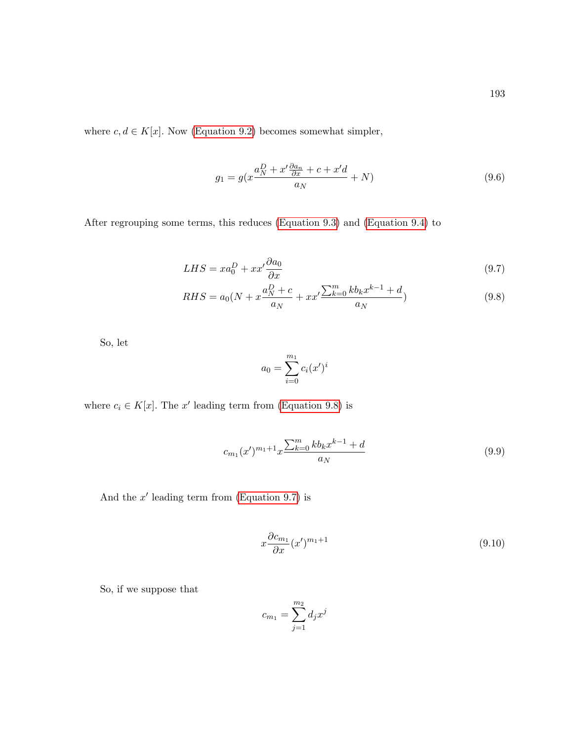where  $c, d \in K[x]$ . Now [\(Equation 9.2\)](#page-203-0) becomes somewhat simpler,

$$
g_1 = g(x\frac{a_N^D + x'\frac{\partial a_n}{\partial x} + c + x'd}{a_N} + N)
$$
\n(9.6)

After regrouping some terms, this reduces [\(Equation 9.3\)](#page-203-1) and [\(Equation 9.4\)](#page-203-2) to

$$
LHS = xa_0^D + xx'\frac{\partial a_0}{\partial x} \tag{9.7}
$$

$$
RHS = a_0(N + x\frac{a_N^D + c}{a_N} + xx'\frac{\sum_{k=0}^m k b_k x^{k-1} + d}{a_N})
$$
\n(9.8)

So, let

<span id="page-204-2"></span><span id="page-204-1"></span><span id="page-204-0"></span>
$$
a_0 = \sum_{i=0}^{m_1} c_i (x')^i
$$

where  $c_i \in K[x]$ . The x' leading term from [\(Equation 9.8\)](#page-204-0) is

$$
c_{m_1}(x')^{m_1+1}x\frac{\sum_{k=0}^m k b_k x^{k-1} + d}{a_N} \tag{9.9}
$$

And the  $x'$  leading term from [\(Equation 9.7\)](#page-204-1) is

<span id="page-204-3"></span>
$$
x\frac{\partial c_{m_1}}{\partial x}(x')^{m_1+1} \tag{9.10}
$$

So, if we suppose that

$$
c_{m_1}=\sum_{j=1}^{m_2}d_jx^j
$$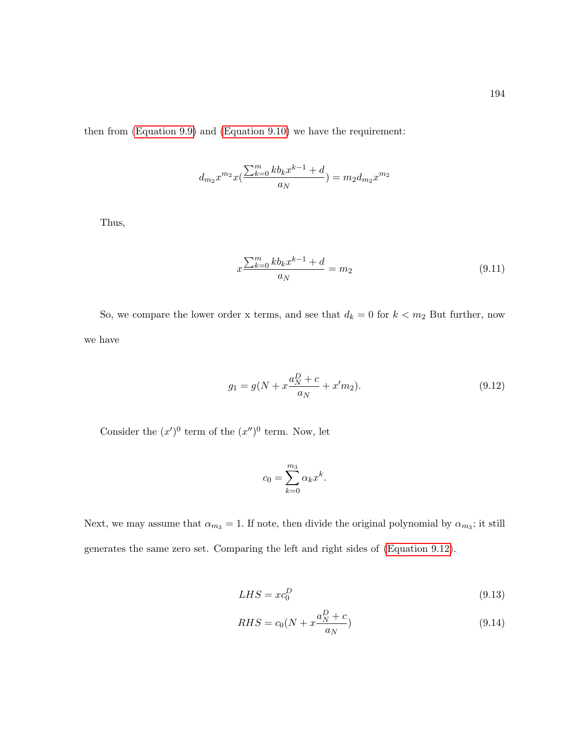then from [\(Equation 9.9\)](#page-204-2) and [\(Equation 9.10\)](#page-204-3) we have the requirement:

$$
d_{m_2}x^{m_2}x\big(\frac{\sum_{k=0}^mkb_kx^{k-1}+d}{a_N}\big)=m_2d_{m_2}x^{m_2}
$$

Thus,

$$
x\frac{\sum_{k=0}^{m}kb_kx^{k-1}+d}{a_N} = m_2\tag{9.11}
$$

So, we compare the lower order x terms, and see that  $d_k = 0$  for  $k < m_2$  But further, now we have

$$
g_1 = g(N + x\frac{a_N^D + c}{a_N} + x'm_2).
$$
\n(9.12)

Consider the  $(x')^0$  term of the  $(x'')^0$  term. Now, let

<span id="page-205-0"></span>
$$
c_0 = \sum_{k=0}^{m_3} \alpha_k x^k.
$$

Next, we may assume that  $\alpha_{m_3} = 1$ . If note, then divide the original polynomial by  $\alpha_{m_3}$ ; it still generates the same zero set. Comparing the left and right sides of [\(Equation 9.12\)](#page-205-0).

$$
LHS = xc_0^D \tag{9.13}
$$

$$
RHS = c_0(N + x \frac{a_N^D + c}{a_N})
$$
\n(9.14)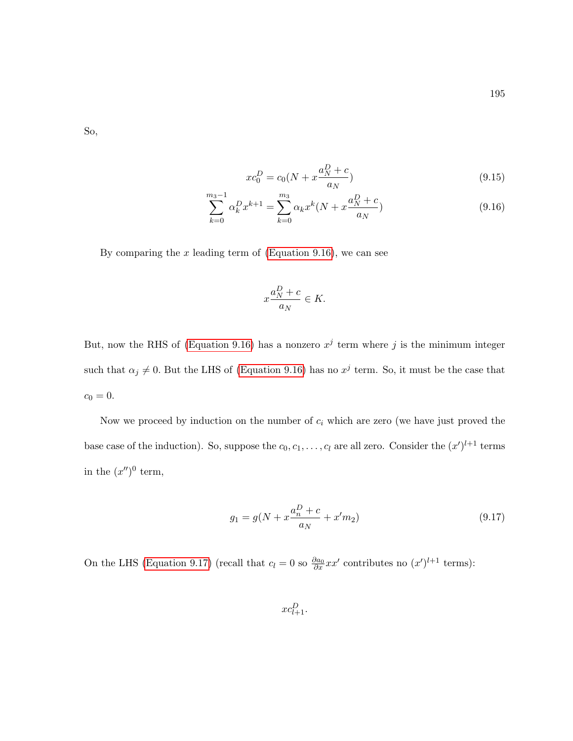So,

<span id="page-206-0"></span>
$$
xc_0^D = c_0(N + x\frac{a_N^D + c}{a_N})
$$
\n(9.15)

$$
\sum_{k=0}^{m_3-1} \alpha_k^D x^{k+1} = \sum_{k=0}^{m_3} \alpha_k x^k (N + x \frac{a_N^D + c}{a_N})
$$
\n(9.16)

By comparing the  $x$  leading term of [\(Equation 9.16\)](#page-206-0), we can see

$$
x\frac{a_N^D + c}{a_N} \in K.
$$

But, now the RHS of [\(Equation 9.16\)](#page-206-0) has a nonzero  $x^j$  term where j is the minimum integer such that  $\alpha_j \neq 0$ . But the LHS of [\(Equation 9.16\)](#page-206-0) has no  $x^j$  term. So, it must be the case that  $c_0 = 0.$ 

Now we proceed by induction on the number of  $c_i$  which are zero (we have just proved the base case of the induction). So, suppose the  $c_0, c_1, \ldots, c_l$  are all zero. Consider the  $(x')^{l+1}$  terms in the  $(x'')^0$  term,

$$
g_1 = g(N + x\frac{a_n^D + c}{a_N} + x'm_2)
$$
\n(9.17)

On the LHS [\(Equation 9.17\)](#page-206-1) (recall that  $c_l = 0$  so  $\frac{\partial a_0}{\partial x}xx'$  contributes no  $(x')^{l+1}$  terms):

<span id="page-206-1"></span> $xc_{l+1}^D$ .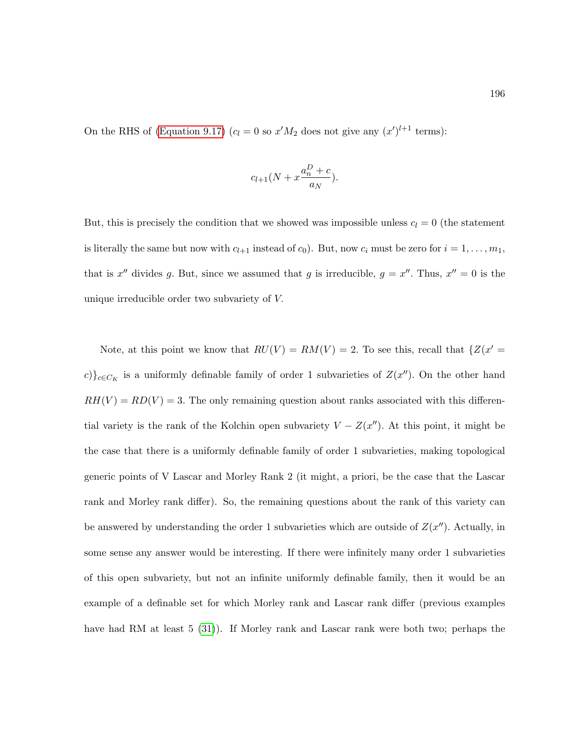On the RHS of [\(Equation 9.17\)](#page-206-1)  $(c_l = 0 \text{ so } x'M_2 \text{ does not give any } (x')^{l+1} \text{ terms})$ :

$$
c_{l+1}(N + x\frac{a_n^D + c}{a_N}).
$$

But, this is precisely the condition that we showed was impossible unless  $c_l = 0$  (the statement is literally the same but now with  $c_{l+1}$  instead of  $c_0$ ). But, now  $c_i$  must be zero for  $i = 1, ..., m_1$ , that is x'' divides g. But, since we assumed that g is irreducible,  $g = x''$ . Thus,  $x'' = 0$  is the unique irreducible order two subvariety of V.

Note, at this point we know that  $RU(V) = RM(V) = 2$ . To see this, recall that  $\{Z(x')\}$ c)}<sub>c∈CK</sub> is a uniformly definable family of order 1 subvarieties of  $Z(x'')$ . On the other hand  $RH(V) = RD(V) = 3$ . The only remaining question about ranks associated with this differential variety is the rank of the Kolchin open subvariety  $V - Z(x'')$ . At this point, it might be the case that there is a uniformly definable family of order 1 subvarieties, making topological generic points of V Lascar and Morley Rank 2 (it might, a priori, be the case that the Lascar rank and Morley rank differ). So, the remaining questions about the rank of this variety can be answered by understanding the order 1 subvarieties which are outside of  $Z(x'')$ . Actually, in some sense any answer would be interesting. If there were infinitely many order 1 subvarieties of this open subvariety, but not an infinite uniformly definable family, then it would be an example of a definable set for which Morley rank and Lascar rank differ (previous examples have had RM at least 5 [\(31\)](#page-216-4)). If Morley rank and Lascar rank were both two; perhaps the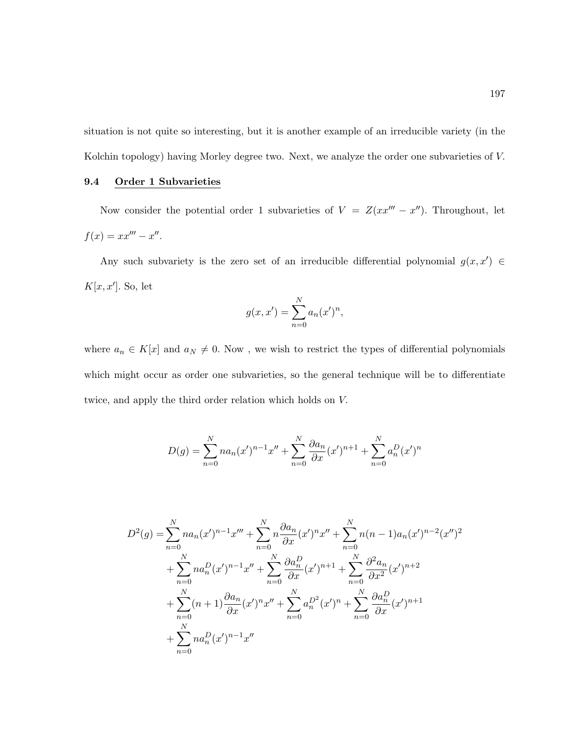situation is not quite so interesting, but it is another example of an irreducible variety (in the Kolchin topology) having Morley degree two. Next, we analyze the order one subvarieties of V.

## 9.4 Order 1 Subvarieties

Now consider the potential order 1 subvarieties of  $V = Z(xx''' - x'')$ . Throughout, let  $f(x) = xx''' - x''$ .

Any such subvariety is the zero set of an irreducible differential polynomial  $g(x, x') \in$  $K[x, x']$ . So, let

$$
g(x, x') = \sum_{n=0}^{N} a_n (x')^n,
$$

where  $a_n \in K[x]$  and  $a_N \neq 0$ . Now, we wish to restrict the types of differential polynomials which might occur as order one subvarieties, so the general technique will be to differentiate twice, and apply the third order relation which holds on V.

$$
D(g) = \sum_{n=0}^{N} na_n(x')^{n-1}x'' + \sum_{n=0}^{N} \frac{\partial a_n}{\partial x}(x')^{n+1} + \sum_{n=0}^{N} a_n^D(x')^n
$$

$$
D^{2}(g) = \sum_{n=0}^{N} na_{n}(x')^{n-1}x''' + \sum_{n=0}^{N} n \frac{\partial a_{n}}{\partial x}(x')^{n}x'' + \sum_{n=0}^{N} n(n-1)a_{n}(x')^{n-2}(x'')^{2}
$$
  
+ 
$$
\sum_{n=0}^{N} na_{n}^{D}(x')^{n-1}x'' + \sum_{n=0}^{N} \frac{\partial a_{n}^{D}}{\partial x}(x')^{n+1} + \sum_{n=0}^{N} \frac{\partial^{2} a_{n}}{\partial x^{2}}(x')^{n+2}
$$
  
+ 
$$
\sum_{n=0}^{N} (n+1) \frac{\partial a_{n}}{\partial x}(x')^{n}x'' + \sum_{n=0}^{N} a_{n}^{D^{2}}(x')^{n} + \sum_{n=0}^{N} \frac{\partial a_{n}^{D}}{\partial x}(x')^{n+1}
$$
  
+ 
$$
\sum_{n=0}^{N} na_{n}^{D}(x')^{n-1}x''
$$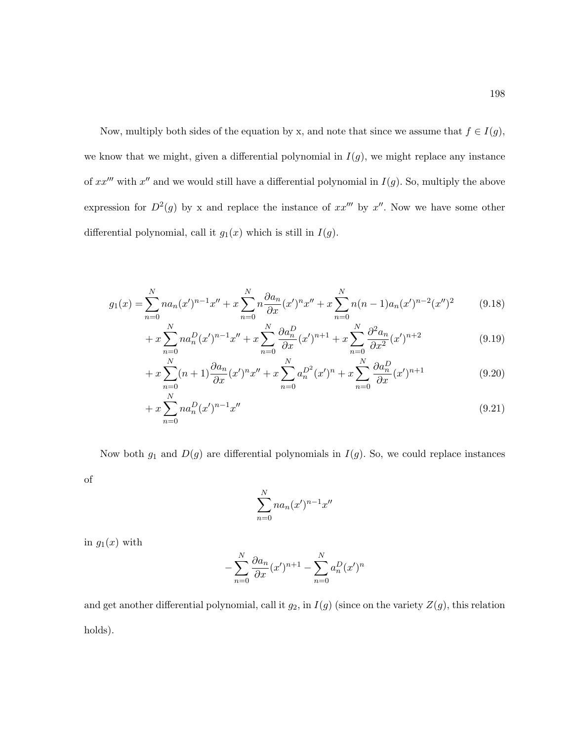Now, multiply both sides of the equation by x, and note that since we assume that  $f \in I(g)$ , we know that we might, given a differential polynomial in  $I(g)$ , we might replace any instance of  $xx^{\prime\prime\prime}$  with  $x^{\prime\prime}$  and we would still have a differential polynomial in  $I(g)$ . So, multiply the above expression for  $D^2(g)$  by x and replace the instance of  $xx''''$  by  $x''$ . Now we have some other differential polynomial, call it  $g_1(x)$  which is still in  $I(g)$ .

$$
g_1(x) = \sum_{n=0}^{N} n a_n (x')^{n-1} x'' + x \sum_{n=0}^{N} n \frac{\partial a_n}{\partial x} (x')^n x'' + x \sum_{n=0}^{N} n(n-1) a_n (x')^{n-2} (x'')^2 \tag{9.18}
$$

$$
+ x \sum_{n=0}^{N} n a_n^D (x')^{n-1} x'' + x \sum_{n=0}^{N} \frac{\partial a_n^D}{\partial x} (x')^{n+1} + x \sum_{n=0}^{N} \frac{\partial^2 a_n}{\partial x^2} (x')^{n+2}
$$
(9.19)

$$
+ x \sum_{n=0}^{N} (n+1) \frac{\partial a_n}{\partial x} (x')^n x'' + x \sum_{n=0}^{N} a_n^{D^2} (x')^n + x \sum_{n=0}^{N} \frac{\partial a_n^{D}}{\partial x} (x')^{n+1}
$$
(9.20)

$$
+ x \sum_{n=0}^{N} n a_n^D (x')^{n-1} x'' \tag{9.21}
$$

Now both  $g_1$  and  $D(g)$  are differential polynomials in  $I(g)$ . So, we could replace instances

of

$$
\sum_{n=0}^{N} na_n (x')^{n-1} x''
$$

in  $g_1(x)$  with

$$
-\sum_{n=0}^{N} \frac{\partial a_n}{\partial x} (x')^{n+1} - \sum_{n=0}^{N} a_n^D (x')^n
$$

and get another differential polynomial, call it  $g_2$ , in  $I(g)$  (since on the variety  $Z(g)$ , this relation holds).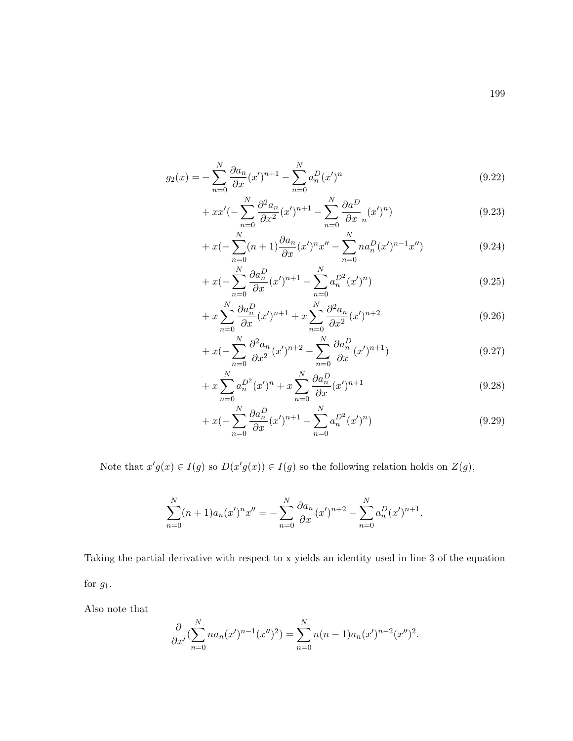$$
g_2(x) = -\sum_{n=0}^{N} \frac{\partial a_n}{\partial x} (x')^{n+1} - \sum_{n=0}^{N} a_n^D (x')^n
$$
\n(9.22)

$$
+ xx'(-\sum_{n=0}^{N} \frac{\partial^2 a_n}{\partial x^2} (x')^{n+1} - \sum_{n=0}^{N} \frac{\partial a^D}{\partial x_n} (x')^n)
$$
\n(9.23)

$$
+ x\left(-\sum_{n=0}^{N} (n+1)\frac{\partial a_n}{\partial x}(x')^n x'' - \sum_{n=0}^{N} n a_n^D (x')^{n-1} x''\right) \tag{9.24}
$$

$$
+ x \left(-\sum_{n=0}^{N} \frac{\partial a_n^D}{\partial x} (x')^{n+1} - \sum_{n=0}^{N} a_n^{D^2} (x')^n\right) \tag{9.25}
$$

$$
+x\sum_{n=0}^{N}\frac{\partial a_n^D}{\partial x}(x')^{n+1}+x\sum_{n=0}^{N}\frac{\partial^2 a_n}{\partial x^2}(x')^{n+2}
$$
\n(9.26)

$$
+ x\left(-\sum_{n=0}^{N} \frac{\partial^2 a_n}{\partial x^2} (x')^{n+2} - \sum_{n=0}^{N} \frac{\partial a_n^D}{\partial x} (x')^{n+1}\right) \tag{9.27}
$$

$$
+ x \sum_{n=0}^{N} a_n^{D^2} (x')^n + x \sum_{n=0}^{N} \frac{\partial a_n^D}{\partial x} (x')^{n+1}
$$
\n(9.28)

$$
+ x\left(-\sum_{n=0}^{N} \frac{\partial a_n^D}{\partial x}(x')^{n+1} - \sum_{n=0}^{N} a_n^{D^2}(x')^n\right) \tag{9.29}
$$

Note that  $x'g(x) \in I(g)$  so  $D(x'g(x)) \in I(g)$  so the following relation holds on  $Z(g)$ ,

$$
\sum_{n=0}^{N} (n+1)a_n(x')^n x'' = -\sum_{n=0}^{N} \frac{\partial a_n}{\partial x} (x')^{n+2} - \sum_{n=0}^{N} a_n^D (x')^{n+1}.
$$

Taking the partial derivative with respect to x yields an identity used in line 3 of the equation for  $g_1$ .

Also note that

$$
\frac{\partial}{\partial x'}\left(\sum_{n=0}^N na_n(x')^{n-1}(x'')^2\right) = \sum_{n=0}^N n(n-1)a_n(x')^{n-2}(x'')^2.
$$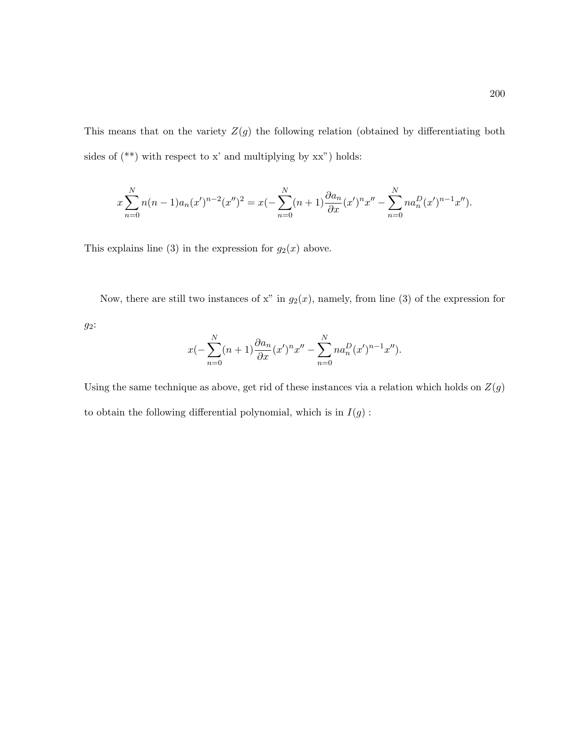This means that on the variety  $Z(g)$  the following relation (obtained by differentiating both sides of  $(\tt^{**})$  with respect to **x'** and multiplying by <code>xx"</code> ) holds:

$$
x\sum_{n=0}^{N}n(n-1)a_n(x')^{n-2}(x'')^2 = x(-\sum_{n=0}^{N}(n+1)\frac{\partial a_n}{\partial x}(x')^nx'' - \sum_{n=0}^{N}na_n^D(x')^{n-1}x'').
$$

This explains line (3) in the expression for  $g_2(x)$  above.

Now, there are still two instances of x" in  $g_2(x)$ , namely, from line (3) of the expression for

g2:

$$
x(-\sum_{n=0}^{N} (n+1) \frac{\partial a_n}{\partial x} (x')^n x'' - \sum_{n=0}^{N} n a_n^D (x')^{n-1} x'').
$$

Using the same technique as above, get rid of these instances via a relation which holds on  $\mathbb{Z}(g)$ to obtain the following differential polynomial, which is in  $I(g)$  :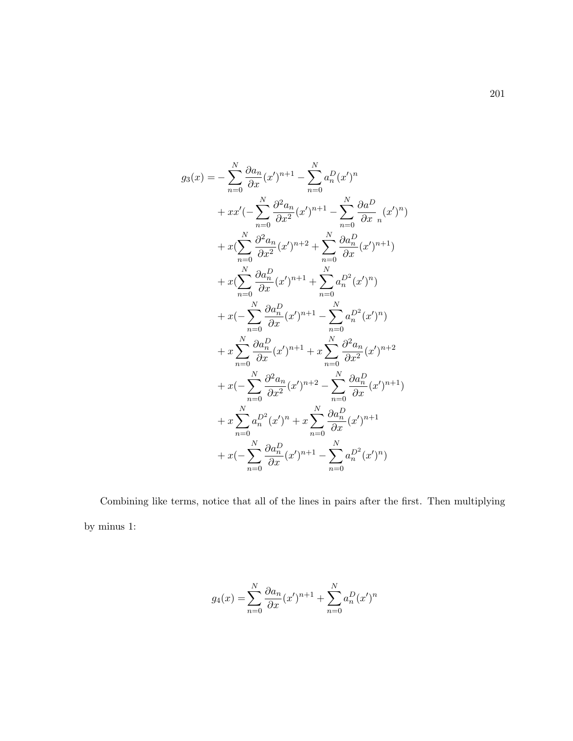$$
g_3(x) = -\sum_{n=0}^{N} \frac{\partial a_n}{\partial x} (x')^{n+1} - \sum_{n=0}^{N} a_n^D (x')^n
$$
  
+  $xx'(-\sum_{n=0}^{N} \frac{\partial^2 a_n}{\partial x^2} (x')^{n+1} - \sum_{n=0}^{N} \frac{\partial a_n^D}{\partial x_n} (x')^n)$   
+  $x(\sum_{n=0}^{N} \frac{\partial^2 a_n}{\partial x^2} (x')^{n+2} + \sum_{n=0}^{N} \frac{\partial a_n^D}{\partial x} (x')^{n+1})$   
+  $x(\sum_{n=0}^{N} \frac{\partial a_n^D}{\partial x} (x')^{n+1} + \sum_{n=0}^{N} a_n^{D^2} (x')^n)$   
+  $x(-\sum_{n=0}^{N} \frac{\partial a_n^D}{\partial x} (x')^{n+1} - \sum_{n=0}^{N} a_n^{D^2} (x')^n)$   
+  $x \sum_{n=0}^{N} \frac{\partial a_n^D}{\partial x} (x')^{n+1} + x \sum_{n=0}^{N} \frac{\partial^2 a_n}{\partial x^2} (x')^{n+2}$   
+  $x(-\sum_{n=0}^{N} \frac{\partial^2 a_n}{\partial x^2} (x')^{n+2} - \sum_{n=0}^{N} \frac{\partial a_n^D}{\partial x} (x')^{n+1})$   
+  $x \sum_{n=0}^{N} a_n^{D^2} (x')^{n} + x \sum_{n=0}^{N} \frac{\partial a_n^D}{\partial x} (x')^{n+1}$   
+  $x(-\sum_{n=0}^{N} \frac{\partial a_n^D}{\partial x} (x')^{n+1} - \sum_{n=0}^{N} a_n^{D^2} (x')^{n})$ 

Combining like terms, notice that all of the lines in pairs after the first. Then multiplying by minus 1:

$$
g_4(x) = \sum_{n=0}^{N} \frac{\partial a_n}{\partial x} (x')^{n+1} + \sum_{n=0}^{N} a_n^D (x')^n
$$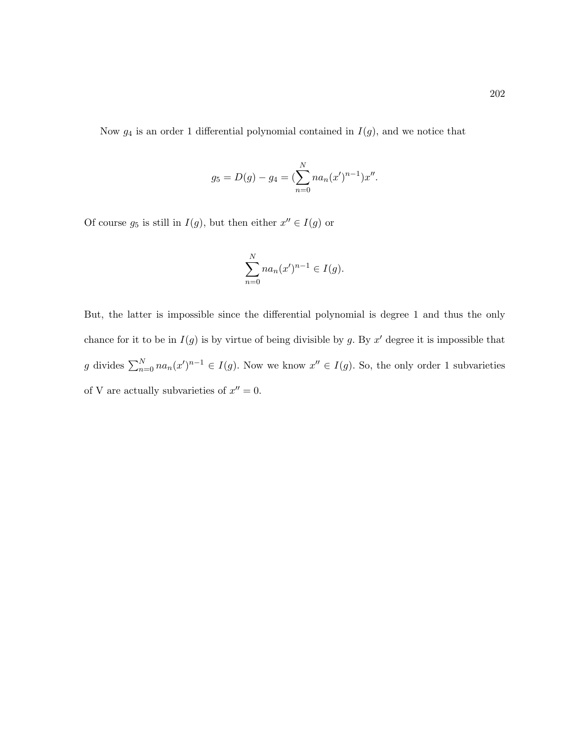Now  $g_4$  is an order 1 differential polynomial contained in  $I(g)$ , and we notice that

$$
g_5 = D(g) - g_4 = \left(\sum_{n=0}^{N} na_n (x')^{n-1}\right) x''.
$$

Of course  $g_5$  is still in  $I(g)$ , but then either  $x'' \in I(g)$  or

$$
\sum_{n=0}^{N} na_n (x')^{n-1} \in I(g).
$$

But, the latter is impossible since the differential polynomial is degree 1 and thus the only chance for it to be in  $I(g)$  is by virtue of being divisible by g. By x' degree it is impossible that g divides  $\sum_{n=0}^{N} na_n(x')^{n-1} \in I(g)$ . Now we know  $x'' \in I(g)$ . So, the only order 1 subvarieties of V are actually subvarieties of  $x'' = 0$ .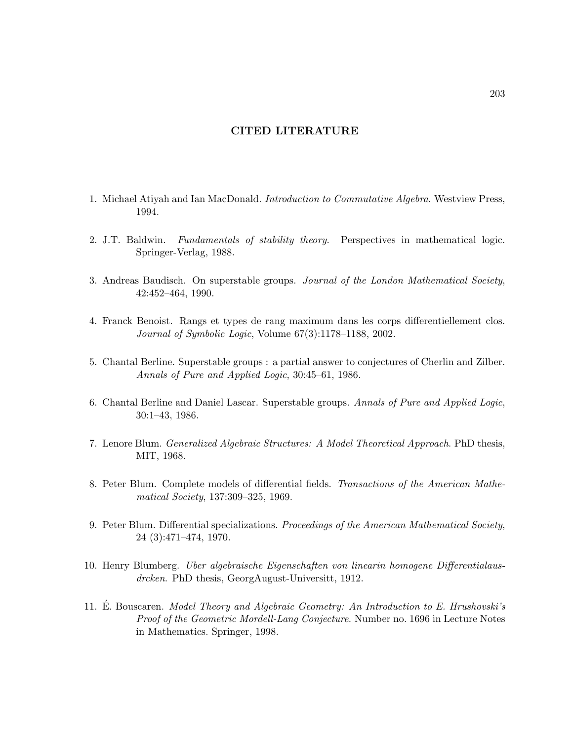# CITED LITERATURE

- 1. Michael Atiyah and Ian MacDonald. Introduction to Commutative Algebra. Westview Press, 1994.
- 2. J.T. Baldwin. Fundamentals of stability theory. Perspectives in mathematical logic. Springer-Verlag, 1988.
- 3. Andreas Baudisch. On superstable groups. Journal of the London Mathematical Society, 42:452–464, 1990.
- <span id="page-214-0"></span>4. Franck Benoist. Rangs et types de rang maximum dans les corps differentiellement clos. Journal of Symbolic Logic, Volume 67(3):1178–1188, 2002.
- 5. Chantal Berline. Superstable groups : a partial answer to conjectures of Cherlin and Zilber. Annals of Pure and Applied Logic, 30:45–61, 1986.
- 6. Chantal Berline and Daniel Lascar. Superstable groups. Annals of Pure and Applied Logic, 30:1–43, 1986.
- 7. Lenore Blum. Generalized Algebraic Structures: A Model Theoretical Approach. PhD thesis, MIT, 1968.
- 8. Peter Blum. Complete models of differential fields. Transactions of the American Mathematical Society, 137:309–325, 1969.
- 9. Peter Blum. Differential specializations. Proceedings of the American Mathematical Society, 24 (3):471–474, 1970.
- 10. Henry Blumberg. Uber algebraische Eigenschaften von linearin homogene Differentialausdrcken. PhD thesis, GeorgAugust-Universitt, 1912.
- 11. E. Bouscaren. Model Theory and Algebraic Geometry: An Introduction to E. Hrushovski's Proof of the Geometric Mordell-Lang Conjecture. Number no. 1696 in Lecture Notes in Mathematics. Springer, 1998.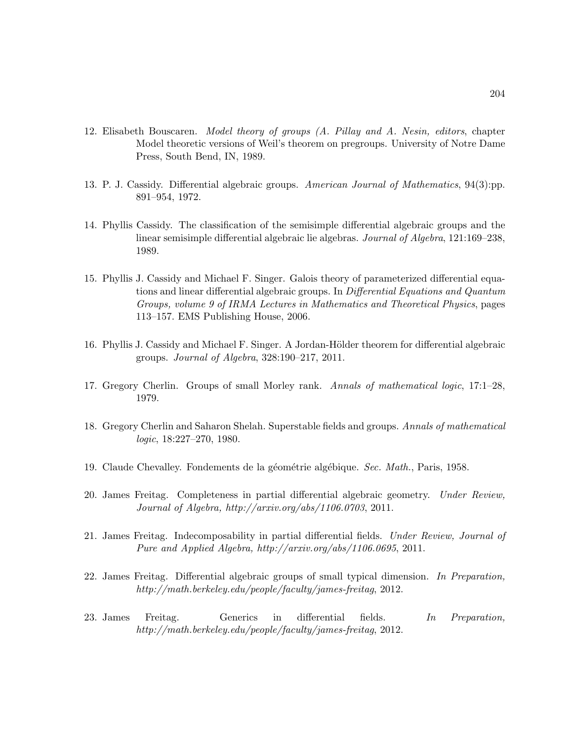- 12. Elisabeth Bouscaren. Model theory of groups (A. Pillay and A. Nesin, editors, chapter Model theoretic versions of Weil's theorem on pregroups. University of Notre Dame Press, South Bend, IN, 1989.
- 13. P. J. Cassidy. Differential algebraic groups. American Journal of Mathematics, 94(3):pp. 891–954, 1972.
- 14. Phyllis Cassidy. The classification of the semisimple differential algebraic groups and the linear semisimple differential algebraic lie algebras. Journal of Algebra, 121:169–238, 1989.
- 15. Phyllis J. Cassidy and Michael F. Singer. Galois theory of parameterized differential equations and linear differential algebraic groups. In Differential Equations and Quantum Groups, volume 9 of IRMA Lectures in Mathematics and Theoretical Physics, pages 113–157. EMS Publishing House, 2006.
- 16. Phyllis J. Cassidy and Michael F. Singer. A Jordan-Hölder theorem for differential algebraic groups. Journal of Algebra, 328:190–217, 2011.
- 17. Gregory Cherlin. Groups of small Morley rank. Annals of mathematical logic, 17:1–28, 1979.
- 18. Gregory Cherlin and Saharon Shelah. Superstable fields and groups. Annals of mathematical logic, 18:227–270, 1980.
- 19. Claude Chevalley. Fondements de la géométrie algébique. Sec. Math., Paris, 1958.
- 20. James Freitag. Completeness in partial differential algebraic geometry. Under Review, Journal of Algebra, http://arxiv.org/abs/1106.0703, 2011.
- 21. James Freitag. Indecomposability in partial differential fields. Under Review, Journal of Pure and Applied Algebra, http://arxiv.org/abs/1106.0695, 2011.
- 22. James Freitag. Differential algebraic groups of small typical dimension. In Preparation, http://math.berkeley.edu/people/faculty/james-freitag, 2012.
- 23. James Freitag. Generics in differential fields. In Preparation, http://math.berkeley.edu/people/faculty/james-freitag, 2012.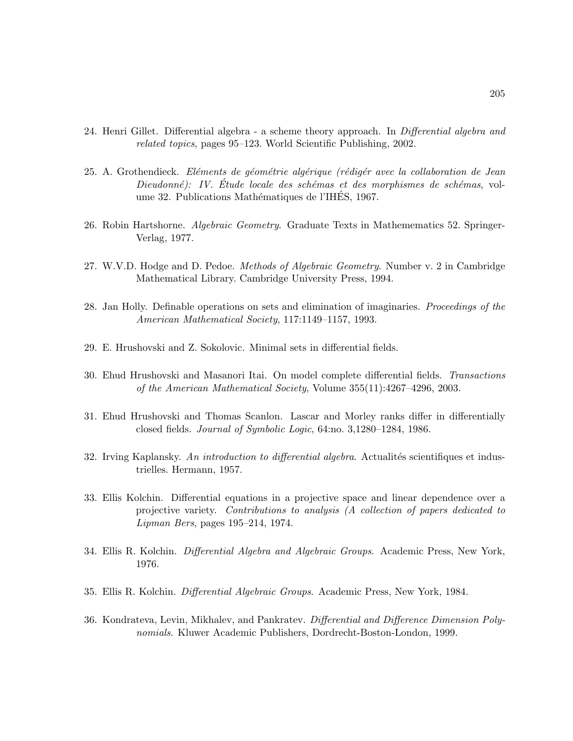- 24. Henri Gillet. Differential algebra a scheme theory approach. In *Differential algebra and* related topics, pages 95–123. World Scientific Publishing, 2002.
- 25. A. Grothendieck. Eléments de géométrie algérique (rédigér avec la collaboration de Jean Dieudonné): IV. Étude locale des schémas et des morphismes de schémas, volume 32. Publications Mathématiques de l'IHES, 1967.
- 26. Robin Hartshorne. *Algebraic Geometry*. Graduate Texts in Mathemematics 52. Springer-Verlag, 1977.
- 27. W.V.D. Hodge and D. Pedoe. Methods of Algebraic Geometry. Number v. 2 in Cambridge Mathematical Library. Cambridge University Press, 1994.
- 28. Jan Holly. Definable operations on sets and elimination of imaginaries. *Proceedings of the* American Mathematical Society, 117:1149–1157, 1993.
- 29. E. Hrushovski and Z. Sokolovic. Minimal sets in differential fields.
- 30. Ehud Hrushovski and Masanori Itai. On model complete differential fields. Transactions of the American Mathematical Society, Volume 355(11):4267–4296, 2003.
- 31. Ehud Hrushovski and Thomas Scanlon. Lascar and Morley ranks differ in differentially closed fields. Journal of Symbolic Logic, 64:no. 3,1280–1284, 1986.
- 32. Irving Kaplansky. An introduction to differential algebra. Actualités scientifiques et industrielles. Hermann, 1957.
- 33. Ellis Kolchin. Differential equations in a projective space and linear dependence over a projective variety. Contributions to analysis (A collection of papers dedicated to Lipman Bers, pages 195–214, 1974.
- 34. Ellis R. Kolchin. Differential Algebra and Algebraic Groups. Academic Press, New York, 1976.
- 35. Ellis R. Kolchin. Differential Algebraic Groups. Academic Press, New York, 1984.
- 36. Kondrateva, Levin, Mikhalev, and Pankratev. Differential and Difference Dimension Polynomials. Kluwer Academic Publishers, Dordrecht-Boston-London, 1999.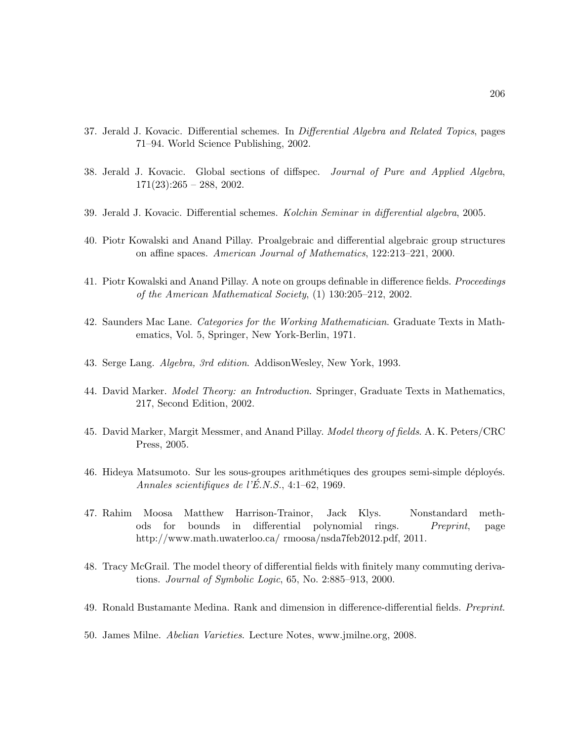- 37. Jerald J. Kovacic. Differential schemes. In *Differential Algebra and Related Topics*, pages 71–94. World Science Publishing, 2002.
- 38. Jerald J. Kovacic. Global sections of diffspec. Journal of Pure and Applied Algebra,  $171(23):265 - 288, 2002.$
- 39. Jerald J. Kovacic. Differential schemes. Kolchin Seminar in differential algebra, 2005.
- 40. Piotr Kowalski and Anand Pillay. Proalgebraic and differential algebraic group structures on affine spaces. American Journal of Mathematics, 122:213–221, 2000.
- 41. Piotr Kowalski and Anand Pillay. A note on groups definable in difference fields. *Proceedings* of the American Mathematical Society, (1) 130:205–212, 2002.
- 42. Saunders Mac Lane. Categories for the Working Mathematician. Graduate Texts in Mathematics, Vol. 5, Springer, New York-Berlin, 1971.
- 43. Serge Lang. Algebra, 3rd edition. AddisonWesley, New York, 1993.
- 44. David Marker. Model Theory: an Introduction. Springer, Graduate Texts in Mathematics, 217, Second Edition, 2002.
- 45. David Marker, Margit Messmer, and Anand Pillay. Model theory of fields. A. K. Peters/CRC Press, 2005.
- 46. Hideya Matsumoto. Sur les sous-groupes arithmétiques des groupes semi-simple déployés. Annales scientifiques de l'É.N.S., 4:1–62, 1969.
- 47. Rahim Moosa Matthew Harrison-Trainor, Jack Klys. Nonstandard methods for bounds in differential polynomial rings. Preprint, page http://www.math.uwaterloo.ca/ rmoosa/nsda7feb2012.pdf, 2011.
- 48. Tracy McGrail. The model theory of differential fields with finitely many commuting derivations. Journal of Symbolic Logic, 65, No. 2:885–913, 2000.
- 49. Ronald Bustamante Medina. Rank and dimension in difference-differential fields. *Preprint*.
- 50. James Milne. Abelian Varieties. Lecture Notes, www.jmilne.org, 2008.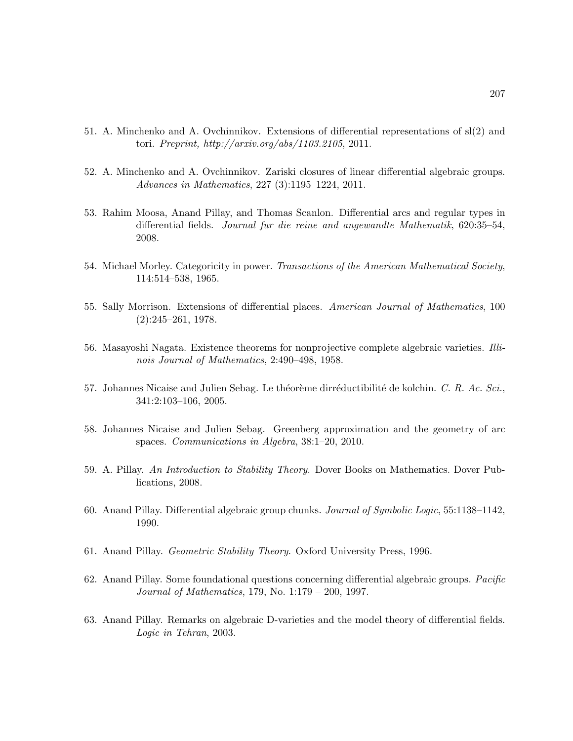- 51. A. Minchenko and A. Ovchinnikov. Extensions of differential representations of sl(2) and tori. Preprint, http://arxiv.org/abs/1103.2105, 2011.
- 52. A. Minchenko and A. Ovchinnikov. Zariski closures of linear differential algebraic groups. Advances in Mathematics, 227 (3):1195–1224, 2011.
- 53. Rahim Moosa, Anand Pillay, and Thomas Scanlon. Differential arcs and regular types in differential fields. Journal fur die reine and angewandte Mathematik, 620:35–54, 2008.
- 54. Michael Morley. Categoricity in power. Transactions of the American Mathematical Society, 114:514–538, 1965.
- 55. Sally Morrison. Extensions of differential places. American Journal of Mathematics, 100 (2):245–261, 1978.
- 56. Masayoshi Nagata. Existence theorems for nonprojective complete algebraic varieties. Illinois Journal of Mathematics, 2:490–498, 1958.
- 57. Johannes Nicaise and Julien Sebag. Le théorème dirréductibilité de kolchin. C. R. Ac. Sci., 341:2:103–106, 2005.
- 58. Johannes Nicaise and Julien Sebag. Greenberg approximation and the geometry of arc spaces. Communications in Algebra, 38:1–20, 2010.
- 59. A. Pillay. An Introduction to Stability Theory. Dover Books on Mathematics. Dover Publications, 2008.
- 60. Anand Pillay. Differential algebraic group chunks. Journal of Symbolic Logic, 55:1138–1142, 1990.
- 61. Anand Pillay. Geometric Stability Theory. Oxford University Press, 1996.
- 62. Anand Pillay. Some foundational questions concerning differential algebraic groups. Pacific Journal of Mathematics, 179, No. 1:179 – 200, 1997.
- 63. Anand Pillay. Remarks on algebraic D-varieties and the model theory of differential fields. Logic in Tehran, 2003.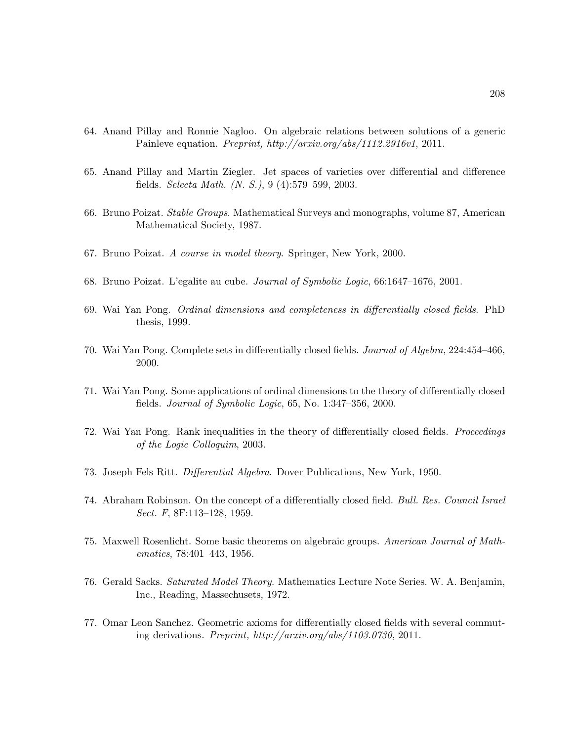- 64. Anand Pillay and Ronnie Nagloo. On algebraic relations between solutions of a generic Painleve equation. Preprint, http://arxiv.org/abs/1112.2916v1, 2011.
- 65. Anand Pillay and Martin Ziegler. Jet spaces of varieties over differential and difference fields. Selecta Math. (N. S.), 9 (4):579–599, 2003.
- 66. Bruno Poizat. Stable Groups. Mathematical Surveys and monographs, volume 87, American Mathematical Society, 1987.
- 67. Bruno Poizat. A course in model theory. Springer, New York, 2000.
- 68. Bruno Poizat. L'egalite au cube. Journal of Symbolic Logic, 66:1647–1676, 2001.
- 69. Wai Yan Pong. Ordinal dimensions and completeness in differentially closed fields. PhD thesis, 1999.
- 70. Wai Yan Pong. Complete sets in differentially closed fields. Journal of Algebra, 224:454–466, 2000.
- 71. Wai Yan Pong. Some applications of ordinal dimensions to the theory of differentially closed fields. Journal of Symbolic Logic, 65, No. 1:347–356, 2000.
- 72. Wai Yan Pong. Rank inequalities in the theory of differentially closed fields. Proceedings of the Logic Colloquim, 2003.
- 73. Joseph Fels Ritt. Differential Algebra. Dover Publications, New York, 1950.
- 74. Abraham Robinson. On the concept of a differentially closed field. Bull. Res. Council Israel Sect. F, 8F:113–128, 1959.
- 75. Maxwell Rosenlicht. Some basic theorems on algebraic groups. American Journal of Mathematics, 78:401–443, 1956.
- 76. Gerald Sacks. Saturated Model Theory. Mathematics Lecture Note Series. W. A. Benjamin, Inc., Reading, Massechusets, 1972.
- 77. Omar Leon Sanchez. Geometric axioms for differentially closed fields with several commuting derivations. Preprint, http://arxiv.org/abs/1103.0730, 2011.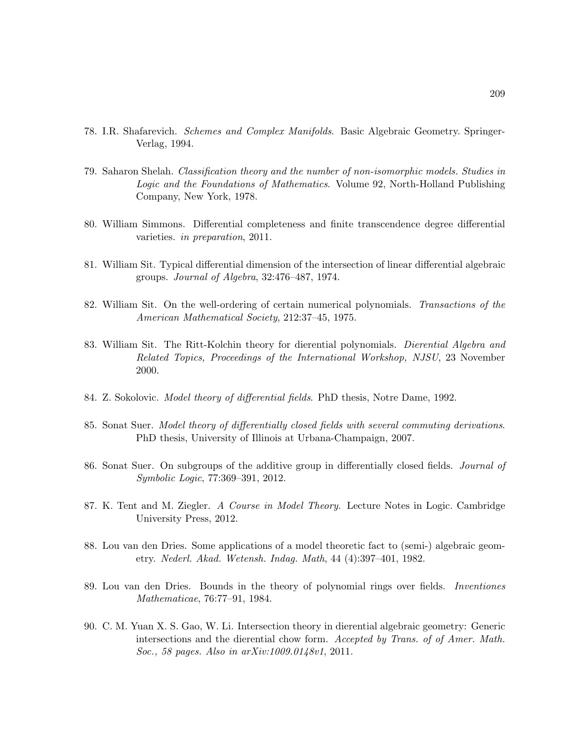- 78. I.R. Shafarevich. Schemes and Complex Manifolds. Basic Algebraic Geometry. Springer-Verlag, 1994.
- 79. Saharon Shelah. Classification theory and the number of non-isomorphic models. Studies in Logic and the Foundations of Mathematics. Volume 92, North-Holland Publishing Company, New York, 1978.
- 80. William Simmons. Differential completeness and finite transcendence degree differential varieties. in preparation, 2011.
- 81. William Sit. Typical differential dimension of the intersection of linear differential algebraic groups. Journal of Algebra, 32:476–487, 1974.
- 82. William Sit. On the well-ordering of certain numerical polynomials. Transactions of the American Mathematical Society, 212:37–45, 1975.
- 83. William Sit. The Ritt-Kolchin theory for dierential polynomials. Dierential Algebra and Related Topics, Proceedings of the International Workshop, NJSU, 23 November 2000.
- 84. Z. Sokolovic. *Model theory of differential fields*. PhD thesis, Notre Dame, 1992.
- 85. Sonat Suer. Model theory of differentially closed fields with several commuting derivations. PhD thesis, University of Illinois at Urbana-Champaign, 2007.
- 86. Sonat Suer. On subgroups of the additive group in differentially closed fields. *Journal of* Symbolic Logic, 77:369–391, 2012.
- 87. K. Tent and M. Ziegler. A Course in Model Theory. Lecture Notes in Logic. Cambridge University Press, 2012.
- 88. Lou van den Dries. Some applications of a model theoretic fact to (semi-) algebraic geometry. Nederl. Akad. Wetensh. Indag. Math, 44 (4):397–401, 1982.
- 89. Lou van den Dries. Bounds in the theory of polynomial rings over fields. Inventiones Mathematicae, 76:77–91, 1984.
- 90. C. M. Yuan X. S. Gao, W. Li. Intersection theory in dierential algebraic geometry: Generic intersections and the dierential chow form. Accepted by Trans. of of Amer. Math. Soc., 58 pages. Also in arXiv:1009.0148v1, 2011.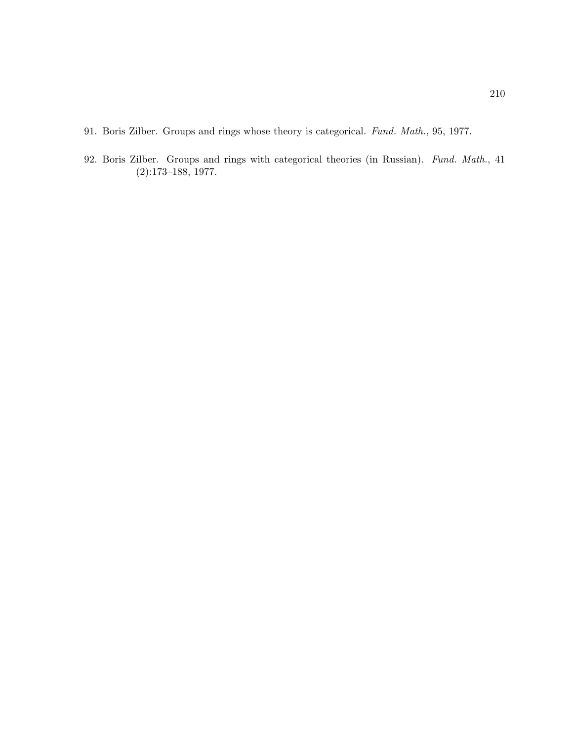- 91. Boris Zilber. Groups and rings whose theory is categorical. Fund. Math., 95, 1977.
- 92. Boris Zilber. Groups and rings with categorical theories (in Russian). Fund. Math., 41 (2):173–188, 1977.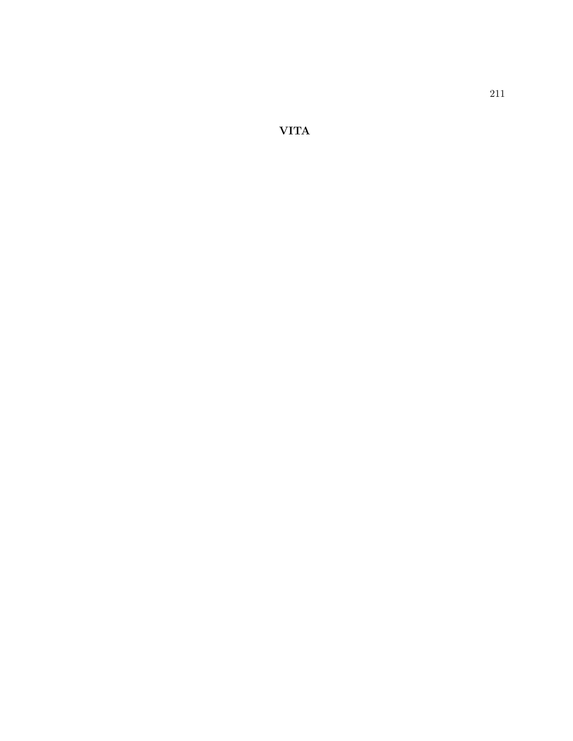VITA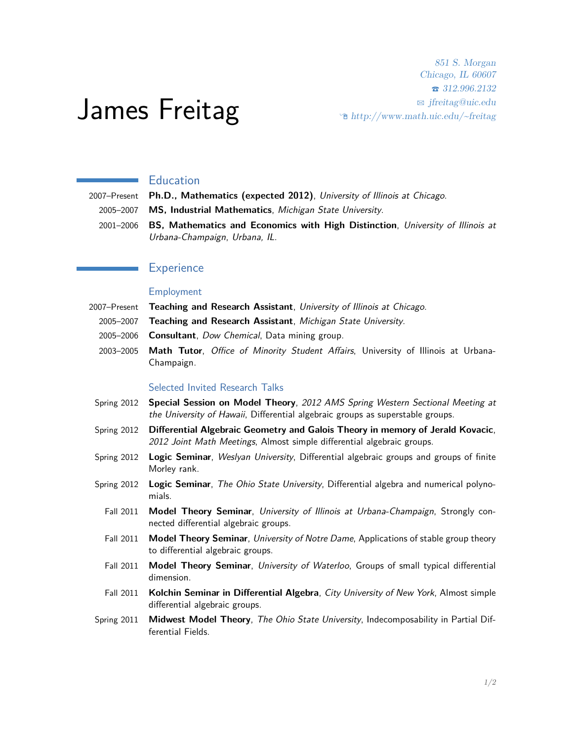# James Freitag

851 S. Morgan Chicago, IL 60607 T 312.996.2132 B jfreitag@uic.edu  $\hat{\phi}$  http://www.math.uic.edu/~freitag

# Education

2007–Present **Ph.D., Mathematics (expected 2012)**, University of Illinois at Chicago.

- 2005–2007 **MS, Industrial Mathematics**, Michigan State University.
- 2001–2006 **BS, Mathematics and Economics with High Distinction**, University of Illinois at Urbana-Champaign, Urbana, IL.

# **Experience**

## Employment

- 2007–Present **Teaching and Research Assistant**, University of Illinois at Chicago.
	- 2005–2007 **Teaching and Research Assistant**, Michigan State University.
	- 2005–2006 **Consultant**, Dow Chemical, Data mining group.
	- 2003–2005 **Math Tutor**, Office of Minority Student Affairs, University of Illinois at Urbana-Champaign.

#### Selected Invited Research Talks

- Spring 2012 **Special Session on Model Theory**, 2012 AMS Spring Western Sectional Meeting at the University of Hawaii, Differential algebraic groups as superstable groups.
- Spring 2012 **Differential Algebraic Geometry and Galois Theory in memory of Jerald Kovacic**, 2012 Joint Math Meetings, Almost simple differential algebraic groups.
- Spring 2012 **Logic Seminar**, Weslyan University, Differential algebraic groups and groups of finite Morley rank.
- Spring 2012 **Logic Seminar**, The Ohio State University, Differential algebra and numerical polynomials.
	- Fall 2011 **Model Theory Seminar**, University of Illinois at Urbana-Champaign, Strongly connected differential algebraic groups.
	- Fall 2011 **Model Theory Seminar**, University of Notre Dame, Applications of stable group theory to differential algebraic groups.
	- Fall 2011 **Model Theory Seminar**, University of Waterloo, Groups of small typical differential dimension.
	- Fall 2011 **Kolchin Seminar in Differential Algebra**, City University of New York, Almost simple differential algebraic groups.
- Spring 2011 **Midwest Model Theory**, The Ohio State University, Indecomposability in Partial Differential Fields.